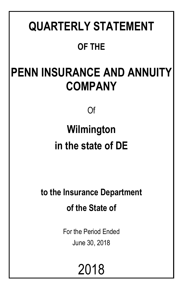# **QUARTERLY STATEMENT OF THE**

# **PENN INSURANCE AND ANNUITY COMPANY**

Of

# **Wilmington in the state of DE**

**to the Insurance Department of the State of**

> For the Period Ended June 30, 2018

> > 2018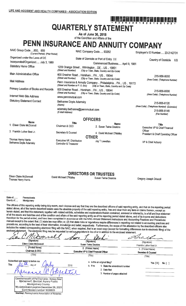## ı çim <sup>b</sup>ari im ildi Cul İnd ildi bir bir bar ilm ilm ter bir bir bir b **QUARTERLY STATEMENT**

As of June 30, 2018

## of the Condition and Affairs of the PENN INSURANCE AND ANNUITY COMPANY

NAIC Group Code.....850. 850 NAIC Company Code..... 93262 Employer's ID Number..... 23-2142731 (Current Period) (Prior Period) Organized under the Laws of DE State of Domicile or Port of Entry DE **Country of Domicile IIS** Incorporated/Organized..... July 3, 1980 Commenced Business..... April 9, 1981 **Statutory Home Office** 1209 Orange Street .. Wilmington .. DE .. US .. 19801 (Street and Number) (City or Town, State, Country and Zip Code) Main Administrative Office 600 Dresher Road .. Horsham .. PA... US .. 19044 215-956-8000 (Street and Number) (City or Town, State, Country and Zip Code) (Area Code) (Telephone Number) **Mail Address** Penn Insurance & Annuity Company .. Philadelphia .. PA .. US .. 19172 (Street and Number or P. O. Box) (City or Town, State, Country and Zip Code) Primary Location of Books and Records 600 Dresher Road .. Horsham .. PA .. US .. 19044 215-956-8000 (Street and Number) (City or Town, State, Country and Zip Code) (Area Code) (Telephone Number) Internet Web Site Address www.pennmutual.com **Statutory Statement Contact** Bethanne Doyle Adamsky 215-956-8120 (Name) (Area Code) (Telephone Number) (Extension) adamsky.bethanne@pennmutual.com 215-956-8145 (E-Mail Address) (Fax Number) **OFFICERS** Name **Tifle Name Title** 1. Eileen Claire McDonnell Chairman & CFO 2. Susan Twine Deakins Executive VP & Chief Financial Officer 3. Franklin Luther Best Jr. Secretary & Counsel 4. David Michael O'Malley President & Chief Operating Officer **OTHER** Thomas Henry Harris Jav T Lewellen

VP & Chief Actuary

**Executive VP, Distribution** 

Controller & Treasurer

Eileen Claire McDonnell Thomas Henry Harris

Bethanne Doyle Adamsky

**DIRECTORS OR TRUSTEES** 

David Michael O'Malley Susan Twine Deakins

Gregory Joseph Driscoll

State of... Pennsylvania County of.....

Montgomery

OG+

The officers of this reporting entity being duly swom, each depose and say that they are the described officers of said reporting entity, and that on the reporting period stated above, all of the herein described assets were the absolute property of the said reporting entity, free and clear from any liens or claims thereon, except as herein stated, and that this statement, together with related exhibits, schedules and explanations therein contained, annexed or referred to, is a full and true statement of all the assets and liabilities and of the condition and affairs of the said reporting entity as of the reporting period stated above, and of its income and deductions therefrom for the period ended, and have been completed in accordance with the NAIC Annual Statement Instructions and Accounting Practices and Procedures manual except to the extent that: (1) state law may differ; or, (2) that state rules or regulations require differences in reporting not related to accounting practices and procedures, according to the best of their information, knowledge and belief, respectively. Furthermore, the scope of this attestation by the described officers also includes the related corresponding electronic filing with the NAIC, when required, that is an exact copy (except for formatting differences due to electronic filing) of the enclosed statement. The electronic filing may be requested by various regulators in lieu of or in addition to the enclosed statement.

| (Signature)                                                                                                                                                                                                                                   | (Signature)                                                                                                                         | (Signature)                       |
|-----------------------------------------------------------------------------------------------------------------------------------------------------------------------------------------------------------------------------------------------|-------------------------------------------------------------------------------------------------------------------------------------|-----------------------------------|
| Eileen Claire McDonnell                                                                                                                                                                                                                       | Susan Twine Deakins                                                                                                                 | Franklin Luther Best Jr.          |
| 1. (Printed Name)                                                                                                                                                                                                                             | 2. (Printed Name)                                                                                                                   | 3. (Printed Name)                 |
| Chairman & CEO                                                                                                                                                                                                                                | Executive VP & Chief Financial Officer                                                                                              | Secretary & Counsel               |
| (Title)                                                                                                                                                                                                                                       | (Title)                                                                                                                             | (Title)                           |
| Subscribed and sworn to before me<br><b>This</b><br>dav of<br>Commonwealth of Pennsylvania - Notary Seal<br>Marianne C. Bechtel, Notary Public<br>: Montgomery County<br>My commission expires December 26, 2021<br>Commission number 1008805 | a. Is this an original filing?<br>2018<br>b. If no<br>1. State the amendment number<br>2. Date filed<br>3. Number of pages attached | Yes $[X]$<br>$No$ $\vert$ $\vert$ |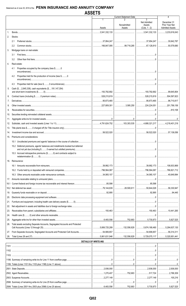|      |                                                                                                                                                | AUUL I U                    |                               |                                                       |                                                         |
|------|------------------------------------------------------------------------------------------------------------------------------------------------|-----------------------------|-------------------------------|-------------------------------------------------------|---------------------------------------------------------|
|      |                                                                                                                                                |                             | <b>Current Statement Date</b> |                                                       | 4                                                       |
|      |                                                                                                                                                | 1<br>Assets                 | Nonadmitted<br>Assets         | 3<br><b>Net Admitted</b><br>Assets<br>$(Cols. 1 - 2)$ | December 31<br>Prior Year Net<br><b>Admitted Assets</b> |
| 1.   |                                                                                                                                                | 3,541,332,133               |                               | $1.11$ 3,541,332,133                                  | $\ldots$ 3,233,616,043                                  |
| 2.   | Stocks:                                                                                                                                        |                             |                               |                                                       |                                                         |
|      | 2.1                                                                                                                                            |                             |                               |                                                       |                                                         |
|      | $2.2\phantom{0}$                                                                                                                               |                             |                               |                                                       |                                                         |
| 3.   | Mortgage loans on real estate:                                                                                                                 |                             |                               |                                                       |                                                         |
|      | 3.1                                                                                                                                            |                             |                               |                                                       |                                                         |
|      | 3.2                                                                                                                                            |                             |                               |                                                       |                                                         |
| 4.   | Real estate:                                                                                                                                   |                             |                               |                                                       |                                                         |
|      |                                                                                                                                                |                             |                               |                                                       |                                                         |
|      | Properties occupied by the company (less \$0<br>4.1                                                                                            |                             |                               |                                                       |                                                         |
|      | Properties held for the production of income (less \$0<br>4.2                                                                                  |                             |                               |                                                       |                                                         |
|      | 4.3                                                                                                                                            |                             |                               |                                                       |                                                         |
| 5.   | Cash (\$2,645,338), cash equivalents (\$191,147,354)                                                                                           |                             |                               |                                                       |                                                         |
|      |                                                                                                                                                |                             |                               |                                                       |                                                         |
| 6.   |                                                                                                                                                |                             |                               |                                                       |                                                         |
| 7.   |                                                                                                                                                |                             |                               |                                                       |                                                         |
| 8.   |                                                                                                                                                |                             |                               |                                                       |                                                         |
| 9.   |                                                                                                                                                |                             |                               |                                                       |                                                         |
| 10.  |                                                                                                                                                |                             |                               |                                                       |                                                         |
| 11.  |                                                                                                                                                |                             |                               |                                                       |                                                         |
| 12.  |                                                                                                                                                |                             |                               |                                                       |                                                         |
| 13.  |                                                                                                                                                |                             |                               |                                                       |                                                         |
| 14.  |                                                                                                                                                |                             |                               |                                                       |                                                         |
| 15.  | Premiums and considerations:                                                                                                                   |                             |                               |                                                       |                                                         |
|      |                                                                                                                                                |                             |                               |                                                       |                                                         |
|      | 15.2 Deferred premiums, agents' balances and installments booked but deferred<br>and not yet due (including \$0 earned but unbilled premiums). |                             |                               | $\Omega$ .                                            |                                                         |
|      | 15.3 Accrued retrospective premiums (\$0) and contracts subject to                                                                             |                             |                               |                                                       |                                                         |
|      | 16. Reinsurance:                                                                                                                               |                             |                               |                                                       |                                                         |
|      |                                                                                                                                                |                             |                               |                                                       |                                                         |
|      |                                                                                                                                                |                             |                               |                                                       |                                                         |
|      |                                                                                                                                                |                             |                               |                                                       |                                                         |
| 17.  |                                                                                                                                                |                             |                               |                                                       |                                                         |
| 18.1 |                                                                                                                                                |                             |                               |                                                       |                                                         |
|      |                                                                                                                                                |                             |                               |                                                       |                                                         |
| 19.  |                                                                                                                                                |                             |                               |                                                       |                                                         |
| 20.  |                                                                                                                                                |                             |                               |                                                       |                                                         |
| 21.  |                                                                                                                                                |                             |                               |                                                       |                                                         |
| 22.  |                                                                                                                                                |                             |                               |                                                       |                                                         |
| 23.  |                                                                                                                                                |                             |                               |                                                       |                                                         |
| 24.  |                                                                                                                                                |                             |                               |                                                       |                                                         |
| 25.  |                                                                                                                                                |                             |                               |                                                       |                                                         |
| 26.  | Total assets excluding Separate Accounts, Segregated Accounts and Protected                                                                    |                             |                               |                                                       |                                                         |
| 27.  |                                                                                                                                                |                             |                               |                                                       |                                                         |
| 28.  |                                                                                                                                                |                             |                               |                                                       |                                                         |
|      |                                                                                                                                                |                             |                               |                                                       |                                                         |
|      |                                                                                                                                                | <b>DETAILS OF WRITE-INS</b> |                               | $\overline{0}$                                        |                                                         |
|      |                                                                                                                                                |                             |                               |                                                       |                                                         |

| 1101. |  |           |
|-------|--|-----------|
|       |  |           |
| 1103. |  |           |
|       |  |           |
|       |  |           |
|       |  |           |
|       |  |           |
|       |  |           |
|       |  |           |
|       |  | 5.827.525 |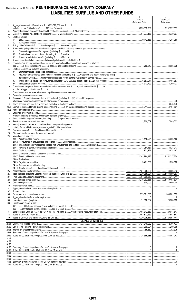## Statement as of June 30, 2018 of the PENN INSURANCE AND ANNUITY COMPANY LIABILITIES, SURPLUS AND OTHER FUNDS

|            |                                                                                                                       | $\mathbf{1}$<br>Current<br><b>Statement Date</b> | $\overline{2}$<br>December 31<br>Prior Year |
|------------|-----------------------------------------------------------------------------------------------------------------------|--------------------------------------------------|---------------------------------------------|
| 1.         | Aggregate reserve for life contracts \$3,625,692,781 less \$0                                                         |                                                  |                                             |
| 2.         |                                                                                                                       |                                                  |                                             |
| 3.<br>4.   | Contract claims:                                                                                                      |                                                  |                                             |
|            | 4.1                                                                                                                   |                                                  |                                             |
|            | 4.2                                                                                                                   |                                                  |                                             |
| 5.<br>6.   | Provision for policyholders' dividends and coupons payable in following calendar year - estimated amounts:            |                                                  |                                             |
|            | 6.1                                                                                                                   |                                                  |                                             |
|            | 6.2<br>6.3                                                                                                            |                                                  |                                             |
| 7.         |                                                                                                                       |                                                  |                                             |
| 8.         | Premiums and annuity considerations for life and accident and health contracts received in advance                    |                                                  |                                             |
| 9.         | Contract liabilities not included elsewhere:                                                                          |                                                  |                                             |
|            | 9.1                                                                                                                   |                                                  |                                             |
|            | Provision for experience rating refunds, including the liability of \$ 0 accident and health experience rating<br>9.2 |                                                  |                                             |
|            | 9.3                                                                                                                   |                                                  |                                             |
|            | 9.4                                                                                                                   |                                                  |                                             |
| 10.        | Commissions to agents due or accrued - life and annuity contracts \$0, accident and health \$0                        |                                                  |                                             |
| 11.        |                                                                                                                       |                                                  |                                             |
| 12.        |                                                                                                                       |                                                  |                                             |
| 13.        | Transfers to Separate Accounts due or accrued (net) (including \$(92) accrued for expense                             |                                                  |                                             |
| 14.        |                                                                                                                       |                                                  |                                             |
| 15.1       |                                                                                                                       |                                                  |                                             |
| 15.2       |                                                                                                                       |                                                  |                                             |
| 16.        |                                                                                                                       |                                                  |                                             |
| 17.<br>18. |                                                                                                                       |                                                  |                                             |
| 19.        |                                                                                                                       |                                                  |                                             |
| 20.<br>21. |                                                                                                                       |                                                  |                                             |
| 22.        |                                                                                                                       |                                                  |                                             |
| 23.        |                                                                                                                       |                                                  |                                             |
| 24.        | Miscellaneous liabilities:                                                                                            |                                                  |                                             |
|            |                                                                                                                       |                                                  |                                             |
|            |                                                                                                                       |                                                  |                                             |
|            |                                                                                                                       |                                                  |                                             |
|            |                                                                                                                       |                                                  |                                             |
|            |                                                                                                                       |                                                  |                                             |
|            |                                                                                                                       |                                                  |                                             |
|            |                                                                                                                       |                                                  |                                             |
|            |                                                                                                                       |                                                  |                                             |
| 25.<br>26. |                                                                                                                       |                                                  | 163,058,043<br>4,833,089,283                |
| 27.        |                                                                                                                       |                                                  | 56,314,311                                  |
| 28.        |                                                                                                                       | $1$ 5,275,262,558                                | 4,889,403,594                               |
| 29.<br>30. |                                                                                                                       | 2,500,000                                        | 2,500,000                                   |
| 31.        |                                                                                                                       |                                                  |                                             |
| 32.        |                                                                                                                       |                                                  |                                             |
| 33.<br>34. |                                                                                                                       |                                                  | 349,661.695                                 |
| 35.        |                                                                                                                       |                                                  |                                             |
| 36.        | Less treasury stock, at cost:                                                                                         |                                                  |                                             |
|            |                                                                                                                       |                                                  |                                             |
| 37.        |                                                                                                                       |                                                  | 429,047,847                                 |
| 38.        |                                                                                                                       |                                                  |                                             |
| 39.        | <b>DETAILS OF WRITE-INS</b>                                                                                           |                                                  |                                             |
|            | <u> 1989 - Johann Barbara, martxa eta politikar</u>                                                                   |                                                  |                                             |
|            |                                                                                                                       |                                                  |                                             |
|            |                                                                                                                       |                                                  | 82,305                                      |
|            |                                                                                                                       |                                                  |                                             |
|            |                                                                                                                       |                                                  |                                             |
|            |                                                                                                                       |                                                  |                                             |
|            |                                                                                                                       |                                                  |                                             |
|            |                                                                                                                       |                                                  |                                             |
|            |                                                                                                                       |                                                  |                                             |
|            |                                                                                                                       |                                                  |                                             |
|            |                                                                                                                       |                                                  |                                             |
|            |                                                                                                                       |                                                  |                                             |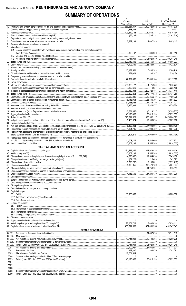## **SUMMARY OF OPERATIONS**

|          |                                                                                                              | 1<br>Current                            | 2<br>Prior                                                                                                                                                                                                                                                                                                                                           | 3<br>Prior Year Ended                    |
|----------|--------------------------------------------------------------------------------------------------------------|-----------------------------------------|------------------------------------------------------------------------------------------------------------------------------------------------------------------------------------------------------------------------------------------------------------------------------------------------------------------------------------------------------|------------------------------------------|
| 1.       |                                                                                                              | Year to Date<br>$\frac{386,651,017}{2}$ | Year to Date<br>$\ldots$ 309,825,052                                                                                                                                                                                                                                                                                                                 | December 31                              |
|          |                                                                                                              | 1,648,238                               | 230,731                                                                                                                                                                                                                                                                                                                                              | 230.732                                  |
|          |                                                                                                              | 109,212,138                             | 89,688,778                                                                                                                                                                                                                                                                                                                                           | 191,916,194                              |
| 4.       |                                                                                                              |                                         |                                                                                                                                                                                                                                                                                                                                                      |                                          |
| 5.<br>6. |                                                                                                              |                                         | $\ldots \ldots \ldots \ldots \ldots \ldots \ldots \vdots$<br>2,697.589                                                                                                                                                                                                                                                                               | <br>$\ldots$ 5,495,445                   |
|          |                                                                                                              |                                         |                                                                                                                                                                                                                                                                                                                                                      |                                          |
|          | 8. Miscellaneous Income:                                                                                     |                                         |                                                                                                                                                                                                                                                                                                                                                      |                                          |
|          | 8.1 Income from fees associated with investment management, administration and contract guarantees           |                                         |                                                                                                                                                                                                                                                                                                                                                      |                                          |
|          |                                                                                                              | 398,197                                 | 396,900                                                                                                                                                                                                                                                                                                                                              | 801.513                                  |
|          |                                                                                                              |                                         | 101,021,989                                                                                                                                                                                                                                                                                                                                          | $\ldots$ 209,201,249                     |
|          |                                                                                                              | 520.148.498                             |                                                                                                                                                                                                                                                                                                                                                      | 1.107.666.993                            |
|          |                                                                                                              |                                         | $\ldots$ 26,823,971                                                                                                                                                                                                                                                                                                                                  | $\overline{\ldots}$ 34,422,504           |
|          |                                                                                                              |                                         |                                                                                                                                                                                                                                                                                                                                                      |                                          |
|          |                                                                                                              |                                         | $\ldots$ 6,466,283<br>262.347                                                                                                                                                                                                                                                                                                                        | 14,386,918<br>530,478                    |
|          |                                                                                                              |                                         |                                                                                                                                                                                                                                                                                                                                                      |                                          |
|          |                                                                                                              |                                         | 39.655.164                                                                                                                                                                                                                                                                                                                                           | 109,117,683                              |
|          |                                                                                                              |                                         |                                                                                                                                                                                                                                                                                                                                                      |                                          |
|          |                                                                                                              |                                         |                                                                                                                                                                                                                                                                                                                                                      | 2,670,777                                |
|          |                                                                                                              | $\ldots$ 363,459,341                    | 119,937<br>$\ldots$ 299,324,156                                                                                                                                                                                                                                                                                                                      | $\ldots$ 225,480<br>$\ldots$ 664,777,416 |
|          |                                                                                                              |                                         |                                                                                                                                                                                                                                                                                                                                                      | $\ldots$ 826.131.256                     |
|          |                                                                                                              | 28,632,382                              | 18,866,270                                                                                                                                                                                                                                                                                                                                           | 47.150.920                               |
|          |                                                                                                              | 18,148,064                              | 25.530.396                                                                                                                                                                                                                                                                                                                                           | 45,551,622                               |
|          |                                                                                                              |                                         | $\ldots$ 37.835.130                                                                                                                                                                                                                                                                                                                                  | 94,798,127                               |
|          |                                                                                                              |                                         |                                                                                                                                                                                                                                                                                                                                                      |                                          |
|          |                                                                                                              |                                         |                                                                                                                                                                                                                                                                                                                                                      |                                          |
|          |                                                                                                              |                                         |                                                                                                                                                                                                                                                                                                                                                      |                                          |
|          |                                                                                                              |                                         |                                                                                                                                                                                                                                                                                                                                                      | 1,074,804,893                            |
|          |                                                                                                              |                                         |                                                                                                                                                                                                                                                                                                                                                      | $\ldots$ 32,862,100                      |
|          |                                                                                                              |                                         |                                                                                                                                                                                                                                                                                                                                                      | $\ldots$ 32,862,100                      |
|          |                                                                                                              |                                         |                                                                                                                                                                                                                                                                                                                                                      | 49,854,296                               |
|          | 33. Net gain from operations after dividends to policyholders and federal income taxes and before realized   |                                         |                                                                                                                                                                                                                                                                                                                                                      |                                          |
|          |                                                                                                              |                                         |                                                                                                                                                                                                                                                                                                                                                      | $1$ (16,992,196)                         |
|          | 34. Net realized capital gains (losses) (excluding gains (losses) transferred to the IMR) less capital gains |                                         |                                                                                                                                                                                                                                                                                                                                                      |                                          |
|          |                                                                                                              | 10.407.132                              | $\dots$                                                                                                                                                                                                                                                                                                                                              | 1,077,671                                |
|          |                                                                                                              |                                         |                                                                                                                                                                                                                                                                                                                                                      |                                          |
|          | <b>CAPITAL AND SURPLUS ACCOUNT</b>                                                                           |                                         |                                                                                                                                                                                                                                                                                                                                                      |                                          |
|          |                                                                                                              |                                         | 393,919,436 393,919,436                                                                                                                                                                                                                                                                                                                              |                                          |
|          |                                                                                                              |                                         |                                                                                                                                                                                                                                                                                                                                                      |                                          |
|          |                                                                                                              |                                         |                                                                                                                                                                                                                                                                                                                                                      |                                          |
|          |                                                                                                              |                                         |                                                                                                                                                                                                                                                                                                                                                      |                                          |
|          |                                                                                                              |                                         |                                                                                                                                                                                                                                                                                                                                                      |                                          |
|          |                                                                                                              |                                         |                                                                                                                                                                                                                                                                                                                                                      |                                          |
|          |                                                                                                              |                                         |                                                                                                                                                                                                                                                                                                                                                      |                                          |
|          |                                                                                                              |                                         |                                                                                                                                                                                                                                                                                                                                                      |                                          |
|          |                                                                                                              |                                         |                                                                                                                                                                                                                                                                                                                                                      |                                          |
|          |                                                                                                              |                                         |                                                                                                                                                                                                                                                                                                                                                      |                                          |
|          |                                                                                                              |                                         |                                                                                                                                                                                                                                                                                                                                                      |                                          |
|          | 50. Capital changes:                                                                                         |                                         |                                                                                                                                                                                                                                                                                                                                                      |                                          |
|          |                                                                                                              |                                         |                                                                                                                                                                                                                                                                                                                                                      |                                          |
|          |                                                                                                              |                                         |                                                                                                                                                                                                                                                                                                                                                      |                                          |
|          |                                                                                                              |                                         |                                                                                                                                                                                                                                                                                                                                                      |                                          |
|          | 51. Surplus adjustment:                                                                                      |                                         |                                                                                                                                                                                                                                                                                                                                                      |                                          |
|          |                                                                                                              |                                         |                                                                                                                                                                                                                                                                                                                                                      |                                          |
|          |                                                                                                              |                                         |                                                                                                                                                                                                                                                                                                                                                      |                                          |
|          |                                                                                                              |                                         |                                                                                                                                                                                                                                                                                                                                                      |                                          |
|          |                                                                                                              |                                         |                                                                                                                                                                                                                                                                                                                                                      |                                          |
|          |                                                                                                              |                                         |                                                                                                                                                                                                                                                                                                                                                      |                                          |
|          |                                                                                                              |                                         |                                                                                                                                                                                                                                                                                                                                                      |                                          |
|          | <b>DETAILS OF WRITE-INS</b>                                                                                  |                                         |                                                                                                                                                                                                                                                                                                                                                      |                                          |
|          | 08.301.                                                                                                      |                                         | 81,887,626   170,911,512                                                                                                                                                                                                                                                                                                                             |                                          |
|          | 08.302.                                                                                                      |                                         |                                                                                                                                                                                                                                                                                                                                                      |                                          |
|          | 08.303.                                                                                                      |                                         |                                                                                                                                                                                                                                                                                                                                                      |                                          |
|          | 08.398.<br>08.399                                                                                            |                                         |                                                                                                                                                                                                                                                                                                                                                      |                                          |
|          | 2701.                                                                                                        |                                         |                                                                                                                                                                                                                                                                                                                                                      |                                          |
|          | 2702.                                                                                                        | 958,387                                 | 862,579 1,781,082                                                                                                                                                                                                                                                                                                                                    |                                          |
|          | 2703.                                                                                                        |                                         |                                                                                                                                                                                                                                                                                                                                                      |                                          |
|          | 2798.                                                                                                        |                                         | $\begin{array}{l} \rule{0.2cm}{0.15mm} \rule{0.2cm}{0.15mm} \rule{0.2cm}{0.15mm} \rule{0.2cm}{0.15mm} \rule{0.2cm}{0.15mm} \rule{0.2cm}{0.15mm} \rule{0.2cm}{0.15mm} \rule{0.2cm}{0.15mm} \rule{0.2cm}{0.15mm} \rule{0.2cm}{0.15mm} \rule{0.2cm}{0.15mm} \rule{0.2cm}{0.15mm} \rule{0.2cm}{0.15mm} \rule{0.2cm}{0.15mm} \rule{0.2cm}{0.15mm} \rule{$ |                                          |
|          | 2799.<br>5301.                                                                                               |                                         |                                                                                                                                                                                                                                                                                                                                                      |                                          |
|          | 5302.                                                                                                        |                                         |                                                                                                                                                                                                                                                                                                                                                      |                                          |
|          | 5303.                                                                                                        |                                         |                                                                                                                                                                                                                                                                                                                                                      |                                          |
|          | 5398.                                                                                                        |                                         |                                                                                                                                                                                                                                                                                                                                                      |                                          |
|          | 5399.                                                                                                        |                                         |                                                                                                                                                                                                                                                                                                                                                      |                                          |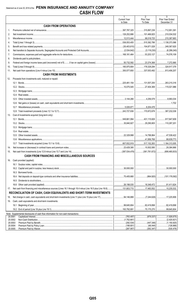|                    |                                                                                                            | 1                                     | 2                                                                    | 3                               |
|--------------------|------------------------------------------------------------------------------------------------------------|---------------------------------------|----------------------------------------------------------------------|---------------------------------|
|                    |                                                                                                            | <b>Current Year</b><br>to Date        | Prior Year<br>To Date                                                | Prior Year Ended<br>December 31 |
|                    | <b>CASH FROM OPERATIONS</b>                                                                                |                                       |                                                                      |                                 |
| $1_{\cdot}$        |                                                                                                            | $\ldots$ 397,787,325                  | │315,897,236 │712,951,391                                            |                                 |
| 2.                 |                                                                                                            | 126,252,686                           |                                                                      | 210,034,532                     |
| 3.                 |                                                                                                            |                                       |                                                                      | 215,387,663                     |
| 4.                 |                                                                                                            |                                       | │ 515,382,786                                                        | 1,138,373,586                   |
|                    |                                                                                                            | │……………(30,403,610)│……………104,871,028   |                                                                      | 249,367,620                     |
| 5.                 |                                                                                                            |                                       |                                                                      |                                 |
| 6.                 |                                                                                                            |                                       |                                                                      |                                 |
| 7.                 |                                                                                                            |                                       |                                                                      | 74,576,109                      |
| 8.                 |                                                                                                            |                                       |                                                                      |                                 |
| 9.                 |                                                                                                            |                                       |                                                                      |                                 |
| 10.                |                                                                                                            |                                       | 185,975,804 178,329,294 324,917,379                                  |                                 |
| 11.                |                                                                                                            |                                       | 337,053,492                                                          | 813,456,207                     |
|                    | <b>CASH FROM INVESTMENTS</b>                                                                               |                                       |                                                                      |                                 |
| 12.                | Proceeds from investments sold, matured or repaid:                                                         |                                       |                                                                      |                                 |
|                    |                                                                                                            |                                       | 225,481,154 131,007,250 263,215,316                                  |                                 |
|                    |                                                                                                            | 10.075.545   27.404.369   115.021.986 |                                                                      |                                 |
|                    |                                                                                                            |                                       |                                                                      |                                 |
|                    |                                                                                                            |                                       |                                                                      |                                 |
|                    | 12.5                                                                                                       |                                       |                                                                      |                                 |
|                    | 12.6                                                                                                       |                                       |                                                                      |                                 |
|                    | 12.7                                                                                                       |                                       |                                                                      |                                 |
|                    |                                                                                                            | 243,727,836 170,872,676 387,232,038   |                                                                      |                                 |
| 13.                | Cost of investments acquired (long-term only):                                                             |                                       |                                                                      |                                 |
|                    |                                                                                                            |                                       | 549,661,994 431,115,826 917,847,609                                  |                                 |
|                    |                                                                                                            |                                       | 35,840,927   29,290,805   110,287,201                                |                                 |
|                    | 13.3                                                                                                       |                                       |                                                                      |                                 |
|                    |                                                                                                            |                                       |                                                                      |                                 |
|                    | 13.5                                                                                                       |                                       | 22,329,998 14,788,864                                                | 47,538,422                      |
|                    | 13.6                                                                                                       |                                       |                                                                      | 88.639.773                      |
|                    |                                                                                                            |                                       |                                                                      | 1.164.313.005                   |
| 14.                |                                                                                                            | 23,429,395                            | │15,502,085 │29,384,866                                              |                                 |
| 15.                |                                                                                                            |                                       | $\ldots$ (387.534.478) $\ldots$ (361.781.672) $\ldots$ (306.465.833) |                                 |
|                    | <b>CASH FROM FINANCING AND MISCELLANEOUS SOURCES</b>                                                       |                                       |                                                                      |                                 |
|                    |                                                                                                            |                                       |                                                                      |                                 |
| 16.                | Cash provided (applied):                                                                                   |                                       |                                                                      |                                 |
|                    |                                                                                                            | $1$ 30,000,000                        |                                                                      |                                 |
|                    |                                                                                                            |                                       |                                                                      | $\ldots$ 30,000,000             |
|                    |                                                                                                            |                                       |                                                                      |                                 |
|                    | 16.4                                                                                                       |                                       |                                                                      |                                 |
|                    | 16.5                                                                                                       |                                       |                                                                      | .                               |
|                    | 16.6                                                                                                       |                                       | 18,348,472                                                           | 81,411,624                      |
| 17.                | Net cash from financing and miscellaneous sources (Lines 16.1 through 16.4 minus Line 16.5 plus Line 16.6) |                                       |                                                                      |                                 |
|                    | RECONCILIATION OF CASH, CASH EQUIVALENTS AND SHORT-TERM INVESTMENTS                                        |                                       |                                                                      |                                 |
| 18.                |                                                                                                            | 94,146,888                            |                                                                      |                                 |
| 19.                | Cash, cash equivalents and short-term investments:                                                         |                                       |                                                                      |                                 |
|                    | 19.1                                                                                                       | 99,645,804                            | 82,419,898                                                           | 82,419,898<br>.                 |
|                    | 19.2                                                                                                       | 193,792,691                           |                                                                      | .99,645,804                     |
|                    | Note: Supplemental disclosures of cash flow information for non-cash transactions:                         |                                       |                                                                      |                                 |
| 20.0001            |                                                                                                            |                                       |                                                                      | (1,926,675)                     |
|                    | 20.0002                                                                                                    |                                       |                                                                      | (2,420,921)                     |
| 20.0003<br>20.0004 |                                                                                                            | (188,601)<br>.                        | (447,348)<br>(66,444)                                                | (1, 150, 920)<br>.<br>(126,666) |
|                    | 20.0005                                                                                                    | (267, 957)                            | (262, 347)                                                           | (530, 478)                      |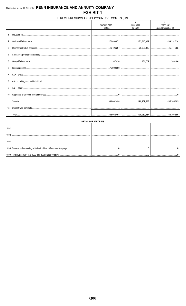## DIRECT PREMIUMS AND DEPOSIT-TYPE CONTRACTS

|                 |                     | $\overline{2}$                                                        | 3                 |
|-----------------|---------------------|-----------------------------------------------------------------------|-------------------|
|                 | <b>Current Year</b> | Prior Year                                                            | Prior Year        |
|                 | To Date             | To Date                                                               | Ended December 31 |
|                 |                     |                                                                       |                   |
|                 |                     |                                                                       |                   |
|                 |                     |                                                                       |                   |
| 2.              |                     | │…………………………271,468,871 │…………………………172,810,989 │……………………………439,214,234 |                   |
|                 |                     |                                                                       |                   |
|                 |                     |                                                                       |                   |
| 3.              |                     |                                                                       |                   |
|                 |                     |                                                                       |                   |
|                 |                     |                                                                       |                   |
|                 |                     |                                                                       |                   |
|                 |                     |                                                                       |                   |
|                 |                     |                                                                       |                   |
|                 |                     |                                                                       |                   |
|                 |                     |                                                                       |                   |
| 7.              |                     |                                                                       |                   |
|                 |                     |                                                                       |                   |
|                 |                     |                                                                       |                   |
|                 |                     |                                                                       |                   |
| 9.              |                     |                                                                       |                   |
|                 |                     |                                                                       |                   |
| 10.             |                     |                                                                       |                   |
|                 |                     |                                                                       |                   |
|                 |                     |                                                                       |                   |
| 11 <sub>1</sub> |                     |                                                                       |                   |
|                 |                     |                                                                       |                   |
| 12.             |                     |                                                                       |                   |
|                 |                     |                                                                       |                   |
|                 |                     | 363,062,498   198,989,537   485,305,695                               |                   |

| <b>DETAILS OF WRITE-INS</b> |  |  |  |  |  |  |  |  |
|-----------------------------|--|--|--|--|--|--|--|--|
| 100                         |  |  |  |  |  |  |  |  |
| 1002                        |  |  |  |  |  |  |  |  |
|                             |  |  |  |  |  |  |  |  |
| 100:                        |  |  |  |  |  |  |  |  |
|                             |  |  |  |  |  |  |  |  |
|                             |  |  |  |  |  |  |  |  |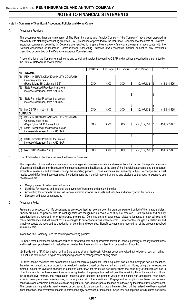### **Note 1 – Summary of Significant Accounting Policies and Going Concern**

### A. Accounting Practices

The accompanying financial statements of The Penn Insurance and Annuity Company ("the Company") have been prepared in conformity with statutory accounting practices (SAP) prescribed or permitted by the Insurance Department of the State of Delaware. Insurance companies domiciled in Delaware are required to prepare their statutory financial statements in accordance with the National Association of Insurance Commissioners' *Accounting Practices and Procedures* manual, subject to any deviations prescribed or permitted by the Delaware Insurance Commissioner.

A reconciliation of the Company's net income and capital and surplus between NAIC SAP and practices prescribed and permitted by the State of Delaware is shown below:

|     |                                        | SSAP#      | F/S Page   | F/S Line # |    | 2018 Period |     | 2017           |
|-----|----------------------------------------|------------|------------|------------|----|-------------|-----|----------------|
|     | <b>NET INCOME</b>                      |            |            |            |    |             |     |                |
| (1) | PENN INSURANCE AND ANNUITY COMPANY     |            |            |            |    |             |     |                |
|     | Company state basis                    |            |            |            |    |             |     |                |
|     | (Page 4, Line 35, Columns 1 & 3)       | <b>XXX</b> | <b>XXX</b> | <b>XXX</b> |    | 10,407,132  | 1\$ | (15, 914, 525) |
| (2) | State Prescribed Practices that are an |            |            |            |    |             |     |                |
|     | increase/(decrease) from NAIC SAP      |            |            |            |    |             |     |                |
|     |                                        |            |            |            | \$ |             | \$  |                |
| (3) | State Permitted Practices that are an  |            |            |            |    |             |     |                |
|     | increase/(decrease) from NAIC SAP      |            |            |            |    |             |     |                |
|     |                                        |            |            |            |    |             | \$  |                |
| (4) | NAIC SAP $(1 – 2 – 3 = 4)$             | <b>XXX</b> | <b>XXX</b> | <b>XXX</b> |    | 10,407,132  | S.  | (15, 914, 525) |
|     | <b>SURPLUS</b>                         |            |            |            |    |             |     |                |
| (5) | PENN INSURANCE AND ANNUITY COMPANY     |            |            |            |    |             |     |                |
|     | Company state basis                    |            |            |            |    |             |     |                |
|     | (Page 3, line 38, Columns 1 & 2)       | <b>XXX</b> | <b>XXX</b> | <b>XXX</b> | S  | 453,812,559 | I\$ | 431,547,847    |
| (6) | State Prescribed Practices that are an |            |            |            |    |             |     |                |
|     | increase/(decrease) from NAIC SAP      |            |            |            |    |             |     |                |
|     |                                        |            |            |            | \$ |             | \$  |                |
| (7) | State Permitted Practices that are an  |            |            |            |    |             |     |                |
|     | increase/(decrease) from NAIC SAP      |            |            |            |    |             |     |                |
|     |                                        |            |            |            |    |             |     |                |
| (8) | NAIC SAP $(5 - 6 - 7 = 8)$             | <b>XXX</b> | XXX        | <b>XXX</b> |    | 453,812,559 | IS. | 431,547,847    |

### B. Use of Estimates in the Preparation of the Financial Statement

The preparation of financial statements requires management to make estimates and assumptions that impact the reported amounts of assets and liabilities, the disclosure of contingent assets and liabilities as of the date of the financial statements, and the reported amounts of revenues and expenses during the reporting periods. Those estimates are inherently subject to change and actual results could differ from those estimates. Included among the material reported amounts and disclosures that require extensive use of estimates are:

- Carrying value of certain invested assets
- Liabilities for reserves and funds for the payment of insurance and annuity benefits
- Accounting for income taxes and valuation of deferred income tax assets and liabilities and unrecognized tax benefits
- Litigation and other contingencies

### C. Accounting Policy

Premiums on products with life contingencies are recognized as revenue over the premium payment period of the related policies. Annuity premium on policies with life contingencies are recognized as revenue as they are received. Both premium and annuity considerations are recorded net of reinsurance premiums. Commissions and other costs related to issuance of new policies, and policy maintenance and settlement costs are charged to current operations when incurred. Surrender fee charges on certain life and annuity products are recorded as a reduction of benefits and expenses. Benefit payments are reported net of the amounts received from reinsurers.

In addition, the Company uses the following accounting policies:

(1) Short-term investments, which are carried at amortized cost and approximate fair value, consist primarily of money market funds and investments purchased with maturities of greater than three months and less than or equal to 12 months.

(2) Bonds with a NAIC designation of 1 to 5 are valued at amortized cost. All other bonds are valued at the lower of cost or market. Fair value is determined using an external pricing service or management's pricing model.

For fixed income securities that do not have a fixed schedule of payments, including asset-backed and mortgage-backed securities, the effect on amortization or accretion is revalued quarterly based on the current estimated cash flows, using the retrospective method, except for favorable changes in expected cash flows for structured securities where the possibility of non-interest loss is other than remote. In these cases, income is recognized on the prospective method over the remaining life of the securities. Under the retrospective method, the recalculated effective yield equates the present value of the actual and anticipated cash flows, including new prepayment assumptions, to the original cost of the investment. Prepayment assumptions are based on borrower constraints and economic incentives such as original term, age, and coupon of the loan as affected by the interest rate environment. The current carrying value is then increased or decreased to the amount that would have resulted had the revised yield been applied since inception, and investment income is correspondingly decreased or increased. Cash flow assumptions for structured securities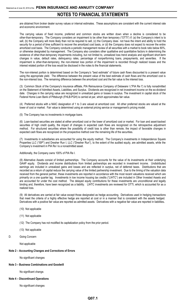are obtained from broker dealer survey values or internal estimates. These assumptions are consistent with the current interest rate and economic environment.

The carrying values of fixed income, preferred and common stocks are written down when a decline is considered to be other-than-temporary. The Company considers an impairment to be other than temporary ("OTTI") if: (a) the Company's intent is to sell, (b) the Company will more likely than not be required to sell, (c) the Company does not have the intent and ability to hold the security for a period of time sufficient to recover the amortized cost basis, or (d) the Company does not expect to recover the entire amortized cost basis. The Company conducts a periodic management review of all securities with a market to book ratio below 80%, or otherwise designated by management. The Company also considers other qualitative and quantitative factors in determining the existence of other-than-temporary impairments including, but not limited to, unrealized loss trend analysis and significant short-term changes in value, default rates, delinquency rates, percentage of nonperforming loans, prepayments, and severities. If the impairment is other-than-temporary, the non-interest loss portion of the impairment is recorded through realized losses and the interest related portion of the loss would be disclosed in the notes to the financial statements.

The non-interest portion is determined based on the Company's "best estimate" of future cash flows discounted to a present value using the appropriate yield. The difference between the present value of the best estimate of cash flows and the amortized cost is the non-interest loss. The remaining difference between the amortized cost and the fair value is the interest loss.

(3) Common Stock of the Company's insurance affiliate, PIA Reinsurance Company of Delaware I ("PIA Re I") is fully nonadmitted on the Statement of Admitted Assets, Liabilities, and Surplus. Dividends are recognized in net investment income on the ex-dividend date. Changes in the carrying value are recognized in unrealized gains or losses in surplus. The investment in capital stock of the Federal Home Loan Bank of Pittsburgh (FHLB-PGH) is carried at par, which approximates fair value.

(4) Preferred stocks with a NAIC designation of 1 to 3 are valued at amortized cost. All other preferred stocks are valued at the lower of cost or market. Fair value is determined using an external pricing service or management's pricing model.

(5) The Company has no investments in mortgage loans.

(6) Loan-backed securities are stated at either amortized cost or the lower of amortized cost or market. For loan and asset-backed securities of high credit quality, the impact of changes in expected cash flows are recognized on the retrospective adjustment method. For structured securities where the possibility of credit loss is other than remote, the impact of favorable changes in expected cash flows are recognized on the prospective method over the remaining life of the securities.

(7) Investments in subsidiaries are accounted for using the equity method. The Company's investments in Independence Square Properties LLC ("ISP") and Dresher Run I, LLC ("Dresher Run"), to the extent of the audited equity, are admitted assets, while the Company's investment in PIA Re I is a nonadmitted asset.

### Additionally, the Company owns 100% of PIA Re I.

(8) Alternative Assets consist of limited partnerships. The Company accounts for the value of its investments at their underlying GAAP equity. Dividends and income distributions from limited partnerships are recorded in investment income. Undistributed earnings are included in unrealized gains and losses and are reflected in surplus, net of deferred taxes. Distributions that are recorded as a return of capital reduce the carrying value of the limited partnership investment. Due to the timing of the valuation data received from the general partner, these investments are reported in accordance with the most recent valuations received which are primarily on a one quarter lag. Investments in low income housing tax credits ("LIHTC") are included in Other Invested Assets and are accounted for under the cost method. The delayed equity contributions for these investments are unconditional and legally binding and, therefore, have been recognized as a liability. LIHTC investments are reviewed for OTTI, which is accounted for as a realized loss.

(9) All derivatives are carried at fair value except those designated as hedge accounting. Derivatives used in hedging transactions that meet the criteria of a highly effective hedge are reported at cost or in a manner that is consistent with the assets hedged. Derivatives with a positive fair value are reported as admitted assets. Derivatives with a negative fair value are reported in liabilities**.**

- (10) Not applicable
- (11) Not applicable
- (12) The Company has not modified its capitalization policy from the prior period.
- (13) Not applicable
- D. Going Concern

Not applicable

### **Note 2 – Accounting Changes and Corrections of Errors**

No significant changes

### **Note 3 – Business Combinations and Goodwill**

No significant change.

### **Note 4 – Discontinued Operations**

No significant changes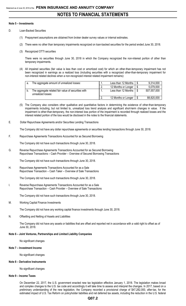### **Note 5 – Investments**

- D. Loan-Backed Securities
	- (1) Prepayment assumptions are obtained from broker dealer survey values or internal estimates.
	- (2) There were no other than temporary impairments recognized on loan-backed securities for the period ended June 30, 2018.
	- (3) Recognized OTTI securities

There were no securities through June 30, 2018 in which the Company recognized the non-interest portion of other than temporary impairments.

(4) All impaired securities (fair value is less than cost or amortized cost) for which an other-than-temporary impairment has not been recognized in earnings as a realized loss (including securities with a recognized other-than-temporary impairment for non-interest related declines when a non-recognized interest related impairment remains):

| a. | The aggregate amount of unrealized losses:                                | Less than 12 Months | 9,314,000   |
|----|---------------------------------------------------------------------------|---------------------|-------------|
|    |                                                                           | 12 Months or Longer | 5,079,000   |
|    | The aggregate related fair value of securities with<br>unrealized losses: | Less than 12 Months | 507,557,000 |
|    |                                                                           | 12 Months or Longer | 88,820,000  |

- (5) The Company also considers other qualitative and quantitative factors in determining the existence of other-than-temporary impairments including, but not limited to, unrealized loss trend analysis and significant short-term changes in value. If the impairment is other-than-temporary, the non-interest loss portion of the impairment is recorded through realized losses and the interest related portion of the loss would be disclosed in the notes to the financial statements.
- E. Dollar Repurchase Agreements and/or Securities Lending Transactions

The Company did not have any dollar repurchase agreements or securities lending transactions through June 30, 2018.

F. Repurchase Agreements Transactions Accounted for as Secured Borrowing

The Company did not have such transactions through June 30, 2018.

G. Reverse Repurchase Agreements Transactions Accounted for as Secured Borrowing Repurchase Transactions – Cash Provider – Overview of Secured Borrowing Transactions

The Company did not have such transactions through June 30, 2018.

H. Repurchase Agreements Transactions Accounted for as a Sale Repurchase Transaction – Cash Taker – Overview of Sale Transactions

The Company did not have such transactions through June 30, 2018.

I. Reverse Repurchase Agreements Transactions Accounted for as a Sale Repurchase Transaction – Cash Provider – Overview of Sale Transactions

The Company did not have such transactions through June 30, 2018.

M. Working Capital Finance Investments

The Company did not have any working capital finance investments through June 30, 2018.

N. Offsetting and Netting of Assets and Liabilities

The Company did not have any assets or liabilities that are offset and reported net in accordance with a valid right to offset as of June 30, 2018.

### **Note 6 – Joint Ventures, Partnerships and Limited Liability Companies**

No significant changes

### **Note 7 – Investment Income**

No significant changes

### **Note 8 – Derivative Instruments**

No significant changes

### **Note 9 – Income Taxes**

On December 22, 2017, the U.S. government enacted new tax legislation effective January 1, 2018. The legislation makes broad and complex changes to the U.S. tax code and accordingly it will take time to assess and interpret the changes. In 2017, based on a preliminary understanding of the new legislation, the Company recorded a provisional charge of \$47,282,000, after-tax, for the estimated impact of U.S. Tax Reform on policyholder liabilities and net deferred tax assets, including the reduction in the U.S. federal

### **Q07.2**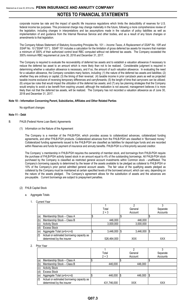corporate income tax rate and the impact of specific life insurance regulations which limits the deductibility of reserves for U.S. federal income tax purposes. This provisional charge may change materially in the future, following a more comprehensive review of the legislation, including changes in interpretations and tax assumptions made in the valuation of policy liabilities as well as implementation of and guidance from the Internal Revenue Service and other bodies, and as a result of any future changes or amendments to that legislation.

The Company follows Statement of Statutory Accounting Principles No. 101 – *Income Taxes, A Replacement of SSAP No. 10R and SSAP No. 10* ("SSAP 101"). SSAP 101 includes a calculation for the limitation of gross deferred tax assets for insurers that maintain a minimum of 300% of their authorized control level RBC computed without net deferred tax assets. The Company exceeded the 300% minimum RBC requirement at June 30, 2018 and December 31, 2017.

The Company is required to evaluate the recoverability of deferred tax assets and to establish a valuation allowance if necessary to reduce the deferred tax asset to an amount which is more likely than not to be realized. Considerable judgment is required in determining whether a valuation allowance is necessary, and if so, the amount of such valuation allowance. In evaluating the need for a valuation allowance, the Company considers many factors, including: (1) the nature of the deferred tax assets and liabilities; (2) whether they are ordinary or capital; (3) the timing of their reversal; (4) taxable income in prior carryback years as well as projected taxable income exclusive of reversing temporary differences and carryforwards; (5) the length of time that carryovers can be utilized; (6) unique tax rules that would impact the utilization of the deferred tax assets; and (7) any tax planning strategies that the Company would employ to avoid a tax benefit from expiring unused; although the realization is not assured, management believes it is more likely than not that the deferred tax assets, will be realized. The Company has not recorded a valuation allowance as of June 30, 2018 and December 31, 2017.

### **Note 10 – Information Concerning Parent, Subsidiaries, Affiliates and Other Related Parties**

No significant changes

### **Note 11 – Debt**

- B. FHLB (Federal Home Loan Bank) Agreements
	- (1) Information on the Nature of the Agreement

The Company is a member of the FHLB-PGH, which provides access to collateralized advances, collateralized funding agreements, and other FHLB-PGH products. Collateralized advances from the FHLB-PGH are classified in "Borrowed money." Collateralized funding agreements issued to the FHLB-PGH are classified as liabilities for deposit-type funds and are recorded within Reserves and funds for payment of insurance and annuity benefits. FHLB-PGH is a first-priority secured creditor.

The Company' s membership in FHLB-PGH requires the ownership of member stock, and borrowings from FHLB-PGH require the purchase of FHLB-PGH activity based stock in an amount equal to 4% of the outstanding borrowings. All FHLB-PGH stock purchased by the Company is classified as restricted general account investments within Common stock - unaffiliated. The Company's borrowing capacity is determined by the lesser of the assets available to be pledged as collateral to FHLB-PGH or 10% of the Company's prior period admitted general account assets. The fair value of the qualifying assets pledged as collateral by the Company must be maintained at certain specified levels of the borrowed amount, which can vary, depending on the nature of the assets pledged. The Company's agreement allows for the substitution of assets and the advances are pre-payable. Current borrowings are subject to prepayment penalties.

- (2) FHLB Capital Stock
	- a. Aggregate Totals

|                                                  | Total                   | General         | Separate   |
|--------------------------------------------------|-------------------------|-----------------|------------|
|                                                  | $2 + 3$                 | Account         | Accounts   |
| (a)<br>Membership Stock - Class A                |                         |                 |            |
| Membership Stock - Class B<br>(b)                | 446,000                 | 446,000         |            |
| <b>Activity Stock</b><br>(c)                     | 3,000,000               | 3,000,000       |            |
| (d)<br><b>Excess Stock</b>                       |                         |                 |            |
| Aggregate Total (a+b+c+d)<br>(e)                 | $3,446,000$ $\sqrt{\$}$ | $3,446,000$ \\$ |            |
| (f)<br>Actual or estimated borrowing capacity as |                         |                 |            |
| determined by the insurer                        | 526,464,000             | XXX             | <b>XXX</b> |

### 2. Prior Year

|     |                                           | Total       |     | General | Separate |
|-----|-------------------------------------------|-------------|-----|---------|----------|
|     |                                           | $2 + 3$     |     | Account | Accounts |
| (a) | Membership Stock - Class A                |             |     |         |          |
| (b) | Membership Stock - Class B                | 446,000     |     | 446,000 |          |
| (c) | <b>Activity Stock</b>                     |             |     |         |          |
|     | <b>Excess Stock</b>                       |             |     |         |          |
| (e) | Aggregate Total (a+b+c+d)                 | 446,000     | 1\$ | 446,000 | S        |
| (f) | Actual or estimated borrowing capacity as |             |     |         |          |
|     | determined by the insurer                 | 431,746,000 |     | XXX     | XXX      |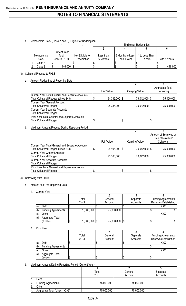b. Membership Stock (Class A and B) Eligible for Redemption

|            |                     |                   |           | Eligible for Redemption |                |              |  |  |
|------------|---------------------|-------------------|-----------|-------------------------|----------------|--------------|--|--|
|            |                     |                   |           |                         |                |              |  |  |
|            | <b>Current Year</b> |                   |           |                         |                |              |  |  |
| Membership | Total               | Not Eligible for  | Less than | 6 Months to Less        | 1 to Less Than |              |  |  |
| Stock      | $(2+3+4+5+6)$       | <b>Redemption</b> | 6 Months  | Than 1 Year             | 3 Years        | 3 to 5 Years |  |  |
| Class A    |                     |                   |           |                         |                |              |  |  |
| Class B    | 446,000 \$          |                   |           |                         |                | 446,000      |  |  |

### (3) Collateral Pledged to FHLB

### a. Amount Pledged as of Reporting Date

|                                                  |               |                       | Aggregate Total |
|--------------------------------------------------|---------------|-----------------------|-----------------|
|                                                  | Fair Value    | <b>Carrying Value</b> | Borrowing       |
| Current Year Total General and Separate Accounts |               |                       |                 |
| Total Collateral Pledged (Lines 2+3)             | 94,386,000 \$ | 79,012,000 \$         | 75,000,000      |
| Current Year General Account                     |               |                       |                 |
| <b>Total Collateral Pledged</b>                  | 94,386,000    | 79,012,000            | 75,000,000      |
| Current Year Separate Accounts                   |               |                       |                 |
| <b>Total Collateral Pledged</b>                  |               |                       |                 |
| Prior Year Total General and Separate Accounts   |               |                       |                 |
| <b>Total Collateral Pledged</b>                  |               |                       |                 |

### b. Maximum Amount Pledged During Reporting Period

|                                                  |                 |                | Amount of Borrowed at |
|--------------------------------------------------|-----------------|----------------|-----------------------|
|                                                  |                 |                | Time of Maximum       |
|                                                  | Fair Value      | Carrying Value | Collateral            |
| Current Year Total General and Separate Accounts |                 |                |                       |
| Total Collateral Pledged (Lines 2+3)             | 95,105,000   \$ | 79,042,000 \$  | 75,000,000            |
| Current Year General Account                     |                 |                |                       |
| Total Collateral Pledged                         | 95,105,000      | 79,042,000     | 75,000,000            |
| Current Year Separate Accounts                   |                 |                |                       |
| Total Collateral Pledged                         |                 |                |                       |
| Prior Year Total General and Separate Accounts   |                 |                |                       |
| <b>Total Collateral Pledged</b>                  |                 |                |                       |

## (4) Borrowing from FHLB

- a. Amount as of the Reporting Date
	- 1. Current Year

|     |                           | Total      |            | General    | Separate | <b>Funding Agreements</b> |
|-----|---------------------------|------------|------------|------------|----------|---------------------------|
|     |                           | $2 + 3$    |            | Account    | Accounts | Reserves Established      |
| (a) | Debt                      |            |            |            |          | XXX                       |
| (b) | <b>Funding Agreements</b> | 75,000,000 |            | 75,000,000 |          |                           |
| (c) | Other                     |            |            |            |          | XXX                       |
| (d) | Aggregate Total           |            |            |            |          |                           |
|     | (a+b+c)                   | 75,000,000 | $\sqrt{3}$ | 75,000,000 |          |                           |

2. Prior Year

|     |                           | Total   | General | Separate | <b>Funding Agreements</b> |
|-----|---------------------------|---------|---------|----------|---------------------------|
|     |                           | $2 + 3$ | Account | Accounts | Reserves Established      |
| (a) | Debt                      |         |         |          | XXX                       |
| (b) | <b>Funding Agreements</b> |         |         |          |                           |
| (c) | Other                     |         |         |          | ХХХ                       |
| (d) | Aggregate Total           |         |         |          |                           |
|     | $(a+b+c)$                 |         | S       |          |                           |

## b. Maximum Amount During Reporting Period (Current Year)

|     |                               | Total<br>$2 + 3$ | General<br>Account | Separate<br>Accounts |
|-----|-------------------------------|------------------|--------------------|----------------------|
|     | Debt                          |                  |                    |                      |
|     | <b>Funding Agreements</b>     | 75,000,000       | 75,000,000         |                      |
| ΙЗ. | Other                         |                  |                    |                      |
| 14. | Aggregate Total (Lines 1+2+3) | 75,000,000       | 75,000,000         |                      |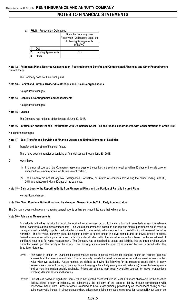c. FHLB – Prepayment Obligations

|                           | Does the Company have            |
|---------------------------|----------------------------------|
|                           | Prepayment Obligations under the |
|                           | <b>Following Arrangements</b>    |
|                           | (YES/NO)                         |
| Debt                      |                                  |
| <b>Funding Agreements</b> |                                  |
| <b>ther</b>               |                                  |

### **Note 12 – Retirement Plans, Deferred Compensation, Postemployment Benefits and Compensated Absences and Other Postretirement Benefit Plans**

The Company does not have such plans.

### **Note 13 – Capital and Surplus, Dividend Restrictions and Quasi-Reorganizations**

No significant changes

### **Note 14 – Liabilities, Contingencies and Assessments**

No significant changes

### **Note 15 – Leases**

The Company had no lease obligations as of June 30, 2018.

### **Note 16 – Information about Financial Instruments with Off-Balance Sheet Risk and Financial Instruments with Concentrations of Credit Risk**

No significant changes

### **Note 17 – Sale, Transfer and Servicing of Financial Assets and Extinguishments of Liabilities**

B. Transfer and Servicing of Financial Assets

There have been no transfer or servicing of financial assets through June 30, 2018.

- C. Wash Sales
	- (1) In the normal course of the Company's asset management, securities are sold and required within 30 days of the sale date to enhance the Company's yield on its investment portfolio.
	- (2) The Company did not sell any NAIC designation 3 or below, or unrated of securities sold during the period ending June 30, 2018 and reacquired within 30 days of the sale date.

### **Note 18 – Gain or Loss to the Reporting Entity from Uninsured Plans and the Portion of Partially Insured Plans**

No significant changes

### **Note 19 – Direct Premium Written/Produced by Managing General Agents/Third Party Administrators**

The Company does not have any managing general agents or third party administrators that write premium.

### **Note 20 – Fair Value Measurements**

Fair value is defined as the price that would be received to sell an asset or paid to transfer a liability in an orderly transaction between market participants at the measurement date. Fair value measurement is based on assumptions market participants would make in pricing an asset or liability. Inputs to valuation techniques to measure fair value are prioritized by establishing a three-level fair value hierarchy. The fair value hierarchy gives the highest priority to quoted prices in active markets and the lowest priority to prices derived from unobservable inputs. An asset or liability's classification within the fair value hierarchy is based on the lowest level of significant input to its fair value measurement. The Company has categorized its assets and liabilities into the three-level fair value hierarchy based upon the priority of the inputs. The following summarizes the types of assets and liabilities included within the three-level hierarchy.

- Level 1 Fair value is based on unadjusted quoted market prices in active markets for identical assets or liabilities that are accessible at the measurement date. These generally provide the most reliable evidence and are used to measure fair value whenever available. Active markets are defined as having the following for the measured asset/liability: i) many transactions, ii) current prices, iii) price quotes not varying substantially among market makers, iv) narrow bid/ask spreads and v) most information publicly available. Prices are obtained from readily available sources for market transactions involving identical assets and liabilities.
- Level 2 Fair value is based on significant inputs, other than quoted prices included in Level 1, that are observable for the asset or liability, either directly or indirectly, for substantially the full term of the asset or liability through corroboration with observable market data. Prices for assets classified as Level 2 are primarily provided by an independent pricing service using observable inputs. In circumstances where prices from pricing services are reviewed for reasonability but cannot be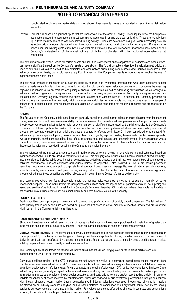corroborated to observable market data as noted above, these security values are recorded in Level 3 in our fair value hierarchy.

Level 3 Fair value is based on significant inputs that are unobservable for the asset or liability. These inputs reflect the Company's assumptions about the assumptions market participants would use in pricing the asset or liability. These are typically less liquid fixed maturity securities with very limited trading activity. Prices are determined using valuation methodologies such as option pricing models, discounted cash flow models, market approach and other similar techniques. Prices may be based upon non-binding quotes from brokers or other market makers that are reviewed for reasonableness, based on the Company's understanding of the market but are not further corroborated with other additional observable market information.

The determination of fair value, which for certain assets and liabilities is dependent on the application of estimates and assumptions, can have a significant impact on the Company's results of operations. The following sections describe the valuation methodologies used to determine fair values as well as key estimates and assumptions surrounding certain assets and liabilities, measured at fair value on a recurring basis, that could have a significant impact on the Company's results of operations or involve the use of significant unobservable inputs.

The fair value process is monitored on a quarterly basis by financial and investment professionals who utilize additional subject matter experts as applicable. The purpose is to monitor the Company's asset valuation policies and procedures by ensuring objective and reliable valuation practices and pricing of financial instruments, as well as addressing fair valuation issues, changes to valuation methodologies and pricing sources. To assess the continuing appropriateness of third party pricing service security valuations, the Company regularly monitors the prices and reviews price variance reports. In addition, the Company performs an initial and ongoing review of the third party pricing services methodologies, reviews inputs and assumptions used for a sample of securities on a periodic basis. Pricing challenges are raised on valuations considered not reflective of market and are monitored by the Company.

### **BONDS**

The fair values of the Company's debt securities are generally based on quoted market prices or prices obtained from independent pricing services. In order to validate reasonability, prices are reviewed by internal investment professionals through comparison with directly observed recent market trades or color or by comparison of significant inputs used by the pricing service to the Company's observations of those inputs in the market. Consistent with the fair value hierarchy described above, securities with quoted market prices or corroborated valuations from pricing services are generally reflected within Level 2. Inputs considered to be standard for valuations by the independent pricing service include: benchmark yields, reported trades, broker/dealer quotes, issuer spreads, two-sided markets, benchmark securities, bids, offers, reference data and industry and economic events. In circumstances where prices from pricing services are reviewed for reasonability but cannot be corroborated to observable market data as noted above, these security values are recorded in Level 3 in the Company's fair value hierarchy.

In circumstances where market data such as quoted market prices or vendor pricing is not available, internal estimates based on significant observable inputs are used to determine fair value. This category also includes fixed income securities priced internally. Inputs considered include: public debt, industrial comparables, underlying assets, credit ratings, yield curves, type of deal structure, collateral performance, loan characteristics and various indices, as applicable. Also included in Level 2 are private placement securities. Inputs considered are: public corporate bond spreads, industry sectors, average life, internal ratings, security structure, liquidity spreads, credit spreads and yield curves, as applicable. If the discounted cash flow model incorporates significant unobservable inputs, these securities would be reflected within Level 3 in the Company's fair value hierarchy.

In circumstances where significant observable inputs are not available, estimated fair value is calculated internally by using unobservable inputs. These inputs reflect the Company's assumptions about the inputs market participants would use in pricing the asset, and are therefore included in Level 3 in the Company's fair value hierarchy. Circumstances where observable market data is not available may include events such as market illiquidity and credit events related to the security.

### **EQUITY SECURITIES**

Equity securities consist principally of investments in common and preferred stock of publicly traded companies. The fair values of most publicly traded equity securities are based on quoted market prices in active markets for identical assets and are classified within Level 1 in the Company's fair value hierarchy.

### **CASH AND SHORT-TERM INVESTMENTS**

Short-term investments carried at Level 1 consist of money market funds and investments purchased with maturities of greater than three months and less than or equal to 12 months. These are carried at amortized cost and approximate fair value.

**DERIVATIVE INSTRUMENTS** The fair values of derivative contracts are determined based on quoted prices in active exchanges or prices provided by counterparties, exchanges or clearing members as applicable, utilizing valuation models. The fair values of derivative contracts can be affected by changes in interest rates, foreign exchange rates, commodity prices, credit spreads, market volatility, expected returns and liquidity as well as other factors.

The Company's exchange traded futures include index futures that are valued using quoted prices in active markets and are classified within Level 1 in our fair value hierarchy.

Derivative positions traded in the OTC derivative market where fair value is determined based upon values received from counterparties are classified within Level 2. These investments included: interest rate swaps, interest rate caps, total return swaps, swaptions, equity options, inflation swaps, forward contracts, and credit default swaps. OTC derivatives classified within Level 2 are valued using models generally accepted in the financial services industry that use actively quoted or observable market input values from external market data providers, broker dealer quotations, third-party pricing vendors and/or recent trading activity. In order to validate reasonability of prices received by counterparties, prices are reviewed by our investment professionals through comparison with directly observed recent market trades, comparison with internal valuations estimated through use of valuation models maintained on an industry standard analytical and valuation platform, or comparison of all significant inputs used by the pricing service to our observations of those inputs in the market. Fair values can also be affected by changes in estimates and assumptions including those related to counterparty behavior used in valuation models.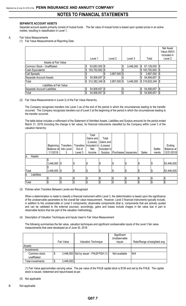### **SEPARATE ACCOUNT ASSETS**

Separate account assets primarily consist of mutual funds. The fair value of mutual funds is based upon quoted prices in an active market, resulting in classification in Level 1**.**

### A. Fair Value Measurements

(1) Fair Value Measurements at Reporting Date

|                              | Level 1              | Level 2              | Level 3         | Total            | Net Asset<br>Value (NAV)<br>Included in<br>Level 2 |
|------------------------------|----------------------|----------------------|-----------------|------------------|----------------------------------------------------|
| Assets at Fair Value         |                      |                      |                 |                  |                                                    |
| Common Stock - Unaffiliated  | 63,683,000 \$<br>\$  |                      | \$<br>3,446,000 | 67,129,000<br>\$ | \$                                                 |
| Cash Equivalents             | 193,792,692 \$<br>\$ |                      |                 | \$193,792,692    | \$                                                 |
| Call Spreads                 |                      | $3,997,000$ \$<br>\$ |                 | 3,997,000        | \$                                                 |
| Separate Account Assets      | 54,906,657 \$        |                      |                 | \$<br>54,906,657 | \$                                                 |
| Total                        | $$312,382,349$ \\$   | $3,997,000$ \$       | 3,446,000       | \$319,825,349    | \$                                                 |
| Liabilities at Fair Value    |                      |                      |                 |                  |                                                    |
| Separate Account Liabilities | \$<br>54,906,657 \$  |                      | \$              | \$<br>54,906,657 | \$                                                 |
| Total                        | \$<br>54,906,657 \$  |                      | \$              | \$<br>54,906,657 | \$                                                 |

### (2) Fair Value Measurements in (Level 3) of the Fair Value Hierarchy

The Company recognizes transfers into Level 3 as of the end of the period in which the circumstances leading to the transfer occurred. The Company recognizes transfers out of Level 3 at the beginning of the period in which the circumstances leading to the transfer occurred.

The table below includes a rollforward of the Statement of Admitted Assets, Liabilities and Surplus amounts for the period ended March 31, 2018 (including the change in fair value), for financial instruments classified by the Company within Level 3 of the valuation hierarchy:

|                    |                       |           |         | Total                   |             |                       |     |            |         |             |
|--------------------|-----------------------|-----------|---------|-------------------------|-------------|-----------------------|-----|------------|---------|-------------|
|                    |                       |           |         | Gains and               | Total       |                       |     |            |         |             |
|                    |                       |           |         | (Losses)                | Gains and   |                       |     |            |         |             |
|                    | Beginning             | Transfers |         | Transfers   Included in | (Losses)    |                       |     |            |         | Ending      |
|                    | Balance at Into Level |           | Out of  | Net                     | Included in |                       |     |            | Settle- | Balance at  |
|                    | 1/1/2018              | 3         | Level 3 | Income                  | Surplus     | Purchases   Issuances |     | Sales      | ments   | 12/31/2018  |
| Assets<br>la.      |                       |           |         |                         |             |                       |     |            |         |             |
|                    | ¢                     |           |         |                         |             |                       |     |            |         |             |
|                    | $3,446,000$ \$        |           | \$      | \$                      |             |                       | \$  | \$         |         | \$3,446,000 |
|                    |                       |           |         |                         |             |                       |     |            |         |             |
| Total              | $3,446,000$ \$        |           | \$      | 1\$                     | IΦ          | Φ                     | 1\$ | Ι\$        | Φ       | \$3,446,000 |
| Liabilities<br>lb. |                       |           |         |                         |             |                       |     |            |         |             |
|                    | \$                    |           | \$      | ¢                       |             |                       |     | \$         |         |             |
| Total              | \$                    | l\$       | \$      | \$                      |             |                       | D   | $\sqrt{3}$ |         |             |

### (3) Policies when Transfers Between Levels are Recognized

When a determination is made to classify a financial instrument within Level 3, the determiniation is based upon the significance of the unobservable parameters to the overall fair value measurement. However, Level 3 financial instruments typically include, in addition to the unobservable or Level 3 components, observable components (that is, components that are actively quoted and can be validated to the external sources); accordingly, gains and losses include chages in fair value due in part to observable factors that are part of the valuation methodology.

(4) Description of Valuation Techniques and Inputs Used in Fair Value Measurement

The following summarizes the fair value, valuation techniques and significant unobservable inputs of the Level 3 fair value measurements that were developed as of June 30, 2018:

|                               | Fair Value | Valuation Technique                    | Significant<br>Unobservable<br>Inputs | Rate/Range or/weighted avg |
|-------------------------------|------------|----------------------------------------|---------------------------------------|----------------------------|
| Assets:                       |            |                                        |                                       |                            |
| Investments                   |            |                                        |                                       |                            |
| Common stock,<br>unaffiliated | \$         | 3,446,000 Set by issuer - FHLB PGH (1) | Not available                         | N/A                        |
| Total investments             | 3,446,000  |                                        |                                       |                            |

(1) Fair Value approximates carrying value. The par value of the FHLB capital stock is \$100 and set by the FHLB. The capital stock is issued, redeemed and repurchased at par.

(5) Not applicable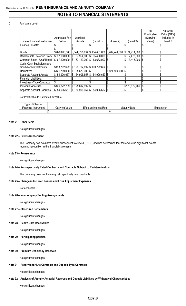### C. Fair Value Level

|                               |                |                                                      |                              |               |                      | Not         | Net Asset   |
|-------------------------------|----------------|------------------------------------------------------|------------------------------|---------------|----------------------|-------------|-------------|
|                               |                |                                                      |                              |               |                      | Practicable | Value (NAV) |
|                               | Aggregate Fair | Admitted                                             |                              |               |                      | (Carrying   | Included in |
| Type of Financial Instrument  | Value          | Assets                                               | (Level 1)                    | (Level 2)     | (Level 3)            | Value)      | Level 2     |
| Financial Assets:             |                |                                                      |                              |               |                      |             |             |
|                               |                |                                                      |                              |               |                      |             |             |
| <b>Bonds</b>                  | 3,626,613,000  | $3,541,332,000$ $\$ $$134,461,000$ $\]3,467,241,000$ |                              |               | 24,911,000 \$<br>IS. |             |             |
| Redeemable Preferred Stock    | \$37,908,000   | 37,954,000 \$<br>l\$                                 | 35,430,000 \$                |               | 2,478,000 \$         |             |             |
| Common Stock - Unaffiliated   | \$67,129,000   | 67,129,000 \$<br>۱\$                                 | 63,683,000 \$                |               | 3,446,000   \$<br>\$ |             |             |
| Cash, Cash Equivalents and    |                |                                                      |                              |               |                      |             |             |
| Short-Term Investments        | \$193,792,692  | l\$                                                  | 193,792,692 \$193,792,692 \$ |               |                      |             |             |
| Derivatives                   | \$121,769,000  | 95,673,000 \$<br>S                                   |                              | \$121,769,000 | I\$                  |             |             |
| Separate Account Assets       | \$54,906,657   | 54,906,657 \$                                        | 54,906,657 \$                |               |                      |             |             |
| <b>Financial Liabilities:</b> |                |                                                      |                              |               |                      |             |             |
| Investment-Type Contracts:    | \$             |                                                      |                              |               |                      |             |             |
| Individual Annuities          | \$126,872,769  | 125,612,992 \$<br>ß.                                 |                              |               | \$126,872,769        |             |             |
| Separate Account Liabilities  | \$54,906,657   | 54,906,657 \$<br>ß.                                  | 54,906,657 \$                |               |                      |             |             |

### D. Not Practicable to Estimate Fair Value

| Type of Class or<br>Financial Instrument | Value<br>Carrving | <b>Effective Interest Rate</b> | Maturity Date | Explanation |
|------------------------------------------|-------------------|--------------------------------|---------------|-------------|
|                                          |                   | %                              |               |             |

### **Note 21 – Other Items**

No significant changes

### **Note 22 – Events Subsequent**

The Company has evaluated events subsequent to June 30, 2018, and has determined that there were no significant events requiring recognition in the financial statements.

### **Note 23 – Reinsurance**

No significant changes

### **Note 24 – Retrospectively Rated Contracts and Contracts Subject to Redetermination**

The Company does not have any retrospectively rated contracts.

### **Note 25 – Change in Incurred Losses and Loss Adjustment Expenses**

Not applicable

### **Note 26 – Intercompany Pooling Arrangements**

No significant changes

### **Note 27 – Structured Settlements**

No significant changes

### **Note 28 – Health Care Receivables**

No significant changes

### **Note 29 – Participating policies**

No significant changes

### **Note 30 – Premium Deficiency Reserves**

No significant changes

### **Note 31 – Reserves for Life Contracts and Deposit-Type Contracts**

No significant changes

### **Note 32 – Analysis of Annuity Actuarial Reserves and Deposit Liabilities by Withdrawal Characteristics**

No significant changes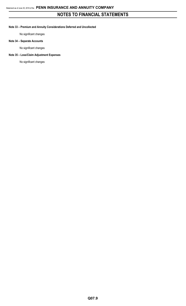### **Note 33 – Premium and Annuity Considerations Deferred and Uncollected**

No significant changes

### **Note 34 – Separate Accounts**

No significant changes

### **Note 35 – Loss/Claim Adjustment Expenses**

No significant changes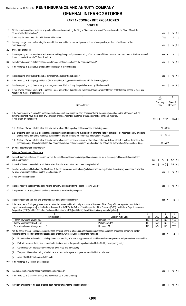## **GENERAL INTERROGATORIES**

## **PART 1 - COMMON INTERROGATORIES**

## **GENERAL**

| 1.1 | Did the reporting entity experience any material transactions requiring the filing of Disclosure of Material Transactions with the State of Domicile,<br>as required by the Model Act?                                                                                                                                                                                                                                                       |                                       |                         |                                          | Yes [ ]                  | No[X]                    |
|-----|----------------------------------------------------------------------------------------------------------------------------------------------------------------------------------------------------------------------------------------------------------------------------------------------------------------------------------------------------------------------------------------------------------------------------------------------|---------------------------------------|-------------------------|------------------------------------------|--------------------------|--------------------------|
| 1.2 | If yes, has the report been filed with the domiciliary state?                                                                                                                                                                                                                                                                                                                                                                                |                                       |                         |                                          | Yes[]                    | No [ ]                   |
| 2.1 | Has any change been made during the year of this statement in the charter, by-laws, articles of incorporation, or deed of settlement of the<br>reporting entity?                                                                                                                                                                                                                                                                             |                                       |                         |                                          | Yes $[ \ ]$              | No[X]                    |
| 2.2 | If yes, date of change:                                                                                                                                                                                                                                                                                                                                                                                                                      |                                       |                         |                                          |                          |                          |
| 3.1 | Is the reporting entity a member of an Insurance Holding Company System consisting of two or more affiliated persons, one or more of which is an insurer?<br>If yes, complete Schedule Y, Parts 1 and 1A.                                                                                                                                                                                                                                    |                                       |                         |                                          | Yes[X]                   | No [ ]                   |
| 3.2 | Have there been any substantial changes in the organizational chart since the prior quarter end?                                                                                                                                                                                                                                                                                                                                             |                                       |                         |                                          | Yes $[ ]$                | No[X]                    |
| 3.3 | If the response to 3.2 is yes, provide a brief description of those changes.                                                                                                                                                                                                                                                                                                                                                                 |                                       |                         |                                          |                          |                          |
| 3.4 | Is the reporting entity publicly traded or a member of a publicly traded group?                                                                                                                                                                                                                                                                                                                                                              |                                       |                         |                                          | Yes[ ]                   | No[X]                    |
| 3.5 | If the response to 3.4 is yes, provide the CIK (Central Index Key) code issued by the SEC for the entity/group.                                                                                                                                                                                                                                                                                                                              |                                       |                         |                                          |                          |                          |
| 4.1 | Has the reporting entity been a party to a merger or consolidation during the period covered by this statement?                                                                                                                                                                                                                                                                                                                              |                                       |                         |                                          | Yes $\lceil \ \rceil$    | No[X]                    |
| 4.2 | If yes, provide name of entity, NAIC Company Code, and state of domicile (use two letter state abbreviation) for any entity that has ceased to exist as a<br>result of the merger or consolidation.                                                                                                                                                                                                                                          |                                       |                         |                                          |                          |                          |
|     | $\overline{1}$                                                                                                                                                                                                                                                                                                                                                                                                                               |                                       |                         | $\overline{2}$<br><b>NAIC</b><br>Company |                          | 3                        |
|     | Name of Entity                                                                                                                                                                                                                                                                                                                                                                                                                               |                                       |                         | Code                                     |                          | State of<br>Domicile     |
| 5.  | If the reporting entity is subject to a management agreement, including third-party administrator(s), managing general agent(s), attorney-in-fact, or<br>similar agreement, have there been any significant changes regarding the terms of the agreement or principals involved?<br>If yes, attach an explanation.                                                                                                                           |                                       |                         | Yes $\lceil \ \rceil$                    | No[X]                    | $N/A$ [ ]                |
|     | State as of what date the latest financial examination of the reporting entity was made or is being made.<br>6.1                                                                                                                                                                                                                                                                                                                             |                                       |                         |                                          | 12/31/2015               |                          |
|     | State the as of date that the latest financial examination report became available from either the state of domicile or the reporting entity. This date<br>6.2<br>should be the date of the examined balance sheet and not the date the report was completed or released.                                                                                                                                                                    |                                       |                         |                                          | 12/31/2015               |                          |
|     | State as of what date the latest financial examination report became available to other states or the public from either the state of domicile or the<br>6.3<br>reporting entity. This is the release date or completion date of the examination report and not the date of the examination (balance sheet date).                                                                                                                            |                                       |                         |                                          | 10/07/2016               |                          |
| 6.4 | By what department or departments?                                                                                                                                                                                                                                                                                                                                                                                                           |                                       |                         |                                          |                          |                          |
|     | Delaware Department of Insurance                                                                                                                                                                                                                                                                                                                                                                                                             |                                       |                         |                                          |                          |                          |
| 6.5 | Have all financial statement adjustments within the latest financial examination report been accounted for in a subsequent financial statement filed<br>with Departments?                                                                                                                                                                                                                                                                    |                                       |                         | Yes [ ]                                  | No [ ]                   | N/A[X]                   |
| 6.6 | Have all of the recommendations within the latest financial examination report been complied with?                                                                                                                                                                                                                                                                                                                                           |                                       |                         | Yes $[ \ ]$                              | No [ ]                   | N/A[X]                   |
| 7.1 | Has this reporting entity had any Certificates of Authority, licenses or registrations (including corporate registration, if applicable) suspended or revoked<br>by any governmental entity during the reporting period?                                                                                                                                                                                                                     |                                       |                         |                                          | Yes $[ \ ]$              | No[X]                    |
| 7.2 | If yes, give full information:                                                                                                                                                                                                                                                                                                                                                                                                               |                                       |                         |                                          |                          |                          |
| 8.1 | Is the company a subsidiary of a bank holding company regulated with the Federal Reserve Board?                                                                                                                                                                                                                                                                                                                                              |                                       |                         |                                          | Yes [ ]                  | No[X]                    |
| 8.2 | If response to 8.1 is yes, please identify the name of the bank holding company.                                                                                                                                                                                                                                                                                                                                                             |                                       |                         |                                          |                          |                          |
| 8.3 | Is the company affiliated with one or more banks, thrifts or securities firms?                                                                                                                                                                                                                                                                                                                                                               |                                       |                         |                                          | Yes[X]                   | No[]                     |
| 8.4 | If the response to 8.3 is yes, please provide below the names and location (city and state of the main office) of any affiliates regulated by a federal<br>regulatory services agency [i.e. the Federal Reserve Board (FRB), the Office of the Comptroller of the Currency (OCC), the Federal Deposit Insurance<br>Corporation (FDIC) and the Securities Exchange Commission (SEC)] and identify the affiliate's primary federal regulator]. |                                       |                         |                                          |                          |                          |
|     |                                                                                                                                                                                                                                                                                                                                                                                                                                              | 2                                     | 3                       | 4                                        | 5                        | 6                        |
|     | Affiliate Name<br>Hornor, Townsend & Kent, Inc.                                                                                                                                                                                                                                                                                                                                                                                              | Location (City, State)<br>Horsham, PA | <b>FRB</b><br><b>NO</b> | <b>OCC</b><br>N <sub>O</sub>             | <b>FDIC</b><br><b>NO</b> | <b>SEC</b><br><b>YES</b> |
|     | Janney Montgomery Scott, LLC<br>Penn Mutual Asset Management, LLC                                                                                                                                                                                                                                                                                                                                                                            | Philadelphia, PA<br>Horsham, PA       | NO<br>NO                | NO<br>NO                                 | <b>NO</b><br><b>NO</b>   | <b>YES</b><br><b>YES</b> |
| 9.1 | Are the senior officers (principal executive officer, principal financial officer, principal accounting officer or controller, or persons performing similar<br>functions) of the reporting entity subject to a code of ethics, which includes the following standards?                                                                                                                                                                      |                                       |                         |                                          |                          |                          |
|     | Honest and ethical conduct, including the ethical handling of actual or apparent conflicts of interest between personal and professional relationships;<br>(a)                                                                                                                                                                                                                                                                               |                                       |                         |                                          | Yes[X]                   | No [ ]                   |
|     | Full, fair, accurate, timely and understandable disclosure in the periodic reports required to be filed by the reporting entity;<br>(b)                                                                                                                                                                                                                                                                                                      |                                       |                         |                                          |                          |                          |
|     | Compliance with applicable governmental laws, rules and regulations;<br>(C)                                                                                                                                                                                                                                                                                                                                                                  |                                       |                         |                                          |                          |                          |
|     | The prompt internal reporting of violations to an appropriate person or persons identified in the code; and<br>(d)                                                                                                                                                                                                                                                                                                                           |                                       |                         |                                          |                          |                          |
|     | Accountability for adherence to the code.<br>(e)                                                                                                                                                                                                                                                                                                                                                                                             |                                       |                         |                                          |                          |                          |
|     | 9.11 If the response to 9.1 is No, please explain:                                                                                                                                                                                                                                                                                                                                                                                           |                                       |                         |                                          |                          |                          |
|     |                                                                                                                                                                                                                                                                                                                                                                                                                                              |                                       |                         |                                          |                          |                          |
| 9.2 | Has the code of ethics for senior managers been amended?                                                                                                                                                                                                                                                                                                                                                                                     |                                       |                         |                                          | Yes $\lceil \; \rceil$   | No[X]                    |
|     | 9.21 If the response to 9.2 is Yes, provide information related to amendment(s).                                                                                                                                                                                                                                                                                                                                                             |                                       |                         |                                          |                          |                          |
| 9.3 | Have any provisions of the code of ethics been waived for any of the specified officers?                                                                                                                                                                                                                                                                                                                                                     |                                       |                         |                                          | Yes $\lceil \; \rceil$   | No[X]                    |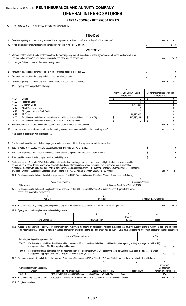## Statement as of June 30, 2018 of the **PENN INSURANCE AND ANNUITY COMPANY GENERAL INTERROGATORIES**

## **PART 1 - COMMON INTERROGATORIES**

9.31 If the response to 9.3 is Yes, provide the nature of any waiver(s).

## **FINANCIAL**

|     |                |                                                                                                                                                                                                                                                                                                                                                                                                                                                                                                                                                                   |                                                                                                                                                                                                                                          |                            | <b>FINANUIAL</b>                                      |                                                     |                          |                                                                   |             |
|-----|----------------|-------------------------------------------------------------------------------------------------------------------------------------------------------------------------------------------------------------------------------------------------------------------------------------------------------------------------------------------------------------------------------------------------------------------------------------------------------------------------------------------------------------------------------------------------------------------|------------------------------------------------------------------------------------------------------------------------------------------------------------------------------------------------------------------------------------------|----------------------------|-------------------------------------------------------|-----------------------------------------------------|--------------------------|-------------------------------------------------------------------|-------------|
|     |                | 10.1 Does the reporting entity report any amounts due from parent, subsidiaries or affiliates on Page 2 of this statement?                                                                                                                                                                                                                                                                                                                                                                                                                                        |                                                                                                                                                                                                                                          |                            |                                                       |                                                     |                          | Yes [ X ]                                                         | No [ ]      |
|     |                | 10.2 If yes, indicate any amounts receivable from parent included in the Page 2 amount:                                                                                                                                                                                                                                                                                                                                                                                                                                                                           |                                                                                                                                                                                                                                          |                            |                                                       |                                                     | S                        |                                                                   | 35,383      |
|     |                |                                                                                                                                                                                                                                                                                                                                                                                                                                                                                                                                                                   |                                                                                                                                                                                                                                          |                            | <b>INVESTMENT</b>                                     |                                                     |                          |                                                                   |             |
|     |                | 11.1 Were any of the stocks, bonds, or other assets of the reporting entity loaned, placed under option agreement, or otherwise made available for<br>use by another person? (Exclude securities under securities lending agreements.)                                                                                                                                                                                                                                                                                                                            |                                                                                                                                                                                                                                          |                            |                                                       |                                                     |                          | Yes [ ]                                                           | No[X]       |
|     |                | 11.2 If yes, give full and complete information relating thereto:                                                                                                                                                                                                                                                                                                                                                                                                                                                                                                 |                                                                                                                                                                                                                                          |                            |                                                       |                                                     |                          |                                                                   |             |
| 12. |                | Amount of real estate and mortgages held in other invested assets in Schedule BA:                                                                                                                                                                                                                                                                                                                                                                                                                                                                                 |                                                                                                                                                                                                                                          |                            |                                                       |                                                     | S                        |                                                                   | 0           |
| 13. |                | Amount of real estate and mortgages held in short-term investments:                                                                                                                                                                                                                                                                                                                                                                                                                                                                                               |                                                                                                                                                                                                                                          |                            |                                                       |                                                     | \$                       |                                                                   | 0           |
|     |                | 14.1 Does the reporting entity have any investments in parent, subsidiaries and affiliates?                                                                                                                                                                                                                                                                                                                                                                                                                                                                       |                                                                                                                                                                                                                                          |                            |                                                       |                                                     |                          | Yes[X]                                                            | No [ ]      |
|     |                | 14.2 If yes, please complete the following:                                                                                                                                                                                                                                                                                                                                                                                                                                                                                                                       |                                                                                                                                                                                                                                          |                            |                                                       |                                                     |                          |                                                                   |             |
|     |                |                                                                                                                                                                                                                                                                                                                                                                                                                                                                                                                                                                   |                                                                                                                                                                                                                                          |                            |                                                       | 1<br>Prior Year End Book/Adjusted<br>Carrying Value |                          | $\overline{2}$<br>Current Quarter Book/Adjusted<br>Carrying Value |             |
|     | 14.21          | <b>Bonds</b>                                                                                                                                                                                                                                                                                                                                                                                                                                                                                                                                                      |                                                                                                                                                                                                                                          |                            |                                                       | \$                                                  | 0<br>\$                  |                                                                   | 0           |
|     | 14.22<br>14.23 | <b>Preferred Stock</b><br>Common Stock                                                                                                                                                                                                                                                                                                                                                                                                                                                                                                                            |                                                                                                                                                                                                                                          |                            |                                                       | 98,736,366                                          | $\mathbf{0}$             |                                                                   | 0<br>0      |
|     | 14.24          | Short-Term Investments                                                                                                                                                                                                                                                                                                                                                                                                                                                                                                                                            |                                                                                                                                                                                                                                          |                            |                                                       |                                                     | 0                        |                                                                   | 0           |
|     | 14.25          | Mortgage Loans on Real Estate                                                                                                                                                                                                                                                                                                                                                                                                                                                                                                                                     |                                                                                                                                                                                                                                          |                            |                                                       |                                                     | 0                        |                                                                   | 0           |
|     | 14.26<br>14.27 | All Other<br>Total Investment in Parent, Subsidiaries and Affiliates (Subtotal Lines 14.21 to 14.26)                                                                                                                                                                                                                                                                                                                                                                                                                                                              |                                                                                                                                                                                                                                          |                            |                                                       | \$<br>18.995.827<br>117,732,193                     | \$                       |                                                                   | 0<br>0      |
|     | 14.28          | Total Investment in Parent included in Lines 14.21 to 14.26 above                                                                                                                                                                                                                                                                                                                                                                                                                                                                                                 |                                                                                                                                                                                                                                          |                            |                                                       | \$                                                  | \$<br>$\Omega$           |                                                                   | 0           |
|     |                | 15.1 Has the reporting entity entered into any hedging transactions reported on Schedule DB?                                                                                                                                                                                                                                                                                                                                                                                                                                                                      |                                                                                                                                                                                                                                          |                            |                                                       |                                                     |                          | Yes[X]                                                            | No[ ]       |
|     |                | 15.2 If yes, has a comprehensive description of the hedging program been made available to the domiciliary state?                                                                                                                                                                                                                                                                                                                                                                                                                                                 |                                                                                                                                                                                                                                          |                            |                                                       |                                                     |                          | Yes[X]                                                            | No [ ]      |
|     |                | If no, attach a description with this statement.                                                                                                                                                                                                                                                                                                                                                                                                                                                                                                                  |                                                                                                                                                                                                                                          |                            |                                                       |                                                     |                          |                                                                   |             |
| 16. |                | For the reporting entity's security lending program, state the amount of the following as of current statement date:                                                                                                                                                                                                                                                                                                                                                                                                                                              |                                                                                                                                                                                                                                          |                            |                                                       |                                                     |                          |                                                                   |             |
|     |                | 16.1 Total fair value of reinvested collateral assets reported on Schedule DL, Parts 1 and 2:                                                                                                                                                                                                                                                                                                                                                                                                                                                                     |                                                                                                                                                                                                                                          |                            |                                                       |                                                     | \$                       |                                                                   | 0           |
|     |                | 16.2 Total book adjusted/carrying value of reinvested collateral assets reported on Schedule DL, Parts 1 and 2:                                                                                                                                                                                                                                                                                                                                                                                                                                                   |                                                                                                                                                                                                                                          |                            |                                                       |                                                     | \$                       |                                                                   | 0           |
|     |                | 16.3 Total payable for securities lending reported on the liability page:                                                                                                                                                                                                                                                                                                                                                                                                                                                                                         |                                                                                                                                                                                                                                          |                            |                                                       |                                                     | \$                       |                                                                   | $\mathbf 0$ |
| 17. |                | Excluding items in Schedule E-Part 3-Special Deposits, real estate, mortgage loans and investments held physically in the reporting entity's<br>offices, vaults or safety deposit boxes, were all stocks, bonds and other securities, owned throughout the current year held pursuant to a<br>custodial agreement with a qualified bank or trust company in accordance with Section 1, III - General Examination Considerations, F. Outsourcing<br>of Critical Functions, Custodial or Safekeeping Agreements of the NAIC Financial Condition Examiners Handbook? |                                                                                                                                                                                                                                          |                            |                                                       |                                                     |                          | Yes[X]                                                            | No[]        |
|     |                | 17.1 For all agreements that comply with the requirements of the NAIC Financial Condition Examiners Handbook, complete the following:                                                                                                                                                                                                                                                                                                                                                                                                                             |                                                                                                                                                                                                                                          |                            |                                                       |                                                     |                          |                                                                   |             |
|     |                |                                                                                                                                                                                                                                                                                                                                                                                                                                                                                                                                                                   |                                                                                                                                                                                                                                          |                            |                                                       |                                                     | 2                        |                                                                   |             |
|     |                | <b>BNY Mellon</b>                                                                                                                                                                                                                                                                                                                                                                                                                                                                                                                                                 | Name of Custodian(s)                                                                                                                                                                                                                     |                            |                                                       | 101 Barclay Street, New York, NY 10286              | <b>Custodian Address</b> |                                                                   |             |
|     |                | 17.2 For all agreements that do not comply with the requirements of the NAIC Financial Condition Examiners Handbook, provide the name,<br>location and a complete explanation:                                                                                                                                                                                                                                                                                                                                                                                    |                                                                                                                                                                                                                                          |                            |                                                       |                                                     |                          |                                                                   |             |
|     |                |                                                                                                                                                                                                                                                                                                                                                                                                                                                                                                                                                                   |                                                                                                                                                                                                                                          |                            | $\overline{2}$                                        |                                                     |                          | 3                                                                 |             |
|     |                | Name(s)                                                                                                                                                                                                                                                                                                                                                                                                                                                                                                                                                           |                                                                                                                                                                                                                                          |                            | Location(s)                                           |                                                     |                          | Complete Explanation(s)                                           |             |
|     |                | 17.3 Have there been any changes, including name changes, in the custodian(s) identified in 17.1 during the current quarter?                                                                                                                                                                                                                                                                                                                                                                                                                                      |                                                                                                                                                                                                                                          |                            |                                                       |                                                     |                          | Yes [                                                             | No[X]       |
|     |                | 17.4 If yes, give full and complete information relating thereto:                                                                                                                                                                                                                                                                                                                                                                                                                                                                                                 |                                                                                                                                                                                                                                          |                            |                                                       |                                                     |                          |                                                                   |             |
|     |                | Old Custodian                                                                                                                                                                                                                                                                                                                                                                                                                                                                                                                                                     |                                                                                                                                                                                                                                          |                            | 2<br>New Custodian                                    | 3<br>Date of<br>Change                              |                          | 4<br>Reason                                                       |             |
|     |                |                                                                                                                                                                                                                                                                                                                                                                                                                                                                                                                                                                   |                                                                                                                                                                                                                                          |                            |                                                       |                                                     |                          |                                                                   |             |
|     |                | 17.5 Investment management - Identify all investment advisors, investment managers, broker/dealers, including individuals that have the authority to make investment decisions on behalf<br>of the reporting entity. For assets that are managed internally by employees of the reporting entity, note as such ["that have access to the investment accounts", "handle securities"]                                                                                                                                                                               |                                                                                                                                                                                                                                          |                            |                                                       |                                                     |                          |                                                                   |             |
|     |                | Penn Mutual Asset Management, LLC                                                                                                                                                                                                                                                                                                                                                                                                                                                                                                                                 |                                                                                                                                                                                                                                          | Name of Firm or Individual |                                                       |                                                     |                          | $\overline{2}$<br>Affiliation<br>Α                                |             |
|     |                | 17.5097                                                                                                                                                                                                                                                                                                                                                                                                                                                                                                                                                           | For those firms/individuals listed in the table for Question 17.5, do any firms/individuals unaffiliated with the reporting entity (i.e., designated with a "U")<br>manage more than 10% of the reporting entity's assets?               |                            |                                                       |                                                     |                          | Yes $\lceil$ $\rceil$                                             | No[]        |
|     |                | 17.5098                                                                                                                                                                                                                                                                                                                                                                                                                                                                                                                                                           | For firms/individuals unaffiliated with the reporting entity (i.e., designated with a "U") listed in the table for Question 17.5, does the total assets under<br>management aggregate to more than 50% of the reporting entity's assets? |                            |                                                       |                                                     |                          | Yes $\lceil \ \rceil$                                             | $No[$ ]     |
|     |                | 17.6 For those firms or individuals listed in the table for 17.5 with an affiliation code of "A" (affiliated) or "U" (unaffiliated), provide the information for the table below.                                                                                                                                                                                                                                                                                                                                                                                 |                                                                                                                                                                                                                                          |                            |                                                       |                                                     |                          |                                                                   |             |
|     |                | $\mathbf{1}$                                                                                                                                                                                                                                                                                                                                                                                                                                                                                                                                                      | $\overline{2}$                                                                                                                                                                                                                           |                            | 3                                                     | 4                                                   |                          | 5<br>Investment                                                   |             |
|     |                | <b>Central Registration Depository</b>                                                                                                                                                                                                                                                                                                                                                                                                                                                                                                                            |                                                                                                                                                                                                                                          |                            |                                                       |                                                     |                          | Management                                                        |             |
|     |                | Number<br>107518                                                                                                                                                                                                                                                                                                                                                                                                                                                                                                                                                  | Name of Firm or Individual<br>Penn Mutual Asset Management, LLC                                                                                                                                                                          |                            | Legal Entity Identifier (LEI)<br>549300O3G37UC4C5EV40 | <b>Registered With</b><br><b>SEC</b>                |                          | Agreement (IMA) Filed<br>DS                                       |             |

18.1 Have all the filing requirements of the *Purposes and Procedures Manual of the NAIC Investment Analysis Office* been followed? Yes [X] No [ ]

18.2 If no, list exceptions: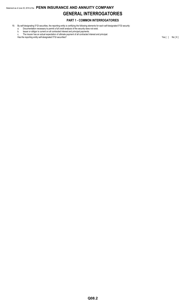## Statement as of June 30, 2018 of the **PENN INSURANCE AND ANNUITY COMPANY GENERAL INTERROGATORIES**

## **PART 1 - COMMON INTERROGATORIES**

- 19. By self-designating 5\*GI securities, the reporting entity is certifying the following elements for each self-designated 5\*GI security:
	- a. Documentation necessary to permit a full credit analysis of the security does not exist.
	- b. Issuer or obligor is current on all contracted interest and principal payments. c. The insurer has an actual expectation of ultimate payment of all contracted interest and principal.

Has the reporting entity self-designated 5\*GI securities? Yes [ ] No [ X ]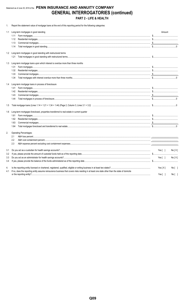## Statement as of June 30, 2018 of the PENN INSURANCE AND ANNUITY COMPANY **GENERAL INTERROGATORIES (continued)** PART 2 - LIFE & HEALTH

1. Report the statement value of mortgage loans at the end of this reporting period for the following categories:

|     | 1.1 Long-term mortgages in good standing                                                                                                                                                                                                                                                                                                                                                                                                                                                          | Amount                |        |
|-----|---------------------------------------------------------------------------------------------------------------------------------------------------------------------------------------------------------------------------------------------------------------------------------------------------------------------------------------------------------------------------------------------------------------------------------------------------------------------------------------------------|-----------------------|--------|
|     | 1.11                                                                                                                                                                                                                                                                                                                                                                                                                                                                                              |                       |        |
|     | 1.12                                                                                                                                                                                                                                                                                                                                                                                                                                                                                              |                       |        |
|     | 1.13                                                                                                                                                                                                                                                                                                                                                                                                                                                                                              |                       |        |
|     | 1.14                                                                                                                                                                                                                                                                                                                                                                                                                                                                                              |                       |        |
|     | 1.2 Long-term mortgages in good standing with restructured terms                                                                                                                                                                                                                                                                                                                                                                                                                                  |                       |        |
|     | 1.21                                                                                                                                                                                                                                                                                                                                                                                                                                                                                              |                       |        |
| 1.3 | Long-term mortgage loans upon which interest is overdue more than three months                                                                                                                                                                                                                                                                                                                                                                                                                    |                       |        |
|     | 1.31                                                                                                                                                                                                                                                                                                                                                                                                                                                                                              |                       |        |
|     | 1.32                                                                                                                                                                                                                                                                                                                                                                                                                                                                                              |                       |        |
|     | $\textbf{Commercial} \ \textbf{mortgages} \ \textcolor{red}{\textbf{mortgages} \ \textcolor{red}{\textbf{}}\ \textcolor{red}{\textbf{mortgages} \ \textcolor{red}{\textbf{}}\ \textcolor{red}{\textbf{mott} \ \textbf{}}}\ \textcolor{red}{\textbf{mott} \ \textbf{mott} \ \textbf{mott} \ \textbf{mott} \ \textbf{mott} \ \textbf{mott} \ \textbf{mott} \ \textbf{mott} \ \textbf{mott} \ \textbf{mott} \ \textbf{mott} \ \textbf{mott} \ \textbf{mott} \ \textbf{mott} \ \textbf{mott}$<br>1.33 |                       |        |
|     | 1.34                                                                                                                                                                                                                                                                                                                                                                                                                                                                                              |                       |        |
|     | 1.4 Long-term mortgage loans in process of foreclosure                                                                                                                                                                                                                                                                                                                                                                                                                                            |                       |        |
|     | 1.41                                                                                                                                                                                                                                                                                                                                                                                                                                                                                              |                       |        |
|     | 1.42                                                                                                                                                                                                                                                                                                                                                                                                                                                                                              |                       |        |
|     | 1.43                                                                                                                                                                                                                                                                                                                                                                                                                                                                                              |                       |        |
|     | 1.44                                                                                                                                                                                                                                                                                                                                                                                                                                                                                              |                       |        |
| 1.5 |                                                                                                                                                                                                                                                                                                                                                                                                                                                                                                   |                       |        |
| 1.6 | Long-term mortgages foreclosed, properties transferred to real estate in current quarter                                                                                                                                                                                                                                                                                                                                                                                                          |                       |        |
|     | 1.61                                                                                                                                                                                                                                                                                                                                                                                                                                                                                              |                       |        |
|     | 1.62                                                                                                                                                                                                                                                                                                                                                                                                                                                                                              |                       |        |
|     | 1.63                                                                                                                                                                                                                                                                                                                                                                                                                                                                                              |                       |        |
|     | 1.64                                                                                                                                                                                                                                                                                                                                                                                                                                                                                              |                       |        |
| 2.  | <b>Operating Percentages:</b>                                                                                                                                                                                                                                                                                                                                                                                                                                                                     |                       |        |
|     | 2.1                                                                                                                                                                                                                                                                                                                                                                                                                                                                                               |                       |        |
|     | 2.2                                                                                                                                                                                                                                                                                                                                                                                                                                                                                               |                       |        |
|     | 2.3                                                                                                                                                                                                                                                                                                                                                                                                                                                                                               |                       |        |
| 3.1 |                                                                                                                                                                                                                                                                                                                                                                                                                                                                                                   | Yes [ ]               | No[X]  |
| 3.2 |                                                                                                                                                                                                                                                                                                                                                                                                                                                                                                   |                       |        |
| 3.3 |                                                                                                                                                                                                                                                                                                                                                                                                                                                                                                   | Yes $\lceil$ $\rceil$ | No[X]  |
| 3.4 |                                                                                                                                                                                                                                                                                                                                                                                                                                                                                                   |                       |        |
| 4.  |                                                                                                                                                                                                                                                                                                                                                                                                                                                                                                   | Yes $[X]$             | No [   |
| 4.1 | If no, does the reporting entity assume reinsurance business that covers risks residing in at least one state other than the state of domicile                                                                                                                                                                                                                                                                                                                                                    |                       |        |
|     |                                                                                                                                                                                                                                                                                                                                                                                                                                                                                                   | Yes $[ \ ]$           | No [ ] |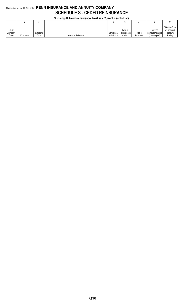## Statement as of June 30, 2018 of the **PENN INSURANCE AND ANNUITY COMPANY SCHEDULE S - CEDED REINSURANCE**

Showing All New Reinsurance Treaties - Current Year to Date

|                                | <b>ONOWING A THEW INGINISURATIVE THEATICS - CUTTENT TEATIVE</b> |                   |                   |              |                                                 |                      |                                               |                                                              |  |  |  |
|--------------------------------|-----------------------------------------------------------------|-------------------|-------------------|--------------|-------------------------------------------------|----------------------|-----------------------------------------------|--------------------------------------------------------------|--|--|--|
|                                |                                                                 |                   |                   | w            |                                                 |                      |                                               |                                                              |  |  |  |
| <b>NAIC</b><br>Company<br>Code | <b>ID Number</b>                                                | Effective<br>Date | Name of Reinsurer | Jurisdiction | Tvpe of<br>Domiciliary   Reinsurance  <br>Ceded | Type of<br>Reinsurer | Certified<br>Reinsurer Rating<br>1 through 6) | <b>Effective Date</b><br>of Certified<br>Reinsurer<br>Rating |  |  |  |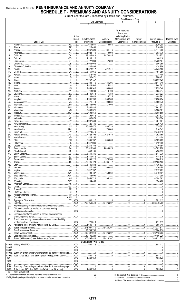### Statement as of June 30, 2018 of the PENN INSURANCE AND ANNUITY COMPANY **SCHEDULE T - PREMIUMS AND ANNUITY CONSIDERATIONS** Current Year to Date - Allocated by States and Territories

|        |                                                                      |                 |                                   |                             | , <i>would</i> by     | <b>UNICO UNIU</b><br><b>Direct Business Only</b> |                           |                         |                          |
|--------|----------------------------------------------------------------------|-----------------|-----------------------------------|-----------------------------|-----------------------|--------------------------------------------------|---------------------------|-------------------------|--------------------------|
|        |                                                                      |                 |                                   |                             | <b>Life Contracts</b> |                                                  | 5                         | 6                       | 7                        |
|        |                                                                      |                 |                                   | $\overline{2}$              | 3                     |                                                  |                           |                         |                          |
|        |                                                                      |                 |                                   |                             |                       |                                                  |                           |                         |                          |
|        |                                                                      |                 |                                   |                             |                       |                                                  |                           |                         |                          |
|        |                                                                      |                 |                                   |                             |                       | A&H Insurance                                    |                           |                         |                          |
|        |                                                                      |                 |                                   |                             |                       | Premiums                                         |                           |                         |                          |
|        |                                                                      |                 | Active                            |                             |                       | <b>Including Policy</b>                          |                           |                         |                          |
|        |                                                                      |                 | <b>Status</b>                     | Life Insurance              | Annuity               | Membership and                                   | Other                     | <b>Total Columns 2</b>  | Deposit-Type             |
|        | States, Etc.                                                         |                 | (a)                               | Premiums                    | Considerations        | Other Fees                                       | Considerations            | through 5               | Contracts                |
| 1.     |                                                                      | $\overline{Al}$ | . 1                               | .588,655<br>.               | 40.553                |                                                  |                           | .629,208<br>.           |                          |
| 2.     |                                                                      |                 | . L                               | 218,460                     |                       |                                                  |                           | 218,460                 |                          |
| 3.     |                                                                      |                 | $\perp$                           | 4,962,590                   | 484,716               |                                                  |                           | $\ldots$ 5.447.306      |                          |
| 4.     |                                                                      |                 | . L                               | 1,023,779                   | 40,000                |                                                  |                           | 1,063,779               |                          |
| 5.     |                                                                      |                 | $\perp$                           | 28,382,948                  | $\ldots$ 2,870,925    |                                                  |                           | 31,253,873              |                          |
| 6.     |                                                                      |                 | . ا. ا                            | 1,146,116                   |                       |                                                  |                           | 1,146,116               |                          |
| 7.     |                                                                      |                 |                                   | 9,727,984                   | 2,500                 |                                                  |                           | 9,730,484               |                          |
| 8.     |                                                                      |                 |                                   | 1,986,059                   |                       |                                                  |                           | 1,986,059               |                          |
| 9.     |                                                                      |                 |                                   | 434,806                     |                       |                                                  |                           | 434,806                 |                          |
| 10.    |                                                                      |                 |                                   | 14,323,217                  | 421,911               |                                                  |                           | 14,745,128              |                          |
| 11.    |                                                                      |                 |                                   | $\dots$ 3,151,056           |                       |                                                  |                           | 3,151,056               |                          |
| 12.    |                                                                      |                 |                                   | 278,400                     |                       |                                                  |                           | 278,400                 |                          |
| 13.    |                                                                      |                 |                                   | 200,471                     |                       |                                                  |                           | 200,471                 |                          |
| 14.    |                                                                      |                 |                                   | 28,257,142                  |                       |                                                  |                           | 28,257,142              |                          |
| 15.    |                                                                      |                 |                                   | 2,380,445                   | 134,295               |                                                  |                           | 2,514,740               |                          |
| 16.    |                                                                      |                 |                                   | 1.818.562                   | 45,521                |                                                  |                           | 1,864,083               |                          |
| 17.    |                                                                      |                 |                                   | 2,859,340                   | 100,000               |                                                  |                           | 2,959,340               |                          |
| 18.    |                                                                      |                 | . L                               |                             | 110,408               |                                                  |                           | 855,347                 |                          |
| 19.    |                                                                      |                 |                                   | 1,185,643                   | 47,380                |                                                  |                           | 1,233,023               |                          |
| 20.    |                                                                      |                 |                                   | 163,048                     | 325,715               |                                                  |                           | 488,763                 |                          |
| 21.    |                                                                      |                 |                                   | 1.901.766                   | 356,988<br>.          |                                                  |                           | 2,258,754               |                          |
| 22.    |                                                                      |                 | . 1. .                            | 3.471.444                   | 408.934               |                                                  |                           | $\ldots$ 5,880,378      |                          |
| 23.    |                                                                      |                 | $\perp$                           | 21,736,993                  | 1.000                 |                                                  |                           | 21,737,993<br>.         |                          |
| 24.    |                                                                      |                 | . L                               | 1.17.862.832                |                       |                                                  |                           | 1.17,862,832            |                          |
| 25.    |                                                                      |                 | البيب                             | 3,608,321                   |                       |                                                  |                           | $\dots$ 3,608,321       |                          |
| 26.    |                                                                      |                 | L                                 | 2,608,569                   |                       |                                                  |                           | 2,608,569               |                          |
| 27.    |                                                                      |                 |                                   | $\ldots$ 93,672             |                       |                                                  |                           | 93,672                  |                          |
| 28.    |                                                                      |                 |                                   | 385,074                     |                       |                                                  |                           | 385,074                 |                          |
| 29.    |                                                                      |                 |                                   | 1,907,584                   |                       |                                                  |                           | 1,907,584               |                          |
| 30.    |                                                                      |                 | . 1. .                            | 26,435                      |                       |                                                  |                           | 26,435                  |                          |
| 31.    |                                                                      |                 | $\Box$                            | 20,508,872                  | 866,710               |                                                  |                           | $\ldots$ 21,375,582     |                          |
| 32.    |                                                                      |                 |                                   | 146,543                     | 70,000                |                                                  |                           | 216,543                 |                          |
| 33.    |                                                                      |                 | . N                               | 9,273,549                   |                       |                                                  |                           | 9,273,549               |                          |
| 34.    |                                                                      |                 | . L .                             | 1.117,425,199               | 627.570               |                                                  |                           | 8,052,769               |                          |
| 35.    |                                                                      |                 |                                   | 423,154                     |                       |                                                  |                           | 423,154                 |                          |
| 36.    |                                                                      |                 |                                   | 6,365,762                   | 604,000               |                                                  |                           | 6,969,762               |                          |
| 37.    |                                                                      |                 |                                   | 1,612,989                   | $\frac{1}{2}$         |                                                  |                           | 1,612,989               |                          |
| 38.    |                                                                      |                 | L                                 | 2,210,754                   |                       |                                                  |                           | 2,210,754               | $\overline{\phantom{a}}$ |
| 39.    |                                                                      |                 | . L                               | $1$ 20,513,900              | 4.049.028             |                                                  |                           | $\ldots$ 24,562,928     |                          |
| 40.    |                                                                      |                 |                                   | L   430,135                 |                       |                                                  |                           | 1.11111430.135          |                          |
| 41.    |                                                                      |                 |                                   | .3,544,336                  |                       |                                                  |                           | 3,544,336               |                          |
| 42.    |                                                                      |                 |                                   | .1,414,616                  |                       |                                                  |                           | 1,414,616               |                          |
| 43.    |                                                                      |                 | . 1                               | 1,390,226                   | 375,984               |                                                  |                           | 1,766,210               |                          |
| 44.    |                                                                      |                 | .                                 | $\ldots$ 25,406,423         | 3,786,742             |                                                  |                           | $\dots$ 29,193,165      |                          |
| 45.    |                                                                      | .UT             | . L                               | 5,136,833                   |                       |                                                  |                           | $\dots$ 5,136,833       |                          |
| 46.    |                                                                      |                 | . L                               | 220,306                     | .209,882              |                                                  |                           | 430,188                 |                          |
| 47.    | VA                                                                   |                 | L                                 | 2,012,787                   |                       |                                                  |                           | 0.2,012,787             |                          |
| 48.    |                                                                      |                 | . L                               | 5,490,487                   | 150.064               |                                                  |                           | 5,640,551               |                          |
| 49.    |                                                                      |                 | L                                 | 133,090                     |                       |                                                  |                           | 133,090                 |                          |
| 50.    |                                                                      |                 | L                                 | .6,058,712                  | 295,381               |                                                  |                           | 6,354,093               |                          |
| 51.    |                                                                      |                 | L                                 | 194,408                     |                       |                                                  |                           | 194,408                 |                          |
| 52.    |                                                                      |                 | N                                 |                             |                       |                                                  |                           |                         |                          |
| 53.    | Guam                                                                 | .GU             | N                                 |                             |                       |                                                  |                           |                         |                          |
| 54.    |                                                                      |                 | N                                 |                             |                       |                                                  |                           |                         |                          |
| 55.    |                                                                      |                 | N                                 |                             |                       |                                                  |                           |                         |                          |
| 56.    |                                                                      |                 | N                                 |                             |                       |                                                  |                           |                         |                          |
| 57.    | CAN<br>Canada                                                        |                 | N                                 |                             |                       |                                                  |                           | 0                       |                          |
| 58.    |                                                                      |                 | XXX                               | .601,112                    | 0                     | <u></u> 0                                        |                           | .601,112                | $0$ .                    |
| 59.    |                                                                      |                 | XXX                               | 269.950.543                 | 16,426,207            |                                                  | 0                         | $\frac{1}{286.376.750}$ |                          |
| 90.    | Reporting entity contributions for employee benefit plans            |                 | $.$ $XXX$                         |                             |                       |                                                  |                           | . 0                     |                          |
| 91.    | Dividends or refunds applied to purchase paid-up                     |                 |                                   |                             |                       |                                                  |                           |                         |                          |
|        |                                                                      |                 | .XXX.                             |                             |                       |                                                  |                           |                         |                          |
| 92.    | Dividends or refunds applied to shorten endowment or                 |                 |                                   |                             |                       |                                                  |                           |                         |                          |
|        |                                                                      |                 | .XXX.                             |                             |                       |                                                  |                           |                         |                          |
| 93.    | Premium or annuity considerations waived under disability            |                 |                                   |                             |                       |                                                  |                           |                         |                          |
|        |                                                                      |                 | .XXX.                             | 271,019                     |                       |                                                  |                           | .271,019                |                          |
| 94.    |                                                                      |                 | XXX.                              | 1,685,748                   |                       | <u></u> 0                                        | 0                         | 1,685,748               | $\Omega$                 |
| 95.    |                                                                      |                 | $.$ $XXX$                         | .271,907,310                | $\ldots$ 16,426,207   |                                                  |                           | 288,333,517             |                          |
| 96.    |                                                                      |                 | . XXX.                            | 137,784,738                 |                       |                                                  |                           | 137,784,738             |                          |
| 97.    |                                                                      |                 | $\overline{.}$ XXX $\overline{.}$ | .409,692,048                | 16,426,207            |                                                  | 0                         | .426,118,255<br>.       | $\Omega$                 |
| 98.    | Less Reinsurance Ceded                                               |                 | . XXX.                            | 39,196,220                  |                       |                                                  |                           | 39,196,220              |                          |
| 99.    |                                                                      |                 | XXX                               | 370,495,828                 | .16,426,207           |                                                  | 0                         | .386.922.035<br>.       | $\Omega$                 |
|        |                                                                      |                 |                                   | <b>DETAILS OF WRITE-INS</b> |                       |                                                  |                           |                         |                          |
|        |                                                                      |                 | $\overline{.}$ XXX $\overline{.}$ | 601,112                     |                       |                                                  |                           |                         |                          |
| 58002. |                                                                      |                 | XXX                               |                             |                       |                                                  |                           |                         |                          |
| 58003. |                                                                      |                 | XXX                               | .                           |                       |                                                  |                           | . 0                     |                          |
|        | 58998. Summary of remaining write-ins for line 58 from overflow page |                 | .XXX.                             | . 0                         |                       | 0                                                |                           |                         | $\Omega$                 |
|        | 58999. Total (Lines 58001 thru 58003 plus 58998) (Line 58 above).    |                 | .XXX.                             | .601,112                    | . 0<br>.              | . 0                                              | ________________________0 | .601,112                | $\Omega$                 |
| 9401.  |                                                                      |                 | $\overline{XXX}$ .                | 1,685,748                   |                       |                                                  |                           | 1,685,748               |                          |
| 9402.  |                                                                      |                 | .XXX                              |                             | .                     | .                                                | .                         |                         |                          |
| 9403.  |                                                                      |                 | $.$ $XXX$                         |                             |                       |                                                  |                           |                         |                          |
|        | 9498. Summary of remaining write-ins for line 94 from overflow page  |                 | $.$ $XXX$                         | . 0                         |                       | 0                                                |                           | 0                       |                          |
| 9499.  | Total (Lines 9401 thru 9403 plus 9498) (Line 94 above)               |                 | XXX.                              | 1,685,748                   |                       |                                                  | 0                         | $\ldots$ 1,685,748      | 0                        |
| (a)    | <b>Active Status Count</b>                                           |                 |                                   |                             |                       |                                                  |                           |                         |                          |

R - Registered - Non-domiciled RRGs.....................<br>Q - Qualified - Qualified or accredited reinsurer.......

 $\Omega$  $\frac{0}{7}$ 

N - None of the above - Not allowed to write business in the state

 $\frac{50}{0}$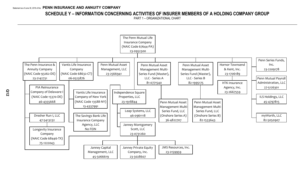## **SCHEDULE Y – INFORMATION CONCERNING ACTIVITIES OF INSURER MEMBERS OF A HOLDING COMPANY GROUP**

PART 1 – ORGANIZATIONAL CHART

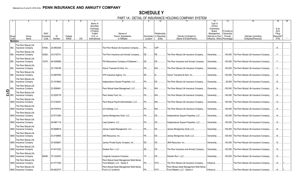## **SCHEDULE Y**

PART 1A - DETAIL OF INSURANCE HOLDING COMPANY SYSTEM

|                    | Group<br>Code  | Group<br>Name                                                            | <b>NAIC</b><br>Compan<br>Code | ID<br>Number | Federal<br><b>RSSD</b> | <b>CIK</b> | Name of<br>Securities<br>Exchange<br>if Publicly<br>Traded<br>$(U.S.$ or<br>International) | Names of<br>Parent, Subsidiaries<br>or Affiliates                          | Location         | 10<br>Relationship<br>Domiciliary to Reporting<br>Entity | 11<br>Directly Controlled by<br>(Name of Entity/Person)                    | 12<br>Type of<br>Control<br>(Ownership<br>Board.<br>Management,<br>Attorney-in-Fact,<br>Influence, Other) | 13<br>lf Control is<br>Ownership<br>Provide<br>Percentage | <b>Ultimate Controlling</b><br>Entity(ies)/Person(s) | 15<br>Is an<br><b>SCA</b><br>Filing<br>Required?<br>(Y/N) |  |
|--------------------|----------------|--------------------------------------------------------------------------|-------------------------------|--------------|------------------------|------------|--------------------------------------------------------------------------------------------|----------------------------------------------------------------------------|------------------|----------------------------------------------------------|----------------------------------------------------------------------------|-----------------------------------------------------------------------------------------------------------|-----------------------------------------------------------|------------------------------------------------------|-----------------------------------------------------------|--|
|                    | <b>Members</b> |                                                                          |                               |              |                        |            |                                                                                            |                                                                            |                  |                                                          |                                                                            |                                                                                                           |                                                           |                                                      |                                                           |  |
|                    |                |                                                                          |                               |              |                        |            |                                                                                            |                                                                            |                  |                                                          |                                                                            |                                                                                                           |                                                           |                                                      |                                                           |  |
|                    | 850.           | The Penn Mutual Life<br><b>Insurance Company</b><br>The Penn Mutual Life | 67644.                        | 23-0952300.  |                        |            |                                                                                            | The Penn Mutual Life Insurance Company.                                    | PA.              | UDP.                                                     |                                                                            |                                                                                                           |                                                           |                                                      |                                                           |  |
|                    | 850.           | Insurance Company                                                        | 93262.                        | 23-2142731   |                        |            |                                                                                            | The Penn Insurance and Annuity Company                                     | IDE.             | RE.                                                      | The Penn Mutual Life Insurance Company.                                    | Ownership.                                                                                                |                                                           | .100.000 The Penn Mutual Life Insurance Company.     | Y                                                         |  |
|                    | 850.           | The Penn Mutual Life<br><b>Insurance Company</b>                         | 15370                         | 46-4355668.  |                        |            |                                                                                            | PIA Reinsurance Company of Delaware I                                      | DE               | DS                                                       | The Penn Insurance and Annuity Company                                     | Ownership.                                                                                                |                                                           | .100.000 The Penn Mutual Life Insurance Company      | $Y_{\cdot\cdot\cdot}$                                     |  |
|                    | 850.           | The Penn Mutual Life<br>Insurance Company                                |                               | 23-1706189.  |                        |            |                                                                                            | Hornor Townsend & Kent. Inc                                                | PA               | NIA.                                                     | The Penn Mutual Life Insurance Company.                                    | Ownership.                                                                                                | .100.000                                                  | The Penn Mutual Life Insurance Company               |                                                           |  |
|                    | 850.           | The Penn Mutual Life<br>Insurance Company                                |                               | 23-2667559.  |                        |            |                                                                                            | HTK Insurance Agency, Inc                                                  | DE               | <b>IA</b>                                                | Hornor Townsend & Kent, Inc                                                | Ownership.                                                                                                |                                                           | .100.000 The Penn Mutual Life Insurance Company.     | $\mathbb{N}$ .                                            |  |
|                    | 850.           | The Penn Mutual Life<br>Insurance Company                                |                               | 23-1918844.  |                        |            |                                                                                            | Independence Square Properties, LLC                                        | <b>PA</b>        | <b>DS</b>                                                | The Penn Mutual Life Insurance Company.                                    | Ownership.                                                                                                | .95.650                                                   | The Penn Mutual Life Insurance Company.              | .N                                                        |  |
|                    | 850.           | The Penn Mutual Life<br><b>Insurance Company</b>                         |                               | 23-2566941   |                        |            |                                                                                            | Penn Mutual Asset Management, LLC                                          | <b>PA</b>        | NIA.                                                     | The Penn Mutual Life Insurance Company.                                    | Ownership.                                                                                                | .100.000                                                  | The Penn Mutual Life Insurance Company               |                                                           |  |
| $\frac{5}{2}$ 850. |                | The Penn Mutual Life<br><b>Insurance Company</b>                         |                               | 23-2209178.  |                        |            |                                                                                            | Penn Series Fund. Inc                                                      | $PA$ <sub></sub> | NIA                                                      | The Penn Mutual Life Insurance Company.                                    | Ownership.                                                                                                |                                                           | .100.000 The Penn Mutual Life Insurance Company.     | .N.                                                       |  |
|                    | 0850           | The Penn Mutual Life<br><b>Insurance Company</b>                         |                               | 27-5126301.  |                        |            |                                                                                            | Penn Mutual Payroll Administration, LLC                                    | PA               | NIA                                                      | The Penn Mutual Life Insurance Company.                                    | Ownership.                                                                                                |                                                           | .100.000 The Penn Mutual Life Insurance Company.     | N                                                         |  |
|                    | 0850           | The Penn Mutual Life<br>Insurance Company                                |                               | 45-4797815.  |                        |            |                                                                                            | LS Holdings, LLC                                                           | <b>PA</b>        | NIA                                                      | The Penn Mutual Life Insurance Company                                     | Ownership.                                                                                                | .100.000                                                  | The Penn Mutual Life Insurance Company               |                                                           |  |
|                    | 0850           | The Penn Mutual Life<br><b>Insurance Company</b>                         |                               | 23-0731260.  |                        |            |                                                                                            | Janney Montgomery Scott, LLC PA                                            |                  | <b>DS</b>                                                | Independence Square Properties, LLC.                                       | Ownership.                                                                                                |                                                           | .100.000 The Penn Mutual Life Insurance Company.     | .N.                                                       |  |
|                    | 0850           | The Penn Mutual Life<br><b>Insurance Company</b>                         |                               | 46-0961118.  |                        |            |                                                                                            | eap Systems, LLC                                                           | PA               | DS.                                                      | Independence Square Properties, LLC.                                       | Ownership.                                                                                                |                                                           | .100.000 The Penn Mutual Life Insurance Company      | .N                                                        |  |
|                    | 0850           | The Penn Mutual Life<br>Insurance Company                                |                               | 45-5066619.  |                        |            |                                                                                            | Janney Capital Management, LLC PA                                          |                  | <b>DS</b>                                                | Janney Montgomery Scott, LLC                                               | Ownership.                                                                                                | .100.000                                                  | The Penn Mutual Life Insurance Company               | N                                                         |  |
|                    | 0850           | The Penn Mutual Life<br><b>Insurance Company</b>                         |                               | 23-2159959.  |                        |            |                                                                                            |                                                                            |                  | <b>DS</b>                                                | Janney Montgomery Scott, LLC                                               | Ownership.                                                                                                |                                                           | .100.000 The Penn Mutual Life Insurance Company.     | .N.                                                       |  |
|                    | 0850           | The Penn Mutual Life<br>Insurance Company                                |                               | 23-3028607.  |                        |            |                                                                                            | Janney Private Equity Company, Inc                                         | DE               | DS.                                                      | JMS Resources, Inc                                                         | Ownership.                                                                                                |                                                           | .100.000 The Penn Mutual Life Insurance Company      | .N                                                        |  |
|                    | 0850           | The Penn Mutual Life<br>Insurance Company                                |                               | 47-5413232.  |                        |            |                                                                                            | Dresher Run I. LLC                                                         | DE               | <b>DS</b>                                                | The Penn Insurance and Annuity Company                                     | Ownership.                                                                                                | .100.000                                                  | The Penn Mutual Life Insurance Company               | N                                                         |  |
|                    | 0850           | The Penn Mutual Life<br><b>Insurance Company</b>                         | 68446.                        | 75-1222043.  |                        |            |                                                                                            | ongevity Insurance Company                                                 | $\mathsf{TX}$    | <b>DS</b>                                                | Dresher Run I. LLC                                                         | Ownership.                                                                                                |                                                           | .100.000 The Penn Mutual Life Insurance Company.     | .N.                                                       |  |
|                    | 0850           | The Penn Mutual Life<br>Insurance Company                                |                               | 81-0771540.  |                        |            |                                                                                            | Penn Mutual Asset Management Multi-Series<br>Fund (Master), LLC - Series A | <b>PA</b>        | OTH                                                      | The Penn Mutual Life Insurance Company.                                    | Influence.                                                                                                |                                                           | The Penn Mutual Life Insurance Company               | N                                                         |  |
|                    |                | The Penn Mutual Life<br>0850   Insurance Company                         |                               | 36-4822707.  |                        |            |                                                                                            | Penn Mutual Asset Management Multi-Series<br>Fund LLC (onshore)            | IPA              | OTH                                                      | Penn Mutual Asset Management Multi-Series<br>Fund (Master), LLC - Series A | Influence.                                                                                                |                                                           | The Penn Mutual Life Insurance Company               |                                                           |  |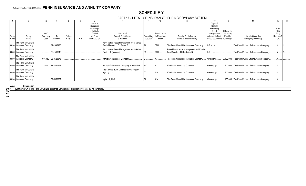## **SCHEDULE Y**

PART 1A - DETAIL OF INSURANCE HOLDING COMPANY SYSTEM

|               |                                                  |                                |                   |                        |     |                                                                                            |                                                                  |                         | 10                                     |                                                                            | 12                                                                                                            | 13.                                   |                                                 | 15.                                                 |  |
|---------------|--------------------------------------------------|--------------------------------|-------------------|------------------------|-----|--------------------------------------------------------------------------------------------|------------------------------------------------------------------|-------------------------|----------------------------------------|----------------------------------------------------------------------------|---------------------------------------------------------------------------------------------------------------|---------------------------------------|-------------------------------------------------|-----------------------------------------------------|--|
| Group<br>Code | Group<br>Name                                    | <b>NAIC</b><br>Company<br>Code | Number            | Federal<br><b>RSSD</b> | СIК | Name of<br>Securities<br>Exchange<br>if Publicly<br>Traded<br>$(U.S.$ or<br>International) | Names of<br>Parent. Subsidiaries<br>or Affiliates                | Domiciliary<br>Location | Relationship<br>to Reporting<br>Entity | Directly Controlled by<br>(Name of Entity/Person)                          | Type of<br>Control<br>(Ownership<br>Board,<br>Management<br>Attorney-in-Fact,<br>Influence, Other) Percentage | If Control is<br>Ownership<br>Provide | Ultimate Controlling<br>Entity(ies)/Person(s)   | Is an<br><b>SCA</b><br>Filing<br>Required?<br>(Y/N) |  |
|               | The Penn Mutual Life                             |                                |                   |                        |     |                                                                                            | Penn Mutual Asset Management Multi-Series                        |                         |                                        |                                                                            |                                                                                                               |                                       |                                                 |                                                     |  |
|               | 0850   Insurance Company                         |                                | 82-1995175.       |                        |     |                                                                                            | Fund (Master), LLC - Series B                                    |                         | <b>OTH</b>                             | The Penn Mutual Life Insurance Company                                     | Influence.                                                                                                    |                                       | The Penn Mutual Life Insurance Company          |                                                     |  |
|               | The Penn Mutual Life<br>0850   Insurance Company |                                | 82-1533643.       |                        |     |                                                                                            | Penn Mutual Asset Management Multi-Series<br>Fund, LLC (onshore) |                         | <b>OTH</b>                             | Penn Mutual Asset Management Multi-Series<br>Fund (Master), LLC - Series B | Influence.                                                                                                    |                                       | The Penn Mutual Life Insurance Company          |                                                     |  |
|               | The Penn Mutual Life<br>0850 Insurance Company   |                                | 68632 06-0523876. |                        |     |                                                                                            | Vantis Life Insurance Company.                                   |                         |                                        | The Penn Mutual Life Insurance Company                                     | Ownership                                                                                                     |                                       | 100.000 The Penn Mutual Life Insurance Company  |                                                     |  |
|               | The Penn Mutual Life<br>0850 Insurance Company   |                                | 13588 13-4337991. |                        |     |                                                                                            | Vantis Life Insurance Company of New York                        | $\sqrt{N}$              |                                        | Vantis Life Insurance Company.                                             | Ownership                                                                                                     |                                       | 100.000 The Penn Mutual Life Insurance Company  |                                                     |  |
|               | The Penn Mutual Life<br>0850   Insurance Company |                                |                   |                        |     |                                                                                            | The Savings Bank Life Insurance Company<br>Agency, LLC           |                         | <b>NIA</b>                             | Vantis Life Insurance Company.                                             | Ownership                                                                                                     |                                       | 100.000 The Penn Mutual Life Insurance Company  |                                                     |  |
|               | The Penn Mutual Life<br>0850   Insurance Company |                                | 82-5050907.       |                        |     |                                                                                            | myWorth, LLC.                                                    |                         |                                        | The Penn Mutual Life Insurance Company   Ownership                         |                                                                                                               |                                       | .100.000 The Penn Mutual Life Insurance Company |                                                     |  |

**Aster Explanation** 

1 Entity over which The Penn Mutual Life Insurance Company has significant influence, but no ownership.

**Q13.1**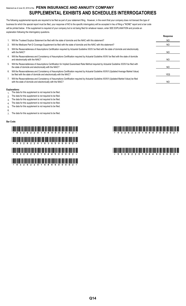## Statement as of June 30, 2018 of the **PENN INSURANCE AND ANNUITY COMPANY SUPPLEMENTAL EXHIBITS AND SCHEDULES INTERROGATORIES**

The following supplemental reports are required to be filed as part of your statement filing. However, in the event that your company does not transact the type of business for which the special report must be filed, your response of NO to the specific interrogatory will be accepted in lieu of filing a "NONE" report and a bar code will be printed below. If the supplement is required of your company but is not being filed for whatever reason, enter SEE EXPLANATION and provide an explanation following the interrogatory questions.

|    |                                                                                                                                                                                                                    | Response |
|----|--------------------------------------------------------------------------------------------------------------------------------------------------------------------------------------------------------------------|----------|
|    | Will the Trusteed Surplus Statement be filed with the state of domicile and the NAIC with this statement?                                                                                                          | NO       |
| 2. | Will the Medicare Part D Coverage Supplement be filed with the state of domicile and the NAIC with this statement?                                                                                                 | NO       |
| 3. | Will the Reasonableness of Assumptions Certification required by Actuarial Guideline XXXV be filed with the state of domicile and electronically<br>with the NAIC?                                                 | NO.      |
| 4. | Will the Reasonableness and Consistency of Assumptions Certification required by Actuarial Guideline XXXV be filed with the state of domicile<br>and electronically with the NAIC?                                 | NO.      |
| 5. | Will the Reasonableness of Assumptions Certification for Implied Guaranteed Rate Method required by Actuarial Guideline XXXVI be filed with<br>the state of domicile and electronically with the NAIC?             | NO.      |
| 6. | Will the Reasonableness and Consistency of Assumptions Certification required by Actuarial Guideline XXXVI (Updated Average Market Value)<br>be filed with the state of domicile and electronically with the NAIC? | YES      |
|    | Will the Reasonableness and Consistency of Assumptions Certification required by Actuarial Guideline XXXVI (Updated Market Value) be filed<br>with the state of domicile and electronically with the NAIC?         | NO       |

### **Explanations:**

- 1. The data for this supplement is not required to be filed.
- 2. The data for this supplement is not required to be filed.
- 3. The data for this supplement is not required to be filed.
- 4. The data for this supplement is not required to be filed.
- 5. The data for this supplement is not required to be filed.
- 6.

7. The data for this supplement is not required to be filed.

### **Bar Code:**

# \*93262201849000002\* \*93262201844700002\* \* The first day that the first day first day that the first day first day in the \*93262201844500002\* \*93262201844900002\* \*93262201844600002\*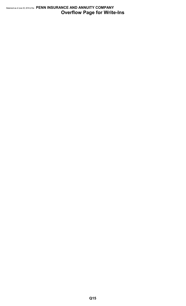## Statement as of June 30, 2018 of the **PENN INSURANCE AND ANNUITY COMPANY Overflow Page for Write-Ins**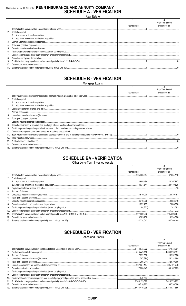## Statement as of June 30, 2018 of the PENN INSURANCE AND ANNUITY COMPANY **SCHEDULE A - VERIFICATION**

**Real Estate** 

|    |                      |              | Prior Year Ended |
|----|----------------------|--------------|------------------|
|    |                      | Year to Date | December 31      |
|    |                      |              |                  |
|    | 2. Cost of acquired: |              |                  |
|    |                      |              |                  |
|    |                      |              |                  |
| 3. |                      |              |                  |
|    |                      |              |                  |
| 5. |                      |              |                  |
| 6. |                      |              |                  |
|    |                      |              |                  |
| 8. |                      |              |                  |
| 9. |                      |              |                  |
|    |                      |              |                  |
|    |                      |              |                  |

## **SCHEDULE B - VERIFICATION**

Mortgage Loans

|     |                                                                                                                 |              | Prior Year Ended |
|-----|-----------------------------------------------------------------------------------------------------------------|--------------|------------------|
|     |                                                                                                                 | Year to Date | December 31      |
|     |                                                                                                                 |              |                  |
| 2.  | Cost of acquired:                                                                                               |              |                  |
|     |                                                                                                                 |              |                  |
|     |                                                                                                                 |              |                  |
| 3.  |                                                                                                                 |              |                  |
| 4.  |                                                                                                                 |              |                  |
| 5.  |                                                                                                                 |              |                  |
| 6.  |                                                                                                                 |              |                  |
|     |                                                                                                                 |              |                  |
| 8.  |                                                                                                                 |              |                  |
| 9.  |                                                                                                                 |              |                  |
| 10. |                                                                                                                 |              |                  |
| 11. | Book value/recorded investment excluding accrued interest at end of current period (Lines 1+2+3+4+5+6-7-8+9-10) |              |                  |
| 12. |                                                                                                                 |              |                  |
| 13. |                                                                                                                 |              |                  |
| 14. |                                                                                                                 |              |                  |
| 15. |                                                                                                                 |              |                  |

## **SCHEDULE BA - VERIFICATION**

Other Long-Term Invested Assets

|     |                   |              | Prior Year Ended |
|-----|-------------------|--------------|------------------|
|     |                   | Year to Date | December 31      |
|     |                   | 205.323.654  | .167.634.110     |
| 2.  | Cost of acquired: |              |                  |
|     |                   |              |                  |
|     |                   |              |                  |
| 3.  |                   |              |                  |
| 4.  |                   |              |                  |
| 5.  |                   |              |                  |
| 6.  |                   |              |                  |
|     |                   |              |                  |
| 8.  |                   |              |                  |
| 9.  |                   |              |                  |
| 10. |                   |              | .1.327.272       |
| 11. |                   |              |                  |
| 12. |                   |              |                  |
| 13. |                   |              |                  |

## **SCHEDULE D - VERIFICATION**

**Bonds and Stocks** 

|     |              | Prior Year Ended |
|-----|--------------|------------------|
|     | Year to Date | December 31      |
|     |              |                  |
| 2.  |              |                  |
| 3.  |              |                  |
| 4.  |              |                  |
| 5.  |              |                  |
| 6.  |              |                  |
| 7.  |              |                  |
| 8.  |              |                  |
| 9.  |              |                  |
| 10. |              |                  |
| 11. |              | 3.413.573.922    |
| 12. |              |                  |
|     |              |                  |

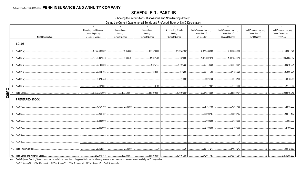## **SCHEDULE D - PART 1B**

Showing the Acquisitions, Dispositions and Non-Trading Activity

During the Current Quarter for all Bonds and Preferred Stock by NAIC Designation

|              |                           | $\overline{1}$                        | 2                                   | $\mathbf{3}$                     | $\overline{4}$                   | $5^{\circ}$                          | 6                              | $\overline{7}$                       | 8                               |
|--------------|---------------------------|---------------------------------------|-------------------------------------|----------------------------------|----------------------------------|--------------------------------------|--------------------------------|--------------------------------------|---------------------------------|
|              |                           | Book/Adjusted Carrying                | Acquisitions                        | <b>Dispositions</b>              | Non-Trading Activity             | <b>Book/Adjusted Carrying</b>        | <b>Book/Adjusted Carrying</b>  | <b>Book/Adjusted Carrying</b>        | <b>Book/Adjusted Carrying</b>   |
|              | <b>NAIC Designation</b>   | Value Beginning<br>of Current Quarter | During<br><b>Current Quarter</b>    | During<br><b>Current Quarter</b> | During<br><b>Current Quarter</b> | Value End of<br><b>First Quarter</b> | Value End of<br>Second Quarter | Value End of<br><b>Third Quarter</b> | Value December 31<br>Prior Year |
|              |                           |                                       |                                     |                                  |                                  |                                      |                                |                                      |                                 |
|              | <b>BONDS</b>              |                                       |                                     |                                  |                                  |                                      |                                |                                      |                                 |
|              |                           | 2,377,433,962                         | 64,954,880<br>.                     |                                  | (22,254,135)<br>.                | 2,377,433,962                        | 2,319,664,452                  |                                      | 2,143,901,578                   |
|              |                           | 1.026.397.616                         | 65.636.797<br>.                     |                                  | 5.437.659                        | 1,026,397,616                        | 1.082.854.313                  |                                      | 965,565,087                     |
|              |                           | 96.148.336                            |                                     |                                  | 7.497.722                        | 96.148.336                           | 102.270.581                    |                                      | 89,219,031                      |
|              |                           | 28,414,705                            | the contract of the contract of     | 612,097                          | (377, 288)                       | 28,414,705                           | 27,425,320                     |                                      | 25,806,201                      |
|              |                           | 6,974,456                             | the contract of the contract of the |                                  |                                  |                                      | 6.973.103                      |                                      | 6,976,269                       |
|              |                           |                                       |                                     |                                  |                                  |                                      |                                |                                      | 2,147,880                       |
| <b>QSI02</b> |                           | 3,537,516,906                         |                                     | 130,591,677   117,079,054        |                                  | (9,697,395)   3,537,516,906          | $\ldots$ 3,541,332,134         | $\cap$                               | 3,233,616,046                   |
|              | PREFERRED STOCK           |                                       |                                     |                                  |                                  |                                      |                                |                                      |                                 |
|              |                           | 4.767.460                             | $\dots$ 2.500.000                   |                                  |                                  | 4.767.460                            | 7,267,460                      |                                      | 0.2,515,000                     |
|              |                           | 23,203,187                            |                                     |                                  |                                  | 23,203,187                           | 23,203,187                     |                                      | 20,644,187                      |
|              |                           | 5,083,600                             |                                     |                                  |                                  | 5,083,600                            | 5,083,600                      |                                      | 5,083,600                       |
|              |                           | 2,400,000                             |                                     |                                  |                                  | 0.2,400,000                          | 0.2,400,000                    |                                      | 0.2,400,000                     |
|              |                           |                                       |                                     |                                  |                                  |                                      |                                |                                      |                                 |
|              |                           |                                       |                                     |                                  |                                  |                                      |                                |                                      |                                 |
|              | 14. Total Preferred Stock | 35,454,247                            | 0.2,500,000                         | $\overline{0}$                   | $\sim$ 0                         | $\ldots$ 35,454,247                  | 37,954,247                     |                                      | ,30,642,787                     |
|              |                           |                                       |                                     |                                  |                                  |                                      |                                |                                      |                                 |

(a) Book/Adjusted Carrying Value column for the end of the current reporting period includes the following amount of short-term and cash equivalent bonds by NAIC designation:

NAIC 1 \$...........0; NAIC 2 \$..........0; NAIC 3 \$...........0; NAIC 4 \$..........0; NAIC 5 \$..........0; NAIC 6 \$..........0.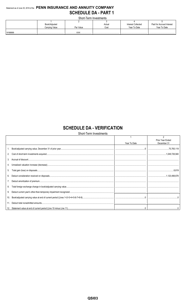## Statement as of June 30, 2018 of the PENN INSURANCE AND ANNUITY COMPANY **SCHEDULE DA - PART 1**

Short-Term Investments

| Book/Adjusted  |             | Actual | Interest Collected | Paid for Accrued Interest |
|----------------|-------------|--------|--------------------|---------------------------|
| Carrying Value | Par Value   | Cost   | Year To Date       | Year To Date              |
|                | <b>VVV</b>  |        |                    |                           |
|                | /\/\/\<br>. |        |                    |                           |

## **SCHEDULE DA - VERIFICATION**

Short-Term Investments

|     |              | Prior Year Ended |
|-----|--------------|------------------|
|     | Year To Date | December 31      |
|     |              |                  |
|     |              |                  |
|     |              |                  |
|     |              |                  |
| 5.  |              |                  |
| 6.  |              |                  |
|     |              |                  |
| 8.  |              |                  |
| 9.  |              |                  |
| 10. |              |                  |
|     |              |                  |
|     |              |                  |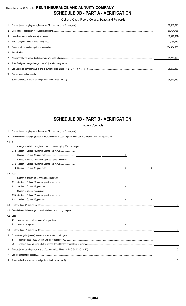## Statement as of June 30, 2018 of the **PENN INSURANCE AND ANNUITY COMPANY SCHEDULE DB - PART A - VERIFICATION**

Options, Caps, Floors, Collars, Swaps and Forwards

|    | 96,710,818   |
|----|--------------|
|    | 50,494,766   |
|    | (10,976,861) |
|    | 12,434,939   |
|    | 104,434,556  |
| 6  |              |
|    | 51.444.363   |
| 8. |              |
|    | 95,673,469   |
|    |              |
|    | 95.673.469   |

## **SCHEDULE DB - PART B - VERIFICATION**

Futures Contracts

| 1. |           |                                                                         |                  |   |              |
|----|-----------|-------------------------------------------------------------------------|------------------|---|--------------|
| 2. |           |                                                                         |                  |   |              |
|    | 3.1 Add:  |                                                                         |                  |   |              |
|    |           | Change in variation margin on open contracts - Highly Effective Hedges: |                  |   |              |
|    |           | 3.11 Section 1, Column 15, current year to date minus                   |                  |   |              |
|    |           |                                                                         | 0                |   |              |
|    |           | Change in variation margin on open contracts - All Other:               |                  |   |              |
|    |           | 3.13 Section 1, Column 18, current year to date minus                   |                  |   |              |
|    |           |                                                                         |                  | 0 |              |
|    | 3.2 Add:  |                                                                         |                  |   |              |
|    |           | Change in adjustment to basis of hedged item:                           |                  |   |              |
|    | 3.21      |                                                                         |                  |   |              |
|    |           |                                                                         | $\mathbf 0$      |   |              |
|    |           | Change in amount recognized:                                            |                  |   |              |
|    |           |                                                                         |                  |   |              |
|    |           |                                                                         | $0 \quad \qquad$ | 0 |              |
|    |           |                                                                         |                  |   | $\mathbf{0}$ |
|    |           |                                                                         |                  |   |              |
|    | 4.2 Less: |                                                                         |                  |   |              |
|    |           |                                                                         |                  |   |              |
|    |           |                                                                         |                  |   |              |
|    |           |                                                                         |                  |   | $\mathbf{0}$ |
| 5. |           | Dispositions gains (losses) on contracts terminated in prior year:      |                  |   |              |
|    | 5.1       |                                                                         |                  |   |              |
|    | 5.2       |                                                                         |                  |   |              |
| 6. |           |                                                                         |                  |   | $\mathbf{0}$ |
| 7. |           |                                                                         |                  |   |              |
| 8. |           |                                                                         |                  |   | 0            |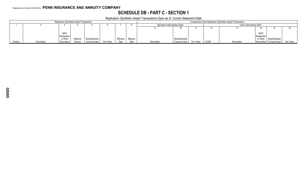## **SCHEDULE DB - PART C - SECTION 1**

Replication (Synthetic Asset) Transactions Open as of Current Statement Date

|        |             |             | . .      |                | Components of the Replication (Synthetic Asset) Transactions |          |          |             |                               |            |              |             |             |                            |            |  |
|--------|-------------|-------------|----------|----------------|--------------------------------------------------------------|----------|----------|-------------|-------------------------------|------------|--------------|-------------|-------------|----------------------------|------------|--|
|        |             |             |          |                |                                                              |          |          |             | Derivative Instrument(s) Open |            |              |             |             | Cash Instrument(s) Held    |            |  |
|        |             |             |          |                |                                                              |          |          |             |                               |            |              |             |             |                            |            |  |
|        |             |             |          |                |                                                              |          |          |             |                               |            |              |             |             |                            |            |  |
|        |             | <b>NAIC</b> |          |                |                                                              |          |          |             |                               |            |              |             | <b>NAIC</b> |                            |            |  |
|        |             | Designation |          |                |                                                              |          |          |             |                               |            |              |             | Designation |                            |            |  |
|        |             | or Other    | Notional | Book/Adjusted  |                                                              | Effectiv | Maturity |             | Book/Adjusted                 |            |              |             |             | or Other   Book/Adjusted   |            |  |
| Number | Description | Description | Amount   | Carrying Value | Fair Value                                                   | Date     | Date     | Description | <b>Carrying Value</b>         | Fair Value | <b>CUSIP</b> | Description |             | Description Carrying Value | Fair Value |  |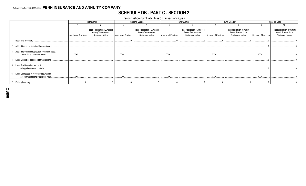## **SCHEDULE DB - PART C - SECTION 2**

Reconciliation (Synthetic Asset) Transactions Open

|                                                                                      |                     | <b>First Quarter</b>                                                                 |                     | Second Quarter                                                                       |                     | <b>Third Quarter</b>                                                                 |                     | Fourth Quarter                                                                       | Year-To-Date        |                                                                                      |  |
|--------------------------------------------------------------------------------------|---------------------|--------------------------------------------------------------------------------------|---------------------|--------------------------------------------------------------------------------------|---------------------|--------------------------------------------------------------------------------------|---------------------|--------------------------------------------------------------------------------------|---------------------|--------------------------------------------------------------------------------------|--|
|                                                                                      |                     |                                                                                      |                     |                                                                                      |                     |                                                                                      |                     |                                                                                      |                     | 10                                                                                   |  |
|                                                                                      | Number of Positions | <b>Total Replication (Synthetic</b><br>Asset) Transactions<br><b>Statement Value</b> | Number of Positions | <b>Total Replication (Synthetic</b><br>Asset) Transactions<br><b>Statement Value</b> | Number of Positions | <b>Total Replication (Synthetic</b><br>Asset) Transactions<br><b>Statement Value</b> | Number of Positions | <b>Total Replication (Synthetic</b><br>Asset) Transactions<br><b>Statement Value</b> | Number of Positions | <b>Total Replication (Synthetic</b><br>Asset) Transactions<br><b>Statement Value</b> |  |
| Beginning Inventory.                                                                 |                     |                                                                                      |                     |                                                                                      |                     |                                                                                      |                     |                                                                                      |                     |                                                                                      |  |
| 2. Add: Opened or acquired transactions.                                             |                     |                                                                                      |                     |                                                                                      |                     |                                                                                      |                     |                                                                                      |                     |                                                                                      |  |
| 3. Add: Increases in replication (synthetic asset)<br>transactions statement value.  | XXX.                |                                                                                      | XXX.                |                                                                                      | XXX.                |                                                                                      | <b>XXX</b>          |                                                                                      | <b>XXX</b>          |                                                                                      |  |
| Less: Closed or disposed of transactions.                                            |                     |                                                                                      |                     |                                                                                      |                     |                                                                                      |                     |                                                                                      |                     |                                                                                      |  |
| Less: Positions disposed of for<br>failing effectiveness criteria.                   |                     |                                                                                      |                     |                                                                                      |                     |                                                                                      |                     |                                                                                      |                     |                                                                                      |  |
| 6. Less: Decreases in replication (synthetic<br>asset) transactions statement value. | XXX.                |                                                                                      | <b>XXX</b>          |                                                                                      | XXX.                |                                                                                      | XXX.                |                                                                                      | <b>XXX</b>          |                                                                                      |  |
| Ending Inventory.                                                                    |                     |                                                                                      |                     |                                                                                      |                     |                                                                                      |                     |                                                                                      |                     |                                                                                      |  |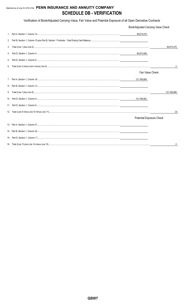## Statement as of June 30, 2018 of the PENN INSURANCE AND ANNUITY COMPANY **SCHEDULE DB - VERIFICATION**

Verification of Book/Adjusted Carrying Value, Fair Value and Potential Exposure of all Open Derivative Contracts

|    | Book/Adjusted Carrying Value Check |             |
|----|------------------------------------|-------------|
|    | 95,673,470                         |             |
| 2. |                                    |             |
| 3. |                                    | 95,673,470  |
| 4. | 95,673,468                         |             |
| 5. |                                    |             |
| 6. |                                    | 2           |
|    | <b>Fair Value Check</b>            |             |
|    |                                    |             |
| 8. |                                    |             |
| 9. |                                    | 121,768,899 |
|    |                                    |             |
|    |                                    |             |
|    |                                    | (3)         |
|    | Potential Exposure Check           |             |
|    |                                    |             |
|    |                                    |             |
|    |                                    |             |
|    |                                    |             |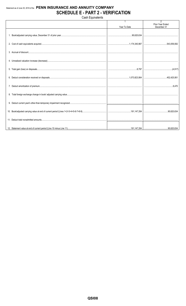## Statement as of June 30, 2018 of the PENN INSURANCE AND ANNUITY COMPANY **SCHEDULE E - PART 2 - VERIFICATION**

Cash Equivalents

|              | $\overline{2}$<br><b>Prior Year Ended</b> |
|--------------|-------------------------------------------|
| Year To Date | December 31                               |
|              |                                           |
|              |                                           |
|              |                                           |
|              |                                           |
|              |                                           |
|              |                                           |
|              |                                           |
|              |                                           |
|              |                                           |
|              |                                           |
|              |                                           |
|              |                                           |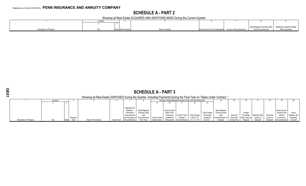## **SCHEDULE A - PART 2**

Showing all Real Estate ACQUIRED AND ADDITIONS MADE During the Current Quarter

|                         | Locatio |                       |                |                                                           |                                                           |                          |
|-------------------------|---------|-----------------------|----------------|-----------------------------------------------------------|-----------------------------------------------------------|--------------------------|
|                         |         |                       |                |                                                           |                                                           |                          |
|                         |         |                       |                |                                                           | Book/Adjusted Carrying Value   Additional Investment Made |                          |
| Jescription of Property |         | State   Date Acquired | Name of Vendor | Actual Cost at Time of Acquisition Amount of Encumbrances | Less Encumbrances                                         | <b>After Acquisition</b> |

|                                                                                                                          | <b>SCHEDULE A - PART 3</b>                                                                                                                                                                                                                                                                                                                                                                                  |  |  |                   |                    |              |            |              |            |              |                 |                  |          |             |          |         |          |              |          |
|--------------------------------------------------------------------------------------------------------------------------|-------------------------------------------------------------------------------------------------------------------------------------------------------------------------------------------------------------------------------------------------------------------------------------------------------------------------------------------------------------------------------------------------------------|--|--|-------------------|--------------------|--------------|------------|--------------|------------|--------------|-----------------|------------------|----------|-------------|----------|---------|----------|--------------|----------|
| Showing all Real Estate DISPOSED During the Quarter, Including Payments During the Final Year on "Sales Under Contract " |                                                                                                                                                                                                                                                                                                                                                                                                             |  |  |                   |                    |              |            |              |            |              |                 |                  |          |             |          |         |          |              |          |
|                                                                                                                          | Change in Book/Adjusted Carrying Value Less Encumbrances<br>Location                                                                                                                                                                                                                                                                                                                                        |  |  |                   |                    |              |            |              |            |              |                 |                  |          |             |          |         |          |              |          |
|                                                                                                                          |                                                                                                                                                                                                                                                                                                                                                                                                             |  |  |                   |                    |              |            |              |            |              |                 |                  |          |             |          |         |          |              |          |
|                                                                                                                          | Expended for<br>Book/Adjusted<br>Book/Adjusted<br>Gross Income<br>Current Year's<br>Additions,<br><b>Total Foreign</b><br>Carrying Value<br><b>Carrying Value</b><br>Earned Less<br>Other-Than-<br>Foreign<br>Permanent                                                                                                                                                                                     |  |  |                   |                    |              |            |              |            |              |                 |                  | Taxes    |             |          |         |          |              |          |
|                                                                                                                          | Realized Gain<br>Current Year's   Total Change<br><b>Total Gain</b><br>Exchange<br>Repairs, and<br>Exchange<br>Interest<br>Temporary<br>Amounts<br>Less<br>Improvements<br>Less<br>Disposal<br>Received<br>in $B.A.C.V.$<br>Encumbrances<br>Expenses<br>Current Year's<br>Change<br>(Loss) on<br>and Changes in<br>Encumbrances on<br>Gain (Loss) on<br>(Loss) on<br>Incurred on<br>Change in<br>Impairment |  |  |                   |                    |              |            |              |            |              |                 |                  |          |             |          |         |          |              |          |
| Description of Property                                                                                                  |                                                                                                                                                                                                                                                                                                                                                                                                             |  |  | Name of Purchaser | <b>Actual Cost</b> | Encumbrances | Prior Year | Depreciation | Recognized | Encumbrances | $(11 - 9 - 10)$ | <b>B./A.C.V.</b> | Disposal | During Year | Disposal | Disposa | Disposal | Encumbrances | Incurred |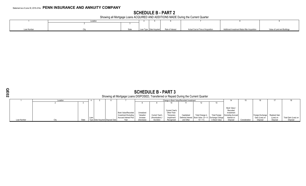## **SCHEDULE B - PART 2**

Showing all Mortgage Loans ACQUIRED AND ADDITIONS MADE During the Current Quarter

|            | Locatior |                                          |                                    |                                              |                             |
|------------|----------|------------------------------------------|------------------------------------|----------------------------------------------|-----------------------------|
|            |          |                                          |                                    |                                              |                             |
|            |          |                                          |                                    |                                              |                             |
| oan Number | State    | Loan Type Date Acquired Rate of Interest | Actual Cost at Time of Acquisition | Additional Investment Made After Acquisition | Value of Land and Buildings |

## **SCHEDULE B - PART 3** Showing all Mortgage Loans DISPOSED, Transferred or Repaid During the Current Quarter

### 1 Location 1 5 6 7 Change in Book Value/Recorded Investment 14 15 16 17 18<br>
1 3 4 5 6 7 8 9 10 11 12 13 13 2 3 8 8 9 10 11 12 13 Loan Number City City Loan Type Date Acquired Disposal Date Book Value/Recorded Investment Excluding Accrued Interest Prior Year Unrealized Valuation Increase (Decrease) Current Year's (Amortization) / Accretion Current Year's Other-Than-Temporary Impairment Recognized Capitalized Deferred Interest and Other Total Change in Book Value  $(8 + 9 10 + 11$ Total Foreign Exchange Change in Book Value Book Value / Recorded Investment Excluding Accrued Interest on<br>Disposal Consideration Foreign Exchange Gain (Loss) on Disposal Realized Gain (Loss) on Disposal Total Gain (Loss) on Disposal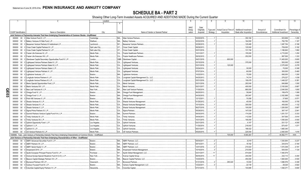## **SCHEDULE BA - PART 2**

Showing Other Long-Term Invested Assets ACQUIRED AND ADDITIONS MADE During the Current Quarter

|                  |                             |                    |                                                                                                                               | Location       |           | $\overline{5}$                         | 6           |             | 8        | 9                      | 10                     | 11           | 12                    | 13            |
|------------------|-----------------------------|--------------------|-------------------------------------------------------------------------------------------------------------------------------|----------------|-----------|----------------------------------------|-------------|-------------|----------|------------------------|------------------------|--------------|-----------------------|---------------|
|                  |                             |                    |                                                                                                                               |                |           |                                        |             |             |          |                        |                        |              |                       |               |
|                  |                             |                    |                                                                                                                               |                |           |                                        | <b>NAIC</b> | Date        |          |                        |                        |              |                       |               |
|                  |                             |                    |                                                                                                                               |                |           |                                        | Desig-      | Originally  | Type and | Actual Cost at Time of | Additional Investment  | Amount of    | Commitment for        | Percentage of |
|                  | <b>CUSIP</b> Identification |                    | Name or Description                                                                                                           | City           | State     | Name of Vendor or General Partner      | nation      | Acquired    | Strategy | Acquisition            | Made after Acquisition | Encumbrances | Additional Investment | Ownership     |
|                  |                             |                    |                                                                                                                               |                |           |                                        |             |             |          |                        |                        |              |                       |               |
|                  |                             |                    | Joint Venture or Partnership Interests That Have Underlying Characteristics of Common Stocks - Unaffiliated                   |                |           |                                        |             |             |          |                        |                        |              |                       |               |
|                  | 000000                      | $00\,$             | Atlas Venture Fund X, L.P.                                                                                                    | Cambridge      | MA.       | Atlas Venture Partners                 |             | 03/20/2015. |          |                        | .350,164               |              | 523,806               | .1.200        |
|                  | 000000 00 0                 |                    | Battery Ventures XI Side Fund, L.P.                                                                                           | Waltham.       | <b>MA</b> | <b>Battery Ventures.</b>               |             | 02/22/2016  |          |                        | 164,500                |              | 792,750               | .1.167        |
|                  | 000000                      | $00\,$             | Bessemer Venture Partners IX Institutional L.P.                                                                               | Larchmont.     | NY        | <b>Bessemer Venture Partners</b>       |             | 02/28/2015. |          |                        | 125,485                |              | 1,087,784             | .0.188        |
|                  |                             | 00 <sub>0</sub>    | Cross Creek Capital Partners III, L.P.                                                                                        | Salt Lake City | UT        | Cross Creek Capital.                   |             | 08/29/2013  |          |                        | 120,000                |              | 759,000               |               |
|                  | 000000                      |                    |                                                                                                                               |                |           |                                        |             |             |          |                        |                        |              |                       | .3.192        |
|                  | 000000                      | $00\,$             | Cross Creek Capital Partners IV, L.P.                                                                                         | Salt Lake City | UT.       | Cross Creek Capital.                   |             | 03/31/2016. |          |                        | 131,740                |              | .1,166,840            | .1.882        |
|                  | 000000                      | $00\,$             | Frazier Life Sciences IX, L.P.                                                                                                | Menlo Park     | CA.       | <b>Frazier Healthcare Partners</b>     |             | 10/31/2017  |          |                        | 155,000                |              | .4,715,000            | .1.250        |
|                  | 000000                      | $00\,$             | Frazier Life Sciences VIII, L.P.                                                                                              | Menlo Park     | CA.       | <b>Frazier Healthcare Partners.</b>    |             | 09/30/2015  |          |                        | .252.000               |              | .997.500              | .1.333        |
|                  | 000000                      | $00\,$             | Glendower Capital Secondary Opportunities Fund IV, L.P                                                                        | London.        | GBR.      | Glendower Capital.                     |             | 04/01/2018. |          | .600.000               |                        |              | .11,400,000           | .0.600        |
|                  | 000000                      | $00\,$             | Lightspeed Venture Partners Select II. L.P.                                                                                   | Menlo Park.    | CA.       | <b>Lightspeed Ventures</b>             |             | 03/10/2016. |          |                        | .375.000               |              | .500,000              | .0.500        |
|                  |                             |                    |                                                                                                                               |                |           |                                        |             |             |          |                        |                        |              |                       |               |
|                  | 000000                      | $00\,$             | Lightspeed Venture Partners Select III, L.P.                                                                                  | Menlo Park.    | CA.       | <b>Lightspeed Ventures</b>             |             | 03/31/2018. |          | .125.000               |                        |              | .2,375,000            | .0.278        |
|                  | 000000                      | $00\,$             | Lightspeed Venture Partners Select, L.P.                                                                                      | Menlo Park     | CA        | <b>Lightspeed Ventures</b>             |             | 03/24/2014  |          |                        | .30.000                |              | 70,000                | .0.308        |
|                  | 000000                      | $00\,$             | Lightspeed Venture Partners X, L.P.                                                                                           | Menlo Park     | CA        | <b>Lightspeed Ventures</b>             |             | 07/07/2014  |          |                        | .60.000                |              | .300.000              | .0.480        |
|                  | 000000                      | $00\,$             | Lightstone Ventures, L.P.                                                                                                     | Boston.        | MA.       | Lightstone Ventures.                   |             | 10/22/2013  |          |                        | .75,000                |              | .690,000              | .1.200        |
|                  | 000000                      | $00\,$             | Longitude Venture Partners II, L.P.                                                                                           | Menlo Park.    | CA.       | Longitude Capital Management Co., LLC. |             | 04/25/2013  |          |                        | 74.314                 |              | 276,227               | .1.039        |
|                  |                             |                    |                                                                                                                               |                |           |                                        |             |             |          |                        |                        |              |                       |               |
|                  | 000000                      | $00\,$             | Longitude Venture Partners III, L.P.                                                                                          | Menlo Park     | CA.       | Longitude Capital Management Co., LLC. |             | 03/31/2016. |          |                        | 190,476                |              | .1,449,327            | .0.381        |
|                  | 000000                      | $00\,$             | Menlo Special Opportunities Fund, L.P.                                                                                        | Menlo Park     | CA.       | Menlo Ventures.                        |             | 03/31/2016  |          |                        | .293.040               |              | 646,868               | .1.000        |
|                  | 000000                      | $00\,$             | Menlo Ventures XIV, L.P.                                                                                                      | Menlo Park     | CA.       | Menlo Ventures.                        |             | 05/31/2017  |          |                        | 450,000                |              | .2,100,000            | .0.667        |
| O                | 000000                      | 00                 | New Leaf Ventures III. L.P.                                                                                                   | New York.      | NY        | New Leaf Venture Partners              |             | 11/30/2014  |          |                        | .660.000               |              | .2,040,000            | .1.600        |
|                  | 000000                      | $00\,$             | 0 Omega Fund IV. L.P.                                                                                                         | Boston.        | MA.       | Omega Fund Management                  |             | 06/20/2013  |          |                        | .39.840                |              | 189,479               | .1.089        |
| $\overline{5}03$ |                             |                    | 00 0 Omega Fund V, L.P.                                                                                                       | Boston.        | MA.       |                                        |             | 04/30/2015  |          |                        | .263,947               |              | .2,352,989            | .1.600        |
|                  | 000000                      |                    |                                                                                                                               |                |           | Omega Fund Management                  |             |             |          |                        |                        |              |                       |               |
|                  | 000000                      |                    | 00 0 Point 406 Ventures II, L.P.                                                                                              | Boston.        | MA.       | 406 Ventures.                          |             | 12/13/2011  |          |                        | .70,095                |              | .37,905               | .0.571        |
|                  | 000000 00 0                 |                    | Shasta Ventures III, L.P.                                                                                                     | Menlo Park.    | CA.       | Shasta Ventures Management             |             | 01/25/2012  |          |                        | .40,000                |              | .160,000              | .0.755        |
|                  | 000000                      | $00\,$             | Shasta Ventures IV. L.P.                                                                                                      | Menlo Park     | CA.       | Shasta Ventures Management             |             | 10/10/2014  |          |                        | .300,000               |              | .450,000              | .1.132        |
|                  | 000000                      | $00\,$             | Shasta Ventures V, L.P.                                                                                                       | Menlo Park     | CA.       | Shasta Ventures Management             |             | 06/27/2016  |          |                        | 100,000                |              | 1,200,000             | .0.667        |
|                  | 000000                      | $00\,$             | Sigma Prime Partners IX, L.P                                                                                                  | Menlo Park     | CA        | Sigma Partners.                        |             | 05/29/2012  |          |                        | 147,030                |              | .367,147              | .2.941        |
|                  |                             |                    |                                                                                                                               |                |           |                                        |             |             |          |                        |                        |              |                       |               |
|                  | 000000                      | $00\,$             | Summit Partners Venture Capital Fund IV-A, L.P.                                                                               | Boston.        | MA.       | Summit Partners                        |             | 09/30/2015  |          |                        | 174,000                |              | .1,051,737            | .0.333        |
|                  | 000000                      | $00\,$             | 0 Trinity Ventures XI, L.P                                                                                                    | Menlo Park.    | CA.       | <b>Trinity Ventures</b>                |             | 04/04/2013  |          |                        | 112,500                |              | 547,500               | .0.914        |
|                  | 000000                      | $00\,$             | 0 Trinity Ventures XII, L.P.                                                                                                  | Menlo Park.    | CA.       | <b>Trinity Ventures.</b>               |             | 10/31/2015  |          |                        | 195,000                |              | .1,050,000            | .0.500        |
|                  | 000000                      | $00\,$             | Upfront Opportunity Fund I, L.P                                                                                               | Los Angeles.   | CA        | <b>Upfront Ventures</b>                |             | 03/31/2015  |          |                        | .4,107                 |              | .531,121              | .4.000        |
|                  | 000000                      | 000                | Upfront V, L.P.                                                                                                               | Los Angeles    | CA.       | <b>Upfront Ventures</b>                |             | 11/30/2014  |          |                        | .218,543               |              | .674.451              | .1.071        |
|                  | 000000                      |                    | 00 0 Upfront VI, L.P.                                                                                                         | Los Angeles.   | CA        | <b>Upfront Ventures</b>                |             | 05/31/2017  |          |                        | 186,422                |              |                       |               |
|                  |                             |                    |                                                                                                                               |                |           |                                        |             |             |          |                        |                        |              | .1,660,340            |               |
|                  |                             |                    | 000000 00 0 US Venture Partners XI, L.P.                                                                                      | Menlo Park.    | CA.       | US Venture Partners.                   |             | 05/20/2015  |          |                        | .225.000               |              | .2.400.000            | 1.818         |
|                  |                             |                    | 1599999. Total - Joint Venture or Partnership Interests That Have Underlying Characteristics of Common Stocks - Unaffiliated. |                |           |                                        |             |             |          | .725.000               | .5.583.203             |              | .44.562.771           | XXX           |
|                  |                             |                    | Joint Venture or Partnership Interests That Have Underlying Characteristics of Other - Unaffiliated                           |                |           |                                        |             |             |          |                        |                        |              |                       |               |
|                  | 000000                      |                    | 00 0 ABRY Advanced Securities Fund II. L.P.                                                                                   | Boston.        | MA.       | <b>ABRY Partners, LLC.</b>             |             | 05/04/2011. | 2        |                        | 0.6.018                |              | .1,343,944            | .0.237        |
|                  | 000000 00                   |                    | ABRY Partners VII. L.P                                                                                                        | Boston.        | MA.       | <b>ABRY Partners, LLC.</b>             |             | 08/10/2011. |          |                        | .18,162                |              | 244,616               | .0.184        |
|                  |                             |                    |                                                                                                                               |                | MA.       |                                        |             |             |          |                        |                        |              |                       |               |
|                  | 000000                      | $00\,$             | ABRY Senior Equity V, L.P.                                                                                                    | Boston.        |           | ABRY Partners, LLC.                    |             | 12/01/2016  |          |                        | .215,523               |              | .1,572,309            | .0.191        |
|                  | 000000                      | $00\,$             | Ampersand 2014, L.P.                                                                                                          | Boston.        | MA.       | Ampersand Venture Management           |             | 10/10/2014  |          |                        | .210,000               |              | .930,000              | .1.124        |
|                  | 000000                      | $00\,$             | Apollo European Principal Finance Fund III, L.P                                                                               | Purchase       | NY        | Apollo Global Management, LLC.         |             | 03/31/2017  | 11       |                        | .674,604               |              | .7,460,579            |               |
|                  | 000000                      | $00\,$             | Avenue Europe Special Situations Fund III (U.S.), L.P                                                                         | New York       | NY        | Avenue Capital Group.                  |             | 06/05/2015  |          |                        | .200,000               |              | 232,112               | .0.200        |
|                  | 000000                      | $00\,$<br>$\Omega$ | Beacon Capital Strategic Partners VII, L.P                                                                                    | Boston.        | MA.       | Beacon Capital Partners, LLC.          |             | 10/20/2015  |          |                        | 450,000                |              | .1,800,000            | .0.500        |
|                  | 000000                      | $00 \quad 0$       | Brynwood Partners VIII L.P.                                                                                                   | Greenwich      | CT.       | Brynwood Partners.                     |             | 01/31/2018. |          | .293.424               | .10,000                |              | .1,696,576            | .0.308        |
|                  |                             |                    |                                                                                                                               |                |           |                                        |             |             |          |                        |                        |              |                       |               |
|                  | 000000                      |                    | 00 0 Century Focused Fund III, L.P.                                                                                           | Boston.        | MA        | Century Capital Management, LLC.       |             | 12/22/2011. |          |                        | .22,135                |              | 28,220                | .0.922        |
|                  | 000000                      |                    | 00 0 Columbia Capital Equity Partners VI, L.P                                                                                 | Alexandria.    | VA.       | Columbia Capital.                      |             | 07/31/2015  |          |                        | 104,885                |              | 1,506,371             | 0.600         |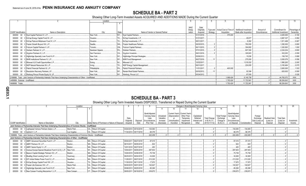## **SCHEDULE BA - PART 2**

Showing Other Long-Term Invested Assets ACQUIRED AND ADDITIONS MADE During the Current Quarter

|                                  |                                                                                                                       | Location        |                                            |             |             |          |                                                           |                        |              | 12                    |               |
|----------------------------------|-----------------------------------------------------------------------------------------------------------------------|-----------------|--------------------------------------------|-------------|-------------|----------|-----------------------------------------------------------|------------------------|--------------|-----------------------|---------------|
|                                  |                                                                                                                       |                 |                                            |             |             |          |                                                           |                        |              |                       |               |
|                                  |                                                                                                                       |                 |                                            | <b>NAIC</b> | Date        |          |                                                           |                        |              |                       |               |
|                                  |                                                                                                                       |                 |                                            | Desig-      | Originally  |          | Type and   Actual Cost at Time of   Additional Investment |                        | Amount of    | Commitment for        | Percentage of |
| <b>CUSIP</b> Identification      | Name or Description                                                                                                   | City            | Name of Vendor or General Partner<br>State | nation      | Acquired    | Strategy | Acquisition                                               | Made after Acquisition | Encumbrances | Additional Investment | Ownership     |
|                                  | 000000 00 0 Dyal Capital Partners IV, L.P                                                                             | New York.       | NY Dyal Capital Partners                   |             | 01/31/2018. |          | .375.000                                                  |                        |              | .4,625,000            | 0.100         |
|                                  | 000000 00 0 EnCap Energy Capital Fund XI, L.P                                                                         | Houston.        | TX EnCap Investments, L.P.                 |             | 01/31/2017. |          |                                                           | .49.877                |              | .3,667,337            | .0.062        |
|                                  | 000000 00 0 EnCap Flatrock Midstream Fund IV, L.P                                                                     | Houston.        | TX EnCap Investments, L.P.                 |             | 08/31/2017. |          |                                                           | 8.262                  |              | .1,911,468            | .0.067        |
|                                  | 000000 00 0 Frazier Growth Buyout VIII, L.P                                                                           | Seattle         | WA Frazier Healthcare Partners             |             | 09/30/2015  |          |                                                           | .760.000               |              | 1,282,000             | 0.800         |
|                                  | 000000 00 0 Fulcrum Capital Partners V, LP                                                                            | Toronto.        | ON Fulcrum Capital Partners                |             | 06/11/2015. |          |                                                           | .304.802               |              | 1,320,563             | .1.000        |
|                                  | 000000 00 0 Graham Partners IV, L.P                                                                                   | Newtown Sqaure. | PA Graham Partners                         |             | 07/31/2015. |          |                                                           | .607.300               |              | .2.234.234            | 0.800         |
|                                  | 000000 00 0 Gryphon Partners IV, L.P                                                                                  | San Francisco   | CA Gryphon Investors                       |             | 09/01/2016  |          |                                                           | .329.903               |              | .302.263              | 0.559         |
|                                  | 000000 00 0 Highbridge Specialty Loan Fund III LP                                                                     | New York        | NY Highbridge Principal Strategies.        |             | 05/06/2013. |          |                                                           | .15.836                |              | .156,745              | .0.899        |
|                                  | 000000 00 0 MHR Institutional Partners IV, L.P                                                                        | New York        | NY MHR Fund Management                     |             | 06/27/2016  |          |                                                           | .275.000               |              | .3,093,076            | 0.556         |
|                                  | 000000 00 0 Miravast ILS Credit Opportunities L.P                                                                     | Ewing.          | Miravast LLC                               |             | 12/02/2017. |          |                                                           | 1.515.032              |              | 1,980,263             | 0.2.000       |
|                                  | 000000 00 0 NGP Natural Resources XII, L.P                                                                            | Irving.         | TX NGP Energy Capital Management           |             | 08/31/2017  |          |                                                           | .224.005               |              | .3,183,464            | 0.075         |
|                                  | 000000 00 0 Patriot Financial Partners III, L.P                                                                       | Philadelphia.   | PA Patriot Financial Partners              |             | 11/01/2017. |          | .400.000                                                  |                        |              | .3,600,000            | 1.333         |
|                                  | 000000 00 0 Resolution Recovery Partners, LP                                                                          | New York        | NY Ranieri Real Estate Partners.           |             | 02/03/2012. |          |                                                           | .52.394                |              | 620,932               | .0.500        |
|                                  | 000000 00 0 Warburg Pincus Private Equity XI, LP                                                                      | New York        | NY Warburg, Pincus LLC                     |             | 05/24/2012  |          |                                                           | .87.000                |              |                       | .0.028        |
|                                  | 2199999. Total - Joint Venture or Partnership Interests That Have Underlying Characteristics of Other - Unaffiliated. |                 |                                            |             |             |          | 1,068,424                                                 | .6,140,738             |              | .44,792,072           | $$ XXX $$     |
| 4499999. Subtotal - Unaffiliated |                                                                                                                       |                 |                                            |             |             |          | 1,793,424                                                 | .11.723.941            |              | .89,354,843           | $.$ $XXX$     |
| 4699999. Totals.                 |                                                                                                                       |                 |                                            |             |             |          | 1,793,424                                                 | .11,723,941            |              | .89,354,843           | XXX           |

## **SCHEDULE BA - PART 3**

## Showing Other Long-Term Invested Assets DISPOSED, Transferred or Repaid During the Current Quarter

|                             |                                                                                                                              |               | Location |                                               |                       |                       |                       |                         |                               | Changes in Book/Adjusted Carrying Value |                          |                                     |                       | 15                    | 16            | 17                         |                            |                                | 20         |
|-----------------------------|------------------------------------------------------------------------------------------------------------------------------|---------------|----------|-----------------------------------------------|-----------------------|-----------------------|-----------------------|-------------------------|-------------------------------|-----------------------------------------|--------------------------|-------------------------------------|-----------------------|-----------------------|---------------|----------------------------|----------------------------|--------------------------------|------------|
|                             |                                                                                                                              |               |          |                                               |                       |                       |                       |                         |                               |                                         |                          |                                     | 14                    |                       |               |                            |                            |                                |            |
|                             |                                                                                                                              |               |          |                                               |                       |                       |                       |                         |                               |                                         |                          |                                     |                       |                       |               |                            |                            |                                |            |
|                             |                                                                                                                              |               |          |                                               |                       |                       | Book/Adjusted         |                         | Current Year's Current Year's |                                         |                          |                                     |                       | Book/Adjusted         |               |                            |                            |                                |            |
|                             |                                                                                                                              |               |          |                                               |                       |                       | Carrying Value        | Unrealized<br>Valuation | (Depreciation)                | Other-Than-                             | Capitalized              |                                     | <b>Total Foreign</b>  | <b>Carrying Value</b> |               | Foreign                    |                            |                                |            |
|                             |                                                                                                                              |               |          |                                               | Date<br>Originally    | Disposal              | Less<br>Encumbrances, | Increase                | or<br>(Amortization)          | Temporary<br>Impairment                 | Deferred<br>Interest and | <b>Total Change</b><br>in B./A.C.V. | Exchange<br>Change in | Less<br>Encumbrances  |               | Exchange<br>Gain (Loss) on | Realized Gain<br>(Loss) on | <b>Total Gain</b><br>(Loss) on | Investment |
| <b>CUSIP</b> Identification | Name or Description                                                                                                          | City          |          | State Name of Purchaser or Nature of Disposal | Acauired              | Date                  | Prior Year            | (Decrease)              | Accretion                     | Recognized                              | Other                    | $(9+10-11+12)$                      | B./A.C.V.             | on Disposal           | Consideration | Disposal                   | Disposal                   | Disposal                       | Income     |
|                             | Joint Venture or Partnership Interests That Have Underlying Characteristics of Common Stocks - Unaffiliated                  |               |          |                                               |                       |                       |                       |                         |                               |                                         |                          |                                     |                       |                       |               |                            |                            |                                |            |
|                             | 000000 00 0 Lightspeed Venture Partners Select, L.P                                                                          | Menlo Park    |          | CA Return Of Capital.                         | 03/24/2014 05/10/2018 |                       | .134,083              |                         |                               |                                         |                          |                                     |                       | .134,083              | .134.083      |                            |                            |                                |            |
| 000000 00 0 Upfront V, L.P  |                                                                                                                              | Los Angeles   |          | CA Return Of Capital.                         |                       | 11/30/2014 05/17/2018 | .88,376               |                         |                               |                                         |                          |                                     |                       | 88,376                | 88,376        |                            |                            |                                |            |
|                             | 1599999. Total - Joint Venture or Partnership Interests That Have Underlying Characteristics of Common Stocks - Unaffiliated |               |          |                                               |                       |                       | .222.459              |                         |                               |                                         |                          |                                     |                       | .222,459              | .222,459      |                            |                            |                                |            |
|                             | Joint Venture or Partnership Interests That Have Underlying Characteristics of Other - Unaffiliated                          |               |          |                                               |                       |                       |                       |                         |                               |                                         |                          |                                     |                       |                       |               |                            |                            |                                |            |
|                             | 000000 00 0 ABRY Advanced Securities Fund II, L.P                                                                            | <b>Boston</b> |          | MA. Return Of Capital.                        | 05/04/2011            | 06/27/2018            | .97.015               |                         |                               |                                         |                          |                                     |                       | 97,015                | .97.015       |                            |                            |                                |            |
| 000000                      | 00 0 ABRY Partners VII, L.P                                                                                                  | Boston.       |          | MA. Return Of Capital                         | 08/10/2011 06/05/2018 |                       | .822                  |                         |                               |                                         |                          |                                     |                       | 822                   | 822           |                            |                            |                                |            |
| 000000                      | 00 0 ABRY Senior Equity V, L.P                                                                                               | Boston.       |          | MA. Return Of Capital                         | 12/01/2016 06/27/2018 |                       | .483                  |                         |                               |                                         |                          |                                     |                       | 483                   | 483           |                            |                            |                                |            |
| 000000                      | 00 0 Avenue Europe Special Situations Fund II (U.S.), L.P                                                                    | New York.     |          | NY. Return Of Capital                         | 10/04/2011 06/05/2018 |                       | .287.933              |                         |                               |                                         |                          |                                     |                       | .287,933              | .287,933      |                            |                            |                                |            |
| $00\,$<br>000000            | 0 Beacon Capital Strategic Partners VII, L.P                                                                                 | Boston.       |          | MA. Return Of Capital                         | 10/20/2015 04/06/2018 |                       | .75.736               |                         |                               |                                         |                          |                                     |                       | 75,736                | 75,736        |                            |                            |                                |            |
| 000000                      | 00 0 BlueBay Direct Lending Fund I, LP                                                                                       | Guernsey      |          | GBR Return Of Capital                         | 06/25/2013 06/04/2018 |                       | .34.826               |                         |                               |                                         |                          |                                     |                       | .34,826               | 34.826        |                            |                            |                                |            |
| $00\,$<br>000000            | 0 EIF United States Power Fund IV, L.P                                                                                       | Needham       |          | MA. Return Of Capital.                        | 11/28/2011 06/27/2018 |                       | .213.320              |                         |                               |                                         |                          |                                     |                       | .213,320              | 213,320       |                            |                            |                                |            |
| 000000<br>$00\,$            | 0 EnCap Energy Capital Fund VIII, L.P                                                                                        | Houston       | TX.      | Return Of Capital                             | 11/30/2010 06/11/2018 |                       | .17.972               |                         |                               |                                         |                          |                                     |                       | 17,972                | 17,972        |                            |                            |                                |            |
|                             |                                                                                                                              |               |          |                                               |                       |                       |                       |                         |                               |                                         |                          |                                     |                       |                       |               |                            |                            |                                |            |
| 000000                      | 00 0 Frazier Life Sciences VIII, L.P.                                                                                        | Menlo Park    |          | CA Return Of Capital                          | 09/30/2015 06/01/2018 |                       | 142.627               |                         |                               |                                         |                          |                                     |                       | .142,627              | .142.627      |                            |                            |                                |            |
| 000000                      | 00 0 Highbridge Specialty Loan Fund III LP                                                                                   | New York      |          | NY Return Of Capital.                         | 05/06/2013 06/25/2018 |                       | .85.290               |                         |                               |                                         |                          |                                     |                       | 85,290                | 85.290        |                            |                            |                                |            |
| 000000                      | 00 0 New Canaan Funding Mezzanine V. L.P.                                                                                    | New Canaan.   | CT       | Return Of Capital.                            | 08/05/2011 06/19/2018 |                       | .239.872              |                         |                               |                                         |                          |                                     |                       | 239.872               | .239.872      |                            |                            |                                |            |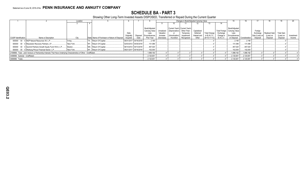## **SCHEDULE BA - PART 3**

Showing Other Long-Term Invested Assets DISPOSED, Transferred or Repaid During the Current Quarter

|                                   |                                                                                                                      | Location |                                               |            |                       |                       |            |                | Changes in Book/Adiusted Carrying Value |              |                     |                  |                                |                   |                |               |                   |            |
|-----------------------------------|----------------------------------------------------------------------------------------------------------------------|----------|-----------------------------------------------|------------|-----------------------|-----------------------|------------|----------------|-----------------------------------------|--------------|---------------------|------------------|--------------------------------|-------------------|----------------|---------------|-------------------|------------|
|                                   |                                                                                                                      |          |                                               |            |                       |                       |            |                |                                         |              |                     | 14               |                                |                   |                |               |                   |            |
|                                   |                                                                                                                      |          |                                               |            |                       |                       |            |                |                                         |              |                     |                  |                                |                   |                |               |                   |            |
|                                   |                                                                                                                      |          |                                               |            |                       | Book/Adjusted         |            |                | Current Year's Current Year's           |              |                     |                  | Book/Adjusted                  |                   |                |               |                   |            |
|                                   |                                                                                                                      |          |                                               |            |                       | <b>Carrying Value</b> | Unrealized |                | (Depreciation) Other-Than-              | Capitalized  |                     |                  | Total Foreign   Carrying Value |                   | Foreign        |               |                   |            |
|                                   |                                                                                                                      |          |                                               | Date       |                       | Less                  | Valuation  |                | Temporary                               | Deferred     | <b>Total Change</b> | Exchange         | _ess                           |                   | Exchange       | Realized Gain | <b>Total Gain</b> |            |
|                                   |                                                                                                                      |          |                                               | Originally | Disposal              | <b>Encumbrances.</b>  | Increase   | (Amortization) | Impairment                              | Interest and | in $B.A.C.V.$       | Change in        | Encumbrances                   |                   | Gain (Loss) on | (Loss) on     | (Loss) on         | Investment |
| CUSIP Identification              | Name or Description                                                                                                  | City     | State Name of Purchaser or Nature of Disposal | Acquired   | Date                  | Prior Year            | (Decrease) | / Accretion    | Recognized                              | Other        | $(9+10-11+12)$      | <b>B./A.C.V.</b> | on Disposal Consideration      |                   | Disposal       | Disposal      | Disposal          | Income     |
|                                   | 000000 00 0 NGP Natural Resources XII, L.P                                                                           | Irvina   | TX Return Of Capital                          |            | 08/31/2017 04/16/2018 | .2.190                |            |                |                                         |              |                     |                  | .2.190                         | .2.190            |                |               |                   |            |
| 000000<br>$00\,$                  | 0 Resolution Recovery Partners, LP                                                                                   | New York | NY Return Of Capital                          |            | 02/03/2012 04/30/2018 | .131.086              |            |                |                                         |              |                     |                  | 131,086                        | 131,086           |                |               |                   |            |
| 000000                            | 00 0 Summit Partners Growth Equity Fund VIII-A, L.P                                                                  | Boston   | MA. Return Of Capital                         |            | 06/14/2012 04/13/2018 | 467.020               |            |                |                                         |              |                     |                  | .467,020                       | 467,020           |                |               |                   |            |
|                                   | 000000 00 0 Warburg Pincus Financial Sector, L.P                                                                     | New York | NY Return Of Capital                          |            | 09/21/2017 05/16/2018 | 102,000               |            |                |                                         |              |                     |                  | 102,000                        | .102.000          |                |               |                   |            |
|                                   | 2199999. Total - Joint Venture or Partnership Interests That Have Underlying Characteristics of Other - Unaffiliated |          |                                               |            |                       | .1,898,192            |            |                |                                         |              |                     |                  | 1,898,192                      | 1,898,192         |                |               |                   |            |
| 4499999. Subtotal - Unaffiliated. |                                                                                                                      |          |                                               |            |                       | .2,120,651            |            |                |                                         |              |                     |                  | .2,120,651                     | .2,120,651        |                |               |                   |            |
| 4699999. Totals                   |                                                                                                                      |          |                                               |            |                       | 2,120,651             |            |                |                                         |              |                     |                  | 2,120,651                      | $\dots$ 2.120.651 |                |               |                   |            |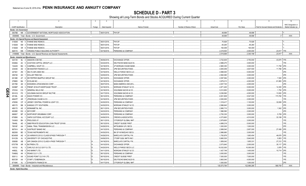**SCHEDULE D - PART 3**<br>Showing all Long-Term Bonds and Stocks ACQUIRED During Current Quarter

|              | $\overline{1}$                   | $\overline{2}$                                                        | 3       | $\overline{4}$ | 5                               | 6                         | $\overline{7}$     | 8           | 9                                       | 10                   |
|--------------|----------------------------------|-----------------------------------------------------------------------|---------|----------------|---------------------------------|---------------------------|--------------------|-------------|-----------------------------------------|----------------------|
|              |                                  |                                                                       |         |                |                                 |                           |                    |             |                                         | NAIC Designation or  |
|              | <b>CUSIP</b> Identification      | Description                                                           | Foreign | Date Acquired  | Name of Vendor                  | Number of Shares of Stock | <b>Actual Cost</b> | Par Value   | Paid for Accrued Interest and Dividends | Market Indicator (a) |
|              | Bonds - U.S. Government          |                                                                       |         |                |                                 |                           |                    |             |                                         |                      |
|              |                                  | 38378B M6 3 GOVERNMENT NATIONAL MORTGAGE ASSOCIATION                  |         | 06/01/2018     | PAYUP.                          |                           | .48,696            | 48,696      |                                         |                      |
|              |                                  | 0599999. Total - Bonds - U.S. Government                              |         |                |                                 |                           | .48,696            | .48,696     | 0 <sup>1</sup>                          | .XXX.                |
|              |                                  | Bonds - U.S. Special Revenue and Special Assessment                   |         |                |                                 |                           |                    |             |                                         |                      |
|              | 3136A8                           | N5 5 FANNIE MAE REMICS                                                |         | 06/01/2018.    | PAYUP.                          |                           | 70,926             | 70,926      |                                         |                      |
|              | 3136A8                           | SM 3 FANNIE MAE REMICS                                                |         | 06/01/2018.    | PAYUP.                          |                           | 65,264             | 65,264      |                                         |                      |
|              | 3136A8                           | XR 6 FANNIE MAE REMICS.                                               |         | 06/01/2018.    | PAYUP.                          |                           | 164,009            | .164,009    |                                         |                      |
|              | 928172                           | WE 1 VIRGINIA PUBLIC BUILDING AUTHORITY.                              |         | 04/19/2018.    | PERSHING & COMPANY.             |                           | 2,219,500          | 2.000.000   | 23.917 1FE.                             |                      |
|              |                                  | 3199999. Total - Bonds - U.S. Special Revenue and Special Assessments |         |                |                                 |                           | 2,519,699          | 2,300,199   | 23,917                                  | XXX.                 |
|              |                                  | <b>Bonds - Industrial and Miscellaneous</b>                           |         |                |                                 |                           |                    |             |                                         |                      |
|              | 023135                           | BJ 4 AMAZON.COM INC.                                                  |         | 06/06/2018.    | EXCHANGE OFFER.                 |                           | .3,722,635         | 3,750,000   | .43,875 1FE.                            |                      |
|              | 05369A                           | AC 5 AVIATION CAPITAL GROUP LLC.                                      |         | 04/24/2018.    | DEUTSCHE BANC/ALEX B.           |                           | .2,988,270         | .3,000,000  |                                         |                      |
|              | 134429                           | BG 3 CAMPBELL SOUP CO.                                                |         | 04/18/2018.    | <b>JP MORGAN CHASE BANK</b>     |                           | 2,965,350          | .3,000,000  | 11,758                                  | 2FE                  |
|              | 233046                           | AD 3 DB MASTER FINANCE LLC.                                           |         | 06/08/2018.    | JPM SECURITIES-FIXED            |                           | .4,845,059         | 4,837,500   | .11,766                                 | 2FE                  |
|              | 247361                           | ZN 1   DELTA AIR LINES INC.                                           |         | 04/16/2018     | <b>WELLS FARGO SECS LLC</b>     |                           | .4,998,000         | .5,000,000  |                                         | 2FE                  |
|              | AH<br>256746                     | 1 DOLLAR TREE INC                                                     |         | 04/05/2018.    | JPM SECURITIES-FIXED.           |                           | 2,992,080          | .3,000,000  |                                         | 2FE.                 |
|              | 26138E<br>AT                     | DR PEPPER SNAPPLE GROUP INC<br>- 6                                    |         | 06/13/2018     | <b>EXCHANGE OFFER.</b>          |                           | 2,097,584          | 2,000,000   | .7,000                                  | 12FE                 |
|              | 278865                           | BA 7 ECOLAB INC                                                       |         | 04/18/2018     | <b>EXCHANGE OFFER.</b>          |                           | .3,979,213         | 4,000,000   | .61.883                                 | 2FE                  |
|              | 28176E<br>AD                     | <b>EDWARDS LIFESCIENCES CORP.</b>                                     |         | 06/07/2018     | <b>BANC/AMERICA SECUR.I</b>     |                           | .4,007,720         | 4,000,000   |                                         | 2FE                  |
|              | 30296P<br>AS                     | 3 FREMF 2018-K75 MORTGAGE TRUST                                       |         | 04/18/2018.    | <b>MORGAN STANLEY &amp; CO.</b> |                           | .4,871,400         | .5,000,000  | 14.355                                  | 2FE                  |
| Q            | 370334<br>CG                     | <b>GENERAL MILLS INC.</b>                                             |         | 04/18/2018.    | GOLDMAN SACHS & CO.             |                           | .5,012,850         | 5,000,000   | .1,750                                  | 2FE                  |
| Щ            | <b>FD</b><br>38141G              | GOLDMAN SACHS GROUP INC/THE.                                          |         | 04/17/2018     | GOLDMAN SACHS & CO.             |                           | .5,036,560         | 4,000,000   | 13,500                                  | 2FE                  |
| $\mathbf{p}$ | 45138L<br>AS                     | 2 IDAHO POWER CO.                                                     |         | 06/12/2018.    | PERSHING & COMPANY              |                           | .6,931,809         | 5,547,000   | 173,760                                 |                      |
|              | AR<br>46647P                     | 7 JPMORGAN CHASE & CO.                                                |         | 04/16/2018.    | JPM SECURITIES-FIXED.           |                           | .2,000,000         | .2,000,000  |                                         | 1 F F                |
|              | <b>CP</b><br>476556              | JERSEY CENTRAL POWER & LIGHT CO                                       |         | 04/30/2018     | PERSHING & COMPANY.             |                           | .1,319,417         | .1,100,000  | .32,658                                 | 2FE.                 |
|              | <b>BB</b><br>485170              | KANSAS CITY SOUTHERN.<br>q                                            |         | 04/30/2018.    | MORGAN STANLEY & CO.            |                           | .2,996,640         | .3,000,000  |                                         | 2FE                  |
|              | AE 0                             | <b>KENNAMETAL INC.</b>                                                |         |                |                                 |                           |                    |             | .1,542                                  | 2FE                  |
|              | 489170<br>EG                     |                                                                       |         | 06/11/2018.    | JPM SECURITIES-FIXED            |                           | .2,980,710         | .3,000,000  |                                         | 2FE                  |
|              | 49326E<br><b>BP</b>              | 4 KEYCORP.                                                            |         | 04/23/2018.    | PERSHING & COMPANY.             |                           | .1,996,580         | .2,000,000  |                                         |                      |
|              | 666807                           | NORTHROP GRUMMAN CORP.                                                |         | 04/30/2018     | PERSHING & COMPANY.             |                           | .2,793,330         | .3,000,000  | .5,709                                  | 2FE                  |
|              | 67085K<br>AJ                     | OAFB CUSTODIAL ACCOUNT LLC                                            |         | 04/06/2018.    | <b>CREWS &amp; ASSOCIATES.</b>  |                           | .4,373,663         | 4,510,000   | .33,199                                 | 1FF                  |
|              | BH 3<br>74340X                   | PROLOGIS LP.                                                          |         | 06/11/2018.    | CITIGROUP GLOBAL MKT            |                           | .2,979,600         | .3,000,000  |                                         | 1FE.                 |
|              | 78449L<br>AD                     | SMB PRIVATE EDUCATION LOAN TRUST 2018-B.                              |         | 06/13/2018.    | <b>CREDIT SUISSE FIRST</b>      |                           | .4,889,218         | .5,000,000  |                                         | 1FE.                 |
|              | 78516F                           | AA 7 SABAL TRAIL TRANSMISSION LLC.                                    |         | 04/26/2018.    | MITSUBISHI UFJ SECS.            |                           | .1,000,000         | .1,000,000  |                                         | 2FE.                 |
|              | 867914<br>AH                     | <b>SUNTRUST BANKS INC</b><br>- 6                                      |         | 04/13/2018.    | PERSHING & COMPANY.             |                           | .2,999,540         | 2,657,000   | .27,456                                 | 2FE                  |
|              | <b>BD</b><br>882508              | 5   TEXAS INSTRUMENTS INC.                                            |         | 04/30/2018.    | BK OF NY/MIZUHO SECU            |                           | .2,986,680         | .3,000,000  |                                         | 1FE.                 |
|              | 90345W<br>AE                     | 4 US AIRWAYS 2012-2 CLASS B PASS THROUGH T                            |         | 04/26/2018.    | BARCLAYS CAPITAL FIX.           |                           | .1,793,876         | 1,693,454   | .46,676                                 | 2FE                  |
|              | 91412N<br>AJ                     | UNIVERSITY OF CHICAGO/THE                                             |         | 04/06/2018.    | CTGRP GLBL MKTS INC/.           |                           | .5,660,530         | .5,640,000  | 5,853                                   |                      |
|              | 009088<br>AB                     | 1 AIR CANADA 2015-2 CLASS A PASS THROUGH T                            |         | 04/19/2018.    | BARCLAYS CAPITAL FIX.           |                           | 1,859,042          | 1,855,331   | .27,212                                 |                      |
|              | 67077M                           | AR 9 NUTRIEN LTD.                                                     |         | 04/10/2018.    | <b>EXCHANGE OFFER.</b>          |                           | .2,073,640         | .2,000,000  | .35,117                                 | 2FE                  |
|              | 14315J<br>AL                     | 3 CARLYLE US CLO 2017-2 LTD                                           |         | 04/20/2018.    | <b>WELLS FARGO SECS LLC.</b>    |                           | 10,032,000         | 10,000,000  | .3,976                                  |                      |
|              | 44962L                           | AB 3   IHS MARKIT LTD.                                                |         | 04/11/2018.    | MORGAN STANLEY & CO.            |                           | .1,427,748         | .1,400,000  | .10,714                                 | 2FE                  |
|              | 70469Q<br>AK                     | 5 PEAKS CLO 1 LTD.                                                    |         | 06/13/2018.    | PERSHING & COMPANY              |                           | .3,000,000         | .3,000,000  |                                         | IFE.                 |
|              | 83611J                           | AA 3 SOUND POINT CLO XX LTD.                                          |         | 06/15/2018.    | CREDIT SUISSE FIRST             |                           | .7,000,000         | 7,000,000   |                                         | 1FE.                 |
|              | 85572R<br>AA                     | 7 START LTD/BERMUDA                                                   | D.      | 06/15/2018.    | DEUTSCHE BANC/ALEX B.           |                           | 3,963,040          | 4,000,000   |                                         | 1FE.                 |
|              | 87164K                           | AJ 3 SYNGENTA FINANCE NV.                                             |         | 04/17/2018.    | CITIGROUP GLOBAL MKT.           |                           | .1,000,000         | .1,000,000  |                                         | 2FE.                 |
|              |                                  | 3899999. Total - Bonds - Industrial and Miscellaneous                 |         |                |                                 |                           | 125,573,784        | 122,990,285 | 569,759                                 | .XXX.                |
|              | <b>Bonds - Hybrid Securities</b> |                                                                       |         |                |                                 |                           |                    |             |                                         |                      |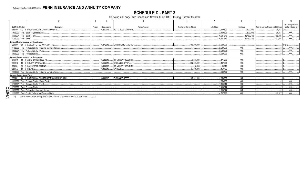SCHEDULE D - PART 3<br>Showing all Long-Term Bonds and Stocks ACQUIRED During Current Quarter

|                  |                                     |                                                                                          |         |               |                                 |                           |                    |             |                                         | 10                                          |
|------------------|-------------------------------------|------------------------------------------------------------------------------------------|---------|---------------|---------------------------------|---------------------------|--------------------|-------------|-----------------------------------------|---------------------------------------------|
|                  | CUSIP Identification                | Description                                                                              | Foreign | Date Acquired | Name of Vendor                  | Number of Shares of Stock | <b>Actual Cost</b> | Par Value   | Paid for Accrued Interest and Dividends | NAIC Designation or<br>Market Indicator (a) |
|                  |                                     | 842400 FU 2 SOUTHERN CALIFORNIA EDISON CO.                                               |         | 04/10/2018    | <b>JEFFERIES &amp; COMPANY.</b> |                           | 2.449.500          | .2.300.000  | 28,351 2FE                              |                                             |
|                  |                                     | 4899999. Total - Bonds - Hybrid Securities.                                              |         |               |                                 |                           | 2.449.500          | 2.300.000   | 28.351                                  | $\ldots$ XXX $\ldots$                       |
|                  | 8399997. Total - Bonds - Part 3.    |                                                                                          |         |               |                                 |                           | 130,591,679        | 127,639,180 | .622.027                                | XXX                                         |
|                  | 8399999. Total - Bonds.             |                                                                                          |         |               |                                 |                           | .130.591.679       | 127.639.180 | .622.027                                | $\ldots$ XXX.                               |
|                  |                                     | Preferred Stocks - Industrial and Miscellaneous                                          |         |               |                                 |                           |                    |             |                                         |                                             |
|                  | 269809                              | 50 5 EAGLE PT CR CO INC. 6.6875 PFD.                                                     |         | 04/17/2018    | OPPENHEIMER AND CO I.           | .100,000.000              | .2.500.000         |             |                                         | P1LFE.                                      |
|                  |                                     | 8499999. Total - Preferred Stocks - Industrial and Miscellaneous.                        |         |               |                                 |                           | 2.500.000          | <b>XXX</b>  |                                         | $\ldots$ XXX.                               |
|                  |                                     | 8999997. Total - Preferred Stocks - Part 3.                                              |         |               |                                 |                           | .2.500.000         | <b>XXX</b>  |                                         | XXX.                                        |
|                  | 8999999. Total - Preferred Stocks.  |                                                                                          |         |               | .2.500.000                      | <b>XXX</b>                |                    | XXX.        |                                         |                                             |
|                  |                                     | <b>Common Stocks - Industrial and Miscellaneous</b>                                      |         |               |                                 |                           |                    |             |                                         |                                             |
|                  | 04225U                              | 10 4 ARMO BIOSCIENCES INC.                                                               |         | 05/23/2018    | J.P MORGAN SECURITIE.           | 3.435.000                 | 171.269            | <b>XXX</b>  |                                         |                                             |
|                  | 19626G                              | 10 8 COLONY CAPITAL INC.                                                                 |         | 06/25/2018    | <b>EXCHANGE OFFER.</b>          | .352.939.000              | 4.147.369          | <b>XXX</b>  |                                         |                                             |
|                  | 79466L                              | 30 2 SALESFORCE.COM INC.                                                                 |         | 05/10/2018    | J.P MORGAN SECURITIE.           | .468.000                  | .60.016            | <b>XXX</b>  |                                         |                                             |
|                  | 83304A                              | 10 6 SNAP INC.                                                                           |         | 06/18/2018    | VARIOUS.                        | 37.289.000                | 459.455            | <b>XXX</b>  |                                         |                                             |
|                  |                                     | 9099999. Total - Common Stocks - Industrial and Miscellaneous.                           |         |               |                                 |                           | .4.838.109         | <b>XXX</b>  |                                         | $\mathsf{XXX}$                              |
|                  | <b>Common Stocks - Mutual Funds</b> |                                                                                          |         |               |                                 |                           |                    |             |                                         |                                             |
|                  | 69346J                              | 10 6 PGIM GLOBAL SHORT DURATION HIGH YIELD FU.                                           |         |               | 06/14/2018 EXCHANGE OFFER.      | .165.301.000              | 2.658.205          | <b>XXX</b>  |                                         |                                             |
|                  |                                     | 9299999. Total - Common Stocks - Mutual Funds.                                           |         |               |                                 |                           | .2.658.205         | <b>XXX</b>  |                                         | $\mathsf{XXX}$                              |
|                  |                                     | 9799997. Total - Common Stocks - Part 3.                                                 |         |               |                                 |                           | .7.496.314         | <b>XXX</b>  |                                         | $\mathsf{XXX}$ .                            |
|                  | 9799999. Total - Common Stocks.     |                                                                                          |         |               |                                 |                           | 7.496.314          | XXX         |                                         | XXX.                                        |
| <u>ရ</u>         |                                     | 9899999. Total - Preferred and Common Stocks                                             |         |               |                                 |                           | .9.996.314         | <b>XXX</b>  |                                         | XXX.                                        |
| $\ddot{\bullet}$ |                                     | 9999999. Total - Bonds, Preferred and Common Stocks                                      |         |               |                                 |                           | 140.587.993        | <b>XXX</b>  | .622.027                                | $\ldots$ XXX.                               |
|                  | (a)                                 | For all common stock bearing NAIC market indicator "U" provide the number of such issues |         |               |                                 |                           |                    |             |                                         |                                             |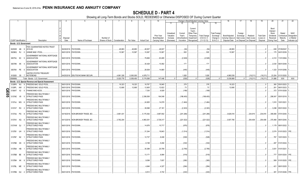|             |                             |                      | 2                                                   |             | - 5                               | - 6             |               |            |                    | 10             | 11                      |                   | Change in Book/Adjusted Carrying Value<br>13   | 15                               | 16                | 17                  | 18          | 19                | 20                 | 21                      | 22                         |
|-------------|-----------------------------|----------------------|-----------------------------------------------------|-------------|-----------------------------------|-----------------|---------------|------------|--------------------|----------------|-------------------------|-------------------|------------------------------------------------|----------------------------------|-------------------|---------------------|-------------|-------------------|--------------------|-------------------------|----------------------------|
|             |                             |                      |                                                     |             |                                   |                 |               |            |                    |                |                         |                   |                                                |                                  |                   |                     |             |                   |                    |                         |                            |
|             |                             |                      |                                                     |             |                                   |                 |               |            |                    |                |                         |                   | Current                                        |                                  |                   |                     |             |                   | Bond               |                         |                            |
|             |                             |                      |                                                     |             |                                   |                 |               |            |                    |                |                         |                   | Year's                                         |                                  |                   |                     |             |                   | Interest           |                         |                            |
|             |                             |                      |                                                     |             |                                   |                 |               |            |                    | Prior Year     | Unrealized<br>Valuation | Current<br>Year's | Other-Than<br>Temporary<br><b>Total Change</b> | <b>Total Foreigr</b><br>Exchange | Book/Adjusted     | Foreign<br>Exchange | Realized    | <b>Total Gain</b> | Stock<br>Dividends | Stated                  | <b>NAIC</b><br>Designation |
|             |                             |                      |                                                     | Disposal    |                                   | Number of       |               |            |                    | Book/Adjusted  | Increase                | Amortization      | in B./A.C.V.<br>Impairment                     | Change in                        | Carrying Value at | Gain (Loss)         | Gain (Loss) | (Loss) on         | Received           | Contractual<br>Maturity | or Market                  |
|             | <b>CUSIP Identification</b> |                      | Description                                         | Date        | Name of Purchaser                 | Shares of Stock | Consideration | Par Value  | <b>Actual Cost</b> | Carrying Value | (Decrease)              | / Accretion       | $(11+12-13)$<br>Recognized                     | B./A.C.V.                        | Disposal Date     | on Disposal         | on Disposal | Disposal          | During Year        | Date                    | Indicator (a)              |
|             | Bonds - U.S. Government     |                      |                                                     |             |                                   |                 |               |            |                    |                |                         |                   |                                                |                                  |                   |                     |             |                   |                    |                         |                            |
|             |                             |                      | FDIC GUARANTEED NOTES TRUST                         |             |                                   |                 |               |            |                    |                |                         |                   |                                                |                                  |                   |                     |             |                   |                    |                         |                            |
|             | 30250W AB                   | -9                   | 2010-S2                                             | 06/29/2018. | <b>PAYDOWN</b>                    |                 | .48.883       | .48.883    | .48,937            | 48.937         |                         | (54)              | (54)                                           |                                  | 48.883            |                     |             |                   |                    | .638 07/29/2047         |                            |
|             | 36296Q RJ                   | $\Omega$             | <b>GINNIE MAE I POOL.</b>                           |             | 06/01/2018. PAYDOWN               |                 | .10,567       | .10,567    | 10,067             | .10,067        |                         | .500              | .500                                           |                                  | .10,567           |                     |             |                   |                    | .175 04/01/2039.        |                            |
|             |                             |                      | GOVERNMENT NATIONAL MORTGAGE                        |             |                                   |                 |               |            |                    |                |                         |                   |                                                |                                  |                   |                     |             |                   |                    |                         |                            |
|             | 38375U                      | SC<br>-5             | <b>ASSOCIATION</b>                                  |             | 06/01/2018. PAYDOWN.              |                 |               |            | .79,806            | .63.495        |                         | (2,528)           | (2,528)                                        |                                  |                   |                     |             |                   |                    | .4,312 11/01/2064.      |                            |
|             |                             |                      | GOVERNMENT NATIONAL MORTGAGE                        |             |                                   |                 |               |            |                    |                |                         |                   |                                                |                                  |                   |                     |             |                   |                    |                         |                            |
|             | 38378N XK                   |                      | <b>ASSOCIATION</b>                                  | 06/01/2018. | PAYDOWN.                          |                 |               |            | .30,428            | .10,082        |                         | .171              | .171                                           |                                  |                   |                     |             | $\Omega$          | .2,034             | 06/01/2048.             |                            |
|             | 38378X PE                   | - 5                  | GOVERNMENT NATIONAL MORTGAGE<br><b>ASSOCIATION</b>  |             | 06/01/2018. PAYDOWN               |                 |               |            | .26,639            | .14,865        |                         | (445)             | (445)                                          |                                  |                   |                     |             | $\Omega$          |                    | .1,323 01/01/2056.      |                            |
|             |                             |                      |                                                     |             |                                   |                 |               |            |                    |                |                         |                   |                                                |                                  |                   |                     |             |                   |                    |                         |                            |
|             | 912828 3S                   |                      | UNITED STATES TREASURY<br>7 NOTE/BOND               |             | 04/25/2018. DEUTSCHE BANK SECURI  |                 | .4,961,328    | .5.000.000 | .4,978,711         |                |                         | .1,828            | .1,828                                         |                                  | .4.980.539        |                     | .(19,211    | (19,211)          | 23.204             | 01/31/2020.             |                            |
|             | 0599999                     |                      | Total - Bonds - U.S. Government                     |             |                                   |                 | .5.020.778    | .5.059.450 | .5.174.588         | .147.446       | $\Omega$                | (528)             | (528)                                          |                                  | 5.039.989         | $\Omega$ .          | (19, 211)   | (19,211)          | .31.686            | <b>XXX</b>              | <b>XXX</b>                 |
|             |                             |                      | Bonds - U.S. Special Revenue and Special Assessment |             |                                   |                 |               |            |                    |                |                         |                   |                                                |                                  |                   |                     |             |                   |                    |                         |                            |
|             | 3128PK                      | WJ.<br>9             | <b>FREDDIE MAC GOLD POOL</b>                        | 06/01/2018. | <b>PAYDOWN</b>                    |                 | .19,323       | .19,323    | .18,767            | .18,945        |                         | .378              | .378                                           |                                  | .19,323           |                     |             | 0                 |                    | .360 05/01/2023.        |                            |
|             | 3128PL                      | AW                   | FREDDIE MAC GOLD POOL                               | 06/01/2018  | PAYDOWN.                          |                 | .12,695       | .12.695    | .12,605            | 12,622         |                         | 73                | .73                                            |                                  | 12,695            |                     |             |                   | .261               | 06/01/2023              |                            |
|             | 3136AT                      | X <sub>2</sub><br>-5 | FANNIE MAE-ACES.                                    | 06/01/2018. | PAYDOWN                           |                 |               |            | 7,330              | .6,929         |                         | (189)             | (189)                                          |                                  |                   |                     |             | - 0               |                    | .372 07/01/2028.        |                            |
| <b>QE05</b> |                             |                      | FREDDIE MAC MULTIFAMILY                             |             |                                   |                 |               |            |                    |                |                         |                   |                                                |                                  |                   |                     |             |                   |                    |                         |                            |
|             | 3137AE                      | V8<br>-5             | <b>STRUCTURED PASS</b>                              |             | 05/01/2018. PAYDOWN               |                 |               |            | 2,356,506          | .164,549       |                         | (198,400)         | (198, 400)                                     |                                  |                   |                     |             |                   | .299,547           | 05/01/2018.             |                            |
|             |                             |                      | FREDDIE MAC MULTIFAMILY                             |             |                                   |                 |               |            |                    |                |                         |                   |                                                |                                  |                   |                     |             |                   |                    |                         |                            |
|             | 3137AJ MG                   |                      | STRUCTURED PASS                                     |             | 06/01/2018. PAYDOWN               |                 |               |            | .24,905            | 14,078         |                         | (1,464)           | (1,464)                                        |                                  |                   |                     |             |                   | .1,910             | 10/01/2021              |                            |
|             |                             |                      | FREDDIE MAC MULTIFAMILY                             |             |                                   |                 |               |            |                    |                |                         |                   |                                                |                                  |                   |                     |             |                   |                    |                         |                            |
|             | 3137AT RX 2                 |                      | STRUCTURED PASS                                     | 06/01/2018. | PAYDOWN.                          |                 |               |            | .39,588            | .27,181        |                         | (2,303)           | (2,303)                                        |                                  |                   |                     |             | $\Omega$          | .3,298             | 05/01/2022              |                            |
|             |                             |                      | FREDDIE MAC MULTIFAMILY                             |             |                                   |                 |               |            |                    |                |                         |                   |                                                |                                  |                   |                     |             |                   |                    |                         |                            |
|             | 3137AU PG                   | -8                   | <b>STRUCTURED PASS</b>                              |             | 04/18/2018. NON-BROKER TRADE, BO. |                 | 3.861.431     |            | 5,175,362          | .3,867,802     |                         | (241, 286)        | (241, 286)                                     |                                  | .3.626.516        |                     | 234.915     | 234.915           | .395,656           | 07/01/2040.             |                            |
|             |                             |                      | FREDDIE MAC MULTIFAMILY                             |             |                                   |                 |               |            |                    |                |                         |                   |                                                |                                  |                   |                     |             |                   |                    |                         |                            |
|             | 3137AV XQ                   |                      | <b>STRUCTURED PASS</b>                              | 04/13/2018. | NON-BROKER TRADE. BO.             |                 | 3,762,204     |            | .4,963,351         | .3,729,317     |                         | (221, 522)        | (221, 522)                                     |                                  | .3.507.795        |                     | 254,408     | 254,408           |                    | 370,468 08/01/2040.     |                            |
|             |                             |                      | FREDDIE MAC MULTIFAMILY                             |             |                                   |                 |               |            |                    |                |                         |                   |                                                |                                  |                   |                     |             |                   |                    |                         |                            |
|             | 3137AW QJ                   |                      | <b>STRUCTURED PASS</b>                              | 06/01/2018. | PAYDOWN.                          |                 |               |            | .14,676            | .10,717        |                         | (876)             | (876)                                          |                                  |                   |                     |             | 0.0               |                    | 1,179 08/01/2022.       |                            |
|             |                             |                      | FREDDIE MAC MULTIFAMILY                             |             |                                   |                 |               |            |                    |                |                         |                   |                                                |                                  |                   |                     |             |                   |                    |                         |                            |
|             | 3137B1 UH                   |                      | <b>STRUCTURED PASS</b>                              |             | 06/01/2018. PAYDOWN               |                 |               |            | .31,244            | .19,843        |                         | (1,514)           | (1,514)                                        |                                  |                   |                     |             |                   | .2,074             | 01/01/2023. 1FE.        |                            |
|             | 3137B7 N2                   |                      | FREDDIE MAC MULTIFAMILY<br><b>STRUCTURED PASS</b>   | 06/01/2018. | PAYDOWN.                          |                 |               |            | .12,737            | .8,406         |                         | (528              | (528)                                          |                                  |                   |                     |             |                   | .767               | 10/01/2023              |                            |
|             |                             |                      |                                                     |             |                                   |                 |               |            |                    |                |                         |                   |                                                |                                  |                   |                     |             |                   |                    |                         |                            |
|             | 3137B8 G5                   | - 0                  | FREDDIE MAC MULTIFAMILY<br><b>STRUCTURED PASS</b>   | 06/01/2018. | PAYDOWN                           |                 |               |            | .8,198             | .5.494         |                         | (332)             | (332)                                          |                                  |                   |                     |             |                   | .497               | 01/01/2024              |                            |
|             |                             |                      | FREDDIE MAC MULTIFAMILY                             |             |                                   |                 |               |            |                    |                |                         |                   |                                                |                                  |                   |                     |             |                   |                    |                         |                            |
|             | 3137BA HB                   |                      | <b>STRUCTURED PASS</b>                              |             | 06/01/2018. PAYDOWN               |                 |               |            | .30,389            | .20,799        |                         | (2,795)           | (2,795)                                        |                                  |                   |                     |             |                   | .3,501             | 01/01/2021              |                            |
|             |                             |                      | FREDDIE MAC MULTIFAMILY                             |             |                                   |                 |               |            |                    |                |                         |                   |                                                |                                  |                   |                     |             |                   |                    |                         |                            |
|             | 3137BB BE                   |                      | STRUCTURED PASS                                     | 06/01/2018. | PAYDOWN.                          |                 |               |            | .13,171            | .8,984         |                         | (519)             | (519)                                          |                                  |                   |                     |             |                   | .777               | 03/01/2024. 1FE.        |                            |
|             |                             |                      | FREDDIE MAC MULTIFAMILY                             |             |                                   |                 |               |            |                    |                |                         |                   |                                                |                                  |                   |                     |             |                   |                    |                         |                            |
|             | 3137BH XK                   | -8                   | STRUCTURED PASS                                     |             | 06/01/2018. PAYDOWN.              |                 |               |            | .9,098             | .7,657         |                         | (380)             | (380)                                          |                                  |                   |                     |             | - 0               | .569               | 01/01/2025. 1FE.        |                            |
|             |                             |                      | FREDDIE MAC MULTIFAMILY                             |             |                                   |                 |               |            |                    |                |                         |                   |                                                |                                  |                   |                     |             |                   |                    |                         |                            |
|             | 3137BL ME                   | - 5                  | <b>STRUCTURED PASS</b>                              |             | 06/01/2018. PAYDOWN               |                 |               |            | .4,846             | .4,327         |                         | (284)             | (284)                                          |                                  |                   |                     |             |                   | .421               | 08/01/2025.             |                            |
|             |                             |                      | FREDDIE MAC MULTIFAMILY                             |             |                                   |                 |               |            |                    |                |                         |                   |                                                |                                  |                   |                     |             |                   |                    |                         |                            |
|             | 3137BN GU                   | $\overline{2}$       | <b>STRUCTURED PASS</b>                              |             | 06/01/2018. PAYDOWN.              |                 |               |            | .6.812             | .5.702         |                         | (224)             | (224)                                          |                                  |                   |                     |             | 0.5               |                    | .381 01/01/2026. 1FE.   |                            |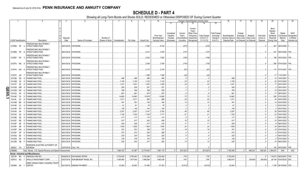|                |                             |                | 2                                                             | 3<br>4      | 5                           | 6                             |           | -8         | -9                 | 10                    |                |              | Change in Book/Adjusted Carrying Value |                      | 16                | 17          | 18          | 19                | 20               | 21                          | 22            |
|----------------|-----------------------------|----------------|---------------------------------------------------------------|-------------|-----------------------------|-------------------------------|-----------|------------|--------------------|-----------------------|----------------|--------------|----------------------------------------|----------------------|-------------------|-------------|-------------|-------------------|------------------|-----------------------------|---------------|
|                |                             |                |                                                               |             |                             |                               |           |            |                    |                       | 11             |              | 13<br>14                               | 15                   |                   |             |             |                   |                  |                             |               |
|                |                             |                |                                                               |             |                             |                               |           |            |                    |                       |                |              |                                        |                      |                   |             |             |                   |                  |                             |               |
|                |                             |                |                                                               |             |                             |                               |           |            |                    |                       |                |              | Current<br>Year's                      |                      |                   |             |             |                   | Bond<br>Interest |                             |               |
|                |                             |                |                                                               |             |                             |                               |           |            |                    |                       | Unrealized     | Current      | Other-Than-                            | <b>Total Foreign</b> |                   | Foreign     |             |                   | Stock            | Stated                      | <b>NAIC</b>   |
|                |                             |                |                                                               |             |                             |                               |           |            |                    | <b>Prior Year</b>     | Valuation      | Year's       | Temporary<br><b>Total Change</b>       | Exchange             | Book/Adjusted     | Exchange    | Realized    | <b>Total Gain</b> | Dividends        | Contractual                 | Designation   |
|                |                             |                |                                                               | Disposal    |                             | Number of                     |           |            |                    | Book/Adjusted         | Increase       | Amortizatior | in B./A.C.V.<br>Impairment             | Change in            | Carrying Value at | Gain (Loss) | Gain (Loss) | (Loss) on         | Received         | Maturity                    | or Market     |
|                | <b>CUSIP</b> Identification |                | Description                                                   | Date        | Name of Purchaser           | Shares of Stock Consideration |           | Par Value  | <b>Actual Cost</b> | <b>Carrying Value</b> | (Decrease)     | / Accretion  | $(11+12-13)$<br>Recognized             | <b>B./A.C.V.</b>     | Disposal Date     | on Disposal | on Disposal | Disposal          | During Year      | Date                        | Indicator (a) |
|                |                             |                | FREDDIE MAC MULTIFAMILY                                       |             |                             |                               |           |            |                    |                       |                |              |                                        |                      |                   |             |             |                   |                  |                             |               |
|                | 3137BS 5P                   |                | <b>STRUCTURED PASS</b>                                        |             | 06/01/2018. PAYDOWN.        |                               |           |            | .7,095             | .6,742                |                | (270         | (270)                                  |                      |                   |             |             |                   | .461             | 08/01/2026.                 |               |
|                |                             |                | FREDDIE MAC MULTIFAMILY                                       |             |                             |                               |           |            |                    |                       |                |              |                                        |                      |                   |             |             |                   |                  |                             |               |
|                | 3137BS P9                   |                | STRUCTURED PASS                                               |             | 06/01/2018. PAYDOWN.        |                               |           |            | .4,212             | .3,760                |                | (137)        | (137)                                  |                      |                   |             |             |                   | .231             | 08/01/2026. 1FE.            |               |
|                |                             |                | FREDDIE MAC MULTIFAMILY                                       |             |                             |                               |           |            |                    |                       |                |              |                                        |                      |                   |             |             |                   |                  |                             |               |
|                | 3137BY PS                   |                | <b>STRUCTURED PASS</b>                                        |             | 06/01/2018. PAYDOWN.        |                               |           |            | .2,024             | .1,852                |                | (106)        | (106)                                  |                      |                   |             |             |                   |                  | .156   04/01/2024. 1FE      |               |
|                |                             |                | FREDDIE MAC MULTIFAMILY                                       |             |                             |                               |           |            |                    |                       |                |              |                                        |                      |                   |             |             |                   |                  |                             |               |
|                | 3137FA RG                   | - 5            | STRUCTURED PASS                                               |             | 06/01/2018. PAYDOWN         |                               |           |            | .3,348             | .3,185                |                | (175)        | (175)                                  |                      |                   |             |             |                   | .260             | 07/01/2024. 1FE.            |               |
|                |                             |                | FREDDIE MAC MULTIFAMILY                                       |             |                             |                               |           |            |                    |                       |                |              |                                        |                      |                   |             |             |                   |                  |                             |               |
|                | 3137FA WU 8                 |                | STRUCTURED PASS                                               |             | 06/01/2018. PAYDOWN.        |                               |           |            | .2,175             | .2,106                |                | (67)         | (67)                                   |                      |                   |             |             |                   |                  | .114   07/01/2027.   1FE    |               |
|                |                             |                | FREDDIE MAC MULTIFAMILY                                       |             |                             |                               |           |            |                    |                       |                |              |                                        |                      |                   |             |             |                   |                  |                             |               |
|                | 3137FC JM                   |                | <b>STRUCTURED PASS</b>                                        | 06/01/2018. | PAYDOWN                     |                               |           |            | .1,388             | .1,388                |                | (43)         | (43)                                   |                      |                   |             |             | - 0               | .71              | 11/01/2027                  |               |
|                | 31412B                      | DS             | <b>FANNIE MAE POOL</b>                                        | 06/01/2018  | PAYDOWN.                    |                               | .498      | 498        | 495                | .495                  |                | .3           |                                        |                      | .498              |             |             | $\Omega$          | .12              | 10/01/2047                  |               |
|                | 31412M                      | 2X             | <b>FANNIE MAE POOL</b>                                        | 06/01/2018. | PAYDOWN.                    |                               | .1,155    | 1,155      | .1,123             | .1,132                |                | .23          |                                        | .23                  | .1.155            |             |             |                   | .22              | 07/01/2023                  |               |
|                | 31412T                      | AZ             | <b>FANNIE MAE POOL</b>                                        | 06/01/2018. | PAYDOWN.                    |                               | .1,031    | 1,031      | .1,002             | .1,008                |                | .23          |                                        | .23                  | .1,031            |             |             | - 0               | .17              | 05/01/2023                  |               |
| O              | 31412W                      | <b>WB</b>      | <b>ANNIE MAE POOL</b>                                         | 06/01/2018  | PAYDOWN.                    |                               | .209      | .209       | .207               | .207                  |                |              |                                        |                      | .209              |             |             |                   |                  | 05/01/2047                  |               |
| m              | 31412W                      | <b>WC</b>      | <b>ANNIE MAE POOL</b>                                         | 06/01/2018. | PAYDOWN.                    |                               | .796      | .796       | 788                | .788                  |                |              |                                        |                      | .796              |             |             |                   | .19              | 05/01/2047                  |               |
| $\overline{S}$ | 31412X                      |                | <b>FANNIE MAE POOL</b>                                        | 06/01/2018  | PAYDOWN.                    |                               | .681      | 681        | 675                | .675                  |                |              |                                        |                      | .681              |             |             |                   | .17              | 06/01/2047                  |               |
|                | 31414E                      | 2V             | <b>FANNIE MAE POOL</b>                                        | 06/01/2018. | PAYDOWN                     |                               | 14,663    | 14,663     | 14,578             | 14,590                |                | 73           |                                        | .73                  | .14,663           |             |             | $\cdot$ 0         |                  | .300 07/01/2023             |               |
| د              | 31414L                      | C <sub>4</sub> | <b>FANNIE MAE POOL</b>                                        | 06/01/2018. | PAYDOWN                     |                               | .1,011    | 1,011      | 983                | .989                  |                | .22          |                                        | .22                  | .1,011            |             |             |                   | .18              | 04/01/2023                  |               |
|                | 31414M                      | <b>BH</b>      | <b>FANNIE MAE POOL</b>                                        | 06/01/2018. | PAYDOWN                     |                               | .761      | .761       | .740               | .748                  |                | .13          |                                        | .13                  | .761              |             |             |                   | .14              | 03/01/2023                  |               |
|                | 31414R                      | LG             | <b>FANNIE MAE POOL</b>                                        | 06/01/2018. | PAYDOWN.                    |                               | 81        | 81         | 79                 | 79                    |                | 2            |                                        |                      | $.8^{\circ}$      |             |             | .0                |                  | 03/01/2023                  |               |
|                | 31414R NV                   |                | FANNIE MAE POOL                                               | 06/01/2018. | PAYDOWN.                    |                               | .148      | .148       | .144               | .145                  |                |              |                                        |                      | .148              |             |             | . 0               |                  | 04/01/2023                  |               |
|                | 31414S                      | AA             | <b>FANNIE MAE POOL</b>                                        | 06/01/2018  | PAYDOWN.                    |                               | .2,207    | .2,207     | .2,147             | .2,162                |                | .46          |                                        | .46                  | .2,207            |             |             | 0                 | .39              | 04/01/2023                  |               |
|                | 31414U                      | G3             | FANNIE MAE POOL                                               | 06/01/2018  | PAYDOWN.                    |                               | .1,192    | 1,192      | .1,159             | .1,171                |                | .21          | 21                                     |                      | .1,192            |             |             | - 0               | .23              | 03/01/2023                  |               |
|                | 31415B                      | AE<br>a        | <b>FANNIE MAE POOL</b>                                        | 06/01/2018  | PAYDOWN                     |                               | .117      | .117       | .114               | .114                  |                | . 3          |                                        |                      | .117              |             |             | - 0               |                  | 06/01/2023                  |               |
|                | 31415C                      | <b>ND</b>      | <b>FANNIE MAE POOL</b>                                        | 06/01/2018  | PAYDOWN.                    |                               | .517      | 517        |                    | .506                  |                | .10          |                                        | .10                  | .517              |             |             |                   | .10              | 05/01/2023                  |               |
|                | 31415P                      |                | <b>FANNIE MAE POOL</b>                                        | 06/01/2018. | PAYDOWN.                    |                               |           |            | .502               |                       |                |              |                                        |                      | .429              |             |             |                   |                  |                             |               |
|                |                             | AE             |                                                               |             |                             |                               | .429      | .429       | .417               | .418                  |                | .11          |                                        |                      |                   |             |             |                   |                  | 06/01/2023                  |               |
|                | 31415P                      | AR             | <b>FANNIE MAE POOL</b>                                        | 06/01/2018  | PAYDOWN.                    |                               | 1,609     | 1,609      | .1,564             | .1,585                |                | .24          | 24                                     |                      | .1,609            |             |             |                   | .30              | 06/01/2023                  |               |
|                | 31415P                      | WA             | <b>FANNIE MAE POOL</b>                                        | 06/01/2018  | PAYDOWN.                    |                               | .791      | .791       | 769                | .772                  |                | .19          |                                        | 19                   | .791              |             |             |                   | 15               | 07/01/2023                  |               |
|                | 31415P                      | <b>XP</b>      | <b>FANNIE MAE POOL</b>                                        | 06/01/2018  | PAYDOWN.                    |                               | .273      | 273        | .265               | .269                  |                |              |                                        |                      | .273              |             |             |                   |                  | 07/01/2023                  |               |
|                | 31415Q                      | BX             | <b>FANNIE MAE POOL</b>                                        | 06/01/2018. | PAYDOWN                     |                               | .230      | .230       | .224               | .225                  |                |              |                                        |                      | .230              |             |             |                   |                  | 06/01/2023                  |               |
|                | 31415Q                      | E8             | <b>FANNIE MAE POOL</b>                                        | 06/01/2018. | <b>PAYDOWN</b>              |                               | .138      | 138        | .134               | .135                  |                |              |                                        |                      | .138              |             |             |                   |                  | 07/01/2023                  |               |
|                | 31415R 4B                   |                | <b>FANNIE MAE POOL</b>                                        |             | 06/01/2018. PAYDOWN         |                               | 532       | .532       | 517                | .520                  |                | .12          |                                        | 12                   | .532              |             |             |                   | 10               | 06/01/2023                  |               |
|                |                             |                | MUNICIPAL ELECTRIC AUTHORITY OF                               |             |                             |                               |           |            |                    |                       |                |              |                                        |                      |                   |             |             |                   |                  |                             |               |
|                | 626207 YS                   |                | <b>GEORGIA</b>                                                |             | 03/07/2018. CALL 100.       |                               |           |            |                    |                       |                |              |                                        |                      |                   |             |             |                   |                  | .142 04/01/2057.            | 1FE.          |
|                | 3199999.                    |                | Total - Bonds - U.S. Special Revenue and Special Assessments. |             |                             |                               | 7,684,722 | .61,087    | 12,778,453         | .7,981,118            | 0 <sup>1</sup> | (672, 627)   | (672, 627)                             | $\sqrt{ }$           | 7,195,398         | $\Omega$    | 489,323     | .489,323          | .1,084,051       | <b>XXX</b>                  | <b>XXX</b>    |
|                |                             |                | <b>Bonds - Industrial and Miscellaneous</b>                   |             |                             |                               |           |            |                    |                       |                |              |                                        |                      |                   |             |             |                   |                  |                             |               |
|                | 023135                      | <b>BG</b>      | AMAZON.COM INC.                                               | 06/06/2018. | <b>EXCHANGE OFFER</b>       |                               | 3,722,635 | .3,750,000 | 3,722,288          | 3,722,459             |                | .176         | .176                                   |                      | .3,722,635        |             |             | - 0               |                  | 119,813 08/22/2047. 1FE     |               |
|                | 03761U AG                   |                | APOLLO INVESTMENT CORP.                                       | 04/27/2018. | NON-BROKER TRADE. BO.       |                               | 1,805,690 | 1,877,000  | 1,858,268          | 1.862.039             |                | .576         | .576                                   |                      | 1,862,614         |             | (56, 924)   | (56, 924)         |                  | .65,148   03/03/2025.   2FE |               |
|                |                             |                | ARMY HAWAII FAMILY HOUSING TRUST                              |             |                             |                               |           |            |                    |                       |                |              |                                        |                      |                   |             |             |                   |                  |                             |               |
|                | 04248N AA 1                 |                | <b>CERTIFI</b>                                                |             | 06/15/2018. SINKING PAYMENT |                               | .42,905   | .42.905    | .51,690            | 51.420                |                | (8,515)      | (8,515)                                |                      | 42.905            |             |             | 0.5               |                  | .1,185   06/15/2050.   1FE  |               |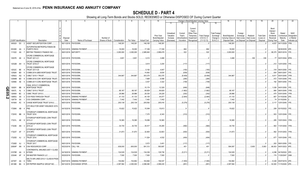|             |                             |           |                |                                     |             | -5                            |                 |               | 8          |                    | 10                |            |               | Change in Book/Adjusted Carrying Value |                     |                      | 16                | 17                      | 18          | 19                | 20               | 21                          | 22            |
|-------------|-----------------------------|-----------|----------------|-------------------------------------|-------------|-------------------------------|-----------------|---------------|------------|--------------------|-------------------|------------|---------------|----------------------------------------|---------------------|----------------------|-------------------|-------------------------|-------------|-------------------|------------------|-----------------------------|---------------|
|             |                             |           |                |                                     |             |                               |                 |               |            |                    |                   | 11         | 12            | 13                                     | 14                  | 15                   |                   |                         |             |                   |                  |                             |               |
|             |                             |           |                |                                     |             |                               |                 |               |            |                    |                   |            |               |                                        |                     |                      |                   |                         |             |                   |                  |                             |               |
|             |                             |           |                |                                     |             |                               |                 |               |            |                    |                   |            |               | Current<br>Year's                      |                     |                      |                   |                         |             |                   | Bond<br>Interest |                             |               |
|             |                             |           |                |                                     |             |                               |                 |               |            |                    |                   | Unrealized | Current       | Other-Than-                            |                     | <b>Total Foreign</b> |                   | Foreign                 |             |                   | Stock            | Stated                      | <b>NAIC</b>   |
|             |                             |           |                |                                     |             |                               |                 |               |            |                    | <b>Prior Year</b> | Valuation  | Year's        | Temporary                              | <b>Total Change</b> | Exchange             | Book/Adjusted     | Exchange                | Realized    | <b>Total Gain</b> | Dividends        | Contractual                 | Designation   |
|             |                             |           |                |                                     | Disposal    |                               | Number of       |               |            |                    | Book/Adjusted     | Increase   | Amortization) | Impairment                             | in B./A.C.V.        | Change in            | Carrying Value at | Gain (Loss)             | Gain (Loss) | (Loss) on         | Received         | Maturity                    | or Market     |
|             | <b>CUSIP</b> Identification |           |                | Description                         | Date        | Name of Purchaser             | Shares of Stock | Consideration | Par Value  | <b>Actual Cost</b> | Carrying Value    | (Decrease) | / Accretion   | Recognized                             | $(11+12-13)$        | <b>B./A.C.V.</b>     | Disposal Date     | on Disposal on Disposal |             | Disposal          | During Year      | Date                        | Indicator (a) |
|             | 045424 EX 2                 |           |                | ASSET SECURITIZATION CORP.          |             | 06/11/2018. PAYDOWN.          |                 | 148,391       | 148,391    | 146,165            | 148,391           |            |               |                                        |                     |                      | .148,391          |                         |             |                   | .4,637           | 04/11/2029.                 | 1FM.          |
|             |                             |           |                | AUTOPISTAS METROPOLITANAS DE        |             |                               |                 |               |            |                    |                   |            |               |                                        |                     |                      |                   |                         |             |                   |                  |                             |               |
|             | 05330K AA 3                 |           |                | PUERTO RICO                         |             | D 03/31/2018. SINKING PAYMENT |                 | .18,000       | .18,000    | .17,336            | 17,336            |            | .664          |                                        | .664                |                      | .18,000           |                         |             |                   |                  | 06/30/2035.                 | 4FF           |
|             | 111022 AA                   |           |                | BRITISH TRANSCO FINANCE INC.        |             | 06/01/2018. MATURITY.         |                 | .3,000,000    | .3,000,000 | .2,985,840         | .2,999,478        |            | 522           |                                        | .522                |                      | .3,000,000        |                         |             | $\cdot$ 0         |                  | 99,375   06/01/2018.   1FE. |               |
|             |                             |           |                | CFCRE COMMERCIAL MORTGAGE           |             |                               |                 |               |            |                    |                   |            |               |                                        |                     |                      |                   |                         |             |                   |                  |                             |               |
|             | 12527E AK                   |           |                | <b>TRUST 2011-C1</b>                |             | 04/01/2018. PAYDOWN.          |                 | 3,801         | 3,801      | .3,212             | .3,466            |            |               |                                        |                     |                      | .3,466            |                         | .336        | .336              |                  | 77 04/01/2044. 6FM.         |               |
|             |                             |           |                | <b>CFCRE COMMERCIAL MORTGAGE</b>    |             |                               |                 |               |            |                    |                   |            |               |                                        |                     |                      |                   |                         |             |                   |                  |                             |               |
|             | 12532B AH                   |           | - 0            | <b>TRUST 2016-C7</b>                |             | 06/01/2018. PAYDOWN.          |                 |               |            | .3,614             | .3,204            |            | (117)         |                                        | (117)               |                      |                   |                         |             |                   |                  | .212 12/01/2054. 1FE.       |               |
|             |                             |           |                | CFCRE COMMERCIAL MORTGAGE           |             |                               |                 |               |            |                    |                   |            |               |                                        |                     |                      |                   |                         |             |                   |                  |                             |               |
|             | 12532C BE                   |           |                | <b>TRUST 2017-C8</b>                |             | 06/01/2018. PAYDOWN.          |                 |               |            | .5,192             | .4,847            |            | (183)         |                                        | (183)               |                      |                   |                         |             |                   |                  | .318 06/01/2050.            | 1FE.          |
|             | 12592K                      | BD        | -5             | COMM 2014-UBS5 MORTGAGE TRUST       | 06/01/2018. | PAYDOWN                       |                 |               |            | 14,842             | .8,634            |            | (639)         |                                        | (639)               |                      |                   |                         |             |                   | .934             | 09/01/2047.                 | 1FF           |
|             | 12592U                      | AQ        | -5             | CSMLT 2015-1 TRUST                  | 06/01/2018. | PAYDOWN.                      |                 | 344,967       | .344,967   | 353,375            | .353,375          |            | (8,409)       |                                        | (8,409)             |                      | 344,967           |                         |             | $\ldots$ 0        |                  | .4,811 05/01/2045.          | 1FM.          |
|             | 12594M                      | <b>BD</b> |                | COMM 2016-COR1 MORTGAGE TRUST       | 06/01/2018. | PAYDOWN.                      |                 |               |            | 7,668              | .6,596            |            | (284)         |                                        | (284)               |                      |                   |                         |             |                   | .472             | 10/01/2049.                 | 1FE.          |
|             | 12595E                      | AE        |                | COMM 2017-COR2 MORTGAGE TRUST       |             | 06/01/2018. PAYDOWN.          |                 |               |            | .3,437             | .3,322            |            | (109)         |                                        | (109)               |                      |                   |                         |             |                   |                  | 192 09/01/2050. 1FE.        |               |
|             |                             |           |                | CSAIL 2015-C1 COMMERCIAL            |             |                               |                 |               |            |                    |                   |            |               |                                        |                     |                      |                   |                         |             |                   |                  |                             |               |
| Q           | 126281                      | <b>BB</b> |                | MORTGAGE TRUST                      |             | 06/01/2018. PAYDOWN.          |                 |               |            | .15,174            | .12,329           |            | (648)         |                                        | (648)               |                      |                   |                         |             |                   |                  | .1,026 04/01/2050. 1FE.     |               |
| Ш           | 12637L                      | AL.       | -3             | CSMLT 2015-2 TRUST                  | 06/01/2018. | PAYDOWN.                      |                 | 68,167        | .68,167    | .69,829            | 69,829            |            | (1,662)       |                                        | (1,662)             |                      | .68,167           |                         |             |                   | .990             | 08/01/2045.                 | 1FM.          |
| <b>05.2</b> | 12649X                      | BC        |                | CSMC TRUST 2015-3.                  | 06/01/2018. | PAYDOWN.                      |                 | .28,986       | .28,986    | .29,330            | .29,228           |            | (242)         |                                        | (242)               |                      | .28,986           |                         |             |                   |                  | 475 03/01/2045.             |               |
|             | 12665U                      | AA        |                | <b>CVS PASS-THROUGH TRUST</b>       | 06/10/2018. | <b>SINKING PAYMENT</b>        |                 | .41,133       | .41,133    | .44,105            | .44,077           |            | (2,944)       |                                        | (2,944)             |                      | .41,133           |                         |             |                   | .807             | 01/10/2036.                 |               |
|             | 12677#                      | AA        |                | <b>CVS CAREMARK CORP.</b>           | 06/15/2018. | <b>SINKING PAYMENT</b>        |                 | .7,442        | .7,442     | .7,442             | .7,442            |            |               |                                        |                     |                      | .7,442            |                         |             |                   | . 74             | 01/15/2040.                 |               |
|             | 16164A                      | AC        | -9             | CHASE MORTGAGE TRUST 2016-2         |             | 06/01/2018. PAYDOWN.          |                 | .200,139      | 200,139    | 205,592            | .205,416          |            | (5,278)       |                                        | (5,278)             |                      | .200,139          |                         |             |                   |                  | .3,117 12/01/2045. 1FE      |               |
|             |                             |           |                | CITI HELD FOR ASSET ISSUANCE 2015-  |             |                               |                 |               |            |                    |                   |            |               |                                        |                     |                      |                   |                         |             |                   |                  |                             |               |
|             | 17290K AB                   |           |                | PM <sub>2</sub>                     |             | 04/15/2018. PAYDOWN           |                 | .15.622       | .15,622    | .15,549            | .15,613           |            |               |                                        |                     |                      | .15,622           |                         |             |                   |                  | .208 03/15/2022. 1FE.       |               |
|             |                             |           |                | CITIGROUP COMMERCIAL MORTGAGE       |             |                               |                 |               |            |                    |                   |            |               |                                        |                     |                      |                   |                         |             |                   |                  |                             |               |
|             | 17291E BB                   |           | - 6            | <b>TRUST 2016</b>                   |             | 06/01/2018. PAYDOWN           |                 |               |            | 7,370              | .6,343            |            | (312)         |                                        | (312)               |                      |                   |                         |             |                   |                  | .503 12/01/2049. 1FE.       |               |
|             |                             |           |                | CITIGROUP MORTGAGE LOAN TRUST       |             |                               |                 |               |            |                    |                   |            |               |                                        |                     |                      |                   |                         |             |                   |                  |                             |               |
|             | 17321L AE                   |           | - 9            | 2013-J1                             |             | 06/01/2018. PAYDOWN           |                 | .19,365       | .19,365    | .19,099            | 19,365            |            |               |                                        |                     |                      | .19,365           |                         |             |                   |                  | .285 10/01/2043. 1FM.       |               |
|             |                             |           |                | CITIGROUP MORTGAGE LOAN TRUST       |             |                               |                 |               |            |                    |                   |            |               |                                        |                     |                      |                   |                         |             |                   |                  |                             |               |
|             | 17323E AN 3                 |           |                | 2014-J2                             |             | 06/01/2018. PAYDOWN           |                 | .34,735       | .34,735    | .35,517            | .35,295           |            | (560)         |                                        | (560)               |                      | .34,735           |                         |             |                   |                  | .563   11/01/2044.   1FM.   |               |
|             |                             |           |                | CITIGROUP MORTGAGE LOAN TRUST       |             |                               |                 |               |            |                    |                   |            |               |                                        |                     |                      |                   |                         |             |                   |                  |                             |               |
|             | 17323T AF 7                 |           |                | 2015-RP2                            |             | 06/01/2018. PAYDOWN           |                 | .31.873       | 31.873     | .32,804            | .32,803           |            | (930)         |                                        | (930)               |                      | .31,873           |                         |             |                   |                  | .562 01/01/2053. 1FM.       |               |
|             |                             |           |                | CITIGROUP COMMERCIAL MORTGAGE       |             |                               |                 |               |            |                    |                   |            |               |                                        |                     |                      |                   |                         |             |                   |                  |                             |               |
|             | 17325D AJ 2                 |           |                | <b>TRUST 2016</b>                   |             | 06/01/2018. PAYDOWN           |                 |               |            | .11,524            | .4,532            |            | (404)         |                                        | (404)               |                      |                   |                         |             |                   |                  | 677   10/01/2049.   1FE.    |               |
|             |                             |           |                | CITIGROUP COMMERCIAL MORTGAGE       |             |                               |                 |               |            |                    |                   |            |               |                                        |                     |                      |                   |                         |             |                   |                  |                             |               |
|             | 17326D                      | AJ        |                | <b>TRUST 2017</b>                   |             | 06/01/2018. PAYDOWN           |                 |               |            | .3,572             | .3,451            |            | (117)         |                                        | (117)               |                      |                   |                         |             |                   |                  | .202 09/01/2050. 1FE.       |               |
|             | 20854P                      | AN        | - 9            | CNX RESOURCES CORP                  |             | 05/23/2018. CALL 106.         |                 | .636,000      | 600,000    | .591,312           | .593,697          |            | .401          |                                        | .401                |                      | .594,097          |                         | 5,903       | .5,903            |                  | 66,933 04/01/2023. 4FE.     |               |
|             |                             |           |                | CONTINENTAL AIRLINES 2007-1 CLASS   |             |                               |                 |               |            |                    |                   |            |               |                                        |                     |                      |                   |                         |             |                   |                  |                             |               |
|             | 21079R                      | AA        | $\overline{0}$ | <b>B PASS</b>                       |             | 04/19/2018. SINKING PAYMENT   |                 | .124,529      | 124,529    | 134,336            | 129,739           |            | (5,211)       |                                        | (5,211)             |                      | .124,529          |                         |             |                   |                  | .4,298   04/19/2022. 3FE.   |               |
|             | 233046                      | AF        | 8              | DB MASTER FINANCE LLC               |             | 05/20/2018. PAYDOWN.          |                 | .7,500        | .7,500     | .7,500             | .7,500            |            |               |                                        |                     |                      | .7,500            |                         |             |                   |                  | .174   11/20/2047. 2AM.     |               |
|             |                             |           |                | DELTA AIR LINES 2012-1 CLASS B PASS |             |                               |                 |               |            |                    |                   |            |               |                                        |                     |                      |                   |                         |             |                   |                  |                             |               |
|             | 24735T AA                   |           | - 6            | <b>THRO</b>                         |             | 05/07/2018. SINKING PAYMENT   |                 | .154,982      | 154,982    | 163,894            | 156,537           |            | (1,555)       |                                        | (1,555)             |                      | .154,982          |                         |             |                   | .5,328           | 05/07/2019. 2FE.            |               |
|             | 26138E BA                   |           |                | 6 DR PEPPER SNAPPLE GROUP INC.      |             | 06/13/2018. EXCHANGE OFFER    |                 | .2,097,584    | .2,000,000 | .2,099,380         | .2,098,435        |            | (851)         |                                        | (851)               |                      | .2,097,584        |                         |             |                   |                  | .52,000 11/15/2045. 2FE     |               |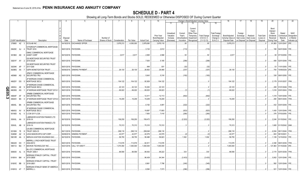## **SCHEDULE D - PART 4**

Showing all Long-Term Bonds and Stocks SOLD, REDEEMED or Otherwise DISPOSED OF During Current Quarter

|        |                             |           |                         | 2                                                                              | 4                | -5                          | 6                            | 7             | -8        | -9                 | 10 <sup>°</sup>                               |                                                   | Change in Book/Adjusted Carrying Value                                                                                       |                                                     | 16                                                                                                                | 17                                                | 18                                    | 19                                         | 20                                                                       | 21                                        | 22                                                       |
|--------|-----------------------------|-----------|-------------------------|--------------------------------------------------------------------------------|------------------|-----------------------------|------------------------------|---------------|-----------|--------------------|-----------------------------------------------|---------------------------------------------------|------------------------------------------------------------------------------------------------------------------------------|-----------------------------------------------------|-------------------------------------------------------------------------------------------------------------------|---------------------------------------------------|---------------------------------------|--------------------------------------------|--------------------------------------------------------------------------|-------------------------------------------|----------------------------------------------------------|
|        |                             |           |                         |                                                                                |                  |                             |                              |               |           |                    |                                               | 11                                                | 13                                                                                                                           |                                                     | 15                                                                                                                |                                                   |                                       |                                            |                                                                          |                                           |                                                          |
|        | <b>CUSIP</b> Identification |           |                         | <b>Description</b>                                                             | Disposal<br>Date | Name of Purchaser           | Number of<br>Shares of Stock | Consideration | Par Value | <b>Actual Cost</b> | Prior Year<br>Book/Adjusted<br>Carrying Value | Unrealized<br>Valuation<br>Increase<br>(Decrease) | Current<br>Year's<br>Other-Than<br>Current<br>Year's<br>Temporary<br>Amortization<br>Impairment<br>/ Accretion<br>Recognized | <b>Total Change</b><br>in B./A.C.V.<br>$(11+12-13)$ | <b>Total Foreign</b><br>Exchange<br>Book/Adjusted<br>Carrying Value at<br>Change in<br>B./A.C.V.<br>Disposal Date | Foreign<br>Exchange<br>Gain (Loss)<br>on Disposal | Realized<br>Gain (Loss)<br>on Disposa | <b>Total Gain</b><br>(Loss) on<br>Disposal | Bond<br>Interest<br>Stock<br><b>Dividends</b><br>Received<br>During Year | Stated<br>Contractual<br>Maturity<br>Date | <b>NAIC</b><br>Designation<br>or Market<br>Indicator (a) |
|        |                             |           |                         | 278865 AZ 3 ECOLAB INC.                                                        |                  | 04/18/2018. EXCHANGE OFFER  |                              | 3,979,213     | 4,000,000 | 3,979,080          | .3,979,118                                    |                                                   | .95                                                                                                                          | 95                                                  | 3,979,213                                                                                                         |                                                   |                                       | - 0                                        | 61,883                                                                   | 12/01/2047.                               | 2FE.                                                     |
|        | 29429C AJ                   |           | -4                      | CITIGROUP COMMERCIAL MORTGAGE<br><b>TRUST 2016</b><br>GMAC COMMERCIAL MORTGAGE |                  | 06/01/2018. PAYDOWN.        |                              |               |           | .3,132             | .2,612                                        |                                                   | (113)                                                                                                                        | (113)                                               |                                                                                                                   |                                                   |                                       |                                            |                                                                          | 195   04/01/2049.   1FE.                  |                                                          |
|        | 36186X AD 9                 |           |                         | <b>ASSET CORP</b>                                                              |                  | 06/10/2018. PAYDOWN         |                              | .2,617        | .2,617    | .2,565             | .2,566                                        |                                                   | 50                                                                                                                           | .50                                                 | .2,617                                                                                                            |                                                   |                                       |                                            |                                                                          | .56 07/10/2050.                           | 1FF                                                      |
|        | 36251F AY 2                 |           |                         | <b>GS MORTGAGE SECURITIES TRUST</b><br>2015-GC28                               |                  | 06/01/2018. PAYDOWN         |                              |               |           | .7,935             | .5,185                                        |                                                   | (299)                                                                                                                        | (299)                                               |                                                                                                                   |                                                   |                                       |                                            |                                                                          | 495 02/01/2048.                           | 1FF                                                      |
|        | 36254K AP                   |           |                         | <b>GS MORTGAGE SECURITIES TRUST</b><br>2017-GS8                                |                  | 06/01/2018. PAYDOWN.        |                              |               |           | .948               | 931                                           |                                                   | (32)                                                                                                                         | (32)                                                |                                                                                                                   |                                                   |                                       |                                            | 53                                                                       | 11/01/2050.                               | 1FE.                                                     |
|        | 36298G AA                   |           |                         | <b>GSPA MONETIZATION TRUST.</b>                                                |                  | 06/09/2018. SINKING PAYMENT |                              | .26.130       | .26.130   | .26,652            | .26,466                                       |                                                   | (337)                                                                                                                        | (337)                                               | .26.130                                                                                                           |                                                   |                                       |                                            | .700                                                                     | 10/09/2029. 2FE.                          |                                                          |
|        | 465968 AG                   |           | $\overline{0}$          | <b>JPMCC COMMERCIAL MORTGAGE</b><br><b>SECURITIES TRU</b>                      |                  | 06/01/2018. PAYDOWN.        |                              |               |           | .5,643             | .5,316                                        |                                                   | (193)                                                                                                                        | (193)                                               |                                                                                                                   |                                                   |                                       |                                            | .338                                                                     | 09/01/2050.                               | 1FE.                                                     |
|        | 46625Y DG 5                 |           |                         | <b>JP MORGAN CHASE COMMERCIAL</b><br>MORTGAGE SECU                             |                  | 06/01/2018. PAYDOWN.        |                              | 104,122       | 104,122   | .92,929            | 104,122                                       |                                                   |                                                                                                                              |                                                     | .104,122                                                                                                          |                                                   |                                       |                                            |                                                                          | 2,179   01/01/2037.   1FM.                |                                                          |
|        | 46630J                      | AE        | - q                     | JP MORGAN CHASE COMMERCIAL<br>MORTGAGE SECU                                    | 05/01/2018.      | PAYDOWN                     |                              | .20,123       | .20,123   | 16,252             | .20,123                                       |                                                   |                                                                                                                              |                                                     | .20,123                                                                                                           |                                                   |                                       |                                            |                                                                          | 458 01/01/2049.                           | 1FM.                                                     |
|        | 46639G                      | AG        |                         | JP MORGAN MORTGAGE TRUST 2013-1                                                |                  | 06/01/2018. PAYDOWN.        |                              | 69,022        | 69,022    | 69,023             | .69,023                                       |                                                   |                                                                                                                              | (1)                                                 | .69,022                                                                                                           |                                                   |                                       |                                            |                                                                          | .1,016 03/01/2043. 1FM.                   |                                                          |
| QE05.3 | 46644F                      | AF        | -8                      | JPMBB COMMERCIAL MORTGAGE<br>SECURITIES TRU                                    |                  | 06/01/2018. PAYDOWN         |                              |               |           | 12,411             | .12,113                                       |                                                   | (842)                                                                                                                        | (842)                                               |                                                                                                                   |                                                   |                                       |                                            |                                                                          | 1,319 10/01/2048.                         | 1FE.                                                     |
|        | 46644V                      | <b>BS</b> |                         | JP MORGAN MORTGAGE TRUST 2015-4                                                |                  | 06/01/2018. PAYDOWN.        |                              | .19.209       | .19,209   | 19,209             | .19,209                                       |                                                   |                                                                                                                              |                                                     | .19,209                                                                                                           |                                                   |                                       |                                            |                                                                          | .290 06/01/2045. 1FM.                     |                                                          |
|        | 46645L BA                   |           | 4                       | <b>JPMBB COMMERCIAL MORTGAGE</b><br>SECURITIES TRU                             |                  | 06/01/2018. PAYDOWN.        |                              |               |           | .6,182             | .4,891                                        |                                                   | (222)                                                                                                                        | (222)                                               |                                                                                                                   |                                                   |                                       |                                            |                                                                          | 432 03/01/2049.                           | 1FE.                                                     |
|        | 46645U AV 9                 |           |                         | JP MORGAN CHASE COMMERCIAL<br>MORTGAGE SECU                                    |                  | 06/01/2018. PAYDOWN.        |                              |               |           | 19,697             | .17,693                                       |                                                   | (823)                                                                                                                        | (823)                                               |                                                                                                                   |                                                   |                                       | - 0                                        | .1,400                                                                   | 12/01/2049.                               | 1FE.                                                     |
|        | 50190D                      | AL        | $\overline{\mathbf{0}}$ | LCCM 2017-LC26.                                                                |                  | 06/01/2018. PAYDOWN.        |                              |               |           | .7,955             | .7,416                                        |                                                   | (280)                                                                                                                        | (280)                                               |                                                                                                                   |                                                   |                                       |                                            |                                                                          | .376 07/03/2050.                          | 1FE.                                                     |
|        | 50543L AA                   |           | $\overline{0}$          | LABRADOR AVIATION FINANCE LTD<br>2016-1A                                       |                  | 06/15/2018. PAYDOWN.        |                              | 156.250       | 156.250   | 158,472            |                                               |                                                   | (2,222)                                                                                                                      | (2,222)                                             | 156.250                                                                                                           |                                                   |                                       |                                            |                                                                          | 2.240 01/15/2042. IFE.                    |                                                          |
|        | 50543L AB                   |           | -8                      | <b>LABRADOR AVIATION FINANCE LTD</b><br>2016-1A                                |                  | 06/15/2018. PAYDOWN.        |                              | .70,313       | .70,313   | .70,310            | .70,310                                       |                                                   |                                                                                                                              |                                                     | .70,313                                                                                                           |                                                   |                                       |                                            |                                                                          | .1,665   01/15/2042. 2AM.                 |                                                          |
|        | 52108H                      | 7E 8      |                         | LB-UBS COMMERCIAL MORTGAGE<br><b>TRUST 2005-C5</b>                             |                  | 06/11/2018. PAYDOWN.        |                              | .298,116      | .298.116  | .299,048           | 298,116                                       |                                                   |                                                                                                                              |                                                     | .298,116                                                                                                          |                                                   |                                       |                                            |                                                                          | $.6,504$ 09/11/2040.                      | 1FM                                                      |
|        | 52465#                      | AZ        | -8                      | LEGG MASON MTG CAP CORP.                                                       | 06/08/2018.      | <b>SINKING PAYMENT</b>      |                              | .44,577       | 44,577    | 44,579             | .44,579                                       |                                                   | (2)                                                                                                                          | (2)                                                 | .44,577                                                                                                           |                                                   |                                       |                                            | .843                                                                     | 06/10/2021                                |                                                          |
|        | 59010R AA                   |           | - 2                     | MERLIN AVIATION HOLDINGS DAC.                                                  |                  | 06/15/2018. PAYDOWN.        |                              | .58,755       | .58,755   | 56,496             | .56,823                                       |                                                   | .1,932                                                                                                                       | .1,932                                              | .58,755                                                                                                           |                                                   |                                       |                                            | .1,109                                                                   | 12/15/2032.                               |                                                          |
|        | 59022H                      | <b>DX</b> |                         | <b>MERRILL LYNCH MORTGAGE TRUST</b><br>2004-KEY2                               |                  | 06/01/2018. PAYDOWN.        |                              | 113,576       | .113,576  | .82,911            | .113,576                                      |                                                   |                                                                                                                              |                                                     | 113,576                                                                                                           |                                                   |                                       |                                            | .2.390                                                                   | 08/01/2039.                               | 1FM.                                                     |
|        | 595112 BG                   |           |                         | MICRON TECHNOLOGY INC.                                                         |                  | 05/21/2018. CALL 107.405017 |                              | .1,074,050    | 1,000,000 | 1,000,000          | .1,000,000                                    |                                                   |                                                                                                                              |                                                     | 1,000,000                                                                                                         |                                                   |                                       |                                            | 121,863                                                                  | 01/15/2026. 3FE.                          |                                                          |
|        | 606935                      | AL        | -8                      | <b>ML-CFC COMMERCIAL MORTGAGE</b><br><b>TRUST 2006-1</b>                       |                  | 06/01/2018. PAYDOWN.        |                              | .88.556       | 88,556    | 88,002             | .88,222                                       |                                                   | .333                                                                                                                         | .333                                                | .88.556                                                                                                           |                                                   |                                       |                                            | .2.174                                                                   | 02/01/2039. 1FM.                          |                                                          |
|        | 61691A BM                   |           | - 4                     | <b>MORGAN STANLEY CAPITAL I TRUST</b><br>2015-UBS8                             |                  | 06/01/2018. PAYDOWN.        |                              |               |           | 96,439             | .94,344                                       |                                                   | (3, 433)                                                                                                                     | (3, 433)                                            |                                                                                                                   |                                                   |                                       |                                            |                                                                          | .5,802   12/01/2048.   1FE.               |                                                          |
|        | 61691E BB                   |           |                         | <b>MORGAN STANLEY CAPITAL I TRUST</b><br>2016-UBS1                             |                  | 06/01/2018. PAYDOWN.        |                              |               |           | .8,961             | .7,796                                        |                                                   | (345)                                                                                                                        | (345)                                               |                                                                                                                   |                                                   |                                       |                                            | .582                                                                     | 12/01/2049.                               | 1FE.                                                     |
|        | 61691G AT 7                 |           |                         | MORGAN STANLEY BANK OF AMERICA<br>MFRRIII I                                    |                  | 06/01/2018 PAYDOWN          |                              |               |           | 8.590              | 7.573                                         |                                                   | (296)                                                                                                                        | (296)                                               |                                                                                                                   |                                                   |                                       | $\cap$                                     |                                                                          | 521 12/01/2049                            | 1FF                                                      |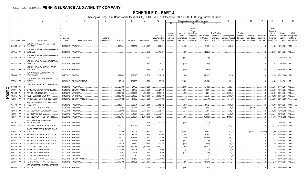|     |                             |    |     | 2                                                                                 | 4           | 5                           | - 6             |               | -8         | -9                 | 10                          |                                     |                                   | Change in Book/Adjusted Carrying Value                                                            |                                               | 16                                 | 17                                 | 18                      | 19                             | 20                                                 | 21                                | 22                                      |
|-----|-----------------------------|----|-----|-----------------------------------------------------------------------------------|-------------|-----------------------------|-----------------|---------------|------------|--------------------|-----------------------------|-------------------------------------|-----------------------------------|---------------------------------------------------------------------------------------------------|-----------------------------------------------|------------------------------------|------------------------------------|-------------------------|--------------------------------|----------------------------------------------------|-----------------------------------|-----------------------------------------|
|     |                             |    |     |                                                                                   |             |                             |                 |               |            |                    |                             | 11                                  |                                   | 13                                                                                                | 15                                            |                                    |                                    |                         |                                |                                                    |                                   |                                         |
|     |                             |    |     |                                                                                   | Disposal    |                             | Number of       |               |            |                    | Prior Year<br>Book/Adjusted | Unrealized<br>Valuation<br>Increase | Current<br>Year's<br>Amortization | Current<br>Year's<br>Other-Than<br>Temporary<br><b>Total Change</b><br>in B./A.C.V.<br>Impairment | <b>Total Foreigr</b><br>Exchange<br>Change in | Book/Adjusted<br>Carrying Value at | Foreign<br>Exchange<br>Gain (Loss) | Realized<br>Gain (Loss) | <b>Total Gain</b><br>(Loss) on | Bond<br>Interest<br>Stock<br>Dividends<br>Received | Stated<br>Contractual<br>Maturity | <b>NAIC</b><br>Designation<br>or Market |
|     | <b>CUSIP Identification</b> |    |     | Description                                                                       | Date        | Name of Purchaser           | Shares of Stock | Consideration | Par Value  | <b>Actual Cost</b> | Carrying Value              | (Decrease)                          | / Accretion                       | $(11+12-13)$<br>Recognized                                                                        | B./A.C.V.                                     | Disposal Date                      | on Disposal                        | on Disposal             | Disposal                       | During Year                                        | Date                              | Indicator (a)                           |
|     | 61745M W7 4                 |    |     | MORGAN STANLEY CAPITAL I TRUST<br>2005-TOP1                                       | 06/01/2018. | PAYDOWN                     |                 | .605,504      | .605,504   | .510,137           | .602,321                    |                                     | .3,183                            | .3,183                                                                                            |                                               | .605,504                           |                                    |                         | 0.0                            | 14,604                                             | 12/01/2041. 1FM                   |                                         |
|     | 61761A AA                   |    |     | MORGAN STANLEY BANK OF AMERICA<br><b>MERRILL L</b>                                | 06/01/2018. | PAYDOWN.                    |                 |               |            | .28,953            | 17,897                      |                                     | (1,227)                           | (1,227)                                                                                           |                                               |                                    |                                    |                         |                                | .2,759                                             | 08/01/2045. 1FE.                  |                                         |
|     | 61766R BA                   |    |     | MORGAN STANLEY BANK OF AMERICA<br><b>MERRILL L</b>                                |             | 06/01/2018. PAYDOWN.        |                 |               |            | 10,971             | .9,541                      |                                     | (375)                             | (375)                                                                                             |                                               |                                    |                                    |                         |                                |                                                    | .679   11/01/2049.   1FE.         |                                         |
|     | 61767E AF                   |    |     | MORGAN STANLEY BANK OF AMERICA<br><b>MERRILL L</b>                                |             | 06/01/2018. PAYDOWN.        |                 |               |            | .4,841             | 4,711                       |                                     | (169)                             | (169)                                                                                             |                                               |                                    |                                    |                         |                                |                                                    | .279   11/01/2052. 1FE.           |                                         |
|     | 61767F BB                   |    | - 6 | MORGAN STANLEY CAPITAL I TRUST<br>2016-UB11<br><b>NOMURA HOME EQUITY LOAN INC</b> |             | 06/01/2018. PAYDOWN.        |                 |               |            | .12,128            | 10,107                      |                                     | (460)                             | (460)                                                                                             |                                               |                                    |                                    |                         |                                |                                                    | .759   08/01/2049.   1FE.         |                                         |
|     | 65536H BE                   |    |     | <b>HOME EQUITY</b><br>NORTHWEST AIRLINES 2007-1 CLASS A                           |             | 06/25/2018. PAYDOWN.        |                 | .229,843      | .229,843   | 154,570            | .217,938                    |                                     | .11,905                           | 11,905                                                                                            |                                               | .229,843                           |                                    |                         |                                |                                                    | .2,449   09/25/2035.   1FM.       |                                         |
|     | 667294 BE                   |    |     | PASS <sub>T</sub><br>OAKS MORTGAGE TRUST SERIES 2015-                             |             | 05/01/2018. SINKING PAYMENT |                 | .129,293      | 129,293    | 144,553            | .136,775                    |                                     | (7, 482)                          | (7, 482)                                                                                          |                                               | .129,293                           |                                    |                         | - 0                            |                                                    | .4,543   11/01/2019. 1FE.         |                                         |
| Q   | 67389M                      | AV |     |                                                                                   | 06/01/2018. | PAYDOWN.                    |                 | .29,130       | .29,130    | .29,620            |                             |                                     | (489)                             | (489)                                                                                             |                                               | 29,130                             |                                    |                         | 0                              |                                                    | .372 04/01/2046. 1FE.             |                                         |
| m   | 677071                      | AU |     | OHANA MILITARY COMMUNITIES LLC.                                                   | 04/01/2018  | SINKING PAYMENT             |                 | .22,176       | .22,176    | .21,830            | 21,875                      |                                     | .301                              | .301                                                                                              |                                               | .22,176                            |                                    |                         | . 0                            | .665                                               | 10/01/2051.                       |                                         |
|     | 70109H                      | AH |     | PARKER-HANNIFIN CORP.                                                             | 05/15/2018  | <b>MATURITY</b>             |                 | .2,000,000    | .2,000,000 | 1,995,300          | 1,999,776                   |                                     | .224                              | .224                                                                                              |                                               | .2,000,000                         |                                    |                         | $\cdot$ 0                      | .55,000                                            | 05/15/2018. 1FE                   |                                         |
| 05. | 74531E                      | AB |     | PUGET SOUND ENERGY INC.                                                           | 06/15/2018  | MATURITY.                   |                 | .3,500,000    | .3,500,000 | 3,500,000          | .3,500,000                  |                                     |                                   |                                                                                                   |                                               | .3,500,000                         |                                    |                         |                                | 176,925                                            | 06/15/2018. 1FE                   |                                         |
| 4   | 75086#                      | AA | -3  | RAINIER GSA PORTFOLIO 4.82 15JUN36                                                | 06/15/2018. | <b>SINKING PAYMENT</b>      |                 | .44,082       | .44,082    | .44,083            | .44,083                     |                                     | . (1)                             |                                                                                                   |                                               | .44,082                            |                                    |                         | .0                             | .886                                               | 06/15/2036.                       |                                         |
|     |                             |    |     | READYCAP COMMERCIAL MORTGAGE                                                      |             |                             |                 |               |            |                    |                             |                                     |                                   |                                                                                                   |                                               |                                    |                                    |                         |                                |                                                    |                                   |                                         |
|     | 75574Q                      | AA |     | <b>TRUST 2015-</b>                                                                | 06/01/2018. | PAYDOWN.                    |                 | .856,274      | .856,274   | .855,233           | .855,202                    |                                     | .1,072                            | .1,072                                                                                            |                                               | .856,274                           |                                    |                         | 0                              | 13,093                                             | 06/01/2055. 1FM.                  |                                         |
|     | 761118                      | AW |     | RALI SERIES 2005-QS9 TRUST.                                                       | 06/25/2018  | PAYDOWN.                    |                 | .23,491       | .26,218    | .17,044            | .17,210                     |                                     | .9,008                            | .9,008                                                                                            |                                               | .26,218                            |                                    | (2,727)                 | (2,727)                        | .221                                               | 06/25/2035.                       |                                         |
|     | 784012                      | AA |     | SCF EQUIPMENT LEASING 2017-2 LLC.                                                 | 06/20/2018  | PAYDOWN.                    |                 | .325,608      | 325,608    | .325,557           | .325,557                    |                                     | .51                               | .51                                                                                               |                                               | .325,608                           |                                    |                         | .0                             | .5,320                                             | 12/20/2023.                       |                                         |
|     | 784037                      | AA |     | SCF RC FUNDING II LLC.                                                            | 06/25/2018  | PAYDOWN.                    |                 | .8,267        | .8,267     | .8,266             | .8,267                      |                                     |                                   |                                                                                                   |                                               | .8,267                             |                                    |                         | 0                              | .141                                               | 06/25/2047.                       |                                         |
|     | 78410F                      | AA |     | SCF EQUIPMENT TRUST 2016-1 LLC.                                                   | 06/20/2018. | PAYDOWN.                    |                 | .1,996,337    | 1,996,337  | .2,010,998         | .2,006,704                  |                                     | (10,366)                          | (10, 366)                                                                                         |                                               | 1,996,337                          |                                    |                         | 0                              | .34,781                                            | 11/20/2021.                       | . I 1FE                                 |
|     | 78419C AG                   |    |     | SG COMMERCIAL MORTGAGE<br><b>SECURITIES TRUST</b>                                 | 06/01/2018  | PAYDOWN.                    |                 |               |            | .12,102            | 10,034                      |                                     | (432)                             | (432)                                                                                             |                                               |                                    |                                    |                         | .0                             | .765                                               | 10/01/2048. 1FE                   |                                         |
|     | 80306A AC                   |    |     | SAPPHIRE AVIATION FINANCE I LTD.                                                  | 06/15/2018. | PAYDOWN.                    |                 | .107,143      | 107,143    | 107,142            |                             |                                     |                                   |                                                                                                   |                                               | .107,143                           |                                    |                         | - 0                            | 1,158                                              | 03/15/2040. 3AM.                  |                                         |
|     | 805564                      | GA | - 3 | SAXON ASSET SECURITIES TR 2000-2<br><b>MORT LN</b>                                | 06/01/2018. | PAYDOWN.                    |                 | .39,705       | .81,305    | .65,857            | .74,642                     |                                     | .6,663                            | .6,663                                                                                            |                                               | 81,305                             |                                    | (41,600)                | (41,600)                       |                                                    | 1,098 07/01/2030. 3FM             |                                         |
|     | 81745D                      | AJ |     | SEQUOIA MORTGAGE TRUST 2013-9.                                                    | 06/01/2018. | PAYDOWN.                    |                 | .43,229       | .43,229    | .41,810            | 42,065                      |                                     | .1,164                            | .1,164                                                                                            |                                               | .43,229                            |                                    |                         |                                | .631                                               | 07/01/2043. 1FM                   |                                         |
|     | 81746G                      | AA |     | SEQUOIA MORTGAGE TRUST 2017-7                                                     | 06/01/2018  | PAYDOWN.                    |                 | 109,337       | 109,337    | .111,507           | .111,506                    |                                     | (2, 169)                          | (2, 169)                                                                                          |                                               | 109,337                            |                                    |                         | .0                             | 1,717                                              | 10/01/2047. 1FM                   |                                         |
|     | 81746L                      | CC |     | SEQUOIA MORTGAGE TRUST 2015-3.                                                    | 06/01/2018. | PAYDOWN.                    |                 | .24,453       | .24,453    | .24,789            | .24,769                     |                                     | (316)                             | (316)                                                                                             |                                               | 24,453                             |                                    |                         | .0                             | .379                                               | 07/01/2045. 1FE                   |                                         |
|     | 81746P                      | CB |     | SEQUOIA MORTGAGE TRUST 2016-1                                                     | 06/01/2018  | PAYDOWN.                    |                 | .18,879       | 18,879     | .19,475            | 19,448                      |                                     | (569)                             | (569)                                                                                             |                                               | .18,879                            |                                    |                         | . 0                            | .301                                               | 06/01/2046. 1FM                   |                                         |
|     | 81753N                      | AA |     | SERIES RRX 2014-1 TRUST.                                                          | 06/01/2018  | PAYDOWN.                    |                 | 2,767,065     | 2,767,065  | 2,250,402          | 2,699,723                   |                                     | .67,342                           | .67,342                                                                                           |                                               | .2,767,065                         |                                    |                         | .0                             |                                                    | 08/01/2044.                       |                                         |
|     | 86212U                      | AB |     | STORE MASTER FUNDING LLC.                                                         | 06/20/2018  | PAYDOWN.                    |                 | .24,008       | .24,008    | .24,000            | .24,009                     |                                     | (1                                |                                                                                                   |                                               | .24,008                            |                                    |                         | .0                             | .465                                               | 03/20/2043.                       |                                         |
|     | 86213A                      | AB |     | STORE MASTER FUNDING LLC.                                                         | 06/20/2018  | PAYDOWN.                    |                 | .4,493        | 4,493      | .4,656             | .4,609                      |                                     | (116)                             | (116)                                                                                             |                                               | 4,493                              |                                    |                         | 0                              | .98                                                | 11/20/2043.                       |                                         |
|     | 86213B                      | AB |     | STORE MASTER FUNDING LLC.                                                         | 06/20/2018  | PAYDOWN                     |                 | .1,250        | .1,250     | .1,249             | .1,250                      |                                     |                                   |                                                                                                   |                                               | .1,250                             |                                    |                         | .0                             | .26                                                | 04/20/2044. 1FE                   |                                         |
|     | 89054X                      | AB |     | TOPAZ SOLAR FARMS LLC.                                                            | 03/30/2018  | <b>SINKING PAYMENT</b>      |                 | .31,562       | .31,562    | .31,562            | .31,562                     |                                     |                                   | .C                                                                                                |                                               | 31,562                             |                                    |                         | .0                             | 769                                                | 09/30/2039.                       |                                         |
|     | 891098 AA                   |    |     | TORO MTG FTG TR 2017-RE 4.0.                                                      | 06/01/2018. | PAYDOWN.                    |                 | .347,505      | .347,505   | .351,896           |                             |                                     | (4, 391)                          | (4,391)                                                                                           |                                               | .347,505                           |                                    |                         |                                | 4,582                                              | 04/01/2074. 1FE                   |                                         |
|     | 90276G AU 6                 |    |     | UBS COMMERCIAL MORTGAGE TRUST<br>2017-C3                                          |             | 06/01/2018. PAYDOWN.        |                 |               |            | 10,008             | .9.938                      |                                     | . (391)                           | (391                                                                                              |                                               |                                    |                                    |                         |                                |                                                    | .610   08/01/2050.   1FE.         |                                         |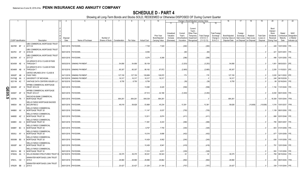|        |                             |                 |                                                                           |             | 5                                    |               | 8         |                    | 10                                 |                                     | Change in Book/Adjusted Carrying Value                                                          |                                     |                                               | 16                                 | 17                                 | 18                      | 19                             | 20                                                 | 21                                | 22                                      |
|--------|-----------------------------|-----------------|---------------------------------------------------------------------------|-------------|--------------------------------------|---------------|-----------|--------------------|------------------------------------|-------------------------------------|-------------------------------------------------------------------------------------------------|-------------------------------------|-----------------------------------------------|------------------------------------|------------------------------------|-------------------------|--------------------------------|----------------------------------------------------|-----------------------------------|-----------------------------------------|
|        |                             |                 |                                                                           |             |                                      |               |           |                    |                                    | 11                                  | 12<br>13                                                                                        | 14                                  | 15                                            |                                    |                                    |                         |                                |                                                    |                                   |                                         |
|        |                             |                 |                                                                           | Disposal    | Number of                            |               |           |                    | <b>Prior Year</b><br>Book/Adjusted | Unrealized<br>Valuation<br>Increase | Current<br>Year's<br>Other-Than<br>Current<br>Year's<br>Temporary<br>Amortization<br>Impairment | <b>Total Change</b><br>in B./A.C.V. | <b>Total Foreign</b><br>Exchange<br>Change in | Book/Adjusted<br>Carrying Value at | Foreign<br>Exchange<br>Gain (Loss) | Realized<br>Gain (Loss) | <b>Total Gain</b><br>(Loss) on | Bond<br>Interest<br>Stock<br>Dividends<br>Received | Stated<br>Contractual<br>Maturity | <b>NAIC</b><br>Designation<br>or Market |
|        | <b>CUSIP</b> Identification |                 | Description                                                               | Date        | Name of Purchaser<br>Shares of Stock | Consideration | Par Value | <b>Actual Cost</b> | Carrying Value                     | (Decrease)                          | / Accretion<br>Recognized                                                                       | $(11+12-13)$                        | <b>B./A.C.V.</b>                              | Disposal Date                      | on Disposal                        | on Disposal             | Disposal                       | During Year                                        | Date                              | Indicator (a)                           |
|        | 90276R BF 4                 |                 | UBS COMMERCIAL MORTGAGE TRUST<br>2017-C4<br>UBS COMMERCIAL MORTGAGE TRUST |             | 06/01/2018. PAYDOWN.                 |               |           | .7,728             | .7,520                             |                                     | (260)                                                                                           | (260)                               |                                               |                                    |                                    |                         |                                |                                                    | .449   10/01/2050.   1FE          |                                         |
|        | 90276V AF                   | - 6             | 2018-C8                                                                   |             | 06/01/2018. PAYDOWN.                 |               |           | .8,056             |                                    |                                     | (60)                                                                                            | (60)                                |                                               |                                    |                                    |                         |                                | .421                                               | 02/01/2051. 1FE.                  |                                         |
|        | 90276W AT 4                 |                 | UBS COMMERCIAL MORTGAGE TRUST<br>2017-C7                                  |             | 06/01/2018. PAYDOWN.                 |               |           | .8,276             | .8,268                             |                                     | (296)                                                                                           | (296)                               |                                               |                                    |                                    |                         |                                |                                                    | .496   12/01/2050. 1FE            |                                         |
|        | 90345W AE                   |                 | US AIRWAYS 2012-2 CLASS B PASS<br>THROUGH T                               |             | 06/03/2018. SINKING PAYMENT          | .54,856       | .54,856   | .58,109            |                                    |                                     | (3,253)                                                                                         | (3,253)                             |                                               | .54,856                            |                                    |                         |                                | .1,851                                             | 06/03/2021. 2FE.                  |                                         |
|        | 90346W AB 9                 |                 | US AIRWAYS 2013-1 CLASS B PASS<br>THROUGH T                               |             | 05/15/2018. SINKING PAYMENT          | .85,307       | .85,307   | .88,162            | .87,972                            |                                     | (2,665)                                                                                         | (2,665)                             |                                               | .85,307                            |                                    |                         | $\Omega$                       |                                                    | 2,293 11/15/2021. 2FE             |                                         |
|        | 90932P AB                   | - 4             | UNITED AIRLINES 2014-1 CLASS B<br>PASS THRO                               |             | 04/11/2018. SINKING PAYMENT          | 127,150       | 127,150   | 126,889            | .126,972                           |                                     | .179                                                                                            | 179                                 |                                               | .127,150                           |                                    |                         | . . 0                          | .3,020                                             | 04/11/2022. 2FE                   |                                         |
|        | 91474@ AA                   |                 | UNIVERSITY OF MICHIGAN.                                                   | 06/15/2018. | <b>SINKING PAYMENT</b>               | .16,317       | 16,317    | .16,317            | .16,317                            |                                     |                                                                                                 |                                     |                                               | .16,317                            |                                    |                         | .0                             | .248                                               | 06/15/2039.                       |                                         |
|        | 92211M AC                   |                 | VANTAGE DATA CENTERS ISSUER LLC                                           |             | 06/15/2018. PAYDOWN.                 | .8.750        | .8,750    | .8,789             |                                    |                                     | (39)                                                                                            | (39)                                |                                               | .8.750                             |                                    |                         |                                | .88                                                | 02/16/2043. 1FE.                  |                                         |
|        | 92930R                      | AF <sub>9</sub> | WFRBS COMMERCIAL MORTGAGE<br><b>TRUST 2012-C9</b>                         |             | 06/01/2018. PAYDOWN.                 |               |           | .13,095            | .8,425                             |                                     | (558)                                                                                           | (558)                               |                                               |                                    |                                    |                         |                                |                                                    | .1,154 11/01/2045. 1FE.           |                                         |
| QE05.5 | 92936T                      | AF <sub>9</sub> | <b>WFRBS COMMERCIAL MORTGAGE</b><br><b>TRUST 2012-C7</b>                  |             | 06/01/2018. PAYDOWN.                 |               |           | .67,514            | .42,186                            |                                     | (3,450)                                                                                         | (3,450)                             |                                               |                                    |                                    |                         |                                | .6,000                                             | 06/01/2045. 1FE.                  |                                         |
|        | 929766                      | 7N 7            | WACHOVIA BANK COMMERCIAL<br><b>MORTGAGE TRUST</b>                         |             | 06/01/2018. PAYDOWN.                 | 684,261       | .684,261  | .648,338           | .684,261                           |                                     |                                                                                                 |                                     |                                               | .684,261                           |                                    |                         | 0.1                            |                                                    | .18,308   10/01/2044.   1FM       |                                         |
|        | 949834 AA 3                 |                 | WELLS FARGO MORTGAGE BACKED<br><b>SECURITIES 2</b>                        |             | 06/01/2018. PAYDOWN.                 | .48.018       | .58.626   | .53,868            | .45,234                            |                                     | .13,39'                                                                                         | .13,391                             |                                               | .58.626                            |                                    | (10,608)                | (10,608)                       |                                                    | .1,516   10/01/2037.   1FM        |                                         |
|        | 94988X AX 4                 |                 | WELLS FARGO COMMERCIAL<br><b>MORTGAGE TRUST 20</b>                        |             | 06/01/2018. PAYDOWN.                 |               |           | .11,147            | .9,037                             |                                     | (705)                                                                                           | (705)                               |                                               |                                    |                                    |                         |                                |                                                    | 1,159 08/01/2050. 1FE.            |                                         |
|        | 94989D                      | AZ <sub>2</sub> | <b>WELLS FARGO COMMERCIAL</b><br>MORTGAGE TRUST 20                        |             | 06/01/2018. PAYDOWN.                 |               |           | .12,811            | .8,874                             |                                     | (411)                                                                                           | (411)                               |                                               |                                    |                                    |                         |                                |                                                    | .688 02/01/2048. 1FE.             |                                         |
|        | 94989V AG                   |                 | <b>WELLS FARGO COMMERCIAL</b><br><b>MORTGAGE TRUST 20</b>                 |             | 06/01/2018. PAYDOWN.                 |               |           | .11,581            | .8,243                             |                                     | (466)                                                                                           | (466)                               |                                               |                                    |                                    |                         |                                |                                                    | .785   09/01/2057.   1FE.         |                                         |
|        | 94989Y BC                   | - 6             | <b>WELLS FARGO COMMERCIAL</b><br>MORTGAGE TRUST 20                        |             | 06/01/2018. PAYDOWN.                 |               |           | .9,767             | .7,755                             |                                     | (345)                                                                                           | (345)                               |                                               |                                    |                                    |                         |                                |                                                    | .603 01/01/2059. 1FE.             |                                         |
|        | 95000J                      | AY              | <b>WELLS FARGO COMMERCIAL</b><br><b>MORTGAGE TRUST 20</b>                 |             | 06/01/2018. PAYDOWN.                 |               |           | 10,016             | .8,686                             |                                     | (402)                                                                                           | (402)                               |                                               |                                    |                                    |                         |                                | .677                                               | 12/01/2059. 1FE.                  |                                         |
|        | 95000M BS 9                 |                 | <b>WELLS FARGO COMMERCIAL</b><br>MORTGAGE TRUST 20                        |             | 06/01/2018. PAYDOWN.                 |               |           | 10,429             | .9,062                             |                                     | (240)                                                                                           | (240)                               |                                               |                                    |                                    |                         |                                |                                                    | .636 11/01/2059. 1FE.             |                                         |
|        | 95000P AH                   |                 | <b>WELLS FARGO COMMERCIAL</b><br><b>MORTGAGE TRUST 20</b>                 |             | 06/01/2018. PAYDOWN.                 |               |           | .10,436            | .8,941                             |                                     | (418)                                                                                           | (418)                               |                                               |                                    |                                    |                         |                                | .791                                               | 12/01/2049. 1FE.                  |                                         |
|        | 95001A                      | BE              | <b>WELLS FARGO COMMERCIAL</b><br>MORTGAGE TRUST 20                        |             | 06/01/2018. PAYDOWN.                 |               |           | .11,510            | .4,811                             |                                     | (329)                                                                                           | (329)                               |                                               |                                    |                                    |                         | 0.1                            | .593                                               | 11/01/2050. 1FE.                  |                                         |
|        | 97063Q AA                   | - 0             | WILLIS ENGINE STRUCTURED TRUST III                                        |             | 06/15/2018. PAYDOWN.                 | .39,375       | .39,375   | .39,341            | .39,343                            |                                     | .32                                                                                             | .32                                 |                                               | .39,375                            |                                    |                         |                                | .769                                               | 08/15/2042. 1FE.                  |                                         |
|        | 97651L CD                   |                 | WINWATER MORTGAGE LOAN TRUST<br>2015-4                                    |             | 06/01/2018. PAYDOWN.                 | .28.990       | .28.990   | .29,896            | .29.882                            |                                     | (892)                                                                                           | (892)                               |                                               | .28.990                            |                                    |                         |                                |                                                    | .454   06/01/2045.   1FM          |                                         |
|        | 97652R BB                   | $\overline{2}$  | WINWATER MORTGAGE LOAN TRUST<br>2014-3                                    |             | 06/01/2018. PAYDOWN.                 | .20,427       | .20,427   | .21,200            | .21,184                            |                                     | (757)                                                                                           | (757)                               |                                               | .20,427                            |                                    |                         | $\Omega$                       |                                                    | .339   11/01/2044.   1FE.         |                                         |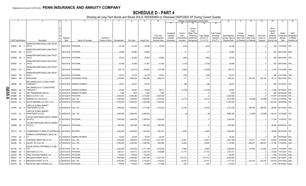## **SCHEDULE D - PART 4**

Showing all Long-Term Bonds and Stocks SOLD, REDEEMED or Otherwise DISPOSED OF During Current Quarter

|    |                             |           |                |                                                       |                           | -5                              | - 6                             |             | 8           | -9                 | 10                          |                                     |                                    |                                                            | Change in Book/Adjusted Carrying Value |                                               | 16                                 | 17                                 | 18                      | 19                             | 20                                                 | 21                                | 22                                      |
|----|-----------------------------|-----------|----------------|-------------------------------------------------------|---------------------------|---------------------------------|---------------------------------|-------------|-------------|--------------------|-----------------------------|-------------------------------------|------------------------------------|------------------------------------------------------------|----------------------------------------|-----------------------------------------------|------------------------------------|------------------------------------|-------------------------|--------------------------------|----------------------------------------------------|-----------------------------------|-----------------------------------------|
|    |                             |           |                |                                                       |                           |                                 |                                 |             |             |                    |                             | 11                                  |                                    |                                                            |                                        | 15                                            |                                    |                                    |                         |                                |                                                    |                                   |                                         |
|    |                             |           |                |                                                       | Disposal                  |                                 | Number of                       |             |             |                    | Prior Year<br>Book/Adjusted | Unrealized<br>Valuation<br>Increase | Current<br>Year's<br>(Amortization | Current<br>Year's<br>Other-Than<br>Temporary<br>Impairment | Total Change<br>in B./A.C.V.           | <b>Total Foreign</b><br>Exchange<br>Change in | Book/Adjusted<br>Carrying Value at | Foreign<br>Exchange<br>Gain (Loss) | Realized<br>Gain (Loss) | <b>Total Gain</b><br>(Loss) on | Bond<br>Interest<br>Stock<br>Dividends<br>Received | Stated<br>Contractual<br>Maturity | <b>NAIC</b><br>Designation<br>or Market |
|    | <b>CUSIP</b> Identification |           |                | Description                                           | Date                      | Name of Purchaser               | Shares of Stock   Consideration |             | Par Value   | <b>Actual Cost</b> | Carrying Value              | (Decrease)                          | / Accretion                        | Recognized                                                 | $(11+12-13)$                           | B./A.C.V.                                     | Disposal Date on Disposal          |                                    | on Disposal             | Disposal                       | During Year                                        | Date                              | Indicator (a)                           |
|    |                             |           |                |                                                       |                           |                                 |                                 |             |             |                    |                             |                                     |                                    |                                                            |                                        |                                               |                                    |                                    |                         |                                |                                                    |                                   |                                         |
|    | 97652R BC                   |           | $\Omega$       | WINWATER MORTGAGE LOAN TRUST<br>2014-3                |                           | 06/01/2018. PAYDOWN.            |                                 | .24,165     | 24,165      | .24,788            | .24,780                     |                                     | (614)                              |                                                            | (614)                                  |                                               | 24,165                             |                                    |                         |                                | .400                                               | 11/01/2044. 1FE                   |                                         |
|    | 97652U BG                   |           |                | WINWATER MORTGAGE LOAN TRUST<br>2015-2                |                           | 06/01/2018. PAYDOWN             |                                 | .29,884     | .29,884     | .29,846            |                             |                                     | 37                                 |                                                            | .37                                    |                                               | 29,884                             |                                    |                         | $\Omega$                       |                                                    | .292   02/01/2045.   2AM.         |                                         |
|    |                             |           |                | WINWATER MORTGAGE LOAN TRUST                          |                           |                                 |                                 |             |             |                    |                             |                                     |                                    |                                                            |                                        |                                               |                                    |                                    |                         |                                |                                                    |                                   |                                         |
|    | 97653B CB                   |           | -5             | 2015-A                                                |                           | 06/01/2018. PAYDOWN.            |                                 | .25,222     | .25,222     | .25,904            | .25,864                     |                                     | (642)                              |                                                            | (642)                                  |                                               | .25,222                            |                                    |                         |                                |                                                    | .399   06/01/2045.   1FM.         |                                         |
|    |                             |           |                | WINWATER MORTGAGE LOAN TRUST                          |                           |                                 |                                 |             |             |                    |                             |                                     |                                    |                                                            |                                        |                                               |                                    |                                    |                         |                                |                                                    |                                   |                                         |
|    | 97654D CA                   |           |                | 2 2015-5                                              |                           | 06/01/2018. PAYDOWN             |                                 | .40,589     | .40,589     | .41,807            | .41,807                     |                                     | (1,218)                            |                                                            | (1,218)                                |                                               | .40,589                            |                                    |                         |                                |                                                    | .642   08/01/2045.   1FM.         |                                         |
|    | 97655J AH                   |           | -5             | WINWATER MORTGAGE LOAN TRUST<br>2016-1                |                           | 06/01/2018. PAYDOWN.            |                                 | .244,172    | .244,172    | .248.903           | .247,598                    |                                     | (3,426)                            |                                                            | (3,426)                                |                                               | .244,172                           |                                    |                         |                                |                                                    | .3,235 01/01/2046. 1FM.           |                                         |
|    |                             |           |                |                                                       |                           |                                 |                                 |             |             |                    |                             |                                     |                                    |                                                            |                                        |                                               |                                    |                                    |                         |                                |                                                    |                                   |                                         |
|    |                             |           |                | WINWATER MORTGAGE LOAN TRUST                          |                           |                                 |                                 |             |             |                    |                             |                                     |                                    |                                                            |                                        |                                               |                                    |                                    |                         |                                |                                                    |                                   |                                         |
|    | 97655J                      | CB        | -6             | 2016-1                                                |                           | 06/01/2018. PAYDOWN.            |                                 | .24,512     | .24,512     | .25,219            | .25,214                     |                                     | (702)                              |                                                            | (702)                                  |                                               | .24,512                            |                                    |                         | . .0                           | .396                                               | 01/01/2046. 1FM.                  |                                         |
|    | 008916                      | AM        | $\Omega$       | <b>AGRIUM INC</b>                                     |                           | 04/10/2018. EXCHANGE OFFER      |                                 | .2,075,640  | .2,000,000  | 1,842,260          | 1,852,219                   |                                     | .711                               |                                                            | 711                                    |                                               | 1,852,931                          |                                    | 222,709                 | .222,709                       | .35,117                                            | 06/01/2043. 2FE                   |                                         |
|    | 009088                      | AB        |                | AIR CANADA 2015-2 CLASS A PASS<br><b>THROUGH T</b>    |                           | A   06/15/2018. SINKING PAYMENT |                                 | .48,221     | .48,221     | .48,318            |                             |                                     | (96)                               |                                                            | (96)                                   |                                               | .48,221                            |                                    |                         |                                |                                                    | .995 12/15/2027. 1FE.             |                                         |
| C  |                             |           |                | AIR CANADA 2013-1 CLASS B PASS                        |                           |                                 |                                 |             |             |                    |                             |                                     |                                    |                                                            |                                        |                                               |                                    |                                    |                         |                                |                                                    |                                   |                                         |
|    | 009089                      | AB        |                | <b>THROUGH T</b>                                      |                           | 4 05/15/2018. SINKING PAYMENT   |                                 | .94,687     | .94,687     | .99,540            | .99,412                     |                                     | (4,725)                            |                                                            | (4, 725)                               |                                               | .94,687                            |                                    |                         | $\cdot$ 0                      |                                                    | .2,545 05/15/2021. 2FE            |                                         |
|    | 00289L                      | AA        | -3             | ABY TRANSMISION SUR SA                                | D 04/30/2018.             | <b>SINKING PAYMENT</b>          |                                 | .7,800      | .7,800      | .7,800             | .7,800                      |                                     |                                    |                                                            |                                        |                                               | .7,800                             |                                    |                         | - 0                            | .269                                               | 04/30/2043. 2FE                   |                                         |
|    | 05509R                      | AE        | .5             | B&M CLO 2014-1 LTD.                                   | 04/16/2018.               | PAYDOWN                         |                                 | .6,000,000  | 6,000,000   | .6,013,800         | .6,000,000                  |                                     |                                    |                                                            |                                        |                                               | .6,000,000                         |                                    |                         | - 0                            | .131,597                                           | 04/16/2026. 1FE                   |                                         |
| σī | 05618M                      | AS        | 3              | BABSON CLO LTD 2014-III                               | 06/14/2018.               | <b>CALL 100</b>                 |                                 | .3,500,000  | .3,500,000  | .3,528,000         | .3,519,026                  |                                     | (2,717)                            |                                                            | (2,717)                                |                                               | .3,516,309                         |                                    | (16,309)                | (16, 309)                      | 71,615                                             | 01/15/2026.                       |                                         |
|    | 09203W                      | AL        | -9             | BLACK DIAMOND CLO 2016-1 LTD.                         | 04/26/2018.               | PAYDOWN                         |                                 | .11,500,000 | .11,500,000 | .11,500,000        | 11,500,000                  |                                     |                                    |                                                            |                                        |                                               | .11,500,000                        |                                    |                         | $\Omega$                       | .243,225                                           | 04/26/2028. 1FE                   |                                         |
|    | 14310P                      | AA 8      |                | CARLYLE GLOBAL MARKET<br><b>STRATEGIES CLO 201</b>    | D 04/06/2018. CALL 100    |                                 |                                 | .3,060,000  | .3,060,000  | .2,717,586         | .2,742,052                  |                                     | 19,168                             |                                                            | 19,168                                 |                                               | .2,761,220                         |                                    | 298,780                 | .298.780                       | .86,890                                            | 04/17/2025. 1AM.                  |                                         |
|    | 14310U                      | AL<br>- 3 |                | CARLYLE GLOBAL MARKET<br>STRATEGIES CLO 201           | D 06/29/2018. CALL 100    |                                 |                                 | .9.950.000  | 9.950.000   | .9.962.935         |                             |                                     | (6)                                |                                                            | (6)                                    |                                               | .9.962.929                         |                                    | (12,929)                | (12,929)                       | 145,233                                            | 10/15/2026. 1FE.                  |                                         |
|    | 19624N AE                   |           |                | COLONY MORTGAGE CAPITAL SERIES<br>5 2014-FL2          | D 05/10/2018. PAYDOWN.    |                                 |                                 | .3,304,000  | .3,304,000  | 3,304,000          | .3,304,000                  |                                     |                                    |                                                            |                                        |                                               | .3,304,000                         |                                    |                         | $0_{\cdots}$                   | 71,234                                             | 11/10/2031. 1FE.                  |                                         |
|    |                             |           |                | COLONY MORTGAGE CAPITAL SERIES                        |                           |                                 |                                 |             |             |                    |                             |                                     |                                    |                                                            |                                        |                                               |                                    |                                    |                         |                                |                                                    |                                   |                                         |
|    | 19625B                      | AE        | - 0            | 2015-FL3                                              | D   04/05/2018.   PAYDOWN |                                 |                                 | .1,897,929  | 1,897,929   | 1,897,929          | 1,897,929                   |                                     |                                    |                                                            |                                        |                                               | 1,897,929                          |                                    |                         | $\Omega$                       | .38,592                                            | 09/05/2032. 1FE.                  |                                         |
|    | 202712 AG                   |           | $\overline{0}$ | COMMONWEALTH BANK OF AUSTRALIA D 06/15/2018. MATURITY |                           |                                 |                                 | .2.000.000  | .2.000.000  | 1.813.400          | 1,991,342                   |                                     | .8.658                             |                                                            | .8.658                                 |                                               | .2.000.000                         |                                    |                         | $\Omega$                       |                                                    | .46.500 06/15/2018. 1FE.          |                                         |
|    |                             |           |                | FERMACA ENTERPRISES S DE RL DE                        |                           |                                 |                                 |             |             |                    |                             |                                     |                                    |                                                            |                                        |                                               |                                    |                                    |                         |                                |                                                    |                                   |                                         |
|    | 31503A                      | AA 2 CV   |                |                                                       |                           | D 3/30/2018. SINKING PAYMENT    |                                 | .25,304     | 25,304      | .25,304            | .25,304                     |                                     |                                    |                                                            |                                        |                                               | 25,304                             |                                    |                         | $0$ .                          | .807                                               | 03/30/2038. 2FE                   |                                         |
|    | 34960N                      | AG        |                | FORTRESS CREDIT BSL III LTD.                          | D 04/18/2018.             | <b>CALL 100</b>                 |                                 | .3,000,000  | 3,000,000   | .2,781,300         | 2,817,267                   |                                     | .10,521                            |                                                            | .10,521                                |                                               | .2,827,789                         |                                    | 172,211                 | .172,211                       | 82,535                                             | 10/18/2026.                       | 1AM                                     |
|    | 36320E                      | AA        | 4              | GALAXY XVI CLO LTD.<br>GOLUB CAPITAL PARTNERS CLO 26B | D 04/03/2018. CALL 100.   |                                 |                                 | .2,000,000  | 2,000,000   | .1,635,000         | 1,693,954                   |                                     | .16,609                            |                                                            | .16,609                                |                                               | .1,710,563                         |                                    | 289,437                 | .289,437                       | .47,186                                            | 11/16/2025. 1AM.                  |                                         |
|    | 38174K AG                   |           | - 0            | <b>LTD</b>                                            | D   04/17/2018. CALL 100. |                                 |                                 | .3,000,000  | .3,000,000  | .2,771,100         | 2,818,048                   |                                     | 8,892                              |                                                            | .8,892                                 |                                               | .2,826,940                         |                                    | 173,060                 | 173,060                        | .72,444                                            | 11/05/2027.                       | 1AM                                     |
|    | 389669                      | AD        |                | <b>GRAYSON CLO LTD.</b>                               | 05/01/2018.               | PAYDOWN                         |                                 | 1,281,411   | 1,281,411   | 1,230,154          | 1,239,696                   |                                     | 41,715                             |                                                            | .41,715                                |                                               | .1,281,411                         |                                    |                         | 0                              | 14,636                                             | 11/01/2021.                       | 1FE                                     |
|    | 48244X                      | AB        |                | KDAC AVIATION FINANCE LTD.                            | D 06/15/2018.             | PAYDOWN                         |                                 | .105,000    | .105,000    | 105,000            |                             |                                     |                                    |                                                            |                                        |                                               | 105,000                            |                                    |                         | $\Omega$                       | .1,556                                             | 12/15/2042. 2AM.                  |                                         |
|    | 59801F                      | AA        |                | MIDOCEAN CREDIT CLO IV                                | D 04/16/2018.             | PAYDOWN                         |                                 | .6,000,000  | 6,000,000   | .5,407,500         | 5,427,297                   |                                     | .572,703                           |                                                            | 572,703                                |                                               | .6,000,000                         |                                    |                         | $\Omega$                       | .210,463                                           | 04/15/2027                        |                                         |
|    |                             |           |                | MIDOCEAN CREDIT CLO III.                              |                           |                                 |                                 |             | 4,000,000   |                    | 3,755,252                   |                                     | .22,470                            |                                                            | .22,470                                |                                               | .3,777,722                         |                                    | 222.278                 | .222.278                       |                                                    |                                   |                                         |
|    | 59802V                      | AA        | .5             |                                                       | D 06/29/2018.             | <b>CALL 100</b>                 |                                 | 4,000,000   |             | .3,730,000         |                             |                                     |                                    |                                                            |                                        |                                               |                                    |                                    |                         |                                | 194,248                                            | 07/21/2026. 2AM                   |                                         |
|    | 62431R                      | AE        | -9             | MOUNTAIN VIEW FUNDING CLO                             | D 04/16/2018. PAYDOWN     |                                 |                                 | .178,644    | 178,644     | 176,858            | .177,809                    |                                     | .835                               |                                                            | .835                                   |                                               | 178,644                            |                                    |                         |                                | .2,744                                             | 04/16/2021.                       |                                         |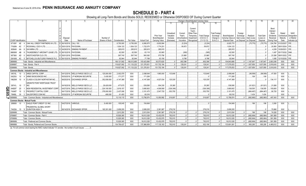## **SCHEDULE D - PART 4**

Showing all Long-Term Bonds and Stocks SOLD, REDEEMED or Otherwise DISPOSED OF During Current Quarter

|                                     |                                                      |                      |                                  |                 |               |              |                    |                             |                       |                          | Change in Book/Adjusted Carrying Value                         |                       |                                    | 17                      |                         |                                | -20                          | 21                      | 22                       |
|-------------------------------------|------------------------------------------------------|----------------------|----------------------------------|-----------------|---------------|--------------|--------------------|-----------------------------|-----------------------|--------------------------|----------------------------------------------------------------|-----------------------|------------------------------------|-------------------------|-------------------------|--------------------------------|------------------------------|-------------------------|--------------------------|
|                                     |                                                      |                      |                                  |                 |               |              |                    |                             | 11                    | 12                       | 13<br>14                                                       | 15                    |                                    |                         |                         |                                |                              |                         |                          |
|                                     |                                                      |                      |                                  |                 |               |              |                    |                             |                       |                          |                                                                |                       |                                    |                         |                         |                                |                              |                         |                          |
|                                     |                                                      |                      |                                  |                 |               |              |                    |                             |                       |                          | Current                                                        |                       |                                    |                         |                         |                                | Bond                         |                         |                          |
|                                     |                                                      |                      |                                  |                 |               |              |                    |                             |                       |                          | Year's                                                         |                       |                                    |                         |                         |                                | Interest /                   |                         |                          |
|                                     |                                                      |                      |                                  |                 |               |              |                    |                             | Unrealized            | Current                  | Other-Than                                                     | <b>Total Foreign</b>  |                                    | Foreign                 |                         |                                | Stock                        | Stated                  | <b>NAIC</b>              |
|                                     |                                                      | Disposal             |                                  | Number of       |               |              |                    | Prior Year<br>Book/Adjusted | Valuation<br>Increase | Year's<br>(Amortization) | Temporary<br><b>Total Change</b><br>in B./A.C.V.<br>Impairment | Exchange<br>Change in | Book/Adjusted<br>Carrying Value at | Exchange<br>Gain (Loss) | Realized<br>Gain (Loss) | <b>Total Gain</b><br>(Loss) on | <b>Dividends</b><br>Received | Contractual<br>Maturity | Designation<br>or Market |
| CUSIP Identification                | Description                                          | Date                 | Name of Purchaser                | Shares of Stock | Consideration | Par Value    | <b>Actual Cost</b> | Carrying Value              | (Decrease)            | / Accretion              | $(11+12-13)$<br>Recognized                                     | B./A.C.V.             | Disposal Date                      | on Disposal             | on Disposa              | Disposal                       | During Year                  | Date                    | Indicator (a)            |
| AE<br>67109Y                        | OAK HILL CREDIT PARTNERS XII LTD.                    | 06/19/2018. CALL 100 |                                  |                 | .6,750,000    | .6,750,000   | 6.856.875          | .6,830,994                  |                       | (5,224)                  | (5,224)                                                        |                       | .6,825,770                         |                         | (75, 770)               | (75, 770)                      | .224,790                     | 01/23/2027.             | 1FE.                     |
| 77426N<br>AC                        | ROCKWALL CDO II LTD.                                 |                      |                                  |                 | .1,834,123    | 1,834,123    | .1.722.070         | 1,774,251                   |                       | .59.872                  | .59.872                                                        |                       | 1,834,123                          |                         |                         |                                | .20.950                      | 08/01/2024.             | 1FF                      |
| 805649<br>AA<br>- 8                 | SAYARRA LTD.                                         |                      | 04/29/2018. SINKING PAYMENT      |                 | .285,915      | .285,915     | .285,915           | .285,915                    |                       |                          |                                                                |                       | 285,915                            |                         |                         |                                | .4.209                       | 10/29/2021.             | 1FF                      |
| 88606W<br>AB                        | THUNDERBOLT AIRCRAFT LEASE LTD                       | 06/15/2018. PAYDOWN  |                                  |                 | 62.500        | .62,500      | 63.118             | 63,065                      |                       | (565)                    | (565)                                                          |                       | .62.500                            |                         |                         |                                | 1.497                        | 05/17/2032. 3AM.        |                          |
| 95736X                              | <b>WESTCHESTER CLO LTD.</b>                          | 05/01/2018. PAYDOWN  |                                  |                 | .597,740      | .597,740     | 560,382            | 573,756                     |                       | .23,985                  | .23,985                                                        |                       | .597.740                           |                         |                         |                                | .23,288                      | 08/01/2022. 1FE.        |                          |
| G6160K                              | 5 MITCHELLS & BUTLERS FINANCE PLC                    |                      | 06/15/2018. SINKING PAYMENT      |                 | .92.944       | .92.944      | 77.788             | 83.156                      |                       | 9.788                    | 9.788                                                          |                       | .92.944                            |                         |                         |                                | .1.085                       | 12/15/2030.             | 1FE.                     |
| 3899999                             | Total - Bonds - Industrial and Miscellaneous         |                      |                                  |                 | 106,121,562   | 106,012,685  | 103,423,890        | .93,573,620                 |                       | .802,396                 | 802,396                                                        |                       | 104,843,666                        |                         | .1,167,847              | .1,167,847                     | .2,803,306                   | <b>XXX</b>              | XXX                      |
| 8399997                             | Total - Bonds - Part 4                               |                      |                                  |                 | .118.827.062  | .111,133,222 | .121,376,931       | .101,702,184                |                       | 129,241                  | 129,241                                                        |                       | 117,079,053                        |                         | 1,637,959               | .1,637,959                     | 3,919,043                    | <b>XXX</b>              | XXX                      |
| 8399999                             | Total - Bonds.                                       |                      |                                  |                 | .118.827.062  | .111.133.222 | 121.376.931        | .101.702.184                |                       | 129.241                  | 129.241                                                        |                       | 117.079.053                        |                         | 1.637.959               | .1.637.959                     | 3.919.043                    | <b>XXX</b>              | <b>XXX</b>               |
|                                     | <b>Common Stocks - Industrial and Miscellaneous</b>  |                      |                                  |                 |               |              |                    |                             |                       |                          |                                                                |                       |                                    |                         |                         |                                |                              |                         |                          |
| 04010L<br>10                        | 3 ARES CAPITAL CORP.                                 |                      | 04/12/2018. WELLS FARGO SECS LLC | 125.000.000     | .2.002.079    | <b>XXX</b>   | .2,098,648         | .1,965,000                  | 133.648               |                          | 133,648                                                        |                       | .2,098,648                         |                         | (96, 569)               | (96, 569)                      | .47,500                      | <b>XXX</b>              |                          |
| 04225U<br>10                        | ARMO BIOSCIENCES INC.                                |                      | 05/30/2018. J.P MORGAN SECURITIE | 3.435.000       | 171,377       | <b>XXX</b>   | .171.269           |                             |                       |                          |                                                                |                       | 171.269                            |                         | .108                    | .108                           |                              | <b>XXX</b>              |                          |
| 19625W<br>10<br>4                   | <b>CLASS A COLONY NORTHSTAR INC.</b>                 |                      | 06/25/2018. EXCHANGE OFFER       | .352.939.000    | .4.147.369    | <b>XXX</b>   | .4.147.369         | .4,027,034                  | 120.335               |                          | 120.335                                                        |                       | .4.147.369                         |                         |                         |                                | .134,117                     | <b>XXX</b>              |                          |
|                                     | <b>GRANITE POINT MORTGAGE TRUST</b>                  |                      |                                  |                 |               |              |                    |                             |                       |                          |                                                                |                       |                                    |                         |                         |                                |                              |                         |                          |
| 38741L 10                           | <b>INC</b>                                           |                      | 04/16/2018. WELLS FARGO SECS LLC | 28.429.000      | .477,675      | <b>XXX</b>   | .539,595           | 504,330                     | 35,265                |                          | .35,265                                                        |                       | 539,595                            |                         | (61,921)                | (61, 921)                      | 21,606                       | XXX                     |                          |
| 64828T<br>-20                       | <b>INEW RESIDENTIAL INVESTMENT CORF</b>              |                      | 04/27/2018. WELLS FARGO SECS LLC | .224.100.000    | 3.819.157     | <b>XXX</b>   | .3.680.602         | .4.006.908                  | (326, 306)            |                          | (326, 306)                                                     |                       | .3.680.602                         |                         | .138.555                | .138.555                       | .193,600                     | <b>XXX</b>              |                          |
| 74348T<br>10                        | 2 PROSPECT CAPITAL CORP.                             |                      | 04/17/2018. WELLS FARGO SECS LLC | .378,000.000    | .2,437,008    | <b>XXX</b>   | .3,101,475         | .2,547,720                  | 553,755               |                          | .553,755                                                       |                       | .3,101,475                         |                         | (664, 467)              | . (664.467)                    | .90,720                      | <b>XXX</b>              |                          |
| 0<br>79466L<br>30<br>ות             | 2 SALESFORCE.COM INC.                                |                      | 05/30/2018. J.P MORGAN SECURITIE | .468.000        | 61.450        | <b>XXX</b>   | .60.016            |                             |                       |                          |                                                                |                       | .60.016                            |                         | .1.434                  | .1.434                         |                              | <b>XXX</b>              |                          |
| 9099999                             | Total - Common Stocks - Industrial and Miscellaneous |                      |                                  |                 | 13,116,115    | <b>XXX</b>   | 13,798,974         | 13,050,992                  | 516,697               |                          | .516,697                                                       |                       | 13,798,974                         |                         | (682, 860)              | (682, 860)                     | .487,543                     | <b>XXX</b>              | <b>XXX</b>               |
| <b>Common Stocks - Mutual Funds</b> |                                                      |                      |                                  |                 |               |              |                    |                             |                       |                          |                                                                |                       |                                    |                         |                         |                                |                              |                         |                          |
| 269808<br>10                        | EAGLE POINT CREDIT CO INC.                           | 04/27/2018. VARIOUS. |                                  | 8.400.000       | 155,045       | <b>XXX</b>   | 154.849            |                             |                       |                          |                                                                |                       | .154.849                           |                         | 196                     | .196                           | .3,360                       | <b>XXX</b>              |                          |
|                                     | PRUDENTIAL GLOBAL SHORT                              |                      |                                  |                 |               |              |                    |                             |                       |                          |                                                                |                       |                                    |                         |                         |                                |                              |                         |                          |
|                                     | 74433A 10 9 DURATION HIGH YI                         |                      | 06/14/2018. EXCHANGE OFFER       | 165.301.000     | 2.658.205     | <b>XXX</b>   | 2.658.205          | .2.381.987                  | 276.218               |                          | .276.218                                                       |                       | 2.658.205                          |                         |                         | . . 0                          | 70,666                       | <b>XXX</b>              |                          |
| 9299999                             | Total - Common Stocks - Mutual Funds.                |                      |                                  |                 | .2,813,250    | <b>XXX</b>   | .2,813,054         | .2,381,987                  | 276,218               | $\Omega$                 | .276,218                                                       |                       | 2,813,054                          |                         | .196                    | .196                           | .74,026                      | <b>XXX</b>              | XXX                      |
| 9799997                             | Total - Common Stocks - Part 4.                      |                      |                                  |                 | .15,929,365   | <b>XXX</b>   | .16,612,028        | 15,432,979                  | 792.915               | $\Omega$                 | .792,915                                                       |                       | 16,612,028                         |                         | (682, 664)              | (682, 664)                     | 561,569                      | <b>XXX</b>              | XXX                      |
| 9799999                             | Total - Common Stocks.                               |                      |                                  |                 | .15.929.365   | <b>XXX</b>   | .16.612.028        | .15,432,979                 | .792.915              | $\Omega$                 | .792,915                                                       |                       | .16,612,028                        |                         | (682.664)               | (682, 664)                     | .561.569                     | <b>XXX</b>              | XXX                      |
| 9899999                             | Total - Preferred and Common Stocks                  |                      |                                  |                 | 15.929.365    | <b>XXX</b>   | 16.612.028         | .15.432.979                 | 792.915               | $\cap$                   | .792.915                                                       |                       | 16,612,028                         |                         | (682.664)               | .(682.664)                     | .561,569                     | <b>XXX</b>              | <b>XXX</b>               |
| 9999999                             | Total - Bonds, Preferred and Common Stocks           |                      |                                  |                 | 134.756.427   | <b>XXX</b>   | 137.988.959        | 117.135.163                 | .792.915              | 129.241                  | .922.156                                                       |                       | 133.691.081                        |                         | .955.295                | .955.295                       | 4.480.612                    | <b>XXX</b>              | <b>XXX</b>               |

(a) For all common stock bearing the NAIC market indicator "U" provide: the number of such issues: ..........0.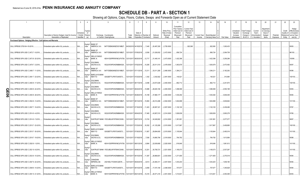## **SCHEDULE DB - PART A - SECTION 1**

|        |                                                                   | $\overline{2}$                                                             | $\overline{3}$                      | $\overline{4}$                                                      | $5\overline{)}$                                    | -6            |                                                          | -8        | 9                  | 10 <sup>1</sup>                                      | 11                                                                              | 12                                                                      | 13                     | 14               | 16         | 17                                                | 18                                                                | 19                                                  | 20                                                       | 21                    | 22                                          | 23                                                                |
|--------|-------------------------------------------------------------------|----------------------------------------------------------------------------|-------------------------------------|---------------------------------------------------------------------|----------------------------------------------------|---------------|----------------------------------------------------------|-----------|--------------------|------------------------------------------------------|---------------------------------------------------------------------------------|-------------------------------------------------------------------------|------------------------|------------------|------------|---------------------------------------------------|-------------------------------------------------------------------|-----------------------------------------------------|----------------------------------------------------------|-----------------------|---------------------------------------------|-------------------------------------------------------------------|
|        | Description                                                       | Description of Item(s) Hedged, Used for Income<br>Generation or Replicated | Schedule<br>/ Exhibit<br>Identifier | Гуре(s)<br>of<br>Risk(s)<br>(a)                                     | Exchange, Counterparty<br>or Central Clearinghouse | Trade<br>Date | Date of<br>Maturity or Number of<br>Expiration Contracts |           | Notional<br>Amount | Strike Price.<br>Rate of Index<br>Received<br>(Paid) | Cumulative<br>Prior Year(s)<br>Initial Cost of<br>Premium<br>(Received)<br>Paid | <b>Current Year</b><br>Initial Cost of<br>Premium<br>(Received)<br>Paid | Current Year<br>Income | Book/Adjusted    | Fair Value | Unrealized<br>Valuation<br>Increase<br>(Decrease) | <b>Total Foreign</b><br>Exchange<br>Change in<br><b>B./A.C.V.</b> | Current<br>Year's<br>(Amortization<br>) / Accretion | Adjustment<br>to Carrying<br>Value of<br>Hedged<br>Items | Potential<br>Exposure | Credit<br>Quality of<br>Reference<br>Entity | Hedge<br>Effectiveness<br>at Inception<br>and at Year-<br>end (b) |
|        |                                                                   |                                                                            |                                     |                                                                     |                                                    |               |                                                          |           |                    |                                                      |                                                                                 |                                                                         |                        | Carrying Value e |            |                                                   |                                                                   |                                                     |                                                          |                       |                                             |                                                                   |
|        | Purchased Options - Hedging Effective - Call Options and Warrants |                                                                            |                                     |                                                                     |                                                    |               |                                                          |           |                    |                                                      |                                                                                 |                                                                         |                        |                  |            |                                                   |                                                                   |                                                     |                                                          |                       |                                             |                                                                   |
|        | CALL SPREAD 2755 M 4-18-2019.                                     | Embedded option within IUL products                                        | N/A                                 | Equity/I BANK OF<br>AMERICA, N.A<br>ndex                            | B4TYDEB6GKMZO031MB27.                              |               | 04/20/2018 04/18/2019                                    | $-.7,440$ | 20,497,200         | 2,755.0000                                           |                                                                                 | .922,560                                                                |                        | .922,560         | .1,000,433 |                                                   |                                                                   |                                                     |                                                          |                       |                                             | 95/93.                                                            |
|        | CALL SPREAD SPX USD C 2472 7 -5-2018                              | Embedded option within IUL products                                        | N/A                                 | <b>BANK OF</b><br>Equity/I<br>AMERICA, N.A<br>ndex                  | B4TYDEB6GKMZO031MB27                               |               | 12/31/2017 07/05/2018                                    | 8,506     | .21,026,832        | 2,472.0000                                           | .856,724                                                                        |                                                                         |                        | .856,724         | 2,094,758  |                                                   |                                                                   |                                                     |                                                          |                       |                                             | 96/100                                                            |
|        | CALL SPREAD SPX USD C 2473 8 -20-2018                             | Embedded option within IUL products                                        | N/A                                 | Equity/I<br><b>WELLS FARGO</b><br>BANK, N.<br>ndex                  | KB1H1DSPRFMYMCUFXT09.                              |               | 12/31/2017 08/20/2018 12,717                             |           | 31,449,141         | 2,473.0000                                           | 1,422,396                                                                       |                                                                         |                        | .1,422,396       | .3,256,296 |                                                   |                                                                   |                                                     |                                                          |                       |                                             | 100/99.                                                           |
|        | CALL SPREAD SPX USD C 2478 7 -2-2018                              | Embedded option within IUL products                                        | N/A                                 | Equity/I<br><b>GOLDMAN</b><br>SACHS & CO.<br>ndex                   | W22LROWP2IHZNBB6K528                               |               | 12/31/2017 07/02/2018  10,295                            |           | 25,511,010         | 2,478.0000                                           | 1,063,679                                                                       |                                                                         |                        | .1,063,679       | 2,473,492  |                                                   |                                                                   |                                                     |                                                          |                       |                                             | 95/97.                                                            |
|        | CALL SPREAD SPX USD C 2480 7 -11-2018                             | Embedded option within IUL products                                        | N/A                                 | <b>BANK OF</b><br>Equity/I<br>AMERICA, N.A.<br>ndex                 | B4TYDEB6GKMZO031MB27                               |               | 12/31/2017 07/11/2018 13,311                             |           | 33,011,280         | 2,480.0000                                           | 1,384,211                                                                       |                                                                         |                        | .1,384,21'       | .3,182,262 |                                                   |                                                                   |                                                     |                                                          |                       |                                             | 95/98.                                                            |
|        | CALL SPREAD SPX USD C 2491 7 -23-2018                             | Embedded option within IUL products                                        | N/A                                 | <b>BARCLAYS BANK</b><br>Equity/I<br>NEW YO<br>ndex                  | G5GSEF7VJP5I7OUK5573                               |               | 12/31/2017 07/23/2018                                    | 1,342     | 3,342,922          | 2,491.0000                                           | 140,521                                                                         |                                                                         |                        | 140,521          | .310,984   |                                                   |                                                                   |                                                     |                                                          |                       |                                             | 100/103.                                                          |
|        | CALL SPREAD SPX USD C 2493 8 -17-2018                             | Embedded option within IUL products                                        | N/A                                 | Equity/I<br>GOLDMAN<br>ndex<br>SACHS & CO,                          | W22LROWP2IHZNBB6K528                               |               | 12/31/2017 08/17/2018                                    | 9,496     | 23,673,528         | 2,493.0000                                           | 862,712                                                                         |                                                                         |                        | .862,712         | 2,241,874  |                                                   |                                                                   |                                                     |                                                          |                       |                                             | 100/100                                                           |
| O      | CALL SPREAD SPX USD C 2493 8 -24-2018                             | Embedded option within IUL products                                        | N/A                                 | GOLDMAN<br>Equity/I<br>ndex<br>SACHS & CO.                          | W22LROWP2IHZNBB6K528                               |               | 12/31/2017 08/24/2018 10,688                             |           | 26,645,184         | .2,493.0000                                          | 1,096,589                                                                       |                                                                         |                        | .1,096,589       | .2,550,188 |                                                   |                                                                   |                                                     |                                                          |                       |                                             | 93/93.                                                            |
| 0<br>თ | CALL SPREAD SPX USD C 2493 8 -28-2018                             | Embedded option within IUL products                                        | N/A                                 | Equity/I<br><b>WELLS FARGO</b><br>BANK, N.<br>ndex                  | KB1H1DSPRFMYMCUFXT09.                              |               | 12/31/2017 08/28/2018 15,189                             |           | 37,866,177         | 2,493.0000                                           | 1,530,292                                                                       |                                                                         |                        | 1,530,292        | 3,646,446  |                                                   |                                                                   |                                                     |                                                          |                       |                                             | 95/94.                                                            |
|        | CALL SPREAD SPX USD C 2502 8 -13-2018                             | Embedded option within IUL products                                        | $N/A$                               | <b>BANK OF</b><br>Equity/I<br>AMERICA, N.A.<br>ndex                 | B4TYDEB6GKMZO031MB27                               |               | 12/31/2017 08/13/2018 15,993                             |           | .40,014,486        | 2,502.0000                                           | 1,604,898                                                                       |                                                                         |                        | 1,604,898        | .3,636,662 |                                                   |                                                                   |                                                     |                                                          |                       |                                             | 101/100.                                                          |
|        | CALL SPREAD SPX USD C 2507 7 -16-2018                             | Embedded option within IUL products                                        | N/A                                 | Equity/I<br><b>GOLDMAN</b><br>ndex<br>SACHS & CO,                   | W22LROWP2IHZNBB6K528                               |               | 12/31/2017 07/16/2018 11,403                             |           | 28,587,321         | 2,507.0000                                           | 1,102,100                                                                       |                                                                         |                        | 1,102,100        | 2,439,496  |                                                   |                                                                   |                                                     |                                                          |                       |                                             | 97/97                                                             |
|        | CALL SPREAD SPX USD C 2514 9-4-2018                               | Embedded option within IUL products                                        | $N/A$                               | Equity/I<br><b>GOLDMAN</b><br>ndex<br>SACHS & CO.                   | W22LROWP2IHZNBB6K528                               |               | 12/31/2017 09/04/2018 17,465                             |           | .43,907,010        | 2,514.0000                                           | 1,826,839                                                                       |                                                                         |                        | 1,826,839        | 3,900,278  |                                                   |                                                                   |                                                     |                                                          |                       |                                             | 97/95                                                             |
|        | CALL SPREAD SPX USD C 2514 9 -7-2018                              | Embedded option within IUL products                                        | N/A                                 | Equity/<br>ndex<br>GOLDMAN                                          | SUNTRUST BANK IYDOJBGJWY9T8XKCSX06.                |               | 12/31/2017 09/07/2018 13,743                             |           | .34,549,902        | 2,514.0000                                           | 1,391,891                                                                       |                                                                         |                        | 1,391,891        | .3,077,077 |                                                   |                                                                   |                                                     |                                                          |                       |                                             | 98/97.                                                            |
|        | CALL SPREAD SPX USD C 2515 7 -23-2018                             | Embedded option within IUL products                                        | N/A                                 | Equity/I<br>SACHS & CO,<br>ndex<br><b>BARCLAYS BANK</b><br>Equity/I | W22LROWP2IHZNBB6K528                               |               | 12/31/2017 07/23/2018  16,352                            |           | 41,125,280         | 2,515.0000                                           | 1,617,867                                                                       |                                                                         |                        | .1,617,867       | .3,409,885 |                                                   |                                                                   |                                                     |                                                          |                       |                                             | 100/100.                                                          |
|        | CALL SPREAD SPX USD C 2515 7 -30-2018                             | Embedded option within IUL products                                        | N/A                                 | ndex<br>NEW YO<br>Equity/l<br>GOLDMAN                               | G5GSEF7VJP5I7OUK5573                               |               | 12/31/2017 07/30/2018 11,807                             |           | .29,694,605        | 2,515.0000                                           | .1,105,844                                                                      |                                                                         |                        | .1,105,844       | .2,493,016 |                                                   |                                                                   |                                                     |                                                          |                       |                                             | 101/100                                                           |
|        | CALL SPREAD SPX USD C 2519 7 -19-2018                             | Embedded option within IUL products                                        | N/A                                 | SACHS & CO,<br>ndex<br>Equity/I<br><b>WELLS FARGO</b>               | W22LROWP2IHZNBB6K528                               |               | 12/31/2017 07/19/2018                                    | 7,936     | 19,990,784         | 2,519.0000                                           | .764,792                                                                        |                                                                         |                        | .764,792         | 1,613,956  |                                                   |                                                                   |                                                     |                                                          |                       |                                             | 95/98.                                                            |
|        | CALL SPREAD SPX USD C 2520 8 -1-2018                              | Embedded option within IUL products                                        | N/A                                 | BANK, N.<br>ndex<br>Equity/                                         | KB1H1DSPRFMYMCUFXT09.                              |               | 12/31/2017 08/01/2018                                    | 8,984     | .22,639,680        | 2,520.0000                                           | .816,646                                                                        |                                                                         |                        | 816,646          | 1,861,612  |                                                   |                                                                   |                                                     |                                                          |                       |                                             | 101/100.                                                          |
|        | CALL SPREAD SPX USD C 2521 8 -6-2018                              | Embedded option within IUL products                                        | N/A                                 | ndex<br>Equity/I<br><b>GOLDMAN</b>                                  | SUNTRUST BANK IYDOJBGJWY9T8XKCSX06                 |               | 12/31/2017 08/06/2018 12,201                             |           | 30,758,721         | 2,521.0000                                           | 1,165,073                                                                       |                                                                         |                        | 1,165,073        | .2,537,267 |                                                   |                                                                   |                                                     |                                                          |                       |                                             | 101/100                                                           |
|        | CALL SPREAD SPX USD C 2533 9 -10-2018                             | Embedded option within IUL products                                        | N/A                                 | ndex<br>SACHS & CO.<br>CANADIAN<br>Equity/I                         | W22LROWP2IHZNBB6K528                               |               | 12/31/2017 09/10/2018 11,397                             |           | .28,868,601        | 2,533.0000                                           | 1,271,905                                                                       |                                                                         |                        | 1,271,905        | 2,375,518  |                                                   |                                                                   |                                                     |                                                          |                       |                                             | 95/94.                                                            |
|        | CALL SPREAD SPX USD C 2547 9 -24-2018                             | Embedded option within IUL products                                        | N/A                                 | <b>IMPERIAL BA</b><br>ndex<br><b>BARCLAYS BANK</b><br>Equity/I      | 2IGI19DL77OX0HC3ZE78                               |               | 12/31/2017 09/24/2018                                    | 9,613     | 24,484,311         | 2,547.0000                                           | 1,043,203                                                                       |                                                                         |                        | .1,043,203       | 1,939,180  |                                                   |                                                                   |                                                     |                                                          |                       |                                             | 94/94.                                                            |
|        | CALL SPREAD SPX USD C 2548 9 -14-2018                             | Embedded option within IUL products                                        | N/A                                 | NEW YO<br>ndex<br><b>WELLS FARGO</b><br>Equity/I                    | G5GSEF7VJP5I7OUK5573                               |               | 12/31/2017 09/14/2018                                    | 6,858     | .17,474,184        | 2,548.0000                                           | .707,677                                                                        |                                                                         |                        | .707,677         | 1,345,628  |                                                   |                                                                   |                                                     |                                                          |                       |                                             | 94/94.                                                            |
|        | CALL SPREAD SPX USD C 2551 9 -21-2018                             | Embedded option within IUL products                                        | N/A.                                | BANK, N.<br>ndex                                                    | KB1H1DSPRFMYMCUFXT09.                              |               | 12/31/2017 09/21/2018                                    | 10,416    | 26,571,216         | .2,551.0000                                          | .1,014,831                                                                      |                                                                         |                        | .1.014.831       | .2,050,369 |                                                   |                                                                   |                                                     |                                                          |                       |                                             | 94/93.                                                            |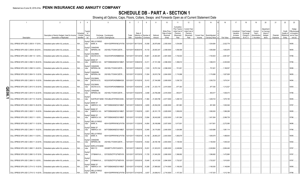## **SCHEDULE DB - PART A - SECTION 1**

|   |                                                                            |                                                                            | $\mathbf{3}$<br>$\overline{4}$                                       |                                                                                 |               |                                 | -8                    | q           | 10 <sup>°</sup>                                      | 11                                                                              | 12                                                                      | 13           | 14                              | 16         | 17                                  | 18                                                                | 19                                                  | 20                                             | 21        | 22                                         | 23                                                                |
|---|----------------------------------------------------------------------------|----------------------------------------------------------------------------|----------------------------------------------------------------------|---------------------------------------------------------------------------------|---------------|---------------------------------|-----------------------|-------------|------------------------------------------------------|---------------------------------------------------------------------------------|-------------------------------------------------------------------------|--------------|---------------------------------|------------|-------------------------------------|-------------------------------------------------------------------|-----------------------------------------------------|------------------------------------------------|-----------|--------------------------------------------|-------------------------------------------------------------------|
|   |                                                                            | Description of Item(s) Hedged, Used for Income<br>Generation or Replicated | Гуре(s<br>Schedul<br>of<br>/ Exhibit<br>Risk(s)<br>Identifier<br>(a) | Exchange, Counterparty<br>or Central Clearinghouse                              | Trade<br>Date | Date of<br>Expiration Contracts | Maturity or Number of | Notional    | Strike Price,<br>Rate of Index<br>Received<br>(Paid) | Cumulative<br>Prior Year(s)<br>Initial Cost of<br>Premium<br>(Received)<br>Paid | <b>Current Year</b><br>Initial Cost of<br>Premium<br>(Received)<br>Paid | Current Year | Book/Adjusted<br>Carrying Value | Fair Value | Unrealized<br>Valuation<br>Increase | <b>Total Foreign</b><br>Exchange<br>Change in<br><b>B./A.C.V.</b> | Current<br>Year's<br>(Amortizatioı<br>) / Accretion | Adjustmen<br>to Carrying<br>Value of<br>Hedged | Potential | Credit<br>Quality o<br>Reference<br>Entity | Hedge<br>Effectiveness<br>at Inception<br>and at Year-<br>end (b) |
|   | Description                                                                |                                                                            |                                                                      | Equity/I WELLS FARGO                                                            |               |                                 |                       | Amount      |                                                      |                                                                                 |                                                                         | Income       |                                 |            | (Decrease)                          |                                                                   |                                                     | Items                                          | Exposure  |                                            |                                                                   |
|   | CALL SPREAD SPX USD C 2555 9-17-2018                                       | Embedded option within IUL products                                        | N/A<br>ndex                                                          | BANK, N.<br>KB1H1DSPRFMYMCUFXT09.                                               |               | 12/31/2017 09/17/2018           | $\dots$ 10,558        | 26,975,690  | 2,555.0000                                           | 1,034,684                                                                       |                                                                         |              | 1,034,684                       | .2,022,778 |                                     |                                                                   |                                                     |                                                |           |                                            | 95/95.                                                            |
|   | CALL SPREAD SPX USD C 2559 9 -28-2018                                      | Embedded option within IUL products                                        | N/A<br>ndex                                                          | Equity/I CANADIAN<br><b>IMPERIAL BA</b><br>2IGI19DL77OX0HC3ZE78                 |               | 12/31/2017 09/28/2018           | .10,133               | 25,930,347  | 2,559.0000                                           | 1,056,568                                                                       |                                                                         |              | 1,056,568                       | 1,953,970  |                                     |                                                                   |                                                     |                                                |           |                                            | 96/95.                                                            |
|   | CALL SPREAD SPX USD C 2581 10 -1-2018                                      | Embedded option within IUL products                                        | Equity/I<br>$N/A$<br>ndex                                            | <b>GOLDMAN</b><br>SACHS & CO,<br>W22LROWP2IHZNBB6K528                           |               | 12/31/2017 10/01/2018           | 16,801                | .43,363,381 | .2,581.0000                                          | 1,730,503                                                                       |                                                                         |              | 1,730,503                       | 2,961,507  |                                     |                                                                   |                                                     |                                                |           |                                            | 97/96.                                                            |
|   | CALL SPREAD SPX USD C 2596 10 -08-2018                                     | Embedded option within IUL products                                        | N/A<br>ndex                                                          | Equity/I BANK OF<br>AMERICA, N.A.<br>B4TYDEB6GKMZO031MB27.                      |               | 12/31/2017 10/08/2018           | 14,311                | 37,151,356  | .2,596.0000                                          | 1,396,610                                                                       |                                                                         |              | 1,396,610                       | 2,400,949  |                                     |                                                                   |                                                     |                                                |           |                                            | 97/96.                                                            |
|   | CALL SPREAD SPX USD C 2598 10 -5-2018                                      | Embedded option within IUL products                                        | $N/A$<br>ndex                                                        | Equity/I CANADIAN<br><b>IMPERIAL BA</b><br>2IGI19DL77OX0HC3ZE78.                |               | 12/31/2017 10/05/2018           | 7,233                 | 18,791,334  | 2,598.0000                                           | 701,601                                                                         |                                                                         |              | 701,601                         | 1,189,557  |                                     |                                                                   |                                                     |                                                |           |                                            | 95/96.                                                            |
|   | CALL SPREAD SPX USD C 2604 10 -12-2018 Embedded option within IUL products |                                                                            | N/A<br>ndex                                                          | Equity/I CANADIAN<br><b>IMPERIAL BA</b><br>2IGI19DL77OX0HC3ZE78                 |               | 12/31/2017 10/12/2018           | 11,834                | 30,815,736  | .2,604.0000                                          | 1,174,998                                                                       |                                                                         |              | 1,174,998                       | 1,927,928  |                                     |                                                                   |                                                     |                                                |           |                                            | 96/95.                                                            |
|   | CALL SPREAD SPX USD C 2609 10 -15-2018 Embedded option within IUL products |                                                                            | Equity/I<br>$N/A$<br>ndex                                            | <b>GOLDMAN</b><br>SACHS & CO,<br>W22LROWP2IHZNBB6K528                           |               | 12/31/2017 10/15/2018           | .10,412               | 27,164,908  | 2,609.0000                                           | 1,036,723                                                                       |                                                                         |              | 1,036,723                       | 1,674,341  |                                     |                                                                   |                                                     |                                                |           |                                            | 94/94.                                                            |
| O | CALL SPREAD SPX USD C 2615 10 -24-2018                                     | Embedded option within IUL products                                        | Equity/I<br>N/A<br>ndex                                              | <b>GOLDMAN</b><br>SACHS & CO,<br>W22LROWP2IHZNBB6K528                           |               | 12/31/2017 10/24/2018           | 8,158                 | 21,333,170  | 2,615.0000                                           | 877,393                                                                         |                                                                         |              | .877,393                        | 1,312,527  |                                     |                                                                   |                                                     |                                                |           |                                            | 93/93.                                                            |
| っ | CALL SPREAD SPX USD C 2616 10 -22-2018 Embedded option within IUL products |                                                                            | Equity/I<br>$N/A$<br>ndex                                            | CANADIAN<br><b>IMPERIAL BA</b><br>2IGI19DL77OX0HC3ZE78.                         |               | 12/31/2017 10/22/2018           | 9,468                 | 24,768,288  | .2,616.0000                                          | 953,617                                                                         |                                                                         |              | .953,617                        | 1,506,473  |                                     |                                                                   |                                                     |                                                |           |                                            | 97/96.                                                            |
|   | CALL SPREAD SPX USD C 2617 10 -19-2018 Embedded option within IUL products |                                                                            | Equity/<br>N/A<br>ndex                                               | SUNTRUST BANK IYDOJBGJWY9T8XKCSX06                                              |               | 12/31/2017 10/19/2018           | 11,964                | 31,309,788  | .2,617.0000                                          | 1,208,723                                                                       |                                                                         |              | 1,208,723                       | 1,875,195  |                                     |                                                                   |                                                     |                                                |           |                                            | 95/95.                                                            |
|   | CALL SPREAD SPX USD C 2626 10 -29-2018 Embedded option within IUL products |                                                                            | Equity/I<br>N/A<br>ndex                                              | <b>BANK OF</b><br>AMERICA, N.A.<br>B4TYDEB6GKMZO031MB27                         |               | 12/31/2017 10/29/2018           | 9,655                 | 25,354,030  | .2,626.0000                                          | 951,983                                                                         |                                                                         |              | .951,983                        | 1,500,546  |                                     |                                                                   |                                                     |                                                |           |                                            | 97/97.                                                            |
|   | CALL SPREAD SPX USD C 2629 11 -16-2018 Embedded option within IUL products |                                                                            | N/A<br>ndex                                                          | Equity/I BANK OF<br>AMERICA, N.A<br>B4TYDEB6GKMZO031MB27                        |               | 12/31/2017 11/16/2018           | 9,951                 | 26,161,179  | 2,629.0000                                           | 1,090,630                                                                       |                                                                         |              | 1,090,630                       | 1,586,298  |                                     |                                                                   |                                                     |                                                |           |                                            | 95/95                                                             |
|   | CALL SPREAD SPX USD C 2632 11 -1-2018                                      | Embedded option within IUL products                                        | Equity/I<br>N/A<br>ndex                                              | <b>BANK OF</b><br>AMERICA, N.A.<br>B4TYDEB6GKMZO031MB27                         |               | 12/31/2017 11/01/2018           | 13,694                | 36,042,608  | .2,632.0000                                          | 1,451,564                                                                       |                                                                         |              | 1,451,564                       | 2,086,739  |                                     |                                                                   |                                                     |                                                |           |                                            | 97/96.                                                            |
|   | CALL SPREAD SPX USD C 2637 11 -12-2018 Embedded option within IUL products |                                                                            | Equity/I<br>N/A<br>ndex                                              | <b>WELLS FARGO</b><br>KB1H1DSPRFMYMCUFXT09. 12/31/2017<br>BANK, N.              |               | 11/12/2018                      | 14,854                | 39,169,998  | .2,637.0000                                          | 1,617,601                                                                       |                                                                         |              | 1,617,601                       | 2,272,085  |                                     |                                                                   |                                                     |                                                |           |                                            | 96/96.                                                            |
|   | CALL SPREAD SPX USD C 2640 11 -19-2018 Embedded option within IUL products |                                                                            | N/A<br>ndex                                                          | Equity/I BANK OF<br>AMERICA, N.A.<br>B4TYDEB6GKMZO031MB27                       |               | 12/31/2017 11/19/2018           | 12,945                | 34,174,800  | .2,640.0000                                          | 1,424,986                                                                       |                                                                         |              | 1,424,986                       | 1,981,114  |                                     |                                                                   |                                                     |                                                |           |                                            | 97/96.                                                            |
|   | CALL SPREAD SPX USD C 2643 11 -5-2018                                      | Embedded option within IUL products                                        | Equity/I<br>N/A<br>ndex                                              | <b>WELLS FARGO</b><br>BANK, N.<br>KB1H1DSPRFMYMCUFXT09. 12/31/2017 11/05/2018   |               |                                 | .10,159               | 26,850,237  | .2,643.0000                                          | 1,065,679                                                                       |                                                                         |              | 1,065,679                       | 1,488,643  |                                     |                                                                   |                                                     |                                                |           |                                            | 95/95                                                             |
|   | CALL SPREAD SPX USD C 2653 11 -23-2018 Embedded option within IUL products |                                                                            | Equity/I<br>N/A<br>ndex                                              | CANADIAN<br><b>IMPERIAL BA</b><br>2IGI19DL77OX0HC3ZE78                          | 12/31/2017    | 11/23/2018                      | 10,622                | 28,180,166  | .2,653.0000                                          | 1, 136, 554                                                                     |                                                                         |              | 1,136,554                       | 1,546,324  |                                     |                                                                   |                                                     |                                                |           |                                            | 93/92                                                             |
|   | CALL SPREAD SPX USD C 2665 11 -28-2018 Embedded option within IUL products |                                                                            | Equity/I<br>N/A<br>ndex                                              | <b>BARCLAYS BANK</b><br>NEW YO<br>G5GSEF7VJP5I7OUK5573                          | 12/31/2017    | 11/28/2018                      | 19,251                | 51,303,915  | .2,665.0000                                          | 2,249,864                                                                       |                                                                         |              | 2,249,864                       | 2,684,446  |                                     |                                                                   |                                                     |                                                |           |                                            | 97/97.                                                            |
|   | CALL SPREAD SPX USD C 2690 12 -07-2018 Embedded option within IUL products |                                                                            | Equity/<br>N/A<br>ndex                                               | CITIBANK N.A E57ODZWZ7FF32TWEFA76                                               |               | 12/31/2017 12/07/2018           | 11,725                | 31,540,250  | .2,690.0000                                          | 1,396,682                                                                       |                                                                         |              | 1,396,682                       | 1,472,890  |                                     |                                                                   |                                                     |                                                |           |                                            | 97/97.                                                            |
|   | CALL SPREAD SPX USD C 2694 12 -3-2018                                      | Embedded option within IUL products                                        | Equity<br>N/A<br>ndex                                                | CITIBANK N.A E57ODZWZ7FF32TWEFA76                                               |               | 12/31/2017 12/03/2018           | 15,645                | 42,147,630  | .2,694.0000                                          | 1,732,527                                                                       |                                                                         |              | 1,732,527                       | 1,910,630  |                                     |                                                                   |                                                     |                                                |           |                                            | 97/97.                                                            |
|   | CALL SPREAD SPX USD C 2714 12 -10-2018 Embedded option within IUL products |                                                                            | Equity/I<br>N/A<br>ndex                                              | <b>BANK OF</b><br>AMERICA, N.A.<br>B4TYDEB6GKMZO031MB27. 12/31/2017 12/10/2018  |               |                                 | 10,280                | 27,899,920  | 2,714.0000                                           | 1,195,050                                                                       |                                                                         |              | 1,195,050                       | 1,148,948  |                                     |                                                                   |                                                     |                                                |           |                                            | 95/95.                                                            |
|   | CALL SPREAD SPX USD C 2716 12 -14-2018 Embedded option within IUL products |                                                                            | N/A.<br>ndex                                                         | Equity/I WELLS FARGO<br>BANK, N.<br>KB1H1DSPRFMYMCUFXT09. 12/31/2017 12/14/2018 |               |                                 | 9,057                 | 24,598,812  | 2,716.0000                                           | 1,157,303                                                                       |                                                                         |              | .1,157,303                      | 1,012,189  |                                     |                                                                   |                                                     |                                                |           |                                            | 97/96.                                                            |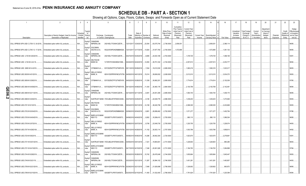## **SCHEDULE DB - PART A - SECTION 1**

|   |                                                                            |                                                                            | $\mathbf{3}$<br>$\overline{4}$                                |                                                                                        |       |                              | -8                    |             | 10 <sup>°</sup>                            | 11                                                                      | 12                                                              | 13           | 14             | 16         | 17                                  | 18                                                                | 19                                 | 20                                             | 21        | 22                               | 23                                                    |
|---|----------------------------------------------------------------------------|----------------------------------------------------------------------------|---------------------------------------------------------------|----------------------------------------------------------------------------------------|-------|------------------------------|-----------------------|-------------|--------------------------------------------|-------------------------------------------------------------------------|-----------------------------------------------------------------|--------------|----------------|------------|-------------------------------------|-------------------------------------------------------------------|------------------------------------|------------------------------------------------|-----------|----------------------------------|-------------------------------------------------------|
|   |                                                                            | Description of Item(s) Hedged, Used for Income<br>Generation or Replicated | Гуре(s<br>Schedul<br>of<br>/ Exhibit<br>Risk(s)<br>Identifier | Exchange, Counterparty<br>or Central Clearinghouse                                     | Trade | Date of                      | Maturity or Number of | Notional    | Strike Price,<br>Rate of Index<br>Received | Cumulative<br>Prior Year(s)<br>Initial Cost of<br>Premium<br>(Received) | <b>Current Year</b><br>Initial Cost of<br>Premium<br>(Received) | Current Year | Book/Adjusted  |            | Unrealized<br>Valuation<br>Increase | <b>Total Foreign</b><br>Exchange<br>Change in<br><b>B./A.C.V.</b> | Current<br>Year's<br>(Amortizatioı | Adjustmen<br>to Carrying<br>Value of<br>Hedged | Potential | Credit<br>Quality o<br>Reference | Hedge<br>Effectiveness<br>at Inception<br>and at Year |
|   | Description                                                                |                                                                            |                                                               | Equity/I CANADIAN                                                                      | Date  |                              | Expiration Contracts  | Amount      | (Paid)                                     | Paid                                                                    | Paid                                                            | Income       | Carrying Value | Fair Value | (Decrease)                          |                                                                   | ) / Accretion                      | Items                                          | Exposure  | Entity                           | end (b)                                               |
|   | CALL SPREAD SPX USD C 2736 12 -24-2018 Embedded option within IUL products |                                                                            | N/A<br>ndex                                                   | <b>IMPERIAL BA</b><br>2IGI19DL77OX0HC3ZE78.                                            |       | 12/31/2017 12/24/2018 23,054 |                       | .63,075,744 | .2,736.0000                                | 2,656,051                                                               |                                                                 |              | 2,656,051      | 2,386,114  |                                     |                                                                   |                                    |                                                |           |                                  | 96/95.                                                |
|   | CALL SPREAD SPX USD C 2740 12 -17-2018 Embedded option within IUL products |                                                                            | Equity/I<br>N/A<br>ndex                                       | <b>GOLDMAN</b><br>SACHS & CO,<br>W22LROWP2IHZNBB6K528                                  |       | 12/31/2017 12/17/2018        | 13,824                | 37,877,760  | 2,740.0000                                 | 1,572,895                                                               |                                                                 |              | 1,572,895      | 1,361,132  |                                     |                                                                   |                                    |                                                |           |                                  | 96/95.                                                |
|   | CALL SPREAD USD 2,703 M 4/25/2019.                                         | Embedded option within IUL products                                        | Equity/I<br>$N/A$<br>ndex                                     | CANADIAN<br><b>IMPERIAL BA</b><br>2IGI19DL77OX0HC3ZE78                                 |       | 04/27/2018 04/25/2019        | 8,895                 | 24,043,185  | 2,703.0000                                 |                                                                         | 1,378,725                                                       |              | 1,378,725      | 1,498,106  |                                     |                                                                   |                                    |                                                |           |                                  | 93/91.                                                |
|   | CALL SPREAD USD 2,724 M 4-22-19.                                           | Embedded option within IUL products                                        | N/A<br>ndex                                                   | Equity/I DEUTSCHE<br><b>BANK SA</b><br>7LTWFZYICNSX8D621K86                            |       | 04/24/2018 04/22/2019        | 14,593                | 39,751,332  | .2,724.0000                                |                                                                         | 2,057,613                                                       |              | 2,057,613      | .2,253,777 |                                     |                                                                   |                                    |                                                |           |                                  | 96/94.                                                |
|   | CALL SPREAD USD 2695 M 5-9-2019.                                           | Embedded option within IUL products                                        | Equity/<br>N/A<br>ndex                                        | CITIBANK N.A E57ODZWZ7FF32TWEFA76 05/11/2018 05/09/2019                                |       |                              | 7,054                 | .19,010,530 | 2,695.0000                                 |                                                                         | .1,060,216                                                      |              | 1,060,216      | 1,023,217  |                                     |                                                                   |                                    |                                                |           |                                  | 96/93.                                                |
|   | CALL SPREAD USD 2638 M 4/01/2019                                           | Embedded option within IUL products                                        | Equity/I<br>N/A<br>ndex                                       | <b>WELLS FARGO</b><br>BANK, N.<br>KB1H1DSPRFMYMCUFXT09. 04/05/2018 04/01/2019          |       |                              | .15,014               | .39,606,932 | 2,638.0000                                 |                                                                         | 3,013,010                                                       |              | 3,013,010      | 3,034,372  |                                     |                                                                   |                                    |                                                |           |                                  | 95/93.                                                |
|   | CALL SPREAD USD 2659 M 3/28/2019                                           | Embedded option within IUL products                                        | Equity/<br>N/A<br>ndex                                        | CITIBANK N.A E57ODZWZ7FF32TWEFA76 04/02/2018 03/28/2019                                |       |                              | 11,539                | 30,682,201  | 2,659.0000                                 |                                                                         | 1,774,814                                                       |              | 1,774,814      | 2,152,036  |                                     |                                                                   |                                    |                                                |           |                                  | 97/95.                                                |
| O | CALL SPREAD USD 2664 M 04/08/2019                                          | Embedded option within IUL products                                        | Equity<br>N/A<br>ndex                                         | CITIBANK N.A E57ODZWZ7FF32TWEFA76 04/13/2018 04/08/2019                                |       |                              | 11,434                | 30,460,176  | 2,664.0000                                 |                                                                         | 2,100,769                                                       |              | 2,100,769      | 2,142,481  |                                     |                                                                   |                                    |                                                |           |                                  | 96/94.                                                |
| っ | CALL SPREAD USD 2695 M 02/11/2019                                          | Embedded option within IUL products                                        | Equity/I<br>N/A<br>ndex                                       | CANADIAN<br><b>IMPERIAL BA</b><br>2IGI19DL77OX0HC3ZE78.                                |       | 02/13/2018 02/11/2019        | 9,481                 | 25,551,295  | 2,695.0000                                 |                                                                         | 1,564,744                                                       |              | 1,564,744      | 1,409,170  |                                     |                                                                   |                                    |                                                |           |                                  | 96/95.                                                |
|   | CALL SPREAD USD 2696 M 3/25/2019                                           | Embedded option within IUL products                                        | Equity/<br>N/A<br>ndex                                        | SUNTRUST BANK IYDOJBGJWY9T8XKCSX06                                                     |       | 03/27/2018 03/25/2019        | 9,106                 | 24,549,776  | 2,696.0000                                 |                                                                         | 1,439,203                                                       |              | 1,439,203      | 1,473,946  |                                     |                                                                   |                                    |                                                |           |                                  | 95/93.                                                |
|   | CALL SPREAD USD 2701 M 5/1/2019.                                           | Embedded option within IUL products                                        | N/A<br>ndex                                                   | Equity/I DEUTSCHE<br><b>BANK SA</b><br>7LTWFZYICNSX8D621K86                            |       | 05/04/2018 05/01/2019        | 14,158                | 38,240,758  | .2,701.0000                                |                                                                         | 2,088,305                                                       |              | 2,088,305      | 2,433,668  |                                     |                                                                   |                                    |                                                |           |                                  | 95/93.                                                |
|   | CALL SPREAD USD 2702 M 02/04/2019.                                         | Embedded option within IUL products                                        | Equity/I<br>N/A<br>ndex                                       | <b>GOLDMAN</b><br>SACHS & CO,<br>W22LROWP2IHZNBB6K528                                  |       | 02/06/2018 02/04/2019        | 9,881                 | .26,698,462 | 2,702.0000                                 |                                                                         | 1,571,277                                                       |              | 1,571,277      | 1,402,794  |                                     |                                                                   |                                    |                                                |           |                                  | 17/96                                                 |
|   | CALL SPREAD USD 2705 M 04/04/2019.                                         | Embedded option within IUL products                                        | N/A<br>ndex                                                   | Equity/I BARCLAYS BANK<br>NEW YO<br>G5GSEF7VJP5I7OUK5573                               |       | 04/06/2018 04/04/2019        | 6,802                 | 18,399,410  | 2,705.0000                                 |                                                                         | 890,110                                                         |              | .890,110       | 1,086,304  |                                     |                                                                   |                                    |                                                |           |                                  | 96/95.                                                |
|   | CALL SPREAD USD 2705 M 2/07/2019                                           | Embedded option within IUL products                                        | Equity/I<br>N/A<br>ndex                                       | <b>WELLS FARGO</b><br>BANK, N.<br>KB1H1DSPRFMYMCUFXT09. 02/09/2018 02/07/2019          |       |                              | 8,706                 | 23,549,730  | 2,705.0000                                 |                                                                         | 1,220,755                                                       |              | 1,220,755      | 1,228,074  |                                     |                                                                   |                                    |                                                |           |                                  | 94/93.                                                |
|   | CALL SPREAD USD 2707 M 4/29/2109                                           | Embedded option within IUL products                                        | N/A<br>ndex                                                   | Equity/I WELLS FARGO<br>KB1H1DSPRFMYMCUFXT09. 05/01/2018 04/29/2019 11,102<br>BANK, N. |       |                              |                       | 30,053,114  | .2,707.0000                                |                                                                         | 1,503,766                                                       |              | 1,503,766      | 1,858,913  |                                     |                                                                   |                                    |                                                |           |                                  | 94/92.                                                |
|   | CALL SPREAD USD 2724 M 5/6/2019                                            | Embedded option within IUL products                                        | Equity/I<br>N/A<br>ndex                                       | <b>BARCLAYS BANK</b><br>NEW YO<br>G5GSEF7VJP5I7OUK5573                                 |       | 05/08/2018 05/06/2019        | 14,296                | .38,942,304 | 2,724.0000                                 |                                                                         | 1,923,670                                                       |              | 1,923,670      | 2,278,891  |                                     |                                                                   |                                    |                                                |           |                                  | 93/91.                                                |
|   | CALL SPREAD USD 2731 M 03/01/2019.                                         | Embedded option within IUL products                                        | Equity/<br>N/A<br>ndex                                        | SUNTRUST BANK IYDOJBGJWY9T8XKCSX06                                                     |       | 03/05/2018 03/01/2019        | 7,321                 | 19,993,651  | 2,731.0000                                 |                                                                         | 1,228,903                                                       |              | 1,228,903      | .965,266   |                                     |                                                                   |                                    |                                                |           |                                  | 96/93.                                                |
|   | CALL SPREAD USD 2731 M 04/15/2019.                                         | Embedded option within IUL products                                        | Equity/I<br>$N/A$<br>ndex                                     | <b>BARCLAYS BANK</b><br>NEW YO<br>G5GSEF7VJP5I7OUK5573                                 |       | 04/17/2018 04/15/2019        | 7,346                 | 20,061,926  | .2,731.0000                                |                                                                         | 1,184,763                                                       |              | 1,184,763      | 1,084,898  |                                     |                                                                   |                                    |                                                |           |                                  | 97/94.                                                |
|   | CALL SPREAD USD 2744 M 5/28/2019                                           | Embedded option within IUL products                                        | Equity/I<br>N/A<br>ndex                                       | CANADIAN<br><b>IMPERIAL BA</b><br>2IGI19DL77OX0HC3ZE78.                                |       | 05/30/2018 05/28/2019        | 10,742                | 29,476,048  | 2,744.0000                                 |                                                                         | 1,655,664                                                       |              | 1,655,664      | 1,645,447  |                                     |                                                                   |                                    |                                                |           |                                  | 95/93.                                                |
|   | CALL SPREAD USD 2746 M 03/21/19                                            | Embedded option within IUL products                                        | Equity/I<br>N/A<br>ndex                                       | CANADIAN<br><b>IMPERIAL BA</b><br>2IGI19DL77OX0HC3ZE78.                                |       | 03/23/2018 03/21/2019        | 11,287                | 30,994,102  | 2,746.0000                                 |                                                                         | 1,401,281                                                       |              | 1,401,281      | 1,463,857  |                                     |                                                                   |                                    |                                                |           |                                  | 94/93.                                                |
|   | CALL SPREAD USD 2756 M 02/21/2019.                                         | Embedded option within IUL products                                        | Equity/I<br>N/A<br>ndex                                       | <b>WELLS FARGO</b><br>BANK, N.<br>KB1H1DSPRFMYMCUFXT09. 02/26/2018 02/21/2019          |       |                              | 7,848                 | 21,629,088  | 2,756.0000                                 |                                                                         | 1,328,902                                                       |              | 1,328,902      | .900,872   |                                     |                                                                   |                                    |                                                |           |                                  | 98/95.                                                |
|   | CALL SPREAD USD 2766 M 02/15/2019.                                         | Embedded option within IUL products                                        | N/A.<br>ndex                                                  | Equity/I BARCLAYS BANK<br>NEW YO<br>G5GSEF7VJP5I7OUK5573 02/20/2018 02/15/2019 11,400  |       |                              |                       | 31,532,400  | 2,766.0000                                 |                                                                         | .1,791,624                                                      |              | .1,791,624     | 1,220,399  |                                     |                                                                   |                                    |                                                |           |                                  | 95/94.                                                |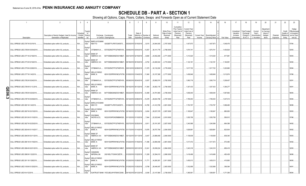## **SCHEDULE DB - PART A - SECTION 1**

|                |                                    | $\overline{2}$                                                             | $\mathbf{3}$                      | $\overline{4}$     |                                                    | 5                                                       | $\mathsf{6}$  |                                     | 8                      | -9                 | 10                                                   | 11                                                                             | 12                                                                      | 13                     | 14                              | 16         | 17                                                | 18                                                                | 19                                                 | 20                                                       | 21                    | 22                                         | 23                                                                |
|----------------|------------------------------------|----------------------------------------------------------------------------|-----------------------------------|--------------------|----------------------------------------------------|---------------------------------------------------------|---------------|-------------------------------------|------------------------|--------------------|------------------------------------------------------|--------------------------------------------------------------------------------|-------------------------------------------------------------------------|------------------------|---------------------------------|------------|---------------------------------------------------|-------------------------------------------------------------------|----------------------------------------------------|----------------------------------------------------------|-----------------------|--------------------------------------------|-------------------------------------------------------------------|
|                | Description                        | Description of Item(s) Hedged, Used for Income<br>Generation or Replicated | Schedu<br>/ Exhibit<br>Identifier | (rype(s<br>Risk(s) | Exchange, Counterparty<br>or Central Clearinghouse |                                                         | Trade<br>Date | Date o<br>Maturity or<br>Expiration | Number of<br>Contracts | Notional<br>Amount | Strike Price,<br>Rate of Index<br>Received<br>(Paid) | Cumulative<br>Prior Year(s)<br>Initial Cost o<br>Premium<br>(Received)<br>Paid | <b>Current Year</b><br>Initial Cost of<br>Premium<br>(Received)<br>Paid | Current Year<br>Income | Book/Adjusted<br>Carrying Value | Fair Value | Unrealized<br>Valuation<br>Increase<br>(Decrease) | <b>Total Foreigr</b><br>Exchange<br>Change in<br><b>B./A.C.V.</b> | Current<br>Year's<br>Amortizatior<br>) / Accretion | Adjustment<br>to Carrying<br>Value of<br>Hedged<br>Items | Potential<br>Exposure | Credit<br>Quality o<br>Reference<br>Entity | Hedge<br>Effectiveness<br>at Inception<br>and at Year-<br>end (b) |
|                | CALL SPREAD USD 2767 M 03/18/19.   | Embedded option within IUL products.                                       | N/A                               | Equity/I<br>ndex   | <b>BARCLAYS BANK</b><br>NEW YO                     | G5GSEF7VJP5I7OUK5573                                    |               | 03/20/2018 03/18/2019               | 9,015                  | 24,944,505         | 2,767.0000                                           |                                                                                | 1,407,873                                                               |                        | 1,407,873                       | .1,048,476 |                                                   |                                                                   |                                                    |                                                          |                       |                                            | 37/94                                                             |
|                | CALL SPREAD USD 2768 M 03/04/2019. | Embedded option within IUL products.                                       | N/A                               | Equity<br>ndex     | CITIBANK N.A                                       | E57ODZWZ7FF32TWEFA76                                    |               | 03/06/2018 03/04/2019               | 13,057                 | 36,141,776         | 2,768.0000                                           |                                                                                | 1,974,741                                                               |                        | 1,974,741                       | .1,454,824 |                                                   |                                                                   |                                                    |                                                          |                       |                                            | 92/93                                                             |
|                | CALL SPREAD USD 2771 M 2/19/2019.  | Embedded option within IUL products.                                       | N/A                               | Equity/I<br>ndex   | <b>BANK OF</b><br>AMERICA, N.A.                    | B4TYDEB6GKMZO031MB27                                    |               | 02/21/2018 02/19/2019               | $\dots$ 8,680          | 24,052,280         | 2,771.0000                                           |                                                                                | 1,313,024                                                               |                        | 1,313,024                       | 917,981    |                                                   |                                                                   |                                                    |                                                          |                       |                                            | 95/93                                                             |
|                | CALL SPREAD USD 2772 M 5/16/2019.  | Embedded option within IUL products.                                       | N/A                               | Equity/<br>ndex    | <b>BANK OF</b><br>AMERICA, N.A                     | B4TYDEB6GKMZO031MB27                                    |               | 05/18/2018 05/16/2019               | 8,752                  | 24,260,544         | 2,772.0000                                           |                                                                                | 1,122,181                                                               |                        | .1,122,181                      | 1,164,981  |                                                   |                                                                   |                                                    |                                                          |                       |                                            | 94/92                                                             |
|                | CALL SPREAD USD 2776 M 2/28/2019.  | Embedded option within IUL products.                                       | $N/A$                             | Equity/<br>ndex    |                                                    | CITIBANK N.A E57ODZWZ7FF32TWEFA76 03/01/2018 02/28/2019 |               |                                     | 11,575                 | 32,132,200         | 2,776.0000                                           |                                                                                | 1,617,722                                                               |                        | .1,617,722                      | .1,220,680 |                                                   |                                                                   |                                                    |                                                          |                       |                                            | 95/94                                                             |
|                | CALL SPREAD USD 2777 M 1/4/2019.   | Embedded option within IUL products.                                       | $N/A$                             | Equity/<br>ndex    | <b>WELLS FARGO</b><br>BANK, N.                     | KB1H1DSPRFMYMCUFXT09. 01/05/2018 01/04/2019             |               |                                     | 11,940                 | 33,157,380         | 2,777.0000                                           |                                                                                | 1,458,949                                                               |                        | 1,458,949                       | .1,013,974 |                                                   |                                                                   |                                                    |                                                          |                       |                                            | 37/96                                                             |
|                | CALL SPREAD USD 2782 M 5/24/2019.  | Embedded option within IUL products.                                       | N/A                               | Equity/<br>ndex    | CITIBANK N.A                                       | E57ODZWZ7FF32TWEFA76 05/29/2018 05/24/2019              |               |                                     | 9,307                  | 25,892,074         | 2,782.0000                                           |                                                                                | 1,060,719                                                               |                        | 1,060,719                       | .1,208,407 |                                                   |                                                                   |                                                    |                                                          |                       |                                            | 92/91                                                             |
|                | CALL SPREAD USD 2784 M 5-13-2019   | Embedded option within IUL products.                                       | N/A                               | Equity/I<br>ndex   | <b>WELLS FARGO</b><br>BANK, N.                     | KB1H1DSPRFMYMCUFXT09. 05/15/2018 05/13/2019 11,064      |               |                                     |                        | 30,802,176         | 2,784.0000                                           |                                                                                | 1,307,433                                                               |                        | 1,307,433                       | .1,394,277 |                                                   |                                                                   |                                                    |                                                          |                       |                                            | 94/91.                                                            |
| O<br>m<br>01   | CALL SPREAD USD 2785 M 5/20/2019.  | Embedded option within IUL products.                                       | $N/A$                             | Equity/I<br>ndex   | <b>BANK OF</b><br>AMERICA, N.A                     | B4TYDEB6GKMZO031MB27                                    |               | 05/22/2018 05/20/2019               | 12,489                 | 34,781,865         | 2,785.0000                                           |                                                                                | 1,658,040                                                               |                        | .1,658,040                      | .1,587,882 |                                                   |                                                                   |                                                    |                                                          |                       |                                            | 96/94.                                                            |
| <u>_</u><br>ယ၊ | CALL SPREAD USD 2787 M 03/08/2019. | Embedded option within IUL products.                                       | N/A                               | Equity<br>ndex     |                                                    | CITIBANK N.A E57ODZWZ7FF32TWEFA76 03/12/2018 03/08/2019 |               |                                     | 10,278                 | 28,644,786         | 2,787.0000                                           |                                                                                | 1,795,053                                                               |                        | 1,795,053                       | .1,047,014 |                                                   |                                                                   |                                                    |                                                          |                       |                                            | 95/94                                                             |
|                | CALL SPREAD USD 2801 M 1/4/2019.   | Embedded option within IUL products.                                       | N/A                               | Equity/I<br>ndex   | <b>BARCLAYS BANK</b><br>NEW YO                     | G5GSEF7VJP5I7OUK5573                                    |               | 01/09/2018 01/07/2019               | 14,785                 | 41,412,785         | 2,801.0000                                           |                                                                                | 1,753,797                                                               |                        | .1,753,797                      | 1,088,480  |                                                   |                                                                   |                                                    |                                                          |                       |                                            | 96/96                                                             |
|                | CALL SPREAD USD 2807 M 03/15/2019. | Embedded option within IUL products.                                       | N/A                               | Equity/I<br>ndex   | <b>WELLS FARGO</b><br>BANK, N.                     | KB1H1DSPRFMYMCUFXT09. 03/19/2018 03/15/2019             |               |                                     | 9,454                  | 26,537,378         | 2,807.0000                                           |                                                                                | 1,195,647                                                               |                        | .1,195,647                      | .880,650   |                                                   |                                                                   |                                                    |                                                          |                       |                                            | 95/93                                                             |
|                | CALL SPREAD USD 2810 M 01/10/2019. | Embedded option within IUL products.                                       | $N/A$                             | Equity/I<br>ndex   | <b>GOLDMAN</b><br>SACHS & CO.                      | W22LROWP2IHZNBB6K528                                    |               | 01/12/2018 01/10/2019               | 7,944                  | 22,322,640         | 2,810.0000                                           |                                                                                | 1,055,758                                                               |                        | 1,055,758                       | .556,912   |                                                   |                                                                   |                                                    |                                                          |                       |                                            | 37/96.                                                            |
|                | CALL SPREAD USD 2827 M 02/25/2019. | Embedded option within IUL products.                                       | N/A                               | Equity<br>ndex     | CITIBANK N.A                                       | E57ODZWZ7FF32TWEFA76 02/27/2018 02/25/2019              |               |                                     | 8,911                  | 25,191,397         | 2,827.0000                                           |                                                                                | 1,240,589                                                               |                        | .1,240,589                      | .694,389   |                                                   |                                                                   |                                                    |                                                          |                       |                                            | 94/92                                                             |
|                | CALL SPREAD USD 2834 M 01/14/2017. | Embedded option within IUL products.                                       | N/A                               | Equity/I<br>ndex   | <b>WELLS FARGO</b><br>BANK, N.                     | KB1H1DSPRFMYMCUFXT09. 01/17/2018 01/14/2019 .           |               |                                     | 13,676                 | 38,757,784         | 2,834.0000                                           |                                                                                | 1,828,891                                                               |                        | .1,828,89'                      | .823,634   |                                                   |                                                                   |                                                    |                                                          |                       |                                            | 95/92                                                             |
|                | CALL SPREAD USD 2840 M 03/11/2019. | Embedded option within IUL products.                                       | N/A                               | Equity/I<br>ndex   | <b>BANK OF</b><br>AMERICA, N.A.                    | B4TYDEB6GKMZO031MB27                                    |               | 03/13/2018 03/11/2019               | 8,447                  | 23,989,480         | 2,840.0000                                           |                                                                                | 1,139,838                                                               |                        | 1,139,838                       | .639,340   |                                                   |                                                                   |                                                    |                                                          |                       |                                            | 95/93                                                             |
|                | CALL SPREAD USD 2861 M 01/18/2019. | Embedded option within IUL products.                                       | N/A                               | Equity/I<br>ndex   | <b>WELLS FARGO</b><br>BANK, N.                     | KB1H1DSPRFMYMCUFXT09. 01/22/2018 01/18/2019 11,496      |               |                                     |                        | 32,890,056         | 2,861.0000                                           |                                                                                | 1,517,472                                                               |                        | 1,517,472                       | .573,485   |                                                   |                                                                   |                                                    |                                                          |                       |                                            | 94/92                                                             |
|                | CALL SPREAD USD 2864 M 02/01/2019. | Embedded option within IUL products.                                       | N/A                               | Equity/I<br>ndex   | <b>BANK OF</b><br>AMERICA, N.A.                    | B4TYDEB6GKMZO031MB27.                                   |               | 02/05/2018 02/01/2019               | .12,241                | 35,058,224         | 2,864.0000                                           |                                                                                | 1,243,318                                                               |                        | 1,243,318                       | .656,418   |                                                   |                                                                   |                                                    |                                                          |                       |                                            | 92/93                                                             |
|                | CALL SPREAD USD 2890 M 1/22/2019.  | Embedded option within IUL products.                                       | N/A                               | Equity/I<br>ndex   | CANADIAN<br><b>IMPERIAL BA</b>                     | 2IGI19DL77OX0HC3ZE78                                    |               | 01/23/2018 01/22/2019 11,209        |                        | 32,394,010         | 2,890.0000                                           |                                                                                | 1,418,499                                                               |                        | 1,418,499                       | .450,439   |                                                   |                                                                   |                                                    |                                                          |                       |                                            | 96/96                                                             |
|                | CALL SPREAD USD 2911 M 1/28/2019   | Embedded option within IUL products.                                       | N/A                               | Equity/<br>ndex    | <b>WELLS FARGO</b><br>BANK, N.                     | KB1H1DSPRFMYMCUFXT09. 01/25/2018 01/28/2019             |               |                                     | 11,771                 | 34,265,381         | 2,911.0000                                           |                                                                                | 1,455,013                                                               |                        | 1,455,013                       | 415,893    |                                                   |                                                                   |                                                    |                                                          |                       |                                            | 96/95                                                             |
|                | CALL SPREAD USD 3159 M 01/25/2019. | Embedded option within IUL products.                                       | N/A                               | Equity/I<br>ndex   | <b>WELLS FARGO</b><br>BANK, N.                     | KB1H1DSPRFMYMCUFXT09. 01/25/2018 01/25/2019             |               |                                     | 9,799                  | 28,446,497         | 2,903.0000                                           |                                                                                | 1,332,958                                                               |                        | .1,332,958                      | .359,394   |                                                   |                                                                   |                                                    |                                                          |                       |                                            | 94/91.                                                            |
|                | CALL SPREAD USD M 4/12/2019.       | Embedded option within IUL products.                                       | N/A.                              | Equity/<br>ndex    | SUNTRUST BANK IYDOJBGJWY9T8XKCSX06                 |                                                         |               | 04/16/2018 04/12/2019               | 8,548                  | 23,147,984         | 2,708.0000                                           |                                                                                | .1,369,561                                                              |                        | .1,369,561                      | .1,371,389 |                                                   |                                                                   |                                                    |                                                          |                       |                                            | 96/94.                                                            |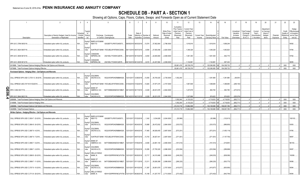## **SCHEDULE DB - PART A - SECTION 1**

|   |                                                                              |                                                | $\overline{3}$<br>$\overline{4}$                 | 5                                                                                   |       |                              | -8                    | <b>q</b>    | 10 <sup>°</sup>                            | 11                                                                      | 12                                                              | 13                  | 14              | 16            | 17                                  | 18                                            | 19                                 | 20                                             | 21        | 22                                | 23                                                    |
|---|------------------------------------------------------------------------------|------------------------------------------------|--------------------------------------------------|-------------------------------------------------------------------------------------|-------|------------------------------|-----------------------|-------------|--------------------------------------------|-------------------------------------------------------------------------|-----------------------------------------------------------------|---------------------|-----------------|---------------|-------------------------------------|-----------------------------------------------|------------------------------------|------------------------------------------------|-----------|-----------------------------------|-------------------------------------------------------|
|   |                                                                              | Description of Item(s) Hedged, Used for Income | Гуре(s]<br>Schedul<br>nf<br>/ Exhibit<br>Risk(s) | Exchange, Counterparty                                                              | Trade | Date of                      | Maturity or Number of | Notional    | Strike Price,<br>Rate of Index<br>Received | Cumulative<br>Prior Year(s)<br>Initial Cost of<br>Premium<br>(Received) | <b>Current Year</b><br>Initial Cost of<br>Premium<br>(Received) | <b>Current Year</b> | Book/Adjusted   |               | Unrealized<br>Valuation<br>Increase | <b>Total Foreign</b><br>Exchange<br>Change in | Current<br>Year's<br>(Amortizatior | Adjustmen<br>to Carrying<br>Value of<br>Hedged | Potential | Credit<br>Quality of<br>Reference | Hedge<br>Effectiveness<br>at Inception<br>and at Year |
|   | Description                                                                  | Generation or Replicated                       | Identifier                                       | or Central Clearinghouse                                                            | Date  | Expiration                   | Contracts             | Amount      | (Paid)                                     | Paid                                                                    | Paid                                                            | Income              | Carrying Value  | Fair Value    | (Decrease)                          | <b>B./A.C.V.</b>                              | ) / Accretion                      | Items                                          | Exposure  | Entity                            | end (b)                                               |
|   | SPX US C 2796 06/03/19.                                                      | Embedded option within IUL products.           | N/A<br>ndex                                      | Equity/I BARCLAYS BANK<br>NEW YO<br>G5GSEF7VJP5I7OUK5573                            |       | 06/05/2018 06/03/2019 13,574 |                       | 37,952,904  | .2,796.0000                                |                                                                         | 1,818,916                                                       |                     | 1,818,916       | 1,699,249     |                                     |                                               |                                    |                                                |           |                                   | 95/92                                                 |
|   | SPX US C 2824 06/07/19                                                       | Embedded option within IUL products            | Equity/<br>N/A<br>ndex                           | SUNTRUST BANK IYDOJBGJWY9T8XKCSX06                                                  |       | 06/11/2018 06/07/2019        | 9,594                 | 27,093,456  | 2,824.0000                                 |                                                                         | 1,346,326                                                       |                     | 1,346,326       | .1,063,923    |                                     |                                               |                                    |                                                |           |                                   | 17/94.                                                |
|   | SPX US C 2838 06/10/19.                                                      | Embedded option within IUL products.           | Equity/I<br>N/A<br>ndex                          | CANADIAN<br>IMPERIAL BA<br>2IGI19DL77OX0HC3ZE78.                                    |       | 06/12/2018 06/10/2019        | 8,050                 | 22,845,900  | 2,838.0000                                 |                                                                         | 1,061,393                                                       |                     | 1,061,393       | 842,719       |                                     |                                               |                                    |                                                |           |                                   | 97/92                                                 |
|   | SPX US C 2838 06/12/19.                                                      | Embedded option within IUL products            | N/A.<br>ndex                                     | Equity/I CANADIAN<br><b>IMPERIAL BA</b><br>2IGI19DL77OX0HC3ZE78.                    |       | 06/15/2018 06/12/2019        | 8.618                 | .24.457.884 | .2.838.0000                                |                                                                         | 1.134.991                                                       |                     | 1.134.991       | .907.434      |                                     |                                               |                                    |                                                |           |                                   | 8/95.                                                 |
|   | 019999. Total-Purchased Options-Hedging Effective-Call Options and Warrants. |                                                |                                                  |                                                                                     |       |                              |                       |             |                                            | .55,661,479                                                             | .69,729,376                                                     |                     | 125,390,855     | .154,338,732  |                                     |                                               |                                    |                                                |           | <b>XXX</b>                        | XXX                                                   |
|   | 0079999. Total-Purchased Options-Hedging Effective                           |                                                |                                                  |                                                                                     |       |                              |                       |             |                                            | .55.661.479                                                             | .69,729,376                                                     |                     | 125.390.855     | 154.338.732   |                                     |                                               |                                    |                                                |           | <b>XXX</b>                        | <b>XXX</b>                                            |
|   | Purchased Options - Hedging Other - Call Options and Warrants                |                                                |                                                  |                                                                                     |       |                              |                       |             |                                            |                                                                         |                                                                 |                     |                 |               |                                     |                                               |                                    |                                                |           |                                   |                                                       |
|   | CALL SPREAD SPX USD C 2735 12 -28-2018 Embedded option within IUL products   |                                                | Equity/<br>N/A<br>ndex                           | <b>GOLDMAN</b><br>SACHS & CO,<br>W22LROWP2IHZNBB6K528                               |       | 12/31/2017 12/28/2018        | 13,055                | 35,705,425  | 2,735.0000                                 | 1,552,240                                                               |                                                                 |                     | 1,381,980       | 1,381,980     | (56, 561)                           |                                               |                                    |                                                |           |                                   |                                                       |
|   | CALL SPREAD USD 2747 M 01/02/2019.                                           | Embedded option within IUL products            | Equity/<br>N/A<br>ndex                           | SUNTRUST BANK IYDOJBGJWY9T8XKCSX06                                                  |       | 01/03/2018 01/02/2019        | 13,825                | 37,977,275  | .2,747.0000                                |                                                                         | .1,667,848                                                      |                     | .1,398,685      | .1,398,685    | (269,163)                           |                                               |                                    |                                                |           |                                   |                                                       |
| π | SPX C 2844 06/17/19                                                          | Embedded option within IUL products            | Equity/I<br>N/A<br>ndex                          | <b>BANK OF</b><br>AMERICA, N.A.<br>B4TYDEB6GKMZO031MB27                             |       | 06/13/2018 06/17/2019        | 9,329                 | 26,531,676  | 2,844.0000                                 |                                                                         | 1,237,678                                                       |                     | .963,765        | .963,765      | (273,913)                           |                                               |                                    |                                                |           |                                   |                                                       |
| თ | SPX US C 2844 06/21/19.                                                      | Embedded option within IUL products            | Equity/I<br>N/A.<br>ndex                         | <b>GOLDMAN</b><br>SACHS & CO.<br>W22LROWP2IHZNBB6K528                               |       | 06/14/2018 06/21/2019        | .9.329                | .26,531,676 | .2,844.0000                                |                                                                         | 1,227,696                                                       |                     | .974,623        | .974,623      | (253,074)                           |                                               |                                    |                                                |           |                                   |                                                       |
|   | 0089999. Total-Purchased Options-Hedging Other-Call Options and Warrants     |                                                |                                                  |                                                                                     |       |                              |                       |             |                                            | .1,552,240                                                              | 4.133.222                                                       |                     | .4.719.053      | .4.719.053    | (852.711                            |                                               |                                    |                                                |           | <b>XXX</b>                        | XXX                                                   |
|   | 149999. Total-Purchased Options-Hedging Other.                               |                                                |                                                  |                                                                                     |       |                              |                       |             |                                            | 1.552.240                                                               | .4.133.222                                                      |                     | .4,719,053 XX   | 4.719.053     | (852.711                            |                                               |                                    |                                                |           | <b>XXX</b>                        | XXX                                                   |
|   | 0369999. Total-Purchased Options-Call Options and Warrants.                  |                                                |                                                  |                                                                                     |       |                              |                       |             |                                            | 57,213,719                                                              | .73,862,598                                                     |                     | 130,109,908 XX  | 159,057,785   | (852, 711)                          |                                               |                                    |                                                |           | <b>XXX</b>                        | XXX                                                   |
|   | 0429999. Total-Purchased Options                                             |                                                |                                                  |                                                                                     |       |                              |                       |             |                                            | .57,213,719                                                             | 73,862,598                                                      |                     | .130,109,908 XX | 159,057,785   | (852, 711)                          |                                               |                                    |                                                |           | XXX                               | XXX                                                   |
|   | Written Options - Hedging Effective - Call Options and Warrants              |                                                |                                                  |                                                                                     |       |                              |                       |             |                                            |                                                                         |                                                                 |                     |                 |               |                                     |                                               |                                    |                                                |           |                                   |                                                       |
|   | CALL SPREAD SPX USD C 2634 7 -23-2018                                        | Embedded option within IUL products.           | Equity/l<br>N/A<br>ndex                          | <b>BARCLAYS BANK</b><br>NEW YO<br>G5GSEF7VJP5I7OUK5573                              |       | 12/31/2017 07/23/2018        | 1,342                 | 3,534,828   | .2,634.0000                                | (50, 996)                                                               |                                                                 |                     | (50, 996)       | (132, 613)    |                                     |                                               |                                    |                                                |           |                                   | 100/103.                                              |
|   | CALL SPREAD SPX USD C 2664 8 -24-2018                                        | Embedded option within IUL products.           | Equity/<br>$N/A$<br>ndex                         | GOLDMAN<br>SACHS & CO,<br>W22LROWP2IHZNBB6K528                                      |       | 12/31/2017 08/24/2018 10,688 |                       | 28,472,832  | 2,664.0000                                 | (333, 572)                                                              |                                                                 |                     | (333, 572)      | (989, 805)    |                                     |                                               |                                    |                                                |           |                                   | 93/93.                                                |
|   | CALL SPREAD SPX USD C 2687 9 -4-2018                                         | Embedded option within IUL products.           | Equity/<br>N/A<br>ndex                           | GOLDMAN<br>SACHS & CO.<br>W22LROWP2IHZNBB6K528                                      |       | 12/31/2017 09/04/2018 17,465 |                       | .46,928,455 | 2,687.0000                                 | (573,201                                                                |                                                                 |                     | (573,201)       | (1,450,118)   |                                     |                                               |                                    |                                                |           |                                   | 17/95                                                 |
|   | CALL SPREAD SPX USD C 2687 9 -7-2018                                         | Embedded option within IUL products            | Equity<br>N/A<br>ndex                            | SUNTRUST BANK IYDOJBGJWY9T8XKCSX06                                                  |       | 12/31/2017 09/07/2018        | 13,743                | .36,927,441 | 2,687.0000                                 | (371,061                                                                |                                                                 |                     | (371,061)       | (1, 157, 793) |                                     |                                               |                                    |                                                |           |                                   | 98/97.                                                |
|   | CALL SPREAD SPX USD C 2690 7 -5-2018                                         | Embedded option within IUL products            | Equity/<br>N/A<br>ndex                           | <b>BANK OF</b><br>AMERICA, N.A.<br>B4TYDEB6GKMZO031MB27                             |       | 12/31/2017 07/05/2018        | 8,506                 | 22,881,140  | .2,690.0000                                | (161,614                                                                |                                                                 |                     | (161,614)       | (319,881      |                                     |                                               |                                    |                                                |           |                                   | 96/100.                                               |
|   | CALL SPREAD SPX USD C 2696 7 -2-2018                                         | Embedded option within IUL products            | Equity/<br>N/A<br>ndex                           | GOLDMAN<br>SACHS & CO,<br>W22LROWP2IHZNBB6K528                                      |       | 12/31/2017 07/02/2018        | .10,295               | 27,755,320  | 2,696.0000                                 | (233,594                                                                |                                                                 |                     | (233,594)       | (289, 668)    |                                     |                                               |                                    |                                                |           |                                   | 95/97                                                 |
|   | CALL SPREAD SPX USD C 2698 8 -20-2018                                        | Embedded option within IUL products            | Equity/I<br>N/A<br>ndex                          | <b>WELLS FARGO</b><br>BANK, N.<br>KB1H1DSPRFMYMCUFXT09.                             |       | 12/31/2017 08/20/2018        | 12,717                | 34,310,466  | 2,698.0000                                 | (249, 253)                                                              |                                                                 |                     | (249,253)       | (838,090).    |                                     |                                               |                                    |                                                |           |                                   | 100/99                                                |
|   | CALL SPREAD SPX USD C 2699 7 -11-2018                                        | Embedded option within IUL products            | Equity/I<br>N/A<br>ndex                          | <b>BANK OF</b><br>AMERICA, N.A.<br>B4TYDEB6GKMZO031MB27                             |       | 12/31/2017 07/11/2018        | 13,311                | 35,926,389  | 2,699.0000                                 | (266, 220)                                                              |                                                                 |                     | (266, 220)      | .(503,773     |                                     |                                               |                                    |                                                |           |                                   | 95/98.                                                |
|   | CALL SPREAD SPX USD C 2707 9 -10-2018                                        | Embedded option within IUL products            | Equity/I<br>N/A<br>ndex                          | <b>GOLDMAN</b><br>SACHS & CO,<br>W22LROWP2IHZNBB6K528                               |       | 12/31/2017 09/10/2018 11,397 |                       | .30,851,679 | 2,707.0000                                 | (415,877)                                                               |                                                                 |                     | (415,877)       | (830,950).    |                                     |                                               |                                    |                                                |           |                                   | 95/94.                                                |
|   | CALL SPREAD SPX USD C 2713 8 -28-2018 Embedded option within IUL products    |                                                | N/A<br>ndex                                      | Equity/I   WELLS FARGO<br>BANK, N.<br>KB1H1DSPRFMYMCUFXT09. 12/31/2017 08/28/2018 . |       |                              | 15,189                | 41,207,757  | 2,713.0000                                 | (273, 402)                                                              |                                                                 |                     | (273, 402)      | (942, 764)    |                                     |                                               |                                    |                                                |           |                                   | 95/94.                                                |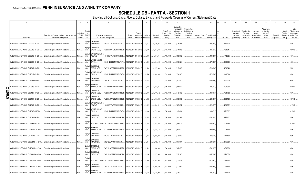## **SCHEDULE DB - PART A - SECTION 1**

|           |                                                                             | $\overline{2}$                                                             | 3                                 |                                |                                                                               | ĥ                     |                                     | -8                     |                    | 10                                                   | 11                                                                            | 12                                                                      | 13                            | 14                              | 16         | 17                                                | 18                                                         | 19                                                | 20                                                      | 21                    | 22                                         | 23                                                               |
|-----------|-----------------------------------------------------------------------------|----------------------------------------------------------------------------|-----------------------------------|--------------------------------|-------------------------------------------------------------------------------|-----------------------|-------------------------------------|------------------------|--------------------|------------------------------------------------------|-------------------------------------------------------------------------------|-------------------------------------------------------------------------|-------------------------------|---------------------------------|------------|---------------------------------------------------|------------------------------------------------------------|---------------------------------------------------|---------------------------------------------------------|-----------------------|--------------------------------------------|------------------------------------------------------------------|
|           | Description                                                                 | Description of Item(s) Hedged, Used for Income<br>Generation or Replicated | Schedu<br>/ Exhibit<br>Identifier | Type(s<br>of<br>Risk(s)<br>(a) | Exchange, Counterparty<br>or Central Clearinghouse                            | Trade<br>Date         | Date o<br>Maturity or<br>Expiration | Number of<br>Contracts | Notional<br>Amount | Strike Price,<br>Rate of Index<br>Received<br>(Paid) | Cumulative<br>Prior Year(s<br>Initial Cost o<br>Premium<br>(Received)<br>Paid | <b>Current Year</b><br>Initial Cost of<br>Premium<br>(Received)<br>Paid | <b>Current Year</b><br>Income | Book/Adjusted<br>Carrying Value | Fair Value | Unrealized<br>Valuation<br>Increase<br>(Decrease) | Total Foreigi<br>Exchange<br>Change in<br><b>B./A.C.V.</b> | Current<br>Year's<br>Amortizatio<br>) / Accretion | Adiustmen<br>to Carrying<br>Value of<br>Hedged<br>ltems | Potential<br>Exposure | Credit<br>Quality o<br>Reference<br>Entity | Hedge<br>Effectiveness<br>at Inception<br>and at Year<br>end (b) |
|           |                                                                             |                                                                            |                                   | Equity/l                       | CANADIAN                                                                      |                       |                                     |                        |                    |                                                      |                                                                               |                                                                         |                               |                                 |            |                                                   |                                                            |                                                   |                                                         |                       |                                            |                                                                  |
|           | CALL SPREAD SPX USD C 2721 9 -24-2018                                       | Embedded option within IUL products.                                       | N/A                               | ndex<br>Equity/                | <b>IMPERIAL BA</b><br>2IGI19DL77OX0HC3ZE78<br>GOLDMAN                         |                       | 12/31/2017 09/24/2018               | 9,613                  | 26,156,973         | 2,721.0000                                           | (336, 455)                                                                    |                                                                         |                               | (336, 455)                      |            | (687, 304)                                        |                                                            |                                                   |                                                         |                       |                                            | 94/94.                                                           |
|           | CALL SPREAD SPX USD C 2723 8 -17-2018                                       | Embedded option within IUL products.                                       | N/A                               | ndex                           | SACHS & CO,<br>W22LROWP2IHZNBB6K528.                                          |                       | 12/31/2017 08/17/2018               | 9,496                  | 25,857,608         | 2,723.0000                                           | (141,965).                                                                    |                                                                         |                               | (141,965)                       | (453, 645) |                                                   |                                                            |                                                   |                                                         |                       |                                            | 100/100                                                          |
|           | CALL SPREAD SPX USD C 2723 9 -14-2018                                       | Embedded option within IUL products.                                       | $N/A$                             | Equity/I<br>ndex               | <b>BARCLAYS BANK</b><br>NEW YO<br>G5GSEF7VJP5I7OUK5573                        |                       | 12/31/2017 09/14/2018               | 6,858                  | .18,674,334        | 2,723.0000                                           | (198, 882)                                                                    |                                                                         |                               | (198,882).                      |            | (442,085)                                         |                                                            |                                                   |                                                         |                       |                                            | 94/94.                                                           |
|           | CALL SPREAD SPX USD C 2726 9 -21-2018                                       | Embedded option within IUL products.                                       | N/A                               | Equity/<br>ndex                | <b>WELLS FARGO</b><br>BANK, N.<br>KB1H1DSPRFMYMCUFXT09.                       | 12/31/2017 09/21/2018 |                                     | .10,416                | 28,394,016         | 2,726.0000                                           | (276,024).                                                                    |                                                                         |                               | (276, 024)                      |            | (689, 320)                                        |                                                            |                                                   |                                                         |                       |                                            | 94/93.                                                           |
|           | CALL SPREAD SPX USD C 2728 7 -16-2018                                       | Embedded option within IUL products.                                       | N/A                               | Equity/<br>ndex                | GOLDMAN<br>SACHS & CO,<br>W22LROWP2IHZNBB6K528.                               |                       | 12/31/2017 07/16/2018 11,403        |                        | 31,107,384         | 2,728.0000                                           | (213,806)                                                                     |                                                                         |                               | (213,806)                       | (289, 549) |                                                   |                                                            |                                                   |                                                         |                       |                                            | 37/97.                                                           |
|           | CALL SPREAD SPX USD C 2731 9 -21-2018                                       | Embedded option within IUL products.                                       | N/A                               | Equity/I<br>ndex               | <b>WELLS FARGO</b><br>KB1H1DSPRFMYMCUFXT09. 12/31/2017 09/17/2018<br>BANK, N. |                       |                                     | .10,558                | 28,833,898         | 2,731.0000                                           | (274, 508)                                                                    |                                                                         |                               | (274, 508)                      | (646,319   |                                                   |                                                            |                                                   |                                                         |                       |                                            | 95/95.                                                           |
|           | CALL SPREAD SPX USD C 2735 9 -28-2018                                       | Embedded option within IUL products.                                       | $N/A$                             | Equity/I<br>ndex               | CANADIAN<br><b>IMPERIAL BA</b><br>2IGI19DL77OX0HC3ZE78                        |                       | 12/31/2017 09/28/2018               | 10,133                 | 27,713,755         | 2,735.0000                                           | (303,990).                                                                    |                                                                         |                               | (303,990)                       |            | (667,003)                                         |                                                            |                                                   |                                                         |                       |                                            | 96/95.                                                           |
| O         | ALL SPREAD SPX USD C 2739 8 -13-2018                                        | Embedded option within IUL products.                                       | N/A                               | Equity/I<br>ndex               | <b>BANK OF</b><br>AMERICA, N.A.<br>B4TYDEB6GKMZO031MB27.                      |                       | 12/31/2017 08/13/2018               | 15,993                 | 43,804,827         | 2,739.0000                                           | (191,916).                                                                    |                                                                         |                               | (191,916                        | (600,984)  |                                                   |                                                            |                                                   |                                                         |                       |                                            | 101/100                                                          |
| m<br>ဓ္တု | :ALL SPREAD SPX USD C 2742 7 -19-2018                                       | Embedded option within IUL products.                                       | $N/A$                             | Equity/<br>ndex                | GOLDMAN<br>SACHS & CO,<br>W22LROWP2IHZNBB6K528.                               |                       | 12/31/2017 07/19/2018               | 7,936                  | 21,760,512         | 2,742.0000                                           | .(140,150)                                                                    |                                                                         |                               | (140, 150)                      |            | .(168,732)                                        |                                                            |                                                   |                                                         |                       |                                            | 95/98                                                            |
| ות        | CALL SPREAD SPX USD C 2748 7 -23-2018                                       | Embedded option within IUL products.                                       | N/A                               | Equity/<br>ndex                | <b>GOLDMAN</b><br>SACHS & CO,<br>W22LROWP2IHZNBB6K528.                        |                       | 12/31/2017 07/23/2018               | .16,352                | .44,935,296        | 2,748.0000                                           | (268, 990)                                                                    |                                                                         |                               | (268, 990)                      | (353,166)  |                                                   |                                                            |                                                   |                                                         |                       |                                            | 100/100                                                          |
|           | CALL SPREAD SPX USD C 2753 7 -30-2018                                       | Embedded option within IUL products.                                       | $N/A$                             | Equity/I<br>ndex               | <b>BARCLAYS BANK</b><br>NEW YO<br>G5GSEF7VJP5I7OUK5573                        |                       | 12/31/2017 07/30/2018               | 11,807                 | 32,504,671         | 2,753.0000                                           | (129,877                                                                      |                                                                         |                               | .(129,877                       | (283,802)  |                                                   |                                                            |                                                   |                                                         |                       |                                            | 101/100                                                          |
|           |                                                                             |                                                                            |                                   | Equity/I                       | <b>WELLS FARGO</b>                                                            |                       |                                     |                        |                    |                                                      |                                                                               |                                                                         |                               |                                 |            |                                                   |                                                            |                                                   |                                                         |                       |                                            |                                                                  |
|           | CALL SPREAD SPX USD C 2754 8-1-2018                                         | Embedded option within IUL products.                                       | N/A                               | ndex<br>Equity/I               | BANK, N.<br>KB1H1DSPRFMYMCUFXT09.<br><b>GOLDMAN</b>                           | 12/31/2017 08/01/2018 |                                     | 8,984                  | 24,741,936         | 2,754.0000                                           | (98,824                                                                       |                                                                         |                               | .(98,824                        | .(222,307  |                                                   |                                                            |                                                   |                                                         |                       |                                            | 101/100                                                          |
|           | CALL SPREAD SPX USD C 2758 10 -1-2018                                       | Embedded option within IUL products.                                       | N/A                               | ndex<br>Equity                 | SACHS & CO,<br>W22LROWP2IHZNBB6K528.                                          |                       | 12/31/2017 10/01/2018               | 16,801                 | .46,337,158        | 2,758.0000                                           | .(501,342)                                                                    |                                                                         |                               | (501, 342)                      | (925,167   |                                                   |                                                            |                                                   |                                                         |                       |                                            | 7/96.                                                            |
|           | CALL SPREAD SPX USD C 2759 8 -6-2018                                        | Embedded option within IUL products.                                       | N/A                               | ndex                           | SUNTRUST BANK IYDOJBGJWY9T8XKCSX06.                                           |                       | 12/31/2017 08/06/2018               | 12,201                 | 33,662,559         | 2,759.0000                                           | 146,412).                                                                     |                                                                         |                               | (146,412)                       |            | .(304,958)                                        |                                                            |                                                   |                                                         |                       |                                            | 101/100                                                          |
|           | CALL SPREAD SPX USD C 2774 10 -08-2018 Embedded option within IUL products. |                                                                            | N/A                               | Equity/I<br>ndex               | <b>BANK OF</b><br>AMERICA, N.A.<br>B4TYDEB6GKMZO031MB27.                      |                       | 12/31/2017 10/08/2018               | 14,311                 | 39,698,714         | 2,774.0000                                           | (350, 620)                                                                    |                                                                         |                               | (350, 620)                      | (728,715)  |                                                   |                                                            |                                                   |                                                         |                       |                                            | 37/96.                                                           |
|           | CALL SPREAD SPX USD C 2776 10 -5-2018                                       | Embedded option within IUL products.                                       | N/A                               | Equity/<br>ndex                | CANADIAN<br><b>IMPERIAL BA</b><br>2IGI19DL77OX0HC3ZE78                        |                       | 12/31/2017 10/05/2018               | 7,233                  | 20,078,808         | 2,776.0000                                           | (178,583).                                                                    |                                                                         |                               | (178,583).                      |            | (347,188)                                         |                                                            |                                                   |                                                         |                       |                                            | 95/96                                                            |
|           | CALL SPREAD SPX USD C 2782 10 -12-2018 Embedded option within IUL products. |                                                                            | N/A                               | Equity/I<br>ndex               | CANADIAN<br><b>IMPERIAL BA</b><br>2IGI19DL77OX0HC3ZE78                        |                       | 12/31/2017 10/12/2018               | 11,834                 | 32,922,188         | 2,782.0000                                           | (307,684).                                                                    |                                                                         |                               | (307,684).                      |            | (575,883)                                         |                                                            |                                                   |                                                         |                       |                                            | 96/95                                                            |
|           | CALL SPREAD SPX USD C 2788 10 -15-2018 Embedded option within IUL products. |                                                                            | N/A                               | Equity/<br>ndex                | <b>GOLDMAN</b><br>SACHS & CO.<br>W22LROWP2IHZNBB6K528.                        |                       | 12/31/2017 10/15/2018               | 10,412                 | 29,028,656         | 2,788.0000                                           | (282,373                                                                      |                                                                         |                               | (282,373                        | (493,638)  |                                                   |                                                            |                                                   |                                                         |                       |                                            | 94/94                                                            |
|           | CALL SPREAD SPX USD C 2846 10 -24-2018 Embedded option within IUL products. |                                                                            | N/A                               | Equity/I<br>ndex               | <b>GOLDMAN</b><br>SACHS & CO.<br>W22LROWP2IHZNBB6K528.                        |                       | 12/31/2017 10/24/2018               | 8,158                  | 23,217,668         | 2,846.0000                                           | (157,286).                                                                    |                                                                         |                               | (157,286)                       | (220,350)  |                                                   |                                                            |                                                   |                                                         |                       |                                            | 93/93.                                                           |
|           | CALL SPREAD SPX USD C 2847 10 -19-2018 Embedded option within IUL products. |                                                                            | N/A                               | Equity<br>ndex                 | SUNTRUST BANK IYDOJBGJWY9T8XKCSX06                                            |                       | 12/31/2017 10/19/2018               | 11,964                 | 34,061,508         | 2,847.0000                                           | (173,478).                                                                    |                                                                         |                               | (173,478)                       | (294,151)  |                                                   |                                                            |                                                   |                                                         |                       |                                            | 95/95                                                            |
|           | CALL SPREAD SPX USD C 2847 10 -22-2018 Embedded option within IUL products. |                                                                            | N/A                               | Equity/<br>ndex                | CANADIAN<br><b>IMPERIAL BA</b><br>2IGI19DL77OX0HC3ZE78                        |                       | 12/31/2017 10/22/2018               | 9,468                  | 26,955,396         | 2,847.0000                                           | (132,552).                                                                    |                                                                         |                               | (132,552).                      | (244,710)  |                                                   |                                                            |                                                   |                                                         |                       |                                            | 37/96.                                                           |
|           | CALL SPREAD SPX USD C 2858 10 -29-2018 Embedded option within IUL products. |                                                                            | N/A.                              | Equity/I<br>ndex               | <b>BANK OF</b><br>AMERICA, N.A.<br>B4TYDEB6GKMZO031MB27                       | 12/31/2017 10/29/2018 |                                     | 9,655                  | 27,593,990         | 2,858.0000                                           | (135,170).                                                                    |                                                                         |                               | (135, 170)                      |            | (240, 499)                                        |                                                            |                                                   |                                                         |                       |                                            | 97/97.                                                           |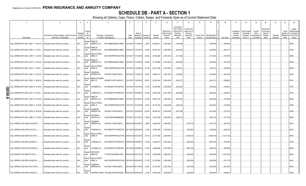## **SCHEDULE DB - PART A - SECTION 1**

|           |                                                                             | $\overline{2}$                                                             | 3                                  |                                  |                                                                                  | ĥ                     |                                     | - 8                    |                    | 10                                                   | 11                                                                             | 12                                                                      | 13                            | 14                              | 16           | 17                                                | 18                                                         | 19                                                | 20                                                       | 21                    | 22                                         | 23                                                               |
|-----------|-----------------------------------------------------------------------------|----------------------------------------------------------------------------|------------------------------------|----------------------------------|----------------------------------------------------------------------------------|-----------------------|-------------------------------------|------------------------|--------------------|------------------------------------------------------|--------------------------------------------------------------------------------|-------------------------------------------------------------------------|-------------------------------|---------------------------------|--------------|---------------------------------------------------|------------------------------------------------------------|---------------------------------------------------|----------------------------------------------------------|-----------------------|--------------------------------------------|------------------------------------------------------------------|
|           | Description                                                                 | Description of Item(s) Hedged, Used for Income<br>Generation or Replicated | Schedul<br>/ Exhibit<br>Identifier | Type(s<br>of<br>Risk(s)<br>(a)   | Exchange, Counterparty<br>or Central Clearinghouse                               | Trade<br>Date         | Date o<br>Maturity or<br>Expiration | Number of<br>Contracts | Notional<br>Amount | Strike Price,<br>Rate of Index<br>Received<br>(Paid) | Cumulative<br>Prior Year(s)<br>Initial Cost o<br>Premium<br>(Received)<br>Paid | <b>Current Year</b><br>Initial Cost of<br>Premium<br>(Received)<br>Paid | <b>Current Year</b><br>Income | Book/Adjusted<br>Carrying Value | Fair Value   | Unrealized<br>Valuation<br>Increase<br>(Decrease) | Total Foreigi<br>Exchange<br>Change in<br><b>B./A.C.V.</b> | Current<br>Year's<br>Amortizatio<br>) / Accretion | Adjustment<br>to Carrying<br>Value of<br>Hedged<br>ltems | Potential<br>Exposure | Credit<br>Quality o<br>Reference<br>Entity | Hedge<br>Effectiveness<br>at Inception<br>and at Year<br>end (b) |
|           | CALL SPREAD SPX USD C 2861 11 -16-2018 Embedded option within IUL products. |                                                                            | N/A                                | Equity/I<br>ndex                 | <b>BANK OF</b><br>AMERICA, N.A<br>B4TYDEB6GKMZO031MB27.                          | 12/31/2017 11/16/2018 |                                     | 9,951                  | 28,469,811         | 2,861.0000                                           | (189,069).                                                                     |                                                                         |                               | (189,069).                      | (288, 839)   |                                                   |                                                            |                                                   |                                                          |                       |                                            | 95/95.                                                           |
|           | CALL SPREAD SPX USD C 2865 11 -1-2018                                       | Embedded option within IUL products.                                       | N/A                                | Equity/<br>ndex                  | <b>BANK OF</b><br>AMERICA, N.A.<br>B4TYDEB6GKMZO031MB27.                         | 12/31/2017 11/01/2018 |                                     | 13,694                 | 39,233,310         | 2,865.0000                                           | (240,056)                                                                      |                                                                         |                               | (240, 056)                      | (324, 177)   |                                                   |                                                            |                                                   |                                                          |                       |                                            | 37/96.                                                           |
|           | CALL SPREAD SPX USD C 2870 11 -12-2018 Embedded option within IUL products. |                                                                            | $N/A$                              | Equity/I<br>ndex                 | <b>WELLS FARGO</b><br>BANK, N.<br>KB1H1DSPRFMYMCUFXT09. 12/31/2017 11/12/2018    |                       |                                     | 14,854                 | .42,630,980        | 2,870.0000                                           | (311, 934)                                                                     |                                                                         |                               | (311, 934)                      | (375,507)    |                                                   |                                                            |                                                   |                                                          |                       |                                            | 96/96.                                                           |
|           | CALL SPREAD SPX USD C 2873 11 -19-2018 Embedded option within IUL products. |                                                                            | N/A                                | Equity/<br>ndex                  | <b>BANK OF</b><br>AMERICA, N.A.<br>B4TYDEB6GKMZO031MB27                          | 12/31/2017 11/19/2018 |                                     | 12,945                 | 37,190,985         | 2,873.0000                                           | (220,065)                                                                      |                                                                         |                               | (220,065)                       | (337, 554)   |                                                   |                                                            |                                                   |                                                          |                       |                                            | 37/96.                                                           |
|           | CALL SPREAD SPX USD C 2876 11 -5-2018                                       | Embedded option within IUL products.                                       | N/A                                | Equity/I<br>ndex                 | <b>WELLS FARGO</b><br>KB1H1DSPRFMYMCUFXT09. 12/31/2017 11/05/2018<br>BANK, N.    |                       |                                     | 10,159                 | 29,217,284         | 2,876.0000                                           | (193,021                                                                       |                                                                         |                               | (193,021                        | (220, 652)   |                                                   |                                                            |                                                   |                                                          |                       |                                            | 95/95.                                                           |
|           | CALL SPREAD SPX USD C 2887 11 -23-2018 Embedded option within IUL products. |                                                                            | N/A                                | Equity/I<br>ndex                 | CANADIAN<br><b>IMPERIAL BA</b><br>2IGI19DL77OX0HC3ZE78                           |                       | 12/31/2017 11/23/2018               | .10,622                | 30,665,714         | 2,887.0000                                           | (182,805).                                                                     |                                                                         |                               | .(182,805)                      | (244,062)    |                                                   |                                                            |                                                   |                                                          |                       |                                            | 93/92.                                                           |
|           | CALL SPREAD SPX USD C 2900 11 -28-2018 Embedded option within IUL products. |                                                                            | $N/A$                              | Equity/I<br>ndex                 | <b>BARCLAYS BANK</b><br>NEW YO<br>G5GSEF7VJP5I7OUK5573                           |                       | 12/31/2017 11/28/2018               | .19,251                | 55,827,900         | 2,900.0000                                           | .(404,271                                                                      |                                                                         |                               | (404, 271)                      | (398, 852)   |                                                   |                                                            |                                                   |                                                          |                       |                                            | 97/97.                                                           |
| O         | ALL SPREAD SPX USD C 2928 12 -07-2018 Embedded option within IUL products.  |                                                                            | N/A                                | Equity<br>ndex                   | CITIBANK N.A E57ODZWZ7FF32TWEFA76                                                | 12/31/2017 12/07/2018 |                                     | 11,725                 | 34,330,800         | 2,928.0000                                           | (246, 225)                                                                     |                                                                         |                               | (246, 225)                      | .(186,057    |                                                   |                                                            |                                                   |                                                          |                       |                                            | 97/97.                                                           |
| m<br>ဓ္တု | :ALL SPREAD SPX USD C 2931 12 -3-2018                                       | Embedded option within IUL products.                                       | N/A                                | <b>Equity</b><br>ndex            | CITIBANK N.A E57ODZWZ7FF32TWEFA76 12/31/2017 12/03/2018                          |                       |                                     | .15,645                | 45,855,495         | 2,931.0000                                           | (265,965)                                                                      |                                                                         |                               | (265, 965)                      | .(229,661    |                                                   |                                                            |                                                   |                                                          |                       |                                            | 37/97.                                                           |
| თ         | CALL SPREAD SPX USD C 2954 12 -10-2018                                      | Embedded option within IUL products.                                       | N/A                                | Equity/<br>ndex                  | <b>BANK OF</b><br>AMERICA, N.A.<br>B4TYDEB6GKMZO031MB27.                         | 12/31/2017 12/10/2018 |                                     | .10,280                | 30,367,120         | 2,954.0000                                           | (205, 600)                                                                     |                                                                         |                               | (205, 600)                      | (120,238)    |                                                   |                                                            |                                                   |                                                          |                       |                                            | 95/95                                                            |
|           | CALL SPREAD SPX USD C 2956 12 -14-2018 Embedded option within IUL products. |                                                                            | N/A                                | Equity/I<br>ndex                 | <b>WELLS FARGO</b><br>KB1H1DSPRFMYMCUFXT09. 12/31/2017 12/14/2018<br>BANK, N.    |                       |                                     | , 9,057                | 26,772,492         | 2,956.0000                                           | (226, 425)                                                                     |                                                                         |                               | (226, 425)                      | (108,228)    |                                                   |                                                            |                                                   |                                                          |                       |                                            | 37/96.                                                           |
|           | CALL SPREAD SPX USD C 2978 12 -24-2018 Embedded option within IUL products. |                                                                            | N/A                                | Equity/I<br>ndex                 | CANADIAN<br><b>IMPERIAL BA</b><br>2IGI19DL77OX0HC3ZE78                           |                       | 12/31/2017 12/24/2018               | 23,054                 | 68,654,812         | 2,978.0000                                           | (447, 248)                                                                     |                                                                         |                               | (447, 248)                      | (237,227     |                                                   |                                                            |                                                   |                                                          |                       |                                            | 96/95                                                            |
|           | CALL SPREAD SPX USD C 2982 12 -17-2018 Embedded option within IUL products. |                                                                            | N/A                                | Equity/I<br>ndex                 | <b>GOLDMAN</b><br>SACHS & CO,<br>W22LROWP2IHZNBB6K528.                           |                       | 12/31/2017 12/17/2018               | 13,824                 | 41,223,168         | 2,982.0000                                           | (280, 212)                                                                     |                                                                         |                               | (280, 212)                      | .(121,133)   |                                                   |                                                            |                                                   |                                                          |                       |                                            | 96/95.                                                           |
|           | CALL SPREAD USD 2,888 M 04/25/2019                                          | Embedded option within IUL products.                                       | N/A                                | Equity/I<br>ndex                 | CANADIAN<br><b>IMPERIAL BA</b><br>2IGI19DL77OX0HC3ZE78                           | 04/27/2018 04/25/2019 |                                     | 8,895                  | 25,688,760         | 2,888.0000                                           |                                                                                | (578,175)                                                               |                               | (578, 175)                      | (613, 578)   |                                                   |                                                            |                                                   |                                                          |                       |                                            | 93/91.                                                           |
|           | CALL SPREAD USD 2749 M 5-9-2019                                             | Embedded option within IUL products.                                       | N/A                                | Equity/<br>ndex                  | CITIBANK N.A<br>E57ODZWZ7FF32TWEFA76 05/11/2018 05/09/2019<br><b>WELLS FARGO</b> |                       |                                     | ,7,054                 | 19,391,446         | 2,749.0000                                           |                                                                                | (338,592)                                                               |                               | .(338,592)                      | (309, 125)   |                                                   |                                                            |                                                   |                                                          |                       |                                            | 96/93.                                                           |
|           | CALL SPREAD USD 2845 M 4/01/2019.                                           | Embedded option within IUL products.                                       | N/A                                | Equity/<br>ndex<br><b>Equity</b> | KB1H1DSPRFMYMCUFXT09. 04/05/2018 04/01/2019<br>BANK, N.                          |                       |                                     | .15,014                | 42,714,830         | 2,845.0000                                           |                                                                                | (1,366,274                                                              |                               | (1,366,274                      | (1,212,122). |                                                   |                                                            |                                                   |                                                          |                       |                                            | 95/93                                                            |
|           | CALL SPREAD USD 2867 M 3/28/2019                                            | Embedded option within IUL products.                                       | N/A                                | ndex<br>Equity                   | CITIBANK N.A E57ODZWZ7FF32TWEFA76 04/02/2018 03/28/2019                          |                       |                                     | 11,539                 | 33,082,313         | 2,867.0000                                           |                                                                                | (692,340                                                                |                               | (692,340).                      | (796,440)    |                                                   |                                                            |                                                   |                                                          |                       |                                            | 37/95.                                                           |
|           | CALL SPREAD USD 2873 M 04/08/2019.                                          | Embedded option within IUL products.                                       | N/A                                | ndex<br>Equity/I                 | CITIBANK N.A E57ODZWZ7FF32TWEFA76 04/13/2018 04/08/2019<br><b>DEUTSCHE</b>       |                       |                                     | 11,434                 | 32,849,882         | 2,873.0000                                           |                                                                                | (880,418                                                                |                               | (880,418                        | .(802,886)   |                                                   |                                                            |                                                   |                                                          |                       |                                            | 96/94.                                                           |
|           | CALL SPREAD USD 2886 M 5/1/2019.                                            | Embedded option within IUL products.                                       | N/A                                | ndex<br>Equity/                  | <b>BANK SA</b><br>7LTWFZYICNSX8D621K86<br><b>WELLS FARGO</b>                     |                       | 05/04/2018 05/01/2019               | 14,158                 | .40,859,988        | 2,886.0000                                           |                                                                                | (849,480                                                                |                               | (849, 480)                      | (1,016,353)  |                                                   |                                                            |                                                   |                                                          |                       |                                            | 95/93                                                            |
|           | CALL SPREAD USD 2892 M 4/29/2109.                                           | Embedded option within IUL products.                                       | N/A                                | ndex<br>Equity/I                 | KB1H1DSPRFMYMCUFXT09. 05/01/2018 04/29/2019<br>BANK, N.<br>CANADIAN              |                       |                                     | 11,102                 | 32,106,984         | 2,892.0000                                           |                                                                                | (599,508)                                                               |                               | .(599,508)                      | (761,179)    |                                                   |                                                            |                                                   |                                                          |                       |                                            | 94/92                                                            |
|           | CALL SPREAD USD 2907 M 02/11/2019.                                          | Embedded option within IUL products.                                       | N/A                                | ndex<br>Equity/                  | <b>IMPERIAL BA</b><br>2IGI19DL77OX0HC3ZE78                                       | 02/13/2018 02/11/2019 |                                     | 9,481                  | 27,561,267         | 2,907.0000                                           |                                                                                | (625,746                                                                |                               | (625, 746)                      | (381,057     |                                                   |                                                            |                                                   |                                                          |                       |                                            | 96/95                                                            |
|           | CALL SPREAD USD 2908 M 3/25/2019.                                           | Embedded option within IUL products.                                       | N/A.                               | ndex                             | SUNTRUST BANK IYDOJBGJWY9T8XKCSX06                                               | 03/27/2018 03/25/2019 |                                     | 9,106                  | 26,480,248         | 2,908.0000                                           |                                                                                | .(509,936)                                                              |                               | (509, 936)                      | .(466,967    |                                                   |                                                            |                                                   |                                                          |                       |                                            | 95/93.                                                           |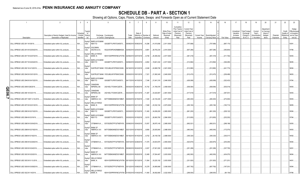## **SCHEDULE DB - PART A - SECTION 1**

|   |                                     | $\overline{2}$                                                             | $\overline{3}$<br>$\overline{4}$                               |                                                                                      |               |                                                | -8        |                    | 10 <sup>°</sup>                                     | 11                                                                              | 12                                                                      | 13                            | 14                                     | 16         | 17                                                | 18                                                                | 19                                                  | 20                                                      | 21                    | 22                                         | 23                                                               |
|---|-------------------------------------|----------------------------------------------------------------------------|----------------------------------------------------------------|--------------------------------------------------------------------------------------|---------------|------------------------------------------------|-----------|--------------------|-----------------------------------------------------|---------------------------------------------------------------------------------|-------------------------------------------------------------------------|-------------------------------|----------------------------------------|------------|---------------------------------------------------|-------------------------------------------------------------------|-----------------------------------------------------|---------------------------------------------------------|-----------------------|--------------------------------------------|------------------------------------------------------------------|
|   | Description                         | Description of Item(s) Hedged, Used for Income<br>Generation or Replicated | Гуре(s<br>Schedul<br>് വ<br>/ Exhibit<br>Risk(s)<br>Identifier | Exchange, Counterparty<br>or Central Clearinghouse                                   | Trade<br>Date | Date of<br>Maturity or Number of<br>Expiration | Contracts | Notional<br>Amount | Strike Price<br>Rate of Index<br>Received<br>(Paid) | Cumulative<br>Prior Year(s)<br>Initial Cost of<br>Premium<br>(Received)<br>Paid | <b>Current Year</b><br>Initial Cost of<br>Premium<br>(Received)<br>Paid | <b>Current Year</b><br>Income | Book/Adjusted<br><b>Carrying Value</b> | Fair Value | Unrealized<br>Valuation<br>Increase<br>(Decrease) | <b>Total Foreigr</b><br>Exchange<br>Change in<br><b>B./A.C.V.</b> | Current<br>Year's<br>(Amortizatioı<br>) / Accretion | Adjustmer<br>to Carrying<br>Value of<br>Hedged<br>Items | Potential<br>Exposure | Credit<br>Quality o<br>Reference<br>Entity | Hedge<br>Effectiveness<br>at Inception<br>and at Year<br>end (b) |
|   | CALL SPREAD USD 2911 M 5/6/19.      | Embedded option within IUL products                                        | Equity/I<br>N/A<br>ndex                                        | <b>BARCLAYS BANK</b><br>NEW YO<br>G5GSEF7VJP5I7OUK5573                               |               | 05/08/2018 05/06/2019                          | 14,296    | .41,615,656        | 2,911.0000                                          |                                                                                 | (757,688)                                                               |                               | .(757,688)                             | .(897,170  |                                                   |                                                                   |                                                     |                                                         |                       |                                            | 93/91.                                                           |
|   | CALL SPREAD USD 2914 M 02/04/2019.  | Embedded option within IUL products                                        | Equity/<br>N/A<br>ndex                                         | <b>GOLDMAN</b><br>SACHS & CO,<br>W22LROWP2IHZNBB6K528                                |               | 02/06/2018 02/04/2019                          | 9,881     | 28,793,234         | 2,914.0000                                          |                                                                                 | (607,286)                                                               |                               | (607,286)                              | (355, 854) |                                                   |                                                                   |                                                     |                                                         |                       |                                            | 17/96.                                                           |
|   | CALL SPREAD USD 2917 M 02/07/2019.  | Embedded option within IUL products                                        | Equity/<br>N/A<br>ndex                                         | <b>WELLS FARGO</b><br>BANK, N.<br>KB1H1DSPRFMYMCUFXT09. 02/09/2018 02/07/2019        |               |                                                | 0.8,706   | 25,395,402         | 2,917.0000                                          |                                                                                 | (461,418                                                                |                               | (461,418)                              | (311, 762) |                                                   |                                                                   |                                                     |                                                         |                       |                                            | 94/93.                                                           |
|   | CALL SPREAD USD 2917 M 04/04/2019.  | Embedded option within IUL products                                        | Equity/<br>N/A<br>ndex                                         | <b>BARCLAYS BANK</b><br>NEW YO<br>G5GSEF7VJP5I7OUK5573                               |               | 04/06/2018 04/04/2019                          | 6,802     | .19,841,434        | .2,917.0000                                         |                                                                                 | (312,892)                                                               |                               | (312,892)                              | (346, 485) |                                                   |                                                                   |                                                     |                                                         |                       |                                            | 96/95                                                            |
|   | CALL SPREAD USD 2921 M 4/12/2019    | Embedded option within IUL products                                        | Equity/<br>N/A<br>ndex                                         | SUNTRUST BANK IYDOJBGJWY9T8XKCSX06                                                   |               | 04/16/2018 04/12/2019                          | 8,548     | .24,968,708        | 2,921.0000                                          |                                                                                 | (512,880)                                                               |                               | (512,880)                              | (441,774   |                                                   |                                                                   |                                                     |                                                         |                       |                                            | 96/94.                                                           |
|   | CALL SPREAD USD 2945 M 03/01/2019   | Embedded option within IUL products                                        | Equity<br>N/A<br>ndex                                          | SUNTRUST BANK IYDOJBGJWY9T8XKCSX06                                                   |               | 03/05/2018 03/01/2019                          | 7,321     | 21,560,345         | 2,945.0000                                          |                                                                                 | (512, 470)                                                              |                               | (512,470                               | (236, 488) |                                                   |                                                                   |                                                     |                                                         |                       |                                            | 96/93.                                                           |
|   | CALL SPREAD USD 2946 M 04/15/2019.  | Embedded option within IUL products                                        | Equity/I<br>N/A<br>ndex                                        | <b>BARCLAYS BANK</b><br>NEW YO<br>G5GSEF7VJP5I7OUK5573                               |               | 04/17/2018 04/15/2019                          | 7,346     | 21,641,316         | 2,946.0000                                          |                                                                                 | (426,068)                                                               |                               | (426,068)                              | (322, 423) |                                                   |                                                                   |                                                     |                                                         |                       |                                            | 17/94.                                                           |
| O | CALL SPREAD USD 2959 5/28/2019.     | Embedded option within IUL products                                        | Equity/I<br>N/A<br>ndex                                        | CANADIAN<br><b>IMPERIAL BA</b><br>2IGI19DL77OX0HC3ZE78                               |               | 05/30/2018 05/28/2019                          | 10,742    | 31,785,578         | 2,959.0000                                          |                                                                                 | (558, 584)                                                              |                               | (558,584)                              | (535,519   |                                                   |                                                                   |                                                     |                                                         |                       |                                            | 95/93.                                                           |
| 0 | CALL SPREAD USD 2961 M 03/21/19.    | Embedded option within IUL products                                        | Equity/I<br>N/A<br>ndex                                        | CANADIAN<br><b>IMPERIAL BA</b><br>2IGI19DL77OX0HC3ZE78                               |               | 03/23/2018 03/21/2019 11,287                   |           | 33,420,807         | .2,961.0000                                         |                                                                                 | (417,619                                                                |                               | (417,619)                              | .(367,001  |                                                   |                                                                   |                                                     |                                                         |                       |                                            | 94/93.                                                           |
|   | CALL SPREAD USD 2971 MAT 4-18-2019. | Embedded option within IUL products                                        | Equity/I<br>N/A<br>ndex                                        | <b>BANK OF</b><br>AMERICA, N.A.<br>B4TYDEB6GKMZO031MB27                              |               | 04/20/2018 04/18/2019                          | 7,440     | 22,104,240         | 2,971.0000                                          |                                                                                 | (260,400)                                                               |                               | (260,400)                              | .(274,063  |                                                   |                                                                   |                                                     |                                                         |                       |                                            | 95/93.                                                           |
|   | CALL SPREAD USD 2973 M 02/21/2019.  | Embedded option within IUL products                                        | Equity/I<br>N/A<br>ndex                                        | <b>WELLS FARGO</b><br>KB1H1DSPRFMYMCUFXT09. 02/26/2018 02/21/2019<br>BANK, N.        |               |                                                | 7,848     | 23,332,104         | 2,973.0000                                          |                                                                                 | (455,184)                                                               |                               | (455, 184)                             | (183,712)  |                                                   |                                                                   |                                                     |                                                         |                       |                                            | 98/95.                                                           |
|   | CALL SPREAD USD 2983 M 02/15/2019.  | Embedded option within IUL products                                        | Equity/I<br>N/A<br>ndex                                        | <b>BARCLAYS BANK</b><br>NEW YO<br>G5GSEF7VJP5I7OUK5573                               |               | 02/20/2018 02/15/2019 11,400                   |           | .34,006,200        | 2,983.0000                                          |                                                                                 | (661,200)                                                               |                               | (661,200)                              | (228, 122) |                                                   |                                                                   |                                                     |                                                         |                       |                                            | 95/94.                                                           |
|   | CALL SPREAD USD 2984 M 03/18/19     | Embedded option within IUL products                                        | Equity/I<br>N/A<br>ndex                                        | <b>BARCLAYS BANK</b><br>NEW YO<br>G5GSEF7VJP5I7OUK5573                               |               | 03/20/2018 03/18/2019                          | 9,015     | .26,900,760        | 2,984.0000                                          |                                                                                 | (513, 855)                                                              |                               | (513,855)                              | (232, 252) |                                                   |                                                                   |                                                     |                                                         |                       |                                            | 17/94.                                                           |
|   | CALL SPREAD USD 2985 M 03/04/2019.  | Embedded option within IUL products                                        | Equity<br>N/A<br>ndex                                          | CITIBANK N.A E57ODZWZ7FF32TWEFA76 03/06/2018 03/04/2019                              |               |                                                | 13,057    | .38,975,145        | 2,985.0000                                          |                                                                                 | (692,021                                                                |                               | .692,021)                              | (298,198   |                                                   |                                                                   |                                                     |                                                         |                       |                                            | 92/93                                                            |
|   | CALL SPREAD USD 2988 M 02/19/2019.  | Embedded option within IUL products                                        | Equity/<br>N/A<br>ndex                                         | <b>BANK OF</b><br>AMERICA, N.A<br>B4TYDEB6GKMZO031MB27                               |               | 02/21/2018 02/19/2019                          | 0.8,680   | 25,935,840         | 2,988.0000                                          |                                                                                 | (460,040)                                                               |                               | (460, 040)                             | (172,075   |                                                   |                                                                   |                                                     |                                                         |                       |                                            | 95/93                                                            |
|   | CALL SPREAD USD 2989 M 5/16/2019    | Embedded option within IUL products                                        | Equity/I<br>N/A<br>ndex                                        | <b>BANK OF</b><br>AMERICA, N.A.<br>B4TYDEB6GKMZO031MB27                              |               | 05/18/2018 05/16/2019                          | 8,752     | 26,159,728         | .2,989.0000                                         |                                                                                 | (306, 320)                                                              |                               | (306, 320)                             | (330,017   |                                                   |                                                                   |                                                     |                                                         |                       |                                            | 94/92.                                                           |
|   | CALL SPREAD USD 2993 M 02/28/2019.  | Embedded option within IUL products                                        | Equity/<br>N/A<br>ndex                                         | CITIBANK N.A E57ODZWZ7FF32TWEFA76 03/01/2018 02/28/2019 11,575                       |               |                                                |           | 34,643,975         | .2,993.0000                                         |                                                                                 | (520, 875)                                                              |                               | (520,875)                              | (235,294). |                                                   |                                                                   |                                                     |                                                         |                       |                                            | 95/94.                                                           |
|   | CALL SPREAD USD 3000 M 5/24/2019    | Embedded option within IUL products                                        | Equity<br>N/A<br>ndex                                          | CITIBANK N.A E57ODZWZ7FF32TWEFA76 05/29/2018 05/24/2019                              |               |                                                | 9,307     | 27,921,000         | 3,000.0000                                          |                                                                                 | (251,289)                                                               |                               | (251,289)                              | (337,755)  |                                                   |                                                                   |                                                     |                                                         |                       |                                            | 92/91.                                                           |
|   | CALL SPREAD USD 3003 M 5/20/2019    | Embedded option within IUL products                                        | Equity/<br>$N/A$<br>ndex                                       | <b>BANK OF</b><br>AMERICA, N.A.<br>B4TYDEB6GKMZO031MB27                              |               | 05/22/2018 05/20/2019                          | 12,489    | 37,504,467         | 3,003.0000                                          |                                                                                 | (462,093)                                                               |                               | (462,093)                              | .(434,070  |                                                   |                                                                   |                                                     |                                                         |                       |                                            | 96/94.                                                           |
|   | CALL SPREAD USD 3003 M 5-13-2019    | Embedded option within IUL products                                        | Equity/<br>N/A<br>ndex                                         | <b>WELLS FARGO</b><br>BANK, N.<br>KB1H1DSPRFMYMCUFXT09. 05/15/2018 05/13/2019        |               |                                                | 11,064    | .33,225,192        | 3,003.0000                                          |                                                                                 | (331,920)                                                               |                               | (331, 920)                             | (371,201   |                                                   |                                                                   |                                                     |                                                         |                       |                                            | 94/91.                                                           |
|   | CALL SPREAD USD 3006 M 03/08/2019   | Embedded option within IUL products                                        | Equity/<br>N/A<br>ndex                                         | CITIBANK N.A E57ODZWZ7FF32TWEFA76 03/12/2018 03/08/2019                              |               |                                                | 10,278    | .30,895,668        | 3,006.0000                                          |                                                                                 | (657,792)                                                               |                               | (657, 792)                             | (197,301   |                                                   |                                                                   |                                                     |                                                         |                       |                                            | 95/94.                                                           |
|   | CALL SPREAD USD 3022 M 1/4/2019.    | Embedded option within IUL products                                        | Equity/I<br>N/A.<br>ndex                                       | <b>WELLS FARGO</b><br>BANK, N.<br>KB1H1DSPRFMYMCUFXT09. 01/05/2018 01/04/2019 11,940 |               |                                                |           | 36,082,680         | 3,022.0000                                          |                                                                                 | (298, 500)                                                              |                               | (298,500)                              | (84, 136)  |                                                   |                                                                   |                                                     |                                                         |                       |                                            | 97/96.                                                           |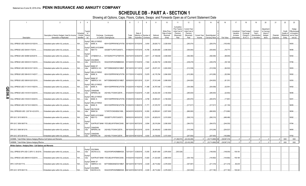## **SCHEDULE DB - PART A - SECTION 1**

|        |                                                                                                                 | $\overline{2}$                                                             | $\overline{3}$<br>$\overline{4}$                                      | -5                                                                                                     |               |                                                          | -8     | 9                  | 10                                                   | 11                                                                              | 12                                                               | 13                           | 14                              | 16           | 17                                                | 18                                                         | 19                                                  | 20                                                      | 21                    | 22                                         | 23                                                               |
|--------|-----------------------------------------------------------------------------------------------------------------|----------------------------------------------------------------------------|-----------------------------------------------------------------------|--------------------------------------------------------------------------------------------------------|---------------|----------------------------------------------------------|--------|--------------------|------------------------------------------------------|---------------------------------------------------------------------------------|------------------------------------------------------------------|------------------------------|---------------------------------|--------------|---------------------------------------------------|------------------------------------------------------------|-----------------------------------------------------|---------------------------------------------------------|-----------------------|--------------------------------------------|------------------------------------------------------------------|
|        | Description                                                                                                     | Description of Item(s) Hedged, Used for Income<br>Generation or Replicated | Гуре(s)<br>Schedul<br>of<br>/ Exhibit<br>Risk(s)<br>Identifier<br>(a) | Exchange, Counterparty<br>or Central Clearinghouse                                                     | Trade<br>Date | Date of<br>Maturity or Number of<br>Expiration Contracts |        | Notional<br>Amount | Strike Price.<br>Rate of Index<br>Received<br>(Paid) | Cumulative<br>Prior Year(s)<br>Initial Cost of<br>Premium<br>(Received)<br>Paid | Current Year<br>Initial Cost of<br>Premium<br>(Received)<br>Paid | <b>Current Yea</b><br>Income | Book/Adjusted<br>Carrying Value | Fair Value   | Unrealized<br>Valuation<br>Increase<br>(Decrease) | <b>Total Foreigr</b><br>Exchange<br>Change in<br>B./A.C.V. | Current<br>Year's<br>(Amortizatior<br>) / Accretion | Adjustmen<br>to Carrying<br>Value of<br>Hedged<br>Items | Potential<br>Exposure | Credit<br>Quality c<br>Reference<br>Entity | Hedge<br>Effectiveness<br>at Inception<br>and at Year<br>end (b) |
|        | CALL SPREAD USD 3028 M 03/15/2019                                                                               | Embedded option within IUL products                                        | N/A<br>ndex                                                           | Equity/I WELLS FARGO<br>BANK, N.<br>KB1H1DSPRFMYMCUFXT09. 03/19/2018 03/15/2019                        |               |                                                          | 9,454  | .28,626,712        | 3,028.0000                                           |                                                                                 | (293,074)                                                        |                              | (293,074)                       | (155, 493)   |                                                   |                                                            |                                                     |                                                         |                       |                                            | 95/93.                                                           |
|        | CALL SPREAD USD 3048 M 1/7/2019.                                                                                | Embedded option within IUL products                                        | Equity/I<br>N/A<br>ndex                                               | <b>BARCLAYS BANK</b><br>NEW YO<br>G5GSEF7VJP5I7OUK5573                                                 |               | 01/09/2018 01/07/2019                                    | 14,785 | .45,064,680        | 3,048.0000                                           |                                                                                 | (354, 840)                                                       |                              | (354, 840)                      | (78,777      |                                                   |                                                            |                                                     |                                                         |                       |                                            | 96/96                                                            |
|        | CALL SPREAD USD 3049M 02/25/2019.                                                                               | Embedded option within IUL products                                        | Equity/<br>N/A<br>ndex                                                | CITIBANK N.A.<br>E57ODZWZ7FF32TWEFA76                                                                  |               | 02/27/2018 02/25/2019                                    | 8,911  | 27,169,639         | 3,049.0000                                           |                                                                                 | (392,084)                                                        |                              | (392,084)                       | (98,945)     |                                                   |                                                            |                                                     |                                                         |                       |                                            | 94/92.                                                           |
|        | CALL SPREAD USD 3058 M 01/10/2019.                                                                              | Embedded option within IUL products                                        | Equity/<br>N/A<br>ndex                                                | <b>GOLDMAN</b><br>SACHS & CO,<br>W22LROWP2IHZNBB6K528                                                  |               | 01/12/2018 01/10/2019                                    | 7,944  | 24,292,752         | 3,058.0000                                           |                                                                                 | (238, 479)                                                       |                              | .(238, 479)                     | (39, 148)    |                                                   |                                                            |                                                     |                                                         |                       |                                            | 97/96                                                            |
|        | CALL SPREAD USD 3063 M 03/11/2019.                                                                              | Embedded option within IUL products                                        | Equity/I<br>N/A<br>ndex                                               | <b>BANK OF</b><br>AMERICA, N.A.<br>B4TYDEB6GKMZO031MB27                                                |               | 03/13/2018 03/11/2019                                    | 8,447  | 25,873,161         | 3,063.0000                                           |                                                                                 | (312,539)                                                        |                              | (312, 539)                      | (94, 522)    |                                                   |                                                            |                                                     |                                                         |                       |                                            | 95/93.                                                           |
|        | CALL SPREAD USD 3084 M 01/14/2017                                                                               | Embedded option within IUL products                                        | Equity/<br>N/A<br>ndex                                                | <b>WELLS FARGO</b><br>KB1H1DSPRFMYMCUFXT09. 01/17/2018 01/14/2019<br>BANK, N.                          |               |                                                          | 13,676 | 42,176,784         | 3,084.0000                                           |                                                                                 | (410,280)                                                        |                              | (410,280)                       | (52,094)     |                                                   |                                                            |                                                     |                                                         |                       |                                            | 95/92.                                                           |
|        | CALL SPREAD USD 3089 M 02/01/2019.                                                                              | Embedded option within IUL products                                        | Equity/I<br>N/A<br>ndex                                               | <b>BANK OF</b><br>AMERICA, N.A<br>B4TYDEB6GKMZO031MB27                                                 |               | 02/05/2018 02/01/2019                                    | 12,241 | 37,812,449         | 3,089.0000                                           |                                                                                 | (244,820                                                         |                              | (244,820)                       | (61,351      |                                                   |                                                            |                                                     |                                                         |                       |                                            | 92/93.                                                           |
| C      | CALL SPREAD USD 3113 M 01/18/2019                                                                               | Embedded option within IUL products                                        | Equity/<br>N/A<br>ndex                                                | <b>WELLS FARGO</b><br>BANK, N.<br>KB1H1DSPRFMYMCUFXT09. 01/22/2018 01/18/2019                          |               |                                                          | 11,496 | 35,787,048         | 3,113.0000                                           |                                                                                 | (304,069)                                                        |                              | (304,069)                       | (32, 591)    |                                                   |                                                            |                                                     |                                                         |                       |                                            | 94/92                                                            |
| っ<br>თ | CALL SPREAD USD 3145 M 01/22/2019                                                                               | Embedded option within IUL products                                        | Equity/I<br>N/A<br>ndex                                               | CANADIAN<br><b>IMPERIAL BA</b><br>2IGI19DL77OX0HC3ZE78.                                                |               | 01/23/2018 01/22/2019                                    | 11,209 | .35,252,305        | 3,145.0000                                           |                                                                                 | .(285,830                                                        |                              | (285, 830)                      | (22,952)     |                                                   |                                                            |                                                     |                                                         |                       |                                            | 96/96.                                                           |
| ထ      | CALL SPREAD USD 3159 M 01/25/2019                                                                               | Embedded option within IUL products.                                       | N/A<br>ndex                                                           | Equity/I WELLS FARGO<br>BANK, N.<br>KB1H1DSPRFMYMCUFXT09. 01/25/2018 01/25/2019                        |               |                                                          | 9,799  | .30,955,041        | 3,159.0000                                           |                                                                                 | (293, 970)                                                       |                              | (293,970)                       | .(17,891     |                                                   |                                                            |                                                     |                                                         |                       |                                            | 94/91.                                                           |
|        | CALL SPREAD USD 3167 M 01/28/2019.                                                                              | Embedded option within IUL products                                        | N/A<br>ndex                                                           | Equity/I   WELLS FARGC<br>BANK, N.<br>KB1H1DSPRFMYMCUFXT09. 01/25/2018 01/28/2019<br>Equity/I DEUTSCHE |               |                                                          | 11,771 | 37,278,757         | 3,167.0000                                           |                                                                                 | (317,817                                                         |                              | (317,817                        | (21, 155)    |                                                   |                                                            |                                                     |                                                         |                       |                                            | 96/95                                                            |
|        | CALL SPREADS USD 2,937 M 4-22-2019                                                                              | Embedded option within IUL products                                        | N/A<br>ndex<br>Equity/I                                               | <b>BANK SA</b><br>7LTWFZYICNSX8D621K86<br><b>BARCLAYS BANK</b>                                         |               | 04/24/2018 04/22/2019                                    | 14,593 | .42,859,641        | .2,937.0000                                          |                                                                                 | (666,900                                                         |                              | (666,900)                       | (713,990)    |                                                   |                                                            |                                                     |                                                         |                       |                                            | 96/94.                                                           |
|        | SPX US C 3015 06/03/19.                                                                                         | Embedded option within IUL products                                        | N/A<br>ndex<br>Equity/                                                | NEW YO<br>G5GSEF7VJP5I7OUK5573                                                                         |               | 06/05/2018 06/03/2019                                    | 13,574 | .40,925,610        | 3,015.0000                                           |                                                                                 | (506,310                                                         |                              | (506,310)                       | (466, 486)   |                                                   |                                                            |                                                     |                                                         |                       |                                            | 95/92.                                                           |
|        | SPX US C 3056 06/07/19.                                                                                         | Embedded option within IUL products                                        | N/A<br>ndex<br>Equity/                                                | SUNTRUST BANK IYDOJBGJWY9T8XKCSX06<br>CANADIAN                                                         |               | 06/11/2018 06/07/2019                                    | 9,594  | 29,319,264         | 3,056.0000                                           |                                                                                 | (364, 572)                                                       |                              | (364,572)                       | (244, 030)   |                                                   |                                                            |                                                     |                                                         |                       |                                            | 97/94.                                                           |
|        | SPX US C 3069 06/12/19                                                                                          | Embedded option within IUL products.                                       | N/A<br>ndex<br>Equity/I                                               | <b>IMPERIAL BA</b><br>2IGI19DL77OX0HC3ZE78<br>CANADIAN                                                 |               | 06/15/2018 06/12/2019                                    | 8,618  | 26,448,642         | 3,069.0000                                           |                                                                                 | (310,248)                                                        |                              | (310,248)                       | .(204,527    |                                                   |                                                            |                                                     |                                                         |                       |                                            | 98/95                                                            |
|        | SPX US C 3072 06/10/19.                                                                                         | Embedded option within IUL products                                        | N/A<br>ndex                                                           | <b>IMPERIAL BA</b><br>2IGI19DL77OX0HC3ZE78.                                                            |               | 06/12/2018 06/10/2019                                    | 8.050  | 24,729,600         | 3,072.0000                                           |                                                                                 | (257, 600)                                                       |                              | (257,600)                       | (183,868).   |                                                   |                                                            |                                                     |                                                         |                       |                                            | 17/92                                                            |
|        | 0439999. Total-Written Options-Hedging Effective-Call Options and Warrants                                      |                                                                            |                                                                       |                                                                                                        |               |                                                          |        |                    |                                                      | (11,282,573)                                                                    | (22,432,295)                                                     |                              | $(33,714,868)$ X)               | (36,567,316) | $\Omega$<br>$\Omega$                              |                                                            |                                                     |                                                         |                       | <b>XXX</b><br><b>XXX</b>                   | <b>XXX</b>                                                       |
|        | 0499999. Total-Written Options-Hedging Effective<br>Written Options - Hedging Other - Call Options and Warrants |                                                                            |                                                                       |                                                                                                        |               |                                                          |        |                    |                                                      | (11,282,573).                                                                   | (22,432,295).                                                    |                              | $(33,714,868)$ XX               | (36.567.316) |                                                   |                                                            |                                                     |                                                         |                       |                                            | <b>XXX</b>                                                       |
|        | CALL SPREAD SPX USD C 2976 12 -28-2018 Embedded option within IUL products                                      |                                                                            | Equity/<br>N/A<br>ndex                                                | <b>GOLDMAN</b><br>SACHS & CO.<br>W22LROWP2IHZNBB6K528                                                  |               | 12/31/2017 12/28/2018                                    | 13,055 | .38,851,680        | 2,976.0000                                           | (303, 529)                                                                      |                                                                  |                              | (148,000)                       | (148,000)    | 109,183                                           |                                                            |                                                     |                                                         |                       |                                            |                                                                  |
|        | CALL SPREAD USD 2989 M 01/02/2019.                                                                              | Embedded option within IUL products                                        | Equity/<br>N/A<br>ndex                                                | SUNTRUST BANK IYDOJBGJWY9T8XKCSX06                                                                     |               | 01/03/2018 01/02/2019                                    | 13,825 | 41,322,925         | .2,989.0000                                          |                                                                                 | (304,150)                                                        |                              | (144,962)                       | (144, 962)   | .159,188                                          |                                                            |                                                     |                                                         |                       |                                            |                                                                  |
|        | SPX C 3078 06/17/19                                                                                             | Embedded option within IUL products                                        | Equity/<br>N/A<br>ndex                                                | <b>BANK OF</b><br>AMERICA, N.A.<br>B4TYDEB6GKMZO031MB27                                                |               | 06/13/2018 06/17/2019                                    | 9,329  | 28,714,662         | 3,078.0000                                           |                                                                                 | (307, 857)                                                       |                              | (211,418)                       | .(211,418).  | 96,439                                            |                                                            |                                                     |                                                         |                       |                                            |                                                                  |
|        | SPX US C 3078 06/21/19.                                                                                         | Embedded option within IUL products                                        | Equity/l<br>N/A.<br>ndex                                              | <b>GOLDMAN</b><br>SACHS & CO.<br>W22LROWP2IHZNBB6K528                                                  |               | 06/14/2018 06/21/2019                                    | 9,329  | 28,714,662         | .3,078.0000                                          |                                                                                 | (323.530)                                                        |                              | (217, 190)                      | (217, 190)   | 106.340                                           |                                                            |                                                     |                                                         |                       |                                            |                                                                  |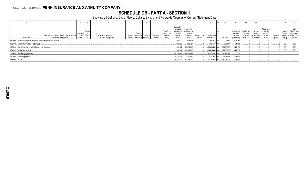## **SCHEDULE DB - PART A - SECTION 1**

|                                                                        |                                                                            |                               |                                    |                                                    |               |         |                                            |                    |                                                      |                                                        |                                                                                |        |                                                           |              |                                                   |                                                            |                                                      | 20                                                       |                       | 22         | 23                                                                                                   |
|------------------------------------------------------------------------|----------------------------------------------------------------------------|-------------------------------|------------------------------------|----------------------------------------------------|---------------|---------|--------------------------------------------|--------------------|------------------------------------------------------|--------------------------------------------------------|--------------------------------------------------------------------------------|--------|-----------------------------------------------------------|--------------|---------------------------------------------------|------------------------------------------------------------|------------------------------------------------------|----------------------------------------------------------|-----------------------|------------|------------------------------------------------------------------------------------------------------|
| Description                                                            | Description of Item(s) Hedged, Used for Income<br>Generation or Replicated | Schedule<br><b>Identifier</b> | Type(s<br>/ Exhibit Risk(s)<br>(a) | Exchange, Counterparty<br>or Central Clearinghouse | Trade<br>Date | Date of | Maturity or Number<br>Expiration Contracts | Notional<br>Amount | Strike Price,<br>Rate of Index<br>Received<br>(Paid) | Cumulative<br>Initial Cost of<br>Premium<br>(Received) | Prior Year(s) Current Year<br>Initial Cost of<br>Premium<br>(Received)<br>Paid | Income | Current Year Book/Adjusted<br>Carrying Value e Fair Value |              | Unrealized<br>Valuation<br>Increase<br>(Decrease) | <b>Total Foreign</b><br>Exchange<br>Change in<br>B./A.C.V. | Current<br>Year's<br>(Amortization)<br>) / Accretion | Adjustment<br>to Carrying<br>Value of<br>Hedged<br>Items | Potential<br>Exposure | Credit     | Hedge<br><b>Effectiveness</b><br>Quality of at Inception<br>Reference and at Year-<br>Entity end (b) |
| 0509999. Total-Written Options-Hedging Other-Call Options and Warrants |                                                                            |                               |                                    |                                                    |               |         |                                            |                    |                                                      | (303,529)                                              | (935,537)                                                                      |        | $(721,570)$ XX                                            | (721,570)    | 471,150                                           |                                                            |                                                      |                                                          |                       | XXX        | XXX                                                                                                  |
| 0569999. Total-Written Options-Hedging Other                           |                                                                            |                               |                                    |                                                    |               |         |                                            |                    |                                                      | (303.529)                                              | (935.537)                                                                      |        | $(721.570)$ XX                                            | (721,570)    | 471.150                                           |                                                            |                                                      |                                                          |                       | XXX        | XXX                                                                                                  |
| 0789999. Total-Written Options-Call Options and Warrants.              |                                                                            |                               |                                    |                                                    |               |         |                                            |                    |                                                      |                                                        | $(11.586.102)$ (23.367.832)                                                    |        | $(34,436,438)$ XX.                                        | (37.288.886) | 471.150                                           |                                                            |                                                      |                                                          |                       | XXX        | <b>XXX</b>                                                                                           |
| 0849999. Total-Written Options                                         |                                                                            |                               |                                    |                                                    |               |         |                                            |                    |                                                      | $(11.586.102)$ .                                       | (23,367,832)                                                                   |        | $(34.436.438)$ XXI.                                       | (37,288,886) | 471.150                                           |                                                            |                                                      |                                                          |                       | XXX        | XXX                                                                                                  |
| 1399999. Total-Hedging Effective.                                      |                                                                            |                               |                                    |                                                    |               |         |                                            |                    |                                                      | 44.378.906                                             | 47.297.081                                                                     |        | 91,675,987 XX                                             | 117.771.416  |                                                   |                                                            |                                                      |                                                          |                       | XXX        | XXX                                                                                                  |
| 1409999. Total-Hedging Other.                                          |                                                                            |                               |                                    |                                                    |               |         |                                            |                    |                                                      | 1,248,711                                              | 3.197.685                                                                      |        | 3,997,483 XX                                              | .3,997,483   | (381,561)                                         |                                                            |                                                      |                                                          |                       | XXX        | XXX                                                                                                  |
| 1449999. TOTAL.                                                        |                                                                            |                               |                                    |                                                    |               |         |                                            |                    |                                                      | 45,627,617                                             | 50,494,766                                                                     |        | 95,673,470 XX.                                            | 121,768,899  | (381,561)                                         |                                                            |                                                      |                                                          |                       | <b>XXX</b> | <b>XXX</b>                                                                                           |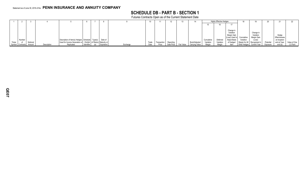## **SCHEDULE DB - PART B - SECTION 1**

Futures Contracts Open as of the Current Statement Date

|        |                         |          |             |                                                                    |            |            |          |       |             |            | 13         |                |            | <b>Highly Effective Hedges</b> |                |                |                     |           |               |              |
|--------|-------------------------|----------|-------------|--------------------------------------------------------------------|------------|------------|----------|-------|-------------|------------|------------|----------------|------------|--------------------------------|----------------|----------------|---------------------|-----------|---------------|--------------|
|        |                         |          |             |                                                                    |            |            |          |       |             |            |            |                |            |                                |                |                |                     |           |               |              |
|        |                         |          |             |                                                                    |            |            |          |       |             |            |            |                |            |                                |                |                |                     |           |               |              |
|        |                         |          |             |                                                                    |            |            |          |       |             |            |            |                |            |                                | Change in      |                |                     |           |               |              |
|        |                         |          |             |                                                                    |            |            |          |       |             |            |            |                |            |                                | Variation      |                | Change in           |           |               |              |
|        |                         |          |             |                                                                    |            |            |          |       |             |            |            |                |            |                                | Margin Gain    |                | Variation           |           | Hedge         |              |
|        |                         |          |             |                                                                    |            |            |          |       |             |            |            |                |            |                                | (Loss) Used to | Cumulative     | Margin Gain         |           | Effectiveness |              |
|        | Number                  |          |             | Description of Item(s) Hedged, Schedule   Type(s)                  |            | Date of    |          |       |             |            |            |                | Cumulative | Deferred                       | Adjust Basis   | Variation      |                     |           | at Inception  |              |
| Ticker |                         | Notional |             | Used for Income Generation or / Exhibit   of Risk(s)   Maturity or |            |            |          | Trade | Transaction | Reporting  |            | Book/Adjusted  | Variation  | Variation                      | of Hedged      | Margin for All | Recognized i        | Potential | and at Year-  | Value of One |
|        | Symbol Contracts Amount |          | Description | Replicated                                                         | Identifier | Expiration | Exchange | Date  | Price       | Date Price | Fair Value | Carrying Value | Margin     | Margin                         | ltem           | Other Hedges   | <b>Current Year</b> | Exposure  | end (b)       | $(1)$ Point  |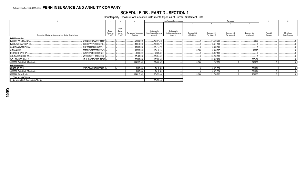# SCHEDULE DB - PART D - SECTION 1<br>Counterparty Exposure for Derivative Instruments Open as of Current Statement Date

|                                                                |                       |                   |                                        |                                       | Book Adjusted Carrying Value          |                               |                                  | Fair Value                       |                               | 11        | 12             |
|----------------------------------------------------------------|-----------------------|-------------------|----------------------------------------|---------------------------------------|---------------------------------------|-------------------------------|----------------------------------|----------------------------------|-------------------------------|-----------|----------------|
|                                                                |                       |                   |                                        |                                       |                                       |                               |                                  |                                  | 10                            |           |                |
|                                                                |                       |                   |                                        |                                       |                                       |                               |                                  |                                  |                               |           |                |
|                                                                |                       | Credit            |                                        |                                       |                                       |                               |                                  |                                  |                               |           |                |
|                                                                | Master                | Support           |                                        | Contracts with                        | Contracts with                        |                               |                                  |                                  |                               | Potential | Off-Balance    |
| Description of Exchange, Counterparty or Central Clearinghouse | Agreement<br>(Y or N) | Annex<br>(Y or N) | Fair Value of Acceptable<br>Collateral | Book/Adjusted Carrying<br>Value $> 0$ | Book/Adjusted Carrying<br>Value $< 0$ | Exposure Net<br>of Collateral | Contracts with<br>Fair Value > 0 | Contracts with<br>Fair Value < 0 | Exposure Net<br>of Collateral | Exposure  | Sheet Exposure |
| <b>NAIC 1 Designation</b>                                      |                       |                   |                                        |                                       |                                       |                               |                                  |                                  |                               |           |                |
| BANK OF AMERICA, N.A.<br>B4TYDEB6GKMZO031MB27 Y                |                       |                   | 21,500,000                             | .15,501,422                           |                                       |                               | .21,506,900                      |                                  | .6.900                        |           |                |
| G5GSEF7VJP5I7OUK5573<br><b>BARCLAYS BANK NEW YO.</b>           |                       |                   | .13.840.000                            | .10,657,778                           |                                       |                               | .12,511,704                      |                                  |                               |           |                |
| CANADIAN IMPERIAL BA.<br>2IGI19DL77OX0HC3ZE78                  |                       |                   | .15,800,000                            | .13,414,772                           |                                       |                               | .15,354,841                      |                                  |                               |           |                |
| CITIBANK N.A<br>E57ODZWZ7FF32TWEFA76                           |                       |                   | .10,790,982                            | .10,816,231                           |                                       | .25.249                       | .10,834,907                      |                                  | 43.925                        |           |                |
| <b>DEUTSCHE BANK SA.</b><br>7LTWFZYICNSX8D621K86               |                       |                   | .3,000,000                             | 2,629,538                             |                                       |                               | .2,957,102                       |                                  |                               |           |                |
| GOLDMAN SACHS & CO,.<br>W22LROWP2IHZNBB6K528                   |                       |                   | .27,420,000                            | .15,054,309                           |                                       |                               | .25,284,390                      |                                  |                               |           |                |
| KB1H1DSPRFMYMCUFXT09 Y.<br><b>WELLS FARGO BANK, N.</b>         |                       |                   | .22,580,000                            | .19,786,823                           |                                       |                               | .22,847,434                      |                                  | .267.434                      |           |                |
| 0299999. Total NAIC 1 Designation.                             |                       |                   | 114,930,982                            | .87,860,873                           |                                       | .25,249                       | .111,297,278                     |                                  | .318,259                      |           |                |
| <b>NAIC 2 Designation</b>                                      |                       |                   |                                        |                                       |                                       |                               |                                  |                                  |                               |           |                |
| IYDOJBGJWY9T8XKCSX06. Y<br>SUNTRUST BANK                       |                       |                   | 9,080,000                              | 7,812,595                             |                                       |                               | .10,471,624                      |                                  | .1,391,624                    |           |                |
| 0399999. Total NAIC 2 Designation.                             |                       |                   | 9,080,000                              | 7,812,595                             |                                       |                               | .10,471,624                      |                                  | .1,391,624                    |           |                |
| 0999999. Gross Totals                                          |                       |                   | 124,010,982                            | .95,673,468                           |                                       | .25,249                       | .121,768,902                     |                                  | 1,709,883                     |           |                |
| 1. Offset per SSAP No. 64.                                     |                       |                   |                                        |                                       |                                       |                               |                                  |                                  |                               |           |                |
| 2. Net after right of offset per SSAP No. 64.                  |                       |                   |                                        | .95,673,468                           |                                       |                               |                                  |                                  |                               |           |                |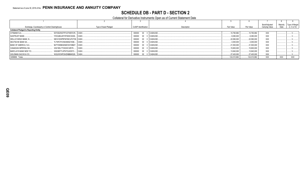## **SCHEDULE DB - PART D - SECTION 2**

### Collateral for Derivative Instruments Open as of Current Statement Date

|                                                 |                             |                       |                      |               |              |              | Book/Adjusted  | Maturity | Type of Margin |
|-------------------------------------------------|-----------------------------|-----------------------|----------------------|---------------|--------------|--------------|----------------|----------|----------------|
| Exchange, Counterparty or Central Clearinghouse |                             | Type of Asset Pledged | CUSIP Identification | Description   | Fair Value   | Par Value    | Carrying Value | Date     | (I, V or IV)   |
| <b>Collateral Pledged to Reporting Entity</b>   |                             |                       |                      |               |              |              |                |          |                |
| CITIBANK N.A                                    | E57ODZWZ7FF32TWEFA76 CASH   |                       | 000000               | 00 0 CASHUSD. | 10,790,982   | .10,790,982  | <b>XXX</b>     |          |                |
| <b>SUNTRUST BANK</b>                            | IYDOJBGJWY9T8XKCSX06 CASH.  |                       | 000000               | 00 0 CASHUSD. | .9,080,000   | .9,080,000   | <b>XXX</b>     |          |                |
| <b>WELLS FARGO BANK, N.,</b>                    | KB1H1DSPRFMYMCUFXT09. CASH. |                       | 000000               | 00 0 CASHUSD. | .22.580.000  | 22.580.000   | <b>XXX</b>     |          |                |
| <b>DEUTSCHE BANK SA</b>                         | 7LTWFZYICNSX8D621K86 CASH   |                       | 000000               | 00 0 CASHUSD. | .3,000,000   | .3,000,000   | <b>XXX</b>     |          |                |
| BANK OF AMERICA, N.A                            | B4TYDEB6GKMZO031MB27 CASH.  |                       | 000000               | 00 0 CASHUSD. | .21.500.000  | .21.500.000  | <b>XXX</b>     |          |                |
| CANADIAN IMPERIAL BA.                           | 2IGI19DL77OX0HC3ZE78 CASH.  |                       | 000000               | 00 0 CASHUSD. | 15,800,000   | .15,800,000  | <b>XXX</b>     |          |                |
| <b>BARCLAYS BANK NEW YO</b>                     | G5GSEF7VJP5I7OUK5573 CASH   |                       | 000000               | 00 0 CASHUSD. | 13,840,000   | 13.840.000   | <b>XXX</b>     |          |                |
| GOLDMAN SACHS & CO,                             | W22LROWP2IHZNBB6K528 CASH   |                       | 000000               | 00 0 CASHUSD  | 27,420,000   | 27,420,000   | XXX            |          |                |
| 0299999. Totals                                 |                             |                       |                      |               | .124,010,982 | .124,010,982 | <b>XXX</b>     | XXX      | XXX            |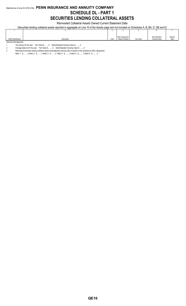## Statement as of June 30, 2018 of the **PENN INSURANCE AND ANNUITY COMPANY SCHEDULE DL - PART 1 SECURITIES LENDING COLLATERAL ASSETS**

Reinvested Collateral Assets Owned Current Statement Date

(Securities lending collateral assets reported in aggregate on Line 10 of the Assets page and not included on Schedules A, B, BA, D, DB and E)

|                             |             |      | NAIC Designation   |            | Book/Adjusted  | Maturity |
|-----------------------------|-------------|------|--------------------|------------|----------------|----------|
| <b>CUSIP</b> Identification | Description | Code | / Market Indicator | Fair Value | Carrying Value | Date     |
| General Interrogatories:    |             |      |                    |            |                |          |

1. The activity for the year: Fair Value \$..........0 Book/Adjusted Carrying Value \$..........0<br>2. Average balance for the year: Fair Value \$..........0 Book/Adjusted Carrying Value \$.....

NAIC 1: \$..........0 NAIC 2: \$..........0 NAIC 3: \$..........0 NAIC 4: \$..........0 NAIC 5: \$..........0 NAIC 6: \$..........0

<sup>2.</sup> Average balance for the year: Fair Value \$..........0 Book/Adjusted Carrying Value \$..........0

<sup>3.</sup> Reinvested securities lending collateral assets book/adjusted carrying value included in this schedule by NAIC designation: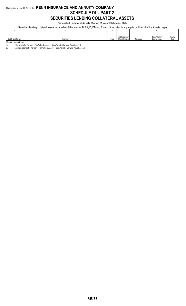## Statement as of June 30, 2018 of the **PENN INSURANCE AND ANNUITY COMPANY SCHEDULE DL - PART 2 SECURITIES LENDING COLLATERAL ASSETS**

Reinvested Collateral Assets Owned Current Statement Date

(Securities lending collateral assets included on Schedules A, B, BA, D, DB and E and not reported in aggregate on Line 10 of the Assets page)

|                          |             |      | <b>NAIC Designation</b> |            | Book/Adjusted  | Maturity |
|--------------------------|-------------|------|-------------------------|------------|----------------|----------|
| CUSIP Identification     | Description | Code | / Market Indicator      | Fair Value | Carrying Value | Date     |
| General Interrogatories: |             |      |                         |            |                |          |

1. The activity for the year: Fair Value \$..........0 Book/Adjusted Carrying Value \$..........0<br>2. Average balance for the year: Fair Value \$..........0 Book/Adjusted Carrying Value \$.....

Average balance for the year: Fair Value \$...........0 Book/Adjusted Carrying Value \$..........0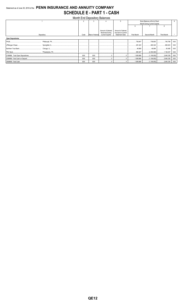## Statement as of June 30, 2018 of the PENN INSURANCE AND ANNUITY COMPANY **SCHEDULE E - PART 1 - CASH**

|                          |                             |                  | Month End Depository Balances                                          |                                                                   |                                     |              |             |            |  |  |
|--------------------------|-----------------------------|------------------|------------------------------------------------------------------------|-------------------------------------------------------------------|-------------------------------------|--------------|-------------|------------|--|--|
|                          | Book Balance at End of Each |                  |                                                                        |                                                                   |                                     |              |             |            |  |  |
|                          |                             |                  |                                                                        |                                                                   | Month During Current Quarter        |              |             |            |  |  |
|                          |                             |                  |                                                                        |                                                                   |                                     |              |             |            |  |  |
|                          | Code                        | Rate of Interest | Amount of Interest<br><b>Received During</b><br><b>Current Quarter</b> | Amount of Interest<br>Accrued at Current<br><b>Statement Date</b> | <b>First Month</b>                  | Second Month | Third Month |            |  |  |
| Depository               |                             |                  |                                                                        |                                                                   |                                     |              |             |            |  |  |
| <b>Open Depositories</b> |                             |                  |                                                                        |                                                                   |                                     |              |             |            |  |  |
|                          |                             |                  |                                                                        |                                                                   | 738,847                             | 739,800      | 740,798     | XXX        |  |  |
|                          |                             |                  |                                                                        |                                                                   | 291,223<br>.                        | 460,324      |             | XXX        |  |  |
|                          |                             |                  |                                                                        |                                                                   | $\ldots$                            | 49.984       | 50,480      | XXX        |  |  |
|                          |                             |                  |                                                                        |                                                                   | .880,927<br>.                       |              |             | <b>XXX</b> |  |  |
|                          | <b>XXX</b>                  | <b>XXX</b>       |                                                                        |                                                                   |                                     |              |             | XXX        |  |  |
|                          | <b>XXX</b>                  | XXX              |                                                                        |                                                                   | 1,959,966                           |              |             | XXX        |  |  |
|                          | <b>XXX</b>                  | <b>XXX</b>       |                                                                        |                                                                   | 1,959,966   (1,106,852)   2,645,338 |              |             | <b>XXX</b> |  |  |